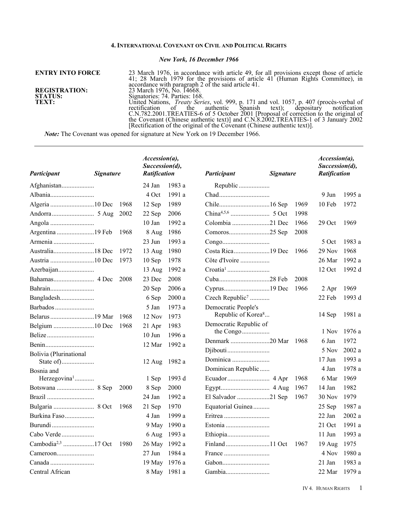# **4. INTERNATIONAL COVENANT ON CIVIL AND POLITICAL RIGHTS**

*New York, 16 December 1966*

| <b>ENTRY INTO FORCE</b>                         | 23 March 1976, in accordance with article 49, for all provisions except those of article<br>41; 28 March 1979 for the provisions of article 41 (Human Rights Committee), in                                                                                                                                                                                                                                                                                                                                                                               |
|-------------------------------------------------|-----------------------------------------------------------------------------------------------------------------------------------------------------------------------------------------------------------------------------------------------------------------------------------------------------------------------------------------------------------------------------------------------------------------------------------------------------------------------------------------------------------------------------------------------------------|
| <b>REGISTRATION:</b><br><b>STATUS:</b><br>TEXT: | accordance with paragraph 2 of the said article 41.<br>23 March 1976, No. 14668.<br>Signatories: 74. Parties: 168.<br>United Nations, <i>Treaty Series</i> , vol. 999, p. 171 and vol. 1057, p. 407 (proces-verbal of<br>rectification of the authentic Spanish text); depositary notification<br>C.N.782.2001.TREATIES-6 of 5 October 2001 [Proposal of correction to the original of<br>the Covenant (Chinese authentic text)] and C.N.8.2002.TREATIES-1 of 3 January 2002<br>[Rectification of the original of the Covenant (Chinese authentic text)]. |

*Note:* The Covenant was opened for signature at New York on 19 December 1966.

| Participant              | <b>Signature</b> |      | $Accession(a)$ ,<br>Succession(d),<br>Ratification |          | Participant                    | <b>Signature</b> |        | $Accession(a)$ ,<br>Succession(d),<br><b>Ratification</b> |                 |
|--------------------------|------------------|------|----------------------------------------------------|----------|--------------------------------|------------------|--------|-----------------------------------------------------------|-----------------|
| Afghanistan              |                  |      | 24 Jan                                             | 1983 a   | Republic                       |                  |        |                                                           |                 |
|                          |                  |      | 4 Oct                                              | 1991 a   |                                |                  |        | 9 Jun                                                     | 1995 a          |
|                          |                  | 1968 | 12 Sep                                             | 1989     |                                |                  | 1969   | 10 Feb                                                    | 1972            |
|                          |                  | 2002 | 22 Sep                                             | 2006     |                                |                  | 1998   |                                                           |                 |
|                          |                  |      | $10$ Jan                                           | 1992 a   | Colombia 21 Dec                |                  | 1966   | 29 Oct                                                    | 1969            |
|                          |                  | 1968 | 8 Aug                                              | 1986     |                                |                  | 2008   |                                                           |                 |
| Armenia                  |                  |      | 23 Jun                                             | 1993 a   |                                |                  |        | 5 Oct                                                     | 1983 a          |
| Australia18 Dec          |                  | 1972 | 13 Aug                                             | 1980     |                                |                  | 1966   | $29$ Nov                                                  | 1968            |
|                          |                  | 1973 | 10 Sep                                             | 1978     | $C\hat{o}$ te d'Ivoire         |                  |        | 26 Mar                                                    | 1992 a          |
| Azerbaijan               |                  |      | 13 Aug                                             | 1992 a   |                                |                  |        | $12$ Oct                                                  | 1992 d          |
|                          |                  | 2008 | 23 Dec                                             | 2008     |                                |                  | 2008   |                                                           |                 |
|                          |                  |      | 20 Sep                                             | 2006 a   |                                |                  | 1966   | 2 Apr                                                     | 1969            |
| Bangladesh               |                  |      | 6 Sep                                              | 2000 a   | Czech Republic <sup>7</sup>    |                  |        | 22 Feb                                                    | 1993 d          |
| Barbados                 |                  |      | 5 Jan                                              | 1973 a   | Democratic People's            |                  |        |                                                           |                 |
| Belarus 19 Mar           |                  | 1968 | 12 Nov                                             | 1973     | Republic of Korea <sup>8</sup> |                  |        | 14 Sep                                                    | 1981 a          |
|                          |                  | 1968 | 21 Apr                                             | 1983     | Democratic Republic of         |                  |        |                                                           |                 |
|                          |                  |      | $10$ Jun                                           | 1996 a   | the Congo                      |                  |        | 1 Nov                                                     | 1976 a          |
|                          |                  |      | 12 Mar                                             | 1992 a   | Denmark 20 Mar                 |                  | - 1968 | 6 Jan                                                     | 1972            |
| Bolivia (Plurinational   |                  |      |                                                    |          |                                |                  |        | $5$ Nov                                                   | 2002 a          |
| State of $\ldots$        |                  |      | 12 Aug 1982 a                                      |          | Dominica                       |                  |        | $17$ Jun                                                  | 1993 $a$        |
| Bosnia and               |                  |      |                                                    |          | Dominican Republic             |                  |        | 4 Jan                                                     | 1978 a          |
| Herzegovina <sup>1</sup> |                  |      | 1 Sep                                              | 1993 d   |                                |                  | 1968   | 6 Mar                                                     | 1969            |
|                          |                  | 2000 | 8 Sep                                              | 2000     |                                |                  | 1967   | 14 Jan                                                    | 1982            |
|                          |                  |      | 24 Jan                                             | 1992 $a$ | El Salvador 21 Sep             |                  | 1967   | $30$ Nov                                                  | 1979            |
|                          |                  | 1968 | 21 Sep                                             | 1970     | Equatorial Guinea              |                  |        | 25 Sep                                                    | 1987 a          |
| Burkina Faso             |                  |      | 4 Jan                                              | 1999 a   |                                |                  |        | 22 Jan                                                    | 2002a<br>1991 a |
| Burundi                  |                  |      | 9 May                                              | 1990 a   |                                |                  |        | 21 Oct                                                    |                 |
| Cabo Verde               |                  |      | 6 Aug                                              | 1993 a   |                                |                  |        | $11$ Jun                                                  | 1993 a          |
|                          |                  | 1980 | 26 May                                             | 1992 a   |                                |                  | 1967   | $19$ Aug                                                  | 1975            |
|                          |                  |      | $27 \text{ Jun}$                                   | 1984 a   |                                |                  |        | 4 Nov                                                     | 1980 a          |
|                          |                  |      | 19 May 1976 a                                      |          |                                |                  |        | 21 Jan                                                    | 1983 a          |
| Central African          |                  |      | 8 May 1981 a                                       |          |                                |                  |        | 22 Mar                                                    | 1979 a          |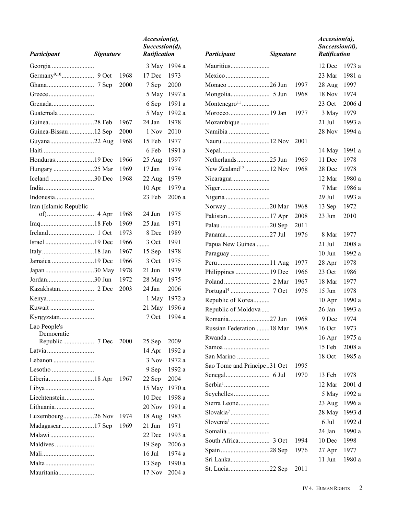| Participant                | <b>Signature</b> | Accession(a),<br>Succession(d),<br>Ratification |          |        |
|----------------------------|------------------|-------------------------------------------------|----------|--------|
|                            |                  |                                                 | 3 May    | 1994 a |
|                            | 9 Oct            | 1968                                            | 17 Dec   | 1973   |
|                            |                  | 2000                                            | 7 Sep    | 2000   |
|                            |                  |                                                 | 5 May    | 1997 a |
| Grenada                    |                  |                                                 | 6 Sep    | 1991 a |
| Guatemala                  |                  |                                                 | 5 May    | 1992 a |
|                            |                  | 1967                                            | 24 Jan   | 1978   |
| Guinea-Bissau12 Sep        |                  | 2000                                            | 1 Nov    | 2010   |
| Guyana22 Aug               |                  | 1968                                            | 15 Feb   | 1977   |
|                            |                  |                                                 | 6 Feb    | 1991 a |
|                            |                  | 1966                                            | 25 Aug   | 1997   |
|                            |                  | 1969                                            | 17 Jan   | 1974   |
| Iceland $\ldots$ 30 Dec    |                  | 1968                                            | 22 Aug   | 1979   |
|                            |                  |                                                 | 10 Apr   | 1979 a |
|                            |                  |                                                 | 23 Feb   | 2006 a |
| Iran (Islamic Republic     |                  |                                                 |          |        |
|                            |                  | 1968                                            | 24 Jun   | 1975   |
|                            |                  | 1969                                            | 25 Jan   | 1971   |
|                            |                  | 1973                                            | 8 Dec    | 1989   |
|                            |                  | 1966                                            | 3 Oct    | 1991   |
|                            |                  | 1967                                            | 15 Sep   | 1978   |
|                            |                  | 1966                                            | 3 Oct    | 1975   |
|                            |                  | 1978                                            | $21$ Jun | 1979   |
|                            |                  | 1972                                            | 28 May   | 1975   |
|                            |                  | 2003                                            | 24 Jan   | 2006   |
|                            |                  |                                                 | 1 May    | 1972 a |
| Kuwait                     |                  |                                                 | 21 May   | 1996 a |
| Kyrgyzstan                 |                  |                                                 | 7 Oct    | 1994 a |
| Lao People's<br>Democratic |                  |                                                 |          |        |
|                            |                  | 2000                                            | 25 Sep   | 2009   |
|                            |                  |                                                 | 14 Apr   | 1992 a |
| Lebanon                    |                  |                                                 | 3 Nov    | 1972 a |
| Lesotho                    |                  |                                                 | 9 Sep    | 1992 a |
|                            |                  | 1967                                            | 22 Sep   | 2004   |
|                            |                  |                                                 | 15 May   | 1970 a |
| Liechtenstein              |                  |                                                 | 10 Dec   | 1998 a |
| Lithuania                  |                  |                                                 | 20 Nov   | 1991 a |
| Luxembourg26 Nov           |                  | 1974                                            | 18 Aug   | 1983   |
| Madagascar17 Sep           |                  | 1969                                            | $21$ Jun | 1971   |
| Malawi                     |                  |                                                 | 22 Dec   | 1993 a |
| Maldives                   |                  |                                                 | 19 Sep   | 2006 a |
|                            |                  |                                                 | 16 Jul   | 1974 a |
|                            |                  |                                                 | 13 Sep   | 1990 a |
| Mauritania                 |                  |                                                 | 17 Nov   | 2004a  |

| Participant                      | <b>Signature</b> |      | Accession(a),<br>Succession(d),<br><b>Ratification</b> |        |
|----------------------------------|------------------|------|--------------------------------------------------------|--------|
| Mauritius                        |                  |      | 12 Dec                                                 | 1973 a |
|                                  |                  |      | 23 Mar                                                 | 1981 a |
|                                  |                  | 1997 | 28 Aug                                                 | 1997   |
|                                  |                  | 1968 | 18 Nov                                                 | 1974   |
| Montenegro <sup>11</sup>         |                  |      | 23 Oct                                                 | 2006 d |
| Morocco19 Jan                    |                  | 1977 | 3 May                                                  | 1979   |
| Mozambique                       |                  |      | 21 Jul                                                 | 1993 a |
| Namibia                          |                  |      | 28 Nov                                                 | 1994 a |
| Nauru 12 Nov                     |                  | 2001 |                                                        |        |
|                                  |                  |      | 14 May                                                 | 1991 a |
| Netherlands25 Jun                |                  | 1969 | 11 Dec                                                 | 1978   |
| New Zealand <sup>12</sup> 12 Nov |                  | 1968 | 28 Dec                                                 | 1978   |
| Nicaragua                        |                  |      | 12 Mar                                                 | 1980 a |
|                                  |                  |      | 7 Mar                                                  | 1986 a |
|                                  |                  |      | 29 Jul                                                 | 1993 a |
| Norway 20 Mar                    |                  | 1968 | 13 Sep                                                 | 1972   |
| Pakistan17 Apr                   |                  | 2008 | 23 Jun                                                 | 2010   |
|                                  |                  | 2011 |                                                        |        |
| Panama27 Jul                     |                  | 1976 | 8 Mar                                                  | 1977   |
| Papua New Guinea                 |                  |      | 21 Jul                                                 | 2008 a |
| Paraguay                         |                  |      | $10$ Jun                                               | 1992 a |
|                                  |                  | 1977 | 28 Apr                                                 | 1978   |
|                                  |                  | 1966 | 23 Oct                                                 | 1986   |
|                                  |                  | 1967 | 18 Mar                                                 | 1977   |
|                                  |                  | 1976 | 15 Jun                                                 | 1978   |
| Republic of Korea                |                  |      | 10 Apr                                                 | 1990 a |
| Republic of Moldova              |                  |      | 26 Jan                                                 | 1993 a |
| Romania27 Jun                    |                  | 1968 | 9 Dec                                                  | 1974   |
| Russian Federation 18 Mar        |                  | 1968 | 16 Oct                                                 | 1973   |
| Rwanda                           |                  |      | 16 Apr                                                 | 1975 a |
|                                  |                  |      | 15 Feb                                                 | 2008a  |
| San Marino                       |                  |      | 18 Oct                                                 | 1985 a |
| Sao Tome and Principe31 Oct      |                  | 1995 |                                                        |        |
|                                  |                  | 1970 | 13 Feb                                                 | 1978   |
|                                  |                  |      | 12 Mar                                                 | 2001 d |
| Seychelles                       |                  |      | 5 May                                                  | 1992 a |
| Sierra Leone                     |                  |      | 23 Aug                                                 | 1996 a |
|                                  |                  |      | 28 May                                                 | 1993 d |
|                                  |                  |      | 6 Jul                                                  | 1992 d |
| Somalia                          |                  |      | 24 Jan                                                 | 1990 a |
|                                  |                  | 1994 | 10 Dec                                                 | 1998   |
|                                  |                  | 1976 | 27 Apr                                                 | 1977   |
| Sri Lanka                        |                  |      | $11$ Jun                                               | 1980 a |
| St. Lucia22 Sep                  |                  | 2011 |                                                        |        |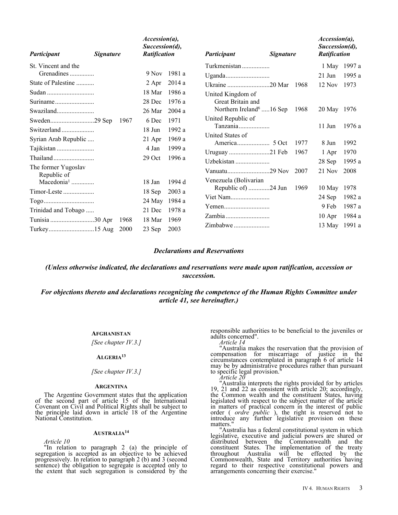| Participant<br><b>Signature</b>    |      | $\textit{Accession}(a),$<br>Succession(d),<br><b>Ratification</b> |          | <b>Participant</b>                   | <b>Signature</b> |      | $\textit{Accession}(a),$<br>Succession(d),<br>Ratification |                |
|------------------------------------|------|-------------------------------------------------------------------|----------|--------------------------------------|------------------|------|------------------------------------------------------------|----------------|
| St. Vincent and the                |      |                                                                   |          | Turkmenistan                         |                  |      |                                                            | 1 May 1997 a   |
| Grenadines                         |      | 9 Nov                                                             | 1981 a   |                                      |                  |      | $21$ Jun                                                   | 1995 a         |
| State of Palestine                 |      | 2 Apr                                                             | 2014a    | Ukraine 20 Mar                       |                  | 1968 | 12 Nov                                                     | 1973           |
|                                    |      | 18 Mar                                                            | 1986 a   | United Kingdom of                    |                  |      |                                                            |                |
|                                    |      | 28 Dec                                                            | 1976 a   | Great Britain and                    |                  |      |                                                            |                |
|                                    |      | 26 Mar                                                            | 2004a    | Northern Ireland <sup>6</sup> 16 Sep |                  | 1968 | 20 May 1976                                                |                |
|                                    | 1967 | 6 Dec                                                             | 1971     | United Republic of                   |                  |      |                                                            |                |
| Switzerland                        |      | $18$ Jun                                                          | 1992 $a$ |                                      |                  |      | $11$ Jun                                                   | 1976 a         |
| Syrian Arab Republic               |      | 21 Apr                                                            | 1969 a   | United States of                     |                  | 1977 | 8 Jun                                                      | 1992           |
| Tajikistan                         |      | 4 Jan                                                             | 1999 a   |                                      |                  | 1967 |                                                            | 1970           |
|                                    |      | 29 Oct                                                            | 1996 a   |                                      |                  |      | 1 Apr                                                      |                |
| The former Yugoslav<br>Republic of |      |                                                                   |          | Uzbekistan                           |                  | 2007 | 28 Sep<br>21 Nov                                           | 1995 a<br>2008 |
| Macedonia <sup>1</sup>             |      | 18 Jan                                                            | 1994 d   | Venezuela (Bolivarian                |                  |      |                                                            |                |
| Timor-Leste                        |      | 18 Sep                                                            | 2003a    |                                      |                  | 1969 | $10$ May                                                   | 1978           |
|                                    |      | 24 May                                                            | 1984 a   |                                      |                  |      | 24 Sep                                                     | 1982 a         |
| Trinidad and Tobago                |      | 21 Dec                                                            | 1978 a   |                                      |                  |      | 9 Feb                                                      | 1987 a         |
|                                    | 1968 | 18 Mar                                                            | 1969     |                                      |                  |      | $10$ Apr                                                   | 1984 a         |
|                                    | 2000 | 23 Sep                                                            | 2003     | Zimbabwe                             |                  |      | 13 May 1991 a                                              |                |

# *Declarations and Reservations*

# *(Unless otherwise indicated, the declarations and reservations were made upon ratification, accession or succession.*

# *For objections thereto and declarations recognizing the competence of the Human Rights Committee under article 41, see hereinafter.)*

**AFGHANISTAN**

*[See chapter IV.3.]* 

# **ALGERIA<sup>13</sup>**

# *[See chapter IV.3.]*

# **ARGENTINA**

The Argentine Government states that the application of the second part of article 15 of the International Covenant on Civil and Political Rights shall be subject to the principle laid down in article 18 of the Argentine National Constitution.

# **AUSTRALIA<sup>14</sup>**

*Article 10* "In relation to paragraph 2 (a) the principle of segregation is accepted as an objective to be achieved progressively. In relation to paragraph 2 (b) and 3 (second sentence) the obligation to segregate is accepted only to the extent that such segregation is considered by the responsible authorities to be beneficial to the juveniles or adults concerned".

*Article 14*

"Australia makes the reservation that the provision of compensation for miscarriage of justice in the circumstances contemplated in paragraph 6 of article 14 may be by administrative procedures rather than pursuant to specific legal provision.

*Article 20*

"Australia interprets the rights provided for by articles 19, 21 and 22 as consistent with article 20; accordingly, the Common wealth and the constituent States, having legislated with respect to the subject matter of the article in matters of practical concern in the interest of public order ( *ordre public* ), the right is reserved not to introduce any further legislative provision on these matters."

"Australia has a federal constitutional system in which legislative, executive and judicial powers are shared or distributed between the Commonwealth and the constituent States. The implementation of the treaty throughout Australia will be effected by the Commonwealth, State and Territory authorities having regard to their respective constitutional powers and arrangements concerning their exercise."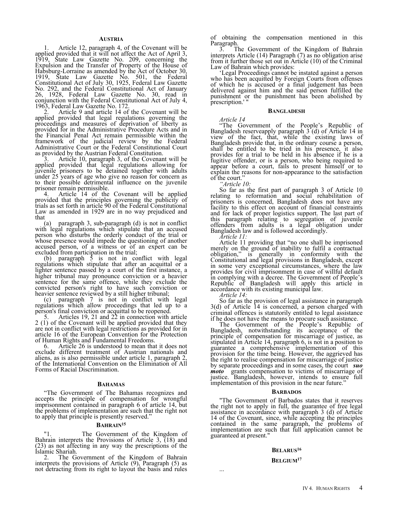## **AUSTRIA**

Article 12, paragraph 4, of the Covenant will be applied provided that it will not affect the Act of April 3, 1919, State Law Gazette No. 209, concerning the Expulsion and the Transfer of Property of the House of Habsburg-Lorraine as amended by the Act of October 30, 1919, State Law Gazette No. 501, the Federal Constitutional Act of July 30, 1925, Federal Law Gazette No. 292, and the Federal Constitutional Act of January 26, 1928, Federal Law Gazette No. 30, read in conjunction with the Federal Constitutional Act of July 4, 1963, Federal Law Gazette No. 172.

Article 9 and article 14 of the Covenant will be applied provided that legal regulations governing the proceedings and measures of deprivation of liberty as provided for in the Administrative Procedure Acts and in the Financial Penal Act remain permissible within the framework of the judicial review by the Federal Administrative Court or the Federal Constitutional Court as provided by the Austrian Federal Constitution.

3. Article 10, paragraph 3, of the Covenant will be applied provided that legal regulations allowing for juvenile prisoners to be detained together with adults under 25 years of age who give no reason for concern as to their possible detrimental influence on the juvenile prisoner remain permissible.

4. Article 14 of the Covenant will be applied provided that the principles governing the publicity of trials as set forth in article 90 of the Federal Constitutional Law as amended in 1929 are in no way prejudiced and that

(a) paragraph 3, sub-paragraph (d) is not in conflict with legal regulations which stipulate that an accused person who disturbs the orderly conduct of the trial or whose presence would impede the questioning of another accused person, of a witness or of an expert can be excluded from participation in the trial;

(b) paragraph 5 is not in conflict with legal regulations which stipulate that after an acquittal or a lighter sentence passed by a court of the first instance, a higher tribunal may pronounce conviction or a heavier sentence for the same offence, while they exclude the convicted person's right to have such conviction or heavier sentence reviewed by a still higher tribunal;

(c) paragraph 7 is not in conflict with legal regulations which allow proceedings that led up to a person's final conviction or acquittal to be reopened.

5. Articles 19, 21 and 22 in connection with article 2 (1) of the Covenant will be applied provided that they are not in conflict with legal restrictions as provided for in article 16 of the European Convention for the Protection of Human Rights and Fundamental Freedoms.

Article 26 is understood to mean that it does not exclude different treatment of Austrian nationals and aliens, as is also permissible under article 1, paragraph 2, of the International Convention on the Elimination of All Forms of Racial Discrimination.

#### **BAHAMAS**

"The Government of The Bahamas recognizes and accepts the principle of compensation for wrongful imprisonment contained in paragraph 6 of article 14, but the problems of implementation are such that the right not to apply that principle is presently reserved."

# **BAHRAIN<sup>15</sup>**

"1. The Government of the Kingdom of Bahrain interprets the Provisions of Article 3, (18) and (23) as not affecting in any way the prescriptions of the Islamic Shariah.

2. The Government of the Kingdom of Bahrain interprets the provisions of Article (9), Paragraph (5) as not detracting from its right to layout the basis and rules of obtaining the compensation mentioned in this

Paragraph.<br>3. T The Government of the Kingdom of Bahrain interprets Article (14) Paragraph (7) as no obligation arise from it further those set out in Article (10) of the Criminal Law of Bahrain which provides:

'Legal Proceedings cannot be instated against a person who has been acquitted by Foreign Courts from offenses of which he is accused or a final judgement has been delivered against him and the said person fulfilled the punishment or the punishment has been abolished by prescription.' "

# **BANGLADESH**

*Article 14*

"The Government of the People's Republic of Bangladesh reserveapply paragraph 3 (d) of Article 14 in view of the fact, that, while the existing laws of Bangladesh provide that, in the ordinary course a person, shall be entitled to be tried in his presence, it also provides for a trial to be held in his absence if he is a fugitive offender, or is a person, who being required to appear before a court, fails to present himself or to explain the reasons for non-appearance to the satisfaction of the court."

*"Article 10:*

So far as the first part of paragraph 3 of Article 10 relating to reformation and social rehabilitation of prisoners is concerned, Bangladesh does not have any facility to this effect on account of financial constraints and for lack of proper logistics support. The last part of this paragraph relating to segregation of juvenile offenders from adults is a legal obligation under Bangladesh law and is followed accordingly.

*Article 11:*

Article 11 providing that "no one shall be imprisoned merely on the ground of inability to fulfil a contractual obligation," is generally in conformity with the Constitutional and legal provisions in Bangladesh, except in some very exceptional circumstances, where the law provides for civil imprisonment in case of willful default in complying with a decree. The Government of People's Republic of Bangladesh will apply this article in accordance with its existing municipal law.

*Article 14:*

...

So far as the provision of legal assistance in paragraph 3(d) of Article 14 is concerned, a person charged with criminal offences is statutorily entitled to legal assistance if he does not have the means to procure such assistance.

The Government of the People's Republic of Bangladesh, notwithstanding its acceptance of the principle of compensation for miscarriage of justice, as stipulated in Article 14, paragraph 6, is not in a position to guarantee a comprehensive implementation of this provision for the time being. However, the aggrieved has the right to realise compensation for miscarriage of justice by separate proceedings and in some cases, the court *suo moto* grants compensation to victims of miscarriage of justice. Bangladesh, however, intends to ensure full implementation of this provision in the near future."

### **BARBADOS**

"The Government of Barbados states that it reserves the right not to apply in full, the guarantee of free legal assistance in accordance with paragraph 3 (d) of Article 14 of the Covenant, since, while accepting the principles contained in the same paragraph, the problems of implementation are such that full application cannot be guaranteed at present."

# **BELARUS<sup>16</sup>**

## **BELGIUM<sup>17</sup>**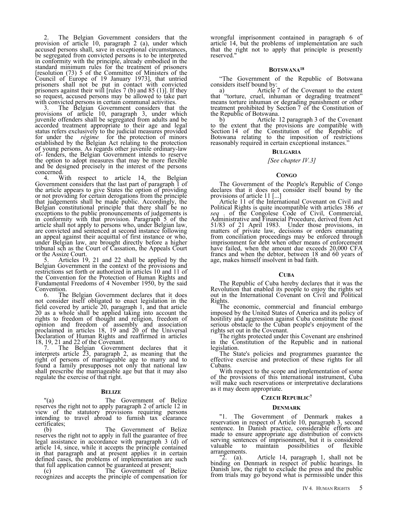2. The Belgian Government considers that the provision of article 10, paragraph 2 (a), under which accused persons shall, save in exceptional circumstances, be segregated from convicted persons is to be interpreted in conformity with the principle, already embodied in the standard minimum rules for the treatment of prisoners [resolution (73) 5 of the Committee of Ministers of the Council of Europe of 19 January 1973], that untried prisoners shall not be put in contact with convicted prisoners against their will [rules 7 (b) and 85 (1)]. If they so request, accused persons may be allowed to take part with convicted persons in certain communal activities.

3. The Belgian Government considers that the provisions of article 10, paragraph 3, under which juvenile offenders shall be segregated from adults and be accorded treatment appropriate to their age and legal status refers exclusively to the judicial measures provided for under the *régime* for the protection of minors established by the Belgian Act relating to the protection of young persons. As regards other juvenile ordinary-law of- fenders, the Belgian Government intends to reserve the option to adopt measures that may be more flexible and be designed precisely in the interest of the persons concerned.

4. With respect to article 14, the Belgian Government considers that the last part of paragraph 1 of the article appears to give States the option of providing or not providing for certain derogations from the principle that judgements shall be made public. Accordingly, the Belgian constitutional principle that there shall be no exceptions to the public pronouncements of judgements is in conformity with that provision. Paragraph 5 of the article shall not apply to persons who, under Belgian law, are convicted and sentenced at second instance following an appeal against their acquittal of first instance or who, under Belgian law, are brought directly before a higher tribunal sch as the Court of Cassation, the Appeals Court or the Assize Court.

5. Articles 19, 21 and 22 shall be applied by the Belgian Government in the context of the provisions and restrictions set forth or authorized in articles 10 and 11 of the Convention for the Protection of Human Rights and Fundamental Freedoms of 4 November 1950, by the said Convention.<br>6. The

The Belgian Government declares that it does not consider itself obligated to enact legislation in the field covered by article 20, paragraph 1, and that article 20 as a whole shall be applied taking into account the rights to freedom of thought and religion, freedom of opinion and freedom of assembly and association proclaimed in articles 18, 19 and 20 of the Universal Declaration of Human Rights and reaffirmed in articles 18, 19, 21 and 22 of the Covenant.

7. The Belgian Government declares that it interprets article  $\tilde{23}$ , paragraph 2, as meaning that the right of persons of marriageable age to marry and to found a family presupposes not only that national law shall prescribe the marriageable age but that it may also regulate the exercise of that right.

# **BELIZE**

"(a) The Government of Belize reserves the right not to apply paragraph 2 of article 12 in view of the statutory provisions requiring persons intending to travel abroad to furnish tax clearance certificates;

(b) The Government of Belize reserves the right not to apply in full the guarantee of free legal assistance in accordance with paragraph 3 (d) of article 14, since, while it accepts the principle contained in that paragraph and at present applies it in certain defined cases, the problems of implementation are such that full application cannot be guaranteed at present;

(c) The Government of Belize recognizes and accepts the principle of compensation for

wrongful imprisonment contained in paragraph 6 of article 14, but the problems of implementation are such that the right not to apply that principle is presently reserved."

## **BOTSWANA<sup>18</sup>**

"The Government of the Republic of Botswana considers itself bound by:<br>a) Article 7 of the Covenant to the extent

a) Article 7 of the Covenant to the extent that "torture, cruel, inhuman or degrading treatment" means torture inhuman or degrading punishment or other means torture inhuman or degrading punishment or other<br>treatment prohibited by Section 7 of the Constitution of the Republic of Botswana.

b) Article 12 paragraph 3 of the Covenant to the extent that the provisions are compatible with Section 14 of the Constitution of the Republic of Botswana relating to the imposition of restrictions reasonably required in certain exceptional instances."

# **BULGARIA**

## *[See chapter IV.3]*

# **CONGO**

The Government of the People's Republic of Congo declares that it does not consider itself bound by the provisions of article 11 [...]

Article 11 of the International Covenant on Civil and Political Rights is quite incompatible with articles 386 *et seq* . of the Congolese Code of Civil, Commercial, Administrative and Financial Procedure, derived from Act 51/83 of 21 April 1983. Under those provisions, in matters of private law, decisions or orders emanating from conciliation proceedings may be enforced through imprisonment for debt when other means of enforcement have failed, when the amount due exceeds 20,000 CFA francs and when the debtor, between 18 and 60 years of age, makes himself insolvent in bad faith.

### **CUBA**

The Republic of Cuba hereby declares that it was the Revolution that enabled its people to enjoy the rights set out in the International Covenant on Civil and Political Rights.

The economic, commercial and financial embargo imposed by the United States of America and its policy of hostility and aggression against Cuba constitute the most serious obstacle to the Cuban people's enjoyment of the rights set out in the Covenant.

The rights protected under this Covenant are enshrined in the Constitution of the Republic and in national legislation.

The State's policies and programmes guarantee the effective exercise and protection of these rights for all Cubans.

With respect to the scope and implementation of some of the provisions of this international instrument, Cuba will make such reservations or interpretative declarations as it may deem appropriate.

## **CZECH REPUBLIC<sup>7</sup>**

# **DENMARK**

"1. The Government of Denmark makes a reservation in respect of Article 10, paragraph 3, second sentence. In Danish practice, considerable efforts are made to ensure appropriate age distribution of convicts serving sentences of imprisonment, but it is considered valuable to maintain possibilities of flexible

 $\begin{array}{c}\n\text{arrangements.} \\
\text{"2. (a).}\n\end{array}$ Article 14, paragraph 1, shall not be binding on Denmark in respect of public hearings. In Danish law, the right to exclude the press and the public from trials may go beyond what is permissible under this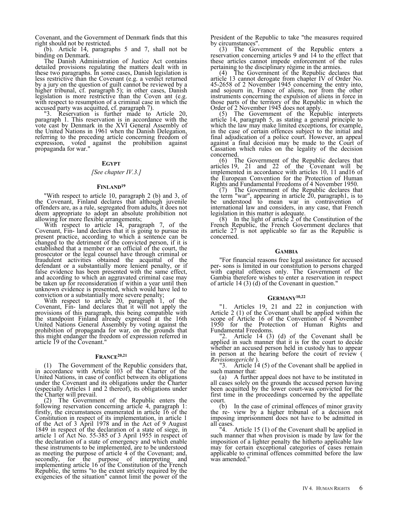Covenant, and the Government of Denmark finds that this right should not be restricted.

(b). Article 14, paragraphs 5 and 7, shall not be binding on Denmark.

The Danish Administration of Justice Act contains detailed provisions regulating the matters dealt with in these two paragraphs. In some cases, Danish legislation is less restrictive than the Covenant (e.g. a verdict returned by a jury on the question of guilt cannot be reviewed by a higher tribunal, cf. paragraph 5); in other cases, Danish legislation is more restrictive than the Coven ant (e.g. with respect to resumption of a criminal case in which the accused party was acquitted, cf. paragraph 7).<br>"3. Reservation is further made to

Reservation is further made to Article 20, paragraph 1. This reservation is in accordance with the vote cast by Denmark in the XVI General Assembly of the United Nations in 1961 when the Danish Delegation, referring to the preceding article concerning freedom of expression, voted against the prohibition against propaganda for war."

## **EGYPT**

## *[See chapter IV.3.]*

### **FINLAND<sup>19</sup>**

"With respect to article 10, paragraph 2 (b) and 3, of the Covenant, Finland declares that although juvenile offenders are, as a rule, segregated from adults, it does not deem appropriate to adopt an absolute prohibition not allowing for more flexible arrangements;

With respect to article 14, paragraph 7, of the Covenant, Fin- land declares that it is going to pursue its present practice, according to which a sentence can be changed to the detriment of the convicted person, if it is established that a member or an official of the court, the prosecutor or the legal counsel have through criminal or fraudulent activities obtained the acquittal of the defendant or a substantially more lenient penalty, or if false evidence has been presented with the same effect, and according to which an aggravated criminal case may be taken up for reconsideration if within a year until then unknown evidence is presented, which would have led to conviction or a substantially more severe penalty;

With respect to article 20, paragraph 1, of the Covenant, Fin- land declares that it will not apply the provisions of this paragraph, this being compatible with the standpoint Finland already expressed at the 16th United Nations General Assembly by voting against the prohibition of propaganda for war, on the grounds that this might endanger the freedom of expression referred in article 19 of the Covenant."

## **FRANCE20,21**

(1) The Government of the Republic considers that, in accordance with Article 103 of the Charter of the United Nations, in case of conflict between its obligations under the Covenant and its obligations under the Charter (especially Articles 1 and 2 thereof), its obligations under the Charter will prevail.

(2) The Government of the Republic enters the following reservation concerning article 4, paragraph 1: firstly, the circumstances enumerated in article 16 of the Constitution in respect of its implementation, in article 1 of the Act of 3 April 1978 and in the Act of 9 August 1849 in respect of the declaration of a state of siege, in article 1 of Act No. 55-385 of 3 April 1955 in respect of the declaration of a state of emergency and which enable these instruments to be implemented, are to be understood as meeting the purpose of article 4 of the Covenant; and, secondly, for the purpose of interpreting and implementing article 16 of the Constitution of the French Republic, the terms "to the extent strictly required by the exigencies of the situation" cannot limit the power of the

President of the Republic to take "the measures required by circumstances".

(3) The Government of the Republic enters a reservation concerning articles 9 and 14 to the effect that these articles cannot impede enforcement of the rules

pertaining to the disciplinary régime in the armies.<br>(4) The Government of the Republic decla The Government of the Republic declares that article 13 cannot derogate from chapter IV of Order No. 45-2658 of 2 November 1945 concerning the entry into, and sojourn in, France of aliens, nor from the other instruments concerning the expulsion of aliens in force in those parts of the territory of the Republic in which the Order of 2 November 1945 does not apply.

(5) The Government of the Republic interprets article 14, paragraph 5, as stating a general principle to which the law may make limited exceptions, for example, in the case of certain offences subject to the initial and final adjudication of a police court. However, an appeal against a final decision may be made to the Court of Cassation which rules on the legality of the decision concerned.

The Government of the Republic declares that articles 19, 21 and 22 of the Covenant will be implemented in accordance with articles 10, 11 and16 of the European Convention for the Protection of Human Rights and Fundamental Freedoms of 4 November 1950.

(7) The Government of the Republic declares that the term "war", appearing in article 20, paragraph1, is to be understood to mean war in contravention of international law and considers, in any case, that French legislation in this matter is adequate.

(8) In the light of article 2 of the Constitution of the French Republic, the French Government declares that article 27 is not applicable so far as the Republic is concerned.

#### **GAMBIA**

"For financial reasons free legal assistance for accused per- sons is limited in our constitution to persons charged with capital offences only. The Government of the Gambia therefore wishes to enter a reservation in respect of article 14 (3) (d) of the Covenant in question."

# **GERMANY10,22**

"1. Articles 19, 21 and 22 in conjunction with Article 2 (1) of the Covenant shall be applied within the scope of Article 16 of the Convention of 4 November 1950 for the Protection of Human Rights and Fundamental Freedoms.

"2. Article 14 (3) (d) of the Covenant shall be applied in such manner that it is for the court to decide whether an accused person held in custody has to appear in person at the hearing before the court of review ( *Revisionsgericht* ).

"3. Article 14 (5) of the Covenant shall be applied in such manner that:

(a) A further appeal does not have to be instituted in all cases solely on the grounds the accused person having been acquitted by the lower court-was convicted for the first time in the proceedings concerned by the appellate court.

(b) In the case of criminal offences of minor gravity the re- view by a higher tribunal of a decision not imposing imprisonment does not have to be admitted in all cases.

"4. Article 15 (1) of the Covenant shall be applied in such manner that when provision is made by law for the imposition of a lighter penalty the hitherto applicable law may for certain exceptional categories of cases remain applicable to criminal offences committed before the law was amended.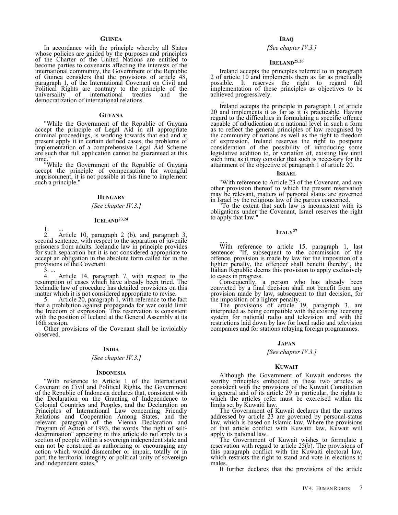#### **GUINEA**

In accordance with the principle whereby all States whose policies are guided by the purposes and principles of the Charter of the United Nations are entitled to become parties to covenants affecting the interests of the international community, the Government of the Republic of Guinea considers that the provisions of article 48, paragraph 1, of the International Covenant on Civil and Political Rights are contrary to the principle of the universality of international treaties and the democratization of international relations.

# **GUYANA**

"While the Government of the Republic of Guyana accept the principle of Legal Aid in all appropriate criminal proceedings, is working towards that end and at present apply it in certain defined cases, the problems of implementation of a comprehensive Legal Aid Scheme are such that full application cannot be guaranteed at this time."

"While the Government of the Republic of Guyana accept the principle of compensation for wrongful imprisonment, it is not possible at this time to implement such a principle."

# **HUNGARY**

## *[See chapter IV.3.]*

## **ICELAND23,24**

1. ... 2. Article 10, paragraph 2 (b), and paragraph 3, second sentence, with respect to the separation of juvenile prisoners from adults. Icelandic law in principle provides for such separation but it is not considered appropriate to accept an obligation in the absolute form called for in the provisions of the Covenant.

 $\frac{3}{4}$ ... 4. Article 14, paragraph 7, with respect to the resumption of cases which have already been tried. The Icelandic law of procedure has detailed provisions on this matter which it is not considered appropriate to revise.

Article 20, paragraph 1, with reference to the fact that a prohibition against propaganda for war could limit the freedom of expression. This reservation is consistent with the position of Iceland at the General Assembly at its 16th session.

Other provisions of the Covenant shall be inviolably observed.

#### **INDIA**

# *[See chapter IV.3.]*

#### **INDONESIA**

"With reference to Article 1 of the International Covenant on Civil and Political Rights, the Government of the Republic of Indonesia declares that, consistent with the Declaration on the Granting of Independence to Colonial Countries and Peoples, and the Declaration on Principles of International Law concerning Friendly Relations and Cooperation Among States, and the relevant paragraph of the Vienna Declaration and Program of Action of 1993, the words "the right of selfdetermination" appearing in this article do not apply to a section of people within a sovereign independent state and can not be construed as authorizing or encouraging any action which would dismember or impair, totally or in part, the territorial integrity or political unity of sovereign and independent states."

#### **IRAQ**

#### *[See chapter IV.3.]*

## **IRELAND25,26**

Ireland accepts the principles referred to in paragraph 2 of article 10 and implements them as far as practically possible. It reserves the right to regard full implementation of these principles as objectives to be achieved progressively.

... Ireland accepts the principle in paragraph 1 of article 20 and implements it as far as it is practicable. Having regard to the difficulties in formulating a specific offence capable of adjudication at a national level in such a form as to reflect the general principles of law recognised by the community of nations as well as the right to freedom of expression, Ireland reserves the right to postpone consideration of the possibility of introducing some legislative addition to, or variation of, existing law until such time as it may consider that such is necessary for the attainment of the objective of paragraph 1 of article 20.

## **ISRAEL**

"With reference to Article 23 of the Covenant, and any other provision thereof to which the present reservation may be relevant, matters of personal status are governed in Israel by the religious law of the parties concerned.

"To the extent that such law is inconsistent with its obligations under the Covenant, Israel reserves the right to apply that law."

## **ITALY<sup>27</sup>**

..... With reference to article 15, paragraph 1, last sentence: "If, subsequent to the commission of the offence, provision is made by law for the imposition of a lighter penalty, the offender shall benefit thereby", the Italian Republic deems this provision to apply exclusively to cases in progress.

Consequently, a person who has already been convicted by a final decision shall not benefit from any provision made by law, subsequent to that decision, for the imposition of a lighter penalty.

The provisions of article 19, paragraph 3, are interpreted as being compatible with the existing licensing system for national radio and television and with the restrictions laid down by law for local radio and television companies and for stations relaying foreign programmes.

#### **JAPAN**

## *[See chapter IV.3.]*

#### **KUWAIT**

Although the Government of Kuwait endorses the worthy principles embodied in these two articles as consistent with the provisions of the Kuwait Constitution in general and of its article 29 in particular, the rights to which the articles refer must be exercised within the limits set by Kuwaiti law.

The Government of Kuwait declares that the matters addressed by article 23 are governed by personal-status law, which is based on Islamic law. Where the provisions of that article conflict with Kuwaiti law, Kuwait will apply its national law.

The Government of Kuwait wishes to formulate a reservation with regard to article 25(b). The provisions of this paragraph conflict with the Kuwaiti electoral law, which restricts the right to stand and vote in elections to males.

It further declares that the provisions of the article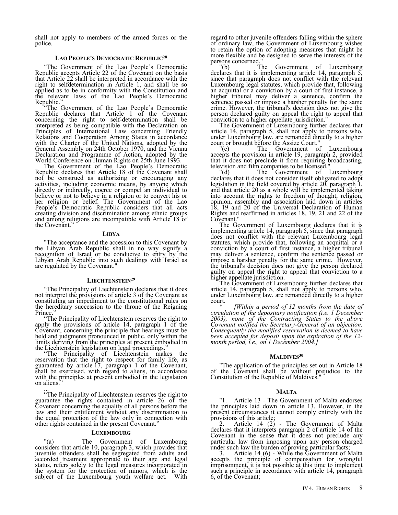shall not apply to members of the armed forces or the police.

## **LAO PEOPLE'S DEMOCRATIC REPUBLIC<sup>28</sup>**

"The Government of the Lao People's Democratic Republic accepts Article 22 of the Covenant on the basis that Article 22 shall be interpreted in accordance with the right to selfdetermination in Article 1, and shall be so applied as to be in conformity with the Constitution and the relevant laws of the Lao People's Democratic Republic."

"The Government of the Lao People's Democratic Republic declares that Article 1 of the Covenant concerning the right to self-determination shall be interpreted as being compatible with the Declaration on Principles of International Law concerning Friendly Relations and Cooperation Among States in accordance with the Charter of the United Nations, adopted by the General Assembly on 24th October 1970, and the Vienna Declaration and Programme of Action, adopted by the World Conference on Human Rights on 25th June 1993.

The Government of the Lao People's Democratic Republic declares that Article 18 of the Covenant shall not be construed as authorizing or encouraging any activities, including economic means, by anyone which directly or indirectly, coerce or compel an individual to believe or not to believe in a religion or to convert his or her religion or belief. The Government of the Lao People's Democratic Republic considers that all acts creating division and discrimination among ethnic groups and among religions are incompatible with Article 18 of the Covenant."

### **LIBYA**

"The acceptance and the accession to this Covenant by the Libyan Arab Republic shall in no way signify a recognition of Israel or be conducive to entry by the Libyan Arab Republic into such dealings with Israel as are regulated by the Covenant."

### **LIECHTENSTEIN<sup>29</sup>**

"The Principality of Liechtenstein declares that it does not interpret the provisions of article 3 of the Covenant as constituting an impediment to the constitutional rules on the hereditary succession to the throne of the Reigning Prince.

The Principality of Liechtenstein reserves the right to apply the provisions of article 14, paragraph 1 of the Covenant, concerning the principle that hearings must be held and judgments pronounced in public, only within the limits deriving from the principles at present embodied in the Liechtenstein legislation on legal proceedings.

The Principality of Liechtenstein makes the reservation that the right to respect for family life, as guaranteed by article 17, paragraph 1 of the Covenant, shall be exercised, with regard to aliens, in accordance with the principles at present embodied in the legislation on aliens." ...

"The Principality of Liechtenstein reserves the right to guarantee the rights contained in article 26 of the Covenant concerning the equality of all persons before the law and their entitlement without any discrimination to the equal protection of the law only in connection with other rights contained in the present Covenant."

#### **LUXEMBOURG**

"(a) The Government of Luxembourg considers that article 10, paragraph 3, which provides that juvenile offenders shall be segregated from adults and accorded treatment appropriate to their age and legal status, refers solely to the legal measures incorporated in the system for the protection of minors, which is the subject of the Luxembourg youth welfare act. With

regard to other juvenile offenders falling within the sphere of ordinary law, the Government of Luxembourg wishes to retain the option of adopting measures that might be more flexible and be designed to serve the interests of the persons concerned."<br>"(b) The

Government of Luxembourg declares that it is implementing article 14, paragraph 5, since that paragraph does not conflict with the relevant Luxembourg legal statutes, which provide that, following an acquittal or a conviction by a court of first instance, a higher tribunal may deliver a sentence, confirm the sentence passed or impose a harsher penalty for the same crime. However, the tribunal's decision does not give the person declared guilty on appeal the right to appeal that conviction to a higher appellate jurisdiction."

The Government of Luxembourg further declares that article 14, paragraph 5, shall not apply to persons who, under Luxembourg law, are remanded directly to a higher court or brought before the Assize Court."<br>"(c) The Government of

The Government of Luxembourg accepts the provision in article 19, paragraph 2, provided that it does not preclude it from requiring broadcasting, television and film companies to be licensed."

"(d) The Government of Luxembourg declares that it does not consider itself obligated to adopt legislation in the field covered by article 20, paragraph 1, and that article 20 as a whole will be implemented taking into account the rights to freedom of thought, religion, opinion, assembly and association laid down in articles 18, 19 and 20 of the Universal Declaration of Human Rights and reaffirmed in articles 18, 19, 21 and 22 of the Covenant."

The Government of Luxembourg declares that it is implementing article 14, paragraph 5, since that paragraph does not conflict with the relevant Luxembourg legal statutes, which provide that, following an acquittal or a conviction by a court of first instance, a higher tribunal may deliver a sentence, confirm the sentence passed or impose a harsher penalty for the same crime. However, the tribunal's decision does not give the person declared guilty on appeal the right to appeal that conviction to a higher appellate jurisdiction.

The Government of Luxembourg further declares that article 14, paragraph 5, shall not apply to persons who, under Luxembourg law, are remanded directly to a higher court.

\* *[Within a period of 12 months from the date of circulation of the depositary notification (i.e. 1 December 2003), none of the Contracting States to the above Covenant notified the Secretary-General of an objection. Consequently the modified reservation is deemed to have been accepted for deposit upon the expiration of the 12 month period, i.e., on 1 December 2004.]*

# **MALDIVES<sup>30</sup>**

"The application of the principles set out in Article 18 of the Covenant shall be without prejudice to the Constitution of the Republic of Maldives.

### **MALTA**

"1. Article 13 - The Government of Malta endorses the principles laid down in article 13. However, in the present circumstances it cannot comply entirely with the provisions of this article;

Article 14 (2) - The Government of Malta declares that it interprets paragraph 2 of article 14 of the Covenant in the sense that it does not preclude any particular law from imposing upon any person charged under such law the burden of proving particular facts;

3. Article 14 (6) - While the Government of Malta accepts the principle of compensation for wrongful imprisonment, it is not possible at this time to implement such a principle in accordance with article 14, paragraph 6, of the Covenant;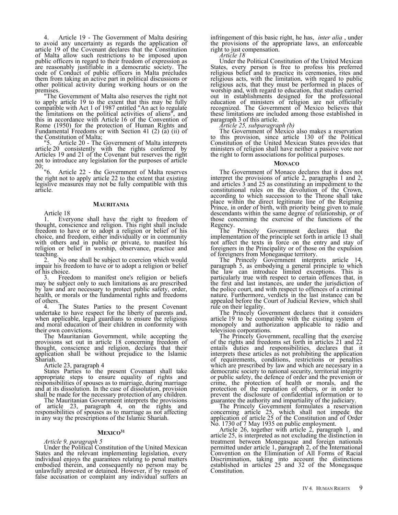4. Article 19 - The Government of Malta desiring to avoid any uncertainty as regards the application of article 19 of the Covenant declares that the Constitution of Malta allow such restrictions to be imposed upon public officers in regard to their freedom of expression as are reasonably justifiable in a democratic society. The code of Conduct of public officers in Malta precludes them from taking an active part in political discussions or other political activity during working hours or on the premises.

"The Government of Malta also reserves the right not to apply article 19 to the extent that this may be fully compatible with Act 1 of 1987 entitled "An act to regulate the limitations on the political activities of aliens", and this in accordance with Article 16 of the Convention of Rome (1950) for the protection of Human Rights and Fundamental Freedoms or with Section 41 (2) (a) (ii) of the Constitution of Malta;

"5. Article 20 - The Government of Malta interprets article 20 consistently with the rights conferred by Articles 19 and 21 of the Covenant but reserves the right not to introduce any legislation for the purposes of article  $^{11}_{20}$ ;  $^{11}_{6}$ 

"6. Article 22 - the Government of Malta reserves the right not to apply article 22 to the extent that existing legislive measures may not be fully compatible with this article.

## **MAURITANIA**

Article 18

Everyone shall have the right to freedom of thought, conscience and religion. This right shall include freedom to have or to adopt a religion or belief of his choice, and freedom, either individually or in community with others and in public or private, to manifest his religion or belief in worship, observance, practice and teaching.

No one shall be subject to coercion which would impair his freedom to have or to adopt a religion or belief of his choice.

Freedom to manifest one's religion or beliefs may be subject only to such limitations as are prescribed by law and are necessary to protect public safety, order, health, or morals or the fundamental rights and freedoms

of others. The States Parties to the present Covenant undertake to have respect for the liberty of parents and, when applicable, legal guardians to ensure the religious and moral education of their children in conformity with their own convictions.

The Mauritanian Government, while accepting the provisions set out in article 18 concerning freedom of thought, conscience and religion, declares that their application shall be without prejudice to the Islamic Shariah.

Article 23, paragraph 4

States Parties to the present Covenant shall take appropriate steps to ensure equality of rights and responsibilities of spouses as to marriage, during marriage and at its dissolution. In the case of dissolution, provision shall be made for the necessary protection of any children.

The Mauritanian Government interprets the provisions of article 23, paragraph 4, on the rights and responsibilities of spouses as to marriage as not affecting in any way the prescriptions of the Islamic Shariah.

#### **MEXICO<sup>31</sup>**

# *Article 9, paragraph 5*

Under the Political Constitution of the United Mexican States and the relevant implementing legislation, every individual enjoys the guarantees relating to penal matters embodied therein, and consequently no person may be unlawfully arrested or detained. However, if by reason of false accusation or complaint any individual suffers an

infringement of this basic right, he has, *inter alia* , under the provisions of the appropriate laws, an enforceable right to just compensation.

*Article 18*

Under the Political Constitution of the United Mexican States, every person is free to profess his preferred religious belief and to practice its ceremonies, rites and religious acts, with the limitation, with regard to public religious acts, that they must be performed in places of worship and, with regard to education, that studies carried out in establishments designed for the professional education of ministers of religion are not officially recognized. The Government of Mexico believes that these limitations are included among those established in paragraph 3 of this article.

*Article 25, subparagraph (b)*

The Government of Mexico also makes a reservation to this provision, since article 130 of the Political Constitution of the United Mexican States provides that ministers of religion shall have neither a passive vote nor the right to form associations for political purposes.

# **MONACO**

The Government of Monaco declares that it does not interpret the provisions of article 2, paragraphs 1 and 2, and articles 3 and 25 as constituting an impediment to the constitutional rules on the devolution of the Crown, according to which succession to the Throne shall take place within the direct legitimate line of the Reigning Prince, in order of birth, with priority being given to male descendants within the same degree of relationship, or of those concerning the exercise of the functions of the Regency.<br>The

Princely Government declares that the implementation of the principle set forth in article 13 shall not affect the texts in force on the entry and stay of foreigners in the Principality or of those on the expulsion of foreigners from Monegasque territory.

The Princely Government interprets article 14, paragraph 5, as embodying a general principle to which the law can introduce limited exceptions. This is particularly true with respect to certain offences that, in the first and last instances, are under the jurisdiction of the police court, and with respect to offences of a criminal nature. Furthermore, verdicts in the last instance can be appealed before the Court of Judicial Review, which shall rule on their legality.

The Princely Government declares that it considers article 19 to be compatible with the existing system of monopoly and authorization applicable to radio and television corporations.

The Princely Government, recalling that the exercise of the rights and freedoms set forth in articles 21 and 22 entails duties and responsibilities, declares that it interprets these articles as not prohibiting the application of requirements, conditions, restrictions or penalties which are prescribed by law and which are necessary in a democratic society to national security, territorial integrity or public safety, the defence of order and the prevenion or crime, the protection of health or morals, and the protection of the reputation of others, or in order to prevent the disclosure of confidential information or to guarantee the authority and impartiality of the judiciary.

The Princely Government formulates a reservation concerning article 25, which shall not impede the application of article 25 of the Constitution and of Order No. 1730 of 7 May 1935 on public employment.

Article 26, together with article 2, paragraph 1, and article 25, is interpreted as not excluding the distinction in treatment between Monegasque and foreign nationals permitted under article 1, paragraph 2, of the International Convention on the Elimination of All Forms of Racial Discrimination, taking into account the distinctions established in articles 25 and 32 of the Monegasque Constitution.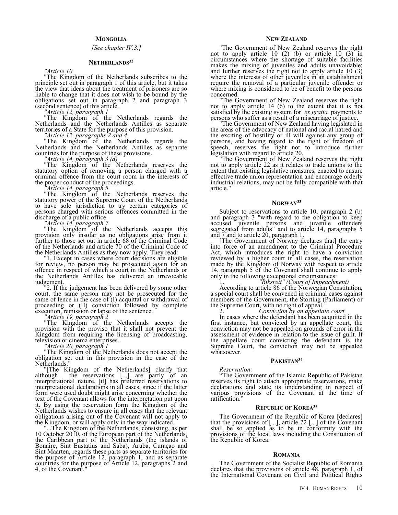## *[See chapter IV.3.]*

## **NETHERLANDS<sup>32</sup>**

*"Article 10*

"The Kingdom of the Netherlands subscribes to the principle set out in paragraph 1 of this article, but it takes the view that ideas about the treatment of prisoners are so liable to change that it does not wish to be bound by the obligations set out in paragraph 2 and paragraph 3 (second sentence) of this article.

*"Article 12, paragraph 1*

"The Kingdom of the Netherlands regards the Netherlands and the Netherlands Antilles as separate territories of a State for the purpose of this provision.

*"Article 12, paragraphs 2 and 4*

"The Kingdom of the Netherlands regards the Netherlands and the Netherlands Antilles as separate countries for the purpose of these provisions.

*"Article 14, paragraph 3 (d)*

"The Kingdom of the Netherlands reserves the statutory option of removing a person charged with a criminal offence from the court room in the interests of the proper conduct of the proceedings.

*"Article 14, paragraph 5*

"The Kingdom of the Netherlands reserves the statutory power of the Supreme Court of the Netherlands to have sole jurisdiction to try certain categories of persons charged with serious offences committed in the discharge of a public office.

*"Article 14, paragraph 7*

"The Kingdom of the Netherlands accepts this provision only insofar as no obligations arise from it further to those set out in article 68 of the Criminal Code of the Netherlands and article 70 of the Criminal Code of the Netherlands Antilles as they now apply. They read:

"1. Except in cases where court decisions are eligible for review, no person may be prosecuted again for an offence in respect of which a court in the Netherlands or the Netherlands Antilles has delivered an irrevocable judgement.

"2. If the judgement has been delivered by some other court, the same person may not be prosecuted for the same of fence in the case of (I) acquittal or withdrawal of proceeding or (II) conviction followed by complete execution, remission or lapse of the sentence.

*"Article 19, paragraph 2*

"The Kingdom of the Netherlands accepts the provision with the proviso that it shall not prevent the Kingdom from requiring the licensing of broadcasting, television or cinema enterprises.

*"Article 20, paragraph 1*

"The Kingdom of the Netherlands does not accept the obligation set out in this provision in the case of the Netherlands."

"[The Kingdom of the Netherlands] clarify that although the reservations [...] are partly of an the reservations  $[...]$  are partly of an interpretational nature, [it] has preferred reservations to interpretational declarations in all cases, since if the latter form were used doubt might arise concerning whether the text of the Covenant allows for the interpretation put upon it. By using the reservation form the Kingdom of the Netherlands wishes to ensure in all cases that the relevant obligations arising out of the Covenant will not apply to the Kingdom, or will apply only in the way indicated.

"...The Kingdom of the Netherlands, consisting, as per 10 October 2010, of the European part of the Netherlands, the Caribbean part of the Netherlands (the islands of Bonaire, Sint Eustatius and Saba), Aruba, Curaçao and Sint Maarten, regards these parts as separate territories for the purpose of Article 12, paragraph 1, and as separate countries for the purpose of Article 12, paragraphs 2 and 4, of the Covenant."

#### **NEW ZEALAND**

"The Government of New Zealand reserves the right not to apply article  $10(2)$  (b) or article  $10(3)$  in circumstances where the shortage of suitable facilities makes the mixing of juveniles and adults unavoidable; and further reserves the right not to apply article 10 (3) where the interests of other juveniles in an establishment require the removal of a particular juvenile offender or where mixing is considered to be of benefit to the persons concerned.

"The Government of New Zealand reserves the right not to apply article 14 (6) to the extent that it is not satisfied by the existing system for *ex gratia* payments to persons who suffer as a result of a miscarriage of justice.

"The Government of New Zealand having legislated in the areas of the advocacy of national and racial hatred and the exciting of hostility or ill will against any group of persons, and having regard to the right of freedom of speech, reserves the right not to introduce further legislation with regard to article 20.

"The Government of New Zealand reserves the right not to apply article 22 as it relates to trade unions to the extent that existing legislative measures, enacted to ensure effective trade union representation and encourage orderly industrial relations, may not be fully compatible with that article."

#### **NORWAY<sup>33</sup>**

Subject to reservations to article 10, paragraph 2 (b) and paragraph 3 "with regard to the obligation to keep accused juvenile persons and juvenile offenders segregated from adults" and to article 14, paragraphs 5 and 7 and to article 20, paragraph 1.

[The Government of Norway declares that] the entry into force of an amendment to the Criminal Procedure Act, which introduces the right to have a conviction reviewed by a higher court in all cases, the reservation made by the Kingdom of Norway with respect to article 14, paragraph 5 of the Covenant shall continue to apply only in the following exceptional circumstances:

1. *"Riksrett" (Court of Impeachment)*

According to article 86 of the Norwegian Constitution, a special court shall be convened in criminal cases against members of the Government, the Storting (Parliament) or the Supreme Court, with no right of appeal.

2. *Conviction by an appellate court*

In cases where the defendant has been acquitted in the first instance, but convicted by an appellate court, the conviction may not be appealed on grounds of error in the assessment of evidence in relation to the issue of guilt. If the appellate court convicting the defendant is the Supreme Court, the conviction may not be appealed whatsoever.

## **PAKISTAN<sup>34</sup>**

# *Reservation:*

"The Government of the Islamic Republic of Pakistan reserves its right to attach appropriate reservations, make declarations and state its understanding in respect of various provisions of the Covenant at the time of ratification.'

## **REPUBLIC OF KOREA<sup>35</sup>**

The Government of the Republic of Korea [declares] that the provisions of [...], article 22 [...] of the Covenant shall be so applied as to be in conformity with the provisions of the local laws including the Constitution of the Republic of Korea.

#### **ROMANIA**

The Government of the Socialist Republic of Romania declares that the provisions of article 48, paragraph 1, of the International Covenant on Civil and Political Rights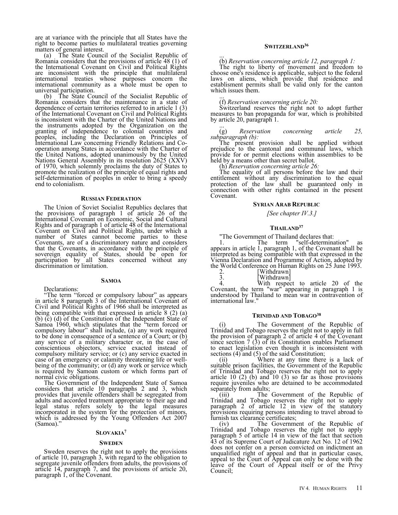are at variance with the principle that all States have the right to become parties to multilateral treaties governing matters of general interest.

(a) The State Council of the Socialist Republic of Romania considers that the provisions of article 48 (1) of the International Covenant on Civil and Political Rights are inconsistent with the principle that multilateral international treaties whose purposes concern the international community as a whole must be open to universal participation.

(b) The State Council of the Socialist Republic of Romania considers that the maintenance in a state of dependence of certain territories referred to in article 1 (3) of the International Covenant on Civil and Political Rights is inconsistent with the Charter of the United Nations and the instruments adopted by the Organization on the granting of independence to colonial countries and peoples, including the Declaration on Principles of International Law concerning Friendly Relations and Cooperation among States in accordance with the Charter of the United Nations, adopted unanimously by the United Nations General Assembly in its resolution 2625 (XXV) of 1970, which solemnly proclaims the duty of States to promote the realization of the principle of equal rights and self-determination of peoples in order to bring a speedy end to colonialism.

#### **RUSSIAN FEDERATION**

The Union of Soviet Socialist Republics declares that the provisions of paragraph 1 of article 26 of the International Covenant on Economic, Social and Cultural Rights and of paragraph 1 of article 48 of the International Covenant on Civil and Political Rights, under which a number of States cannot become parties to these Covenants, are of a discriminatory nature and considers that the Covenants, in accordance with the principle of sovereign equality of States, should be open for participation by all States concerned without any discrimination or limitation.

#### **SAMOA**

Declarations:

"The term "forced or compulsory labour" as appears in article 8 paragraph 3 of the International Covenant of Civil and Political Rights of 1966 shall be interpreted as being compatible with that expressed in article  $8(2)$  (a) (b)  $(c)$  (d) of the Constitution of the Independent State of Samoa 1960, which stipulates that the <sup>t</sup>erm forced or compulsory labour" shall include, (a) any work required to be done in consequence of a sentence of a Court; or (b) any service of a military character or, in the case of conscientious objectors, service exacted instead of compulsory military service; or (c) any service exacted in case of an emergency or calamity threatening life or wellbeing of the community; or (d) any work or service which is required by Samoan custom or which forms part of normal civic obligations.

The Government of the Independent State of Samoa considers that article 10 paragraphs 2 and 3, which provides that juvenile offenders shall be segregated from adults and accorded treatment appropriate to their age and legal status refers solely to the legal measures incorporated in the system for the protection of minors, which is addressed by the Young Offenders Act 2007 (Samoa)."

## **SLOVAKIA<sup>7</sup>**

# **SWEDEN**

Sweden reserves the right not to apply the provisions of article 10, paragraph 3, with regard to the obligation to segregate juvenile offenders from adults, the provisions of article 14, paragraph 7, and the provisions of article 20, paragraph 1, of the Covenant.

# **SWITZERLAND<sup>36</sup>**

... (b) *Reservation concerning article 12, paragraph 1:*

The right to liberty of movement and freedom to choose one's residence is applicable, subject to the federal laws on aliens, which provide that residence and establisment permits shall be valid only for the canton which issues them.

## ... (f) *Reservation concerning article 20:*

Switzerland reserves the right not to adopt further measures to ban propaganda for war, which is prohibited by article 20, paragraph 1. ...

## (g) *Reservation concerning article 25, subparagraph (b):*

The present provision shall be applied without prejudice to the cantonal and communal laws, which provide for or permit elections within assemblies to be held by a means other than secret ballot.

(h) *Reservation concerning article 26:*

The equality of all persons before the law and their entitlement without any discrimination to the equal protection of the law shall be guaranteed only in connection with other rights contained in the present Covenant.

# **SYRIAN ARAB REPUBLIC**

*[See chapter IV.3.]*

#### **THAILAND<sup>37</sup>**

The Government of Thailand declares that:<br>1. The term "self-determina"

The term "self-determination" as appears in article 1, paragraph 1, of the Covenant shall be interpreted as being compatible with that expressed in the Vienna Declaration and Programme of Action, adopted by the World Conference on Human Rights on 25 June 1993.

| ۷. | [Withdrawn] |
|----|-------------|
| 3  | [Withdrawn] |

4. With respect to article 20 of the Covenant, the term "war" appearing in paragraph 1 is understood by Thailand to mean war in contravention of international law."

### **TRINIDAD AND TOBAGO<sup>38</sup>**

(i) The Government of the Republic of Trinidad and Tobago reserves the right not to apply in full the provision of paragraph 2 of article 4 of the Covenant since section 7 (3) of its Constitution enables Parliament to enact legislation even though it is inconsistent with sections (4) and (5) of the said Constitution;

(ii) Where at any time there is a lack of suitable prison facilities, the Government of the Republic of Trinidad and Tobago reserves the right not to apply article 10  $(2)$  (b) and 10  $(3)$  so far as those provisions require juveniles who are detained to be accommodated separately from adults;

(iii) The Government of the Republic of Trinidad and Tobago reserves the right not to apply paragraph 2 of article 12 in view of the statutory provisions requiring persons intending to travel abroad to furnish tax clearance certificates;<br>(iv) The Governme

The Government of the Republic of Trinidad and Tobago reserves the right not to apply paragraph 5 of article 14 in view of the fact that section 43 of its Supreme Court of Judicature Act No. 12 of 1962 does not confer on a person convicted on indictment an unqualified right of appeal and that in particular cases, appeal to the Court of Appeal can only be done with the leave of the Court of Appeal itself or of the Privy Council;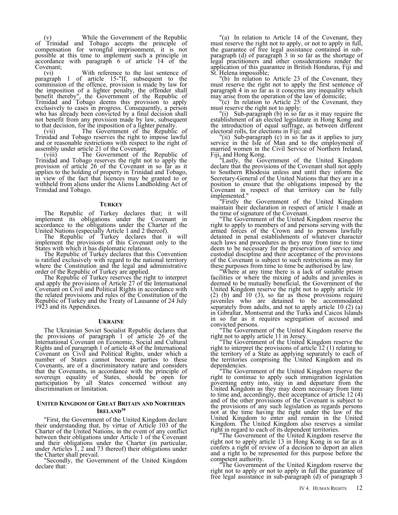(v) While the Government of the Republic of Trinidad and Tobago accepts the principle of compensation for wrongful imprisonment, it is not possible at this time to implement such a principle in accordance with paragraph 6 of article 14 of the

Covenant;  $(vi)$ With reference to the last sentence of paragraph 1 of article 15-"If, subsequent to the commission of the offence, provision is made by law for the imposition of a lighter penalty, the offender shall benefit thereby", the Government of the Republic of Trinidad and Tobago deems this provision to apply exclusively to cases in progress. Consequently, a person who has already been convicted by a final decision shall not benefit from any provision made by law, subsequent to that decision, for the imposition of a lighter penalty.

(vii) The Government of the Republic of Trinidad and Tobago reserves the right to impose lawful and or reasonable restrictions with respect to the right of assembly under article 21 of the Covenant;

(viii) The Government of the Republic of Trinidad and Tobago reserves the right not to apply the provision of article 26 of the Covenant in so far as it applies to the holding of property in Trinidad and Tobago, in view of the fact that licences may be granted to or withheld from aliens under the Aliens Landholding Act of Trinidad and Tobago.

### **TURKEY**

The Republic of Turkey declares that; it will implement its obligations under the Covenant in accordance to the obligations under the Charter of the United Nations (especially Article 1 and 2 thereof).

The Republic of Turkey declares that it will implement the provisions of this Covenant only to the States with which it has diplomatic relations.

The Republic of Turkey declares that this Convention is ratified exclusively with regard to the national territory where the Constitution and the legal and administrative order of the Republic of Turkey are applied.

The Republic of Turkey reserves the right to interpret and apply the provisions of Article 27 of the International Covenant on Civil and Political Rights in accordance with the related provisions and rules of the Constitution of the Republic of Turkey and the Treaty of Lausanne of 24 July 1923 and its Appendixes.

### **UKRAINE**

The Ukrainian Soviet Socialist Republic declares that the provisions of paragraph 1 of article 26 of the International Covenant on Economic, Social and Cultural Rights and of paragraph 1 of article 48 of the International Covenant on Civil and Political Rights, under which a number of States cannot become parties to these Covenants, are of a discriminatory nature and considers that the Covenants, in accordance with the principle of sovereign equality of States, should be open for participation by all States concerned without any discrimination or limitation.

## **UNITED KINGDOM OF GREAT BRITAIN AND NORTHERN IRELAND<sup>39</sup>**

"First, the Government of the United Kingdom declare their understanding that, by virtue of Article 103 of the Charter of the United Nations, in the event of any conflict between their obligations under Article 1 of the Covenant and their obligations under the Charter (in particular, under Articles 1, 2 and 73 thereof) their obligations under the Charter shall prevail.

"Secondly, the Government of the United Kingdom declare that:

"(a) In relation to Article 14 of the Covenant, they must reserve the right not to apply, or not to apply in full, the guarantee of free legal assistance contained in subparagraph (d) of paragraph 3 in so far as the shortage of legal practitioners and other considerations render the application of this guarantee in British Honduras, Fiji and St. Helena impossible;

"(b) In relation to Article 23 of the Covenant, they must reserve the right not to apply the first sentence of paragraph 4 in so far as it concerns any inequality which may arise from the operation of the law of domicile;

"(c) In relation to Article 25 of the Covenant, they must reserve the right not to apply:

"(i) Sub-paragraph (b) in so far as it may require the establishment of an elected legislature in Hong Kong and the introduction of equal suffrage, as between different electoral rolls, for elections in Fiji; and

"(ii) Sub-paragraph (c) in so far as it applies to jury service in the Isle of Man and to the employment of married women in the Civil Service of Northern Ireland, Fiji, and Hong Kong.

"Lastly, the Government of the United Kingdom declare that the provisions of the Covenant shall not apply to Southern Rhodesia unless and until they inform the Secretary-General of the United Nations that they are in a position to ensure that the obligations imposed by the Covenant in respect of that territory can be fully implemented.

"Firstly the Government of the United Kingdom maintain their declaration in respect of article 1 made at the time of signature of the Covenant.

"The Government of the United Kingdom reserve the right to apply to members of and persons serving with the armed forces of the Crown and to persons lawfully detained in penal establishments of whatever character such laws and procedures as they may from time to time deem to be necessary for the preservation of service and custodial discipline and their acceptance of the provisions of the Covenant is subject to such restrictions as may for these purposes from time to time be authorised by law.

"Where at any time there is a lack of suitable prison facilities or where the mixing of adults and juveniles is deemed to be mutually beneficial, the Government of the United Kingdom reserve the right not to apply article 10 (2) (b) and 10 (3), so far as those provisions require juveniles who are detained to be accommodated separately from adults, and not to apply article 10 (2) (a) in Gibraltar, Montserrat and the Turks and Caicos Islands in so far as it requires segregation of accused and convicted persons.

"The Government of the United Kingdom reserve the right not to apply article 11 in Jersey.

"The Government of the United Kingdom reserve the right to interpret the provisions of article 12 (1) relating to the territory of a State as applying separately to each of the territories comprising the United Kingdom and its dependencies.

"The Government of the United Kingdom reserve the right to continue to apply such immigration legislation governing entry into, stay in and departure from the United Kingdom as they may deem necessary from time to time and, accordingly, their acceptance of article 12 (4) and of the other provisions of the Covenant is subject to the provisions of any such legislation as regards persons not at the time having the right under the law of the United Kingdom to enter and remain in the United Kingdom. The United Kingdom also reserves a similar right in regard to each of its dependent territories.

"The Government of the United Kingdom reserve the right not to apply article 13 in Hong Kong in so far as it confers a right of review of a decision to deport an alien and a right to be represented for this purpose before the competent authority.

"The Government of the United Kingdom reserve the right not to apply or not to apply in full the guarantee of free legal assistance in sub-paragraph (d) of paragraph 3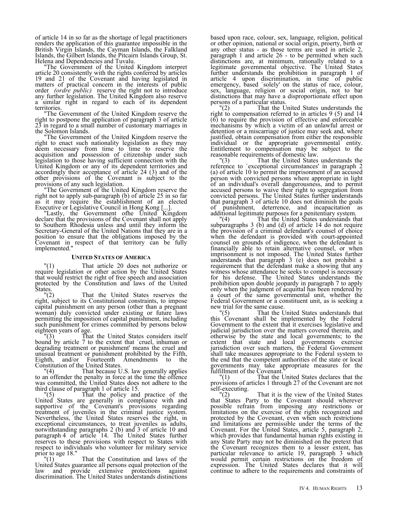of article 14 in so far as the shortage of legal practitioners renders the application of this guarantee impossible in the British Virgin Islands, the Cayman Islands, the Falkland Islands, the Gilbert Islands, the Pitcairn Islands Group, St. Helena and Dependencies and Tuvalu.

"The Government of the United Kingdom interpret article 20 consistently with the rights conferred by articles 19 and 21 of the Covenant and having legislated in matters of practical concern in the interests of public order *(ordre public)* reserve the right not to introduce any further legislation. The United Kingdom also reserve a similar right in regard to each of its dependent territories.

"The Government of the United Kingdom reserve the right to postpone the application of paragraph 3 of article 23 in regard to a small number of customary marriages in the Solomon Islands.

"The Government of the United Kingdom reserve the right to enact such nationality legislation as they may deem necessary from time to time to reserve the acquisition and possession of citizenship under such legislation to those having sufficient connection with the United Kingdom or any of its dependent territories and accordingly their acceptance of article 24 (3) and of the other provisions of the Covenant is subject to the provisions of any such legislation.

"The Government of the United Kingdom reserve the right not to apply sub-paragraph (b) of article 25 in so far as it may require the establishment of an elected Executive or Legislative Council in Hong Kong [...].

"Lastly, the Government ofhe United Kingdom declare that the provisions of the Covenant shall not apply to Southern Rhodesia unless and until they inform the Secretary-General of the United Nations that they are in a position to ensure that the obligations imposed by the Covenant in respect of that territory can be fully implemented."

# **UNITED STATES OF AMERICA**

"(1) That article 20 does not authorize or require legislation or other action by the United States that would restrict the right of free speech and association protected by the Constitution and laws of the United

States.<br> $"(2)$ That the United States reserves the right, subject to its Constitutional constraints, to impose capital punishment on any person (other than a pregnant woman) duly convicted under existing or future laws permitting the imposition of capital punishment, including such punishment for crimes committed by persons below

eighteen years of age.<br>"(3) Tha That the United States considers itself bound by article 7 to the extent that `cruel, inhuman or degrading treatment or punishment' means the cruel and unusual treatment or punishment prohibited by the Fifth,<br>Eighth, and/or Fourteenth Amendments to the Amendments to the Constitution of the United States.<br>"(4) That because U

That because U.S. law generally applies to an offender the penalty in force at the time the offence was committed, the United States does not adhere to the third clause of paragraph 1 of article 15.

"(5) That the policy and practice of the United States are generally in compliance with and supportive of the Covenant's provisions regarding treatment of juveniles in the criminal justice system. Nevertheless, the United States reserves the right, in exceptional circumstances, to treat juveniles as adults, notwithstanding paragraphs 2 (b) and 3 of article 10 and paragraph 4 of article 14. The United States further reserves to these provisions with respect to States with respect to individuals who volunteer for military service prior to age 18."<br> $(1)$ 

That the Constitution and laws of the United States guarantee all persons equal protection of the law and provide extensive protections against discrimination. The United States understands distinctions

based upon race, colour, sex, language, religion, political or other opinion, national or social origin, proerty, birth or any other status - as those terms are used in article 2, paragraph 1 and article 26 - to be permitted when such distinctions are, at minimum, rationally related to a legitimate governmental objective. The United States further understands the prohibition in paragraph 1 of article 4 upon discrimination, in time of public emergency, based `solely' on the status of race, colour, sex, language, religion or social origin, not to bar distinctions that may have a disproportionate effect upon

persons of a particular status.<br>"(2) That the U That the United States understands the right to compensation referred to in articles 9 (5) and 14 (6) to require the provision of effective and enforceable mechanisms by which a victim of an unlawful arrest or detention or a miscarriage of justice may seek and, where justified, obtain compensation from either the responsible individual or the appropriate governmental entity. Entitlement to compensation may be subject to the reasonable requirements of domestic law.

That the United States understands the reference to `exceptional circumstances' in paragraph 2 (a) of article 10 to permit the imprisonment of an accused person with convicted persons where appropriate in light of an individual's overall dangerousness, and to permit accused persons to waive their right to segregation from convicted persons. The United States further understands that paragraph 3 of article 10 does not diminish the goals of punishment, deterrence, and incapacitation as additional legitimate purposes for a penitentiary system.

"(4) That the United States understands that subparagraphs 3 (b) and (d) of article 14 do not require the provision of a criminal defendant's counsel of choice when the defendant is provided with court-appointed counsel on grounds of indigence, when the defendant is financially able to retain alternative counsel, or when imprisonment is not imposed. The United States further understands that paragraph 3 (e) does not prohibit a requirement that the defendant make a showing that any witness whose attendance he seeks to compel is necessary for his defense. The United States understands the prohibition upon double jeopardy in paragraph 7 to apply only when the judgment of acquittal has been rendered by a court of the same governmental unit, whether the Federal Government or a constituent unit, as is seeking a

new trial for the same cause.<br>"(5) That the U That the United States understands that this Covenant shall be implemented by the Federal Government to the extent that it exercises legislative and judicial jurisdiction over the matters covered therein, and otherwise by the state and local governments; to the extent that state and local governments exercise jurisdiction over such matters, the Federal Government shall take measures appropriate to the Federal system to the end that the competent authorities of the state or local governments may take appropriate measures for the

fulfillment of the Covenant.<br>"(1) That the 1 That the United States declares that the provisions of articles 1 through 27 of the Covenant are not self-executing.

"(2) That it is the view of the United States that States Party to the Covenant should wherever possible refrain from imposing any restrictions or limitations on the exercise of the rights recognized and protected by the Covenant, even when such restrictions and limitations are permissible under the terms of the Covenant. For the United States, article 5, paragraph 2, which provides that fundamental human rights existing in any State Party may not be diminished on the pretext that the Covenant recognizes them to a lesser extent, has particular relevance to article 19, paragraph 3 which would permit certain restrictions on the freedom of expression. The United States declares that it will continue to adhere to the requirements and constraints of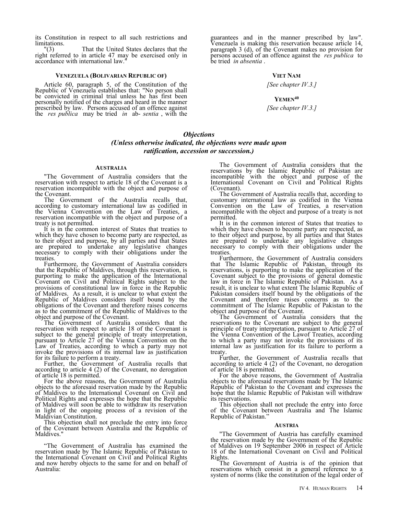its Constitution in respect to all such restrictions and limitations.<br> $"(3)$ 

That the United States declares that the right referred to in article 47 may be exercised only in accordance with international law.

### **VENEZUELA (BOLIVARIAN REPUBLIC OF)**

Article 60, paragraph 5, of the Constitution of the Republic of Venezuela establishes that: "No person shall be convicted in criminal trial unless he has first been personally notified of the charges and heard in the manner prescribed by law. Persons accused of an offence against the *res publica* may be tried *in* ab- *sentia* , with the guarantees and in the manner prescribed by law". Venezuela is making this reservation because article 14, paragraph 3 (d), of the Covenant makes no provision for persons accused of an offence against the *res publica* to be tried *in absentia* .

## **VIET NAM**

*[See chapter IV.3.]*

#### **YEMEN<sup>40</sup>**

*[See chapter IV.3.]* 

# *Objections (Unless otherwise indicated, the objections were made upon ratification, accession or succession.)*

## **AUSTRALIA**

"The Government of Australia considers that the reservation with respect to article 18 of the Covenant is a reservation incompatible with the object and purpose of the Covenant.

The Government of the Australia recalls that, according to customary international law as codified in the Vienna Convention on the Law of Treaties, a reservation incompatible with the object and purpose of a treaty is not permitted.

It is in the common interest of States that treaties to which they have chosen to become party are respected, as to their object and purpose, by all parties and that States are prepared to undertake any legislative changes necessary to comply with their obligations under the treaties.

Furthermore, the Government of Australia considers that the Republic of Maldives, through this reservation, is purporting to make the application of the International Covenant on Civil and Political Rights subject to the provisions of constitutional law in force in the Republic of Maldives. As a result, it is unclear to what extent the Republic of Maldives considers itself bound by the obligations of the Covenant and therefore raises concerns as to the commitment of the Republic of Maldives to the object and purpose of the Covenant.

The Government of Australia considers that the reservation with respect to article 18 of the Covenant is subject to the general principle of treaty interpretation, pursuant to Article 27 of the Vienna Convention on the Law of Treaties, according to which a party may not invoke the provisions of its internal law as justification for its failure to perform a treaty.

Further, the Government of Australia recalls that according to article 4 (2) of the Covenant, no derogation of article 18 is permitted.

For the above reasons, the Government of Australia objects to the aforesaid reservation made by the Republic of Maldives to the International Covenant on Civil and Political Rights and expresses the hope that the Republic of Maldives will soon be able to withdraw its reservation in light of the ongoing process of a revision of the Maldivian Constitution.

This objection shall not preclude the entry into force of the Covenant between Australia and the Republic of Maldives.'

"The Government of Australia has examined the reservation made by The Islamic Republic of Pakistan to the International Covenant on Civil and Political Rights and now hereby objects to the same for and on behalf of Australia:

The Government of Australia considers that the reservations by the Islamic Republic of Pakistan are incompatible with the object and purpose of the International Covenant on Civil and Political Rights (Covenant).

The Government of Australia recalls that, according to customary international law as codified in the Vienna Convention on the Law of Treaties, a reservation incompatible with the object and purpose of a treaty is not permitted.

It is in the common interest of States that treaties to which they have chosen to become party are respected, as to their object and purpose, by all parties and that States are prepared to undertake any legislative changes necessary to comply with their obligations under the treaties.

Furthermore, the Government of Australia considers that The Islamic Republic of Pakistan, through its reservations, is purporting to make the application of the Covenant subject to the provisions of general domestic law in force in The Islamic Republic of Pakistan. As a result, it is unclear to what extent The Islamic Republic of Pakistan considers itself bound by the obligations of the Covenant and therefore raises concerns as to the commitment of The Islamic Republic of Pakistan to the object and purpose of the Covenant.

The Government of Australia considers that the reservations to the Covenant are subject to the general principle of treaty interpretation, pursuant to Article 27 of the Vienna Convention of the Lawof Treaties, according to which a party may not invoke the provisions of its internal law as justification for its failure to perform a treaty.

Further, the Government of Australia recalls that according to article 4 (2) of the Covenant, no derogation of article 18 is permitted.

For the above reasons, the Government of Australia objects to the aforesaid reservations made by The Islamic Republic of Pakistan to the Covenant and expresses the hope that the Islamic Republic of Pakistan will withdraw its reservations.

This objection shall not preclude the entry into force of the Covenant between Australia and The Islamic Republic of Pakistan."

#### **AUSTRIA**

"The Government of Austria has carefully examined the reservation made by the Government of the Republic of Maldives on 19 September 2006 in respect of Article 18 of the International Covenant on Civil and Political Rights.

The Government of Austria is of the opinion that reservations which consist in a general reference to a system of norms (like the constitution of the legal order of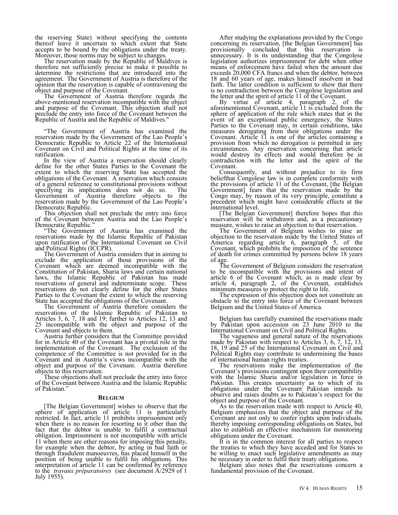the reserving State) without specifying the contents thereof leave it uncertain to which extent that State accepts to be bound by the obligations under the treaty. Moreover, those norms may be subject to changes.

The reservation made by the Republic of Maldives is therefore not sufficiently precise to make it possible to determine the restrictions that are introduced into the agreement. The Government of Austria is therefore of the opinion that the reservation is capable of contravening the object and purpose of the Covenant.

The Government of Austria therefore regards the above-mentioned reservation incompatible with the object and purpose of the Covenant. This objection shall not preclude the entry into force of the Covenant between the Republic of Austria and the Republic of Maldives."

"The Government of Austria has examined the reservation made by the Government of the Lao People's Democratic Republic to Article 22 of the International Covenant on Civil and Political Rights at the time of its ratification.

In the view of Austria a reservation should clearly define for the other States Parties to the Covenant the extent to which the reserving State has accepted the obligations of the Covenant. A reservation which consists of a general reference to constitutional provisions without specifying its implications does not do so. The Government of Austria therefore objects to the reservation made by the Government of the Lao People's Democratic Republic.

This objection shall not preclude the entry into force of the Covenant between Austria and the Lao People's Democratic Republic."

"The Government of Austria has examined the reservations made by the Islamic Republic of Pakistan upon ratification of the International Covenant on Civil and Political Rights (ICCPR).

The Government of Austria considers that in aiming to exclude the application of those provisions of the Covenant which are deemed incompatible with the Constitution of Pakistan, Sharia laws and certain national laws, the Islamic Republic of Pakistan has made reservations of general and indeterminate scope. These reservations do not clearly define for the other States Parties to the Covenant the extent to which the reserving State has accepted the obligations of the Covenant.

The Government of Austria therefore considers the reservations of the Islamic Republic of Pakistan to Articles 3, 6, 7, 18 and 19; further to Articles 12, 13 and 25 incompatible with the object and purpose of the Covenant and objects to them.

Austria further considers that the Committee provided for in Article 40 of the Covenant has a pivotal role in the implementation of the Covenant. The exclusion of the competence of the Committee is not provided for in the Covenant and in Austria's views incompatible with the object and purpose of the Covenant. Austria therefore objects to this reservation.

These objections shall not preclude the entry into force of the Covenant between Austria and the Islamic Republic of Pakistan."

#### **BELGIUM**

[The Belgian Government] wishes to observe that the sphere of application of article 11 is particularly restricted. In fact, article 11 prohibits imprisonment only when there is no reason for resorting to it other than the fact that the debtor is unable to fulfil a contractual obligation. Imprisonment is not incompatible with article 11 when there are other reasons for imposing this penalty, for example when the debtor, by acting in bad faith or through fraudulent manoeuvres, has placed himself in the position of being unable to fulfil his obligations. This interpretation of article 11 can be confirmed by reference to the *travaux préparatoires* (see document A/2929 of 1 July 1955).

After studying the explanations provided by the Congo concerning its reservation, [the Belgian Government] has provisionally concluded that this reservation is unnecessary. It is its understanding that the Congolese legislation authorizes imprisonment for debt when other means of enforcement have failed when the amount due exceeds 20,000 CFA francs and when the debtor, between 18 and 60 years of age, makes himself insolvent in bad faith. The latter condition is sufficient to show that there is no contradiction between the Congolese legislation and the letter and the spirit of article 11 of the Covenant.

By virtue of article 4, paragraph 2, of the aforementioned Covenant, article 11 is excluded from the sphere of application of the rule which states that in the event of an exceptional public emergency, the States Parties to the Covenant may, in certain conditions, take measures derogating from their obligations under the Covenant. Article 11 is one of the articles containing a provision from which no derogation is permitted in any circumstances. Any reservation concerning that article would destroy its effects and would therefore be in contradiction with the letter and the spirit of the Covenant.

Consequently, and without prejudice to its firm beliefthat Congolese law is in complete conformity with the provisions of article 11 of the Covenant, [the Belgian Government] fears that the reservation made by the Congo may, by reason of its very principle, constitute a precedent which might have considerable effects at the international level.

[The Belgian Government] therefore hopes that this reservation will be withdrawn and, as a precautionary measure, wishes to raise an objection to that reservation.

The Government of Belgium wishes to raise an objection to the reservation made by the United States of America regarding article 6, paragraph 5, of the Covenant, which prohibits the imposition of the sentence of death for crimes committed by persons below 18 years of age.

The Government of Belgium considers the reservation to be incompatible with the provisions and intent of article 6 of the Covenant which, as is made clear by article 4, paragraph 2, of the Covenant, establishes minimum measures to protect the right to life.

The expression of this objection does not constitute an obstacle to the entry into force of the Covenant between Belgium and the United States of America.

Belgium has carefully examined the reservations made by Pakistan upon accession on 23 June 2010 to the International Covenant on Civil and Political Rights.

The vagueness and general nature of the reservations made by Pakistan with respect to Articles 3, 6, 7, 12, 13, 18, 19 and 25 of the International Covenant on Civil and Political Rights may contribute to undermining the bases of international human rights treaties.

The reservations make the implementation of the Covenant's provisions contingent upon their compatibility with the Islamic Sharia and/or legislation in force in Pakistan. This creates uncertainty as to which of its obligations under the Covenant Pakistan intends to observe and raises doubts as to Pakistan's respect for the object and purpose of the Covenant.

As to the reservation made with respect to Article 40, Belgium emphasizes that the object and purpose of the Covenant are not only to confer rights upon individuals, thereby imposing corresponding obligations on States, but also to establish an effective mechanism for monitoring obligations under the Covenant.

It is in the common interest for all parties to respect the treaties to which they have acceded and for States to be willing to enact such legislative amendments as may be necessary in order to fulfil their treaty obligations.

Belgium also notes that the reservations concern a fundamental provision of the Covenant.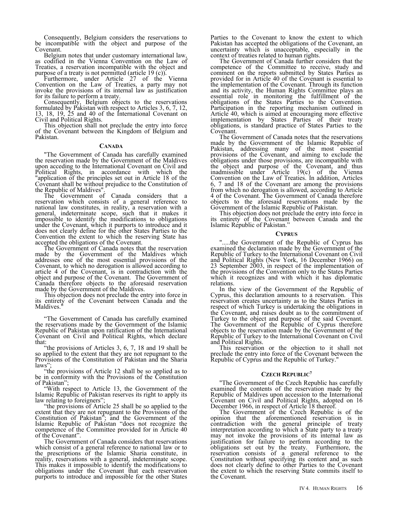Consequently, Belgium considers the reservations to be incompatible with the object and purpose of the Covenant.

Belgium notes that under customary international law, as codified in the Vienna Convention on the Law of Treaties, a reservation incompatible with the object and purpose of a treaty is not permitted (article 19 (c)).

Furthermore, under Article 27 of the Vienna Convention on the Law of Treaties, a party may not invoke the provisions of its internal law as justification for its failure to perform a treaty.

Consequently, Belgium objects to the reservations formulated by Pakistan with respect to Articles 3, 6, 7, 12, 13, 18, 19, 25 and 40 of the International Covenant on Civil and Political Rights.

This objection shall not preclude the entry into force of the Covenant between the Kingdom of Belgium and Pakistan.

### **CANADA**

"The Government of Canada has carefully examined the reservation made by the Government of the Maldives upon acceding to the International Covenant on Civil and Political Rights, in accordance with which the "application of the principles set out in Article 18 of the Covenant shall be without prejudice to the Constitution of the Republic of Maldives".

The Government of Canada considers that a reservation which consists of a general reference to national law constitutes, in reality, a reservation with a general, indeterminate scope, such that it makes it impossible to identify the modifications to obligations under the Covenant, which it purports to introduce and it does not clearly define for the other States Parties to the Convention the extent to which the reserving State has accepted the obligations of the Covenant.

The Government of Canada notes that the reservation made by the Government of the Maldives which addresses one of the most essential provisions of the Covenant, to which no derogation is allowed according to article 4 of the Covenant, is in contradiction with the object and purpose of the Covenant. The Government of Canada therefore objects to the aforesaid reservation made by the Government of the Maldives.

This objection does not preclude the entry into force in its entirety of the Covenant between Canada and the Maldives.

"The Government of Canada has carefully examined the reservations made by the Government of the Islamic Republic of Pakistan upon ratification of the International Covenant on Civil and Political Rights, which declare that:

"the provisions of Articles 3, 6, 7, 18 and 19 shall be so applied to the extent that they are not repugnant to the Provisions of the Constitution of Pakistan and the Sharia laws"

"the provisions of Article 12 shall be so applied as to be in conformity with the Provisions of the Constitution of Pakistan";

"With respect to Article 13, the Government of the Islamic Republic of Pakistan reserves its right to apply its law relating to foreigners"

"the provisions of Article 25 shall be so applied to the extent that they are not repugnant to the Provisions of the Constitution of Pakistan"; and the Government of the Islamic Republic of Pakistan "does not recognize the competence of the Committee provided for in Article 40 of the Covenant".

The Government of Canada considers that reservations which consist of a general reference to national law or to the prescriptions of the Islamic Sharia constitute, in reality, reservations with a general, indeterminate scope. This makes it impossible to identify the modifications to obligations under the Covenant that each reservation purports to introduce and impossible for the other States

Parties to the Covenant to know the extent to which Pakistan has accepted the obligations of the Covenant, an uncertainty which is unacceptable, especially in the context of treaties related to human rights.

The Government of Canada further considers that the competence of the Committee to receive, study and comment on the reports submitted by States Parties as provided for in Article 40 of the Covenant is essential to the implementation of the Covenant. Through its function and its activity, the Human Rights Committee plays an essential role in monitoring the fulfillment of the obligations of the States Parties to the Convention. Participation in the reporting mechanism outlined in Article 40, which is aimed at encouraging more effective implementation by States Parties of their treaty obligations, is standard practice of States Parties to the Covenant.

The Government of Canada notes that the reservations made by the Government of the Islamic Republic of Pakistan, addressing many of the most essential provisions of the Covenant, and aiming to exclude the obligations under those provisions, are incompatible with the object and purpose of the Covenant, and thus inadmissible under Article 19(c) of the Vienna Convention on the Law of Treaties. In addition, Articles 6, 7 and 18 of the Covenant are among the provisions from which no derogation is allowed, according to Article 4 of the Covenant. The Government of Canada therefore objects to the aforesaid reservations made by the Government of the Islamic Republic of Pakistan.

This objection does not preclude the entry into force in its entirety of the Covenant between Canada and the Islamic Republic of Pakistan."

#### **CYPRUS**

".....the Government of the Republic of Cyprus has examined the declaration made by the Government of the Republic of Turkey to the International Covenant on Civil and Political Rights (New York, 16 December 1966) on 23 September 2003, in respect of the implementation of the provisions of the Convention only to the States Parties which it recognizes and with which it has diplomatic relations.

In the view of the Government of the Republic of Cyprus, this declaration amounts to a reservation. This reservation creates uncertainty as to the States Parties in respect of which Turkey is undertaking the obligations in the Covenant, and raises doubt as to the commitment of Turkey to the object and purpose of the said Covenant. The Government of the Republic of Cyprus therefore objects to the reservation made by the Government of the Republic of Turkey to the International Covenant on Civil and Political Rights.

This reservation or the objection to it shall not preclude the entry into force of the Covenant between the Republic of Cyprus and the Republic of Turkey."

## **CZECH REPUBLIC<sup>7</sup>**

"The Government of the Czech Republic has carefully examined the contents of the reservation made by the Republic of Maldives upon accession to the International Covenant on Civil and Political Rights, adopted on 16 December 1966, in respect of Article 18 thereof.

The Government of the Czech Republic is of the opinion that the aforementioned reservation is in contradiction with the general principle of treaty interpretation according to which a State party to a treaty may not invoke the provisions of its internal law as justification for failure to perform according to the obligations set out by the treaty. Furthermore, the reservation consists of a general reference to the Constitution without specifying its content and as such does not clearly define to other Parties to the Covenant the extent to which the reserving State commits itself to the Covenant.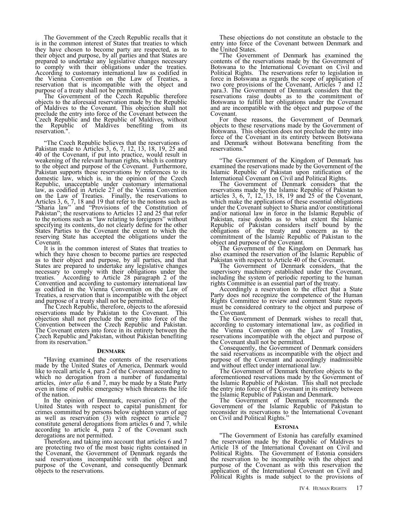The Government of the Czech Republic recalls that it is in the common interest of States that treaties to which they have chosen to become party are respected, as to their object and purpose, by all parties and that States are prepared to undertake any legislative changes necessary to comply with their obligations under the treaties. According to customary international law as codified in the Vienna Convention on the Law of Treaties, a reservation that is incompatible with the object and purpose of a treaty shall not be permitted.

The Government of the Czech Republic therefore objects to the aforesaid reservation made by the Republic of Maldives to the Covenant. This objection shall not preclude the entry into force of the Covenant between the Czech Republic and the Republic of Maldives, without the Republic of Maldives benefiting from its reservation.".

"The Czech Republic believes that the reservations of Pakistan made to Articles 3, 6, 7, 12, 13, 18, 19, 25 and 40 of the Covenant, if put into practice, would result in weakening of the relevant human rights, which is contrary to the object and purpose of the Covenant. Furthermore, Pakistan supports these reservations by references to its domestic law, which is, in the opinion of the Czech Republic, unacceptable under customary international law, as codified in Article 27 of the Vienna Convention on the Law of Treaties. Finally, the reservations to Articles 3, 6, 7, 18 and 19 that refer to the notions such as "Sharia law" and "Provisions of the Constitution of Pakistan"; the reservations to Articles 12 and 25 that refer to the notions such as "law relating to foreigners" without specifying its contents, do not clearly define for the other States Parties to the Covenant the extent to which the reserving State has accepted the obligations under the Covenant.

It is in the common interest of States that treaties to which they have chosen to become parties are respected as to their object and purpose, by all parties, and that States are prepared to undertake any legislative changes necessary to comply with their obligations under the treaties. According to Article 28 paragraph 2 of the Convention and according to customary international law as codified in the Vienna Convention on the Law of Treaties, a reservation that is incompatible with the object and purpose of a treaty shall not be permitted.

The Czech Republic, therefore, objects to the aforesaid reservations made by Pakistan to the Covenant. This objection shall not preclude the entry into force of the Convention between the Czech Republic and Pakistan. The Covenant enters into force in its entirety between the Czech Republic and Pakistan, without Pakistan benefiting from its reservation."

#### **DENMARK**

"Having examined the contents of the reservations made by the United States of America, Denmark would like to recall article 4, para 2 of the Covenant according to which no derogation from a number of fundamental articles, *inter alia* 6 and 7, may be made by a State Party even in time of public emergency which threatens the life of the nation.

In the opinion of Denmark, reservation (2) of the United States with respect to capital punishment for crimes committed by persons below eighteen years of age as well as reservation  $(3)$  with respect to article constitute general derogations from articles 6 and 7, while according to article 4, para 2 of the Covenant such derogations are not permitted.

Therefore, and taking into account that articles 6 and 7 are protecting two of the most basic rights contained in the Covenant, the Government of Denmark regards the said reservations incompatible with the object and purpose of the Covenant, and consequently Denmark objects to the reservations.

These objections do not constitute an obstacle to the entry into force of the Covenant between Denmark and the United States.

"The Government of Denmark has examined the contents of the reservations made by the Government of Botswana to the International Covenant on Civil and Political Rights. The reservations refer to legislation in force in Botswana as regards the scope of application of two core provisions of the Covenant, Articles 7 and 12 para.3. The Government of Denmark considers that the reservations raise doubts as to the commitment of Botswana to fulfill her obligations under the Covenant and are incompatible with the object and purpose of the Covenant.

For these reasons, the Government of Denmark objects to these reservations made by the Government of Botswana. This objection does not preclude the entry into force of the Covenant in its entirety between Botswana and Denmark without Botswana benefiting from the reservations."

"The Government of the Kingdom of Denmark has examined the reservations made by the Government of the Islamic Republic of Pakistan upon ratification of the International Covenant on Civil and Political Rights.

The Government of Denmark considers that the reservations made by the Islamic Republic of Pakistan to articles 3, 6, 7, 12, 13, 18, 19 and 25 of the Covenant, which make the applications of these essential obligations under the Covenant subject to Sharia and/or constitutional and/or national law in force in the Islamic Republic of Pakistan, raise doubts as to what extent the Islamic Republic of Pakistan considers itself bound by the obligations of the treaty and concern as to the commitment of the Islamic Republic of Pakistan to the object and purpose of the Covenant.

The Government of the Kingdom on Denmark has also examined the reservation of the Islamic Republic of Pakistan with respect to Article 40 of the Covenant.

The Government of Denmark considers, that the supervisory machinery established under the Covenant, including the system of periodic reporting to the human rights Committee is an essential part of the treaty.

Accordingly a reservation to the effect that a State Party does not recognize the competence of the Human Rights Committee to review and comment State reports must be considered contrary to the object and purpose of the Covenant.

The Government of Denmark wishes to recall that, according to customary international law, as codified in the Vienna Convention on the Law of Treaties, reservations incompatible with the object and purpose of the Covenant shall not be permitted.

Consequently, the Government of Denmark considers the said reservations as incompatible with the object and purpose of the Covenant and accordingly inadmissible and without effect under international law.

The Government of Denmark therefore objects to the aforementioned reservations made by the Government of the Islamic Republic of Pakistan. This shall not preclude the entry into force of the Covenant in its entirety between the Islamic Republic of Pakistan and Denmark.

The Government of Denmark recommends the Government of the Islamic Republic of Pakistan to reconsider its reservations to the International Covenant on Civil and Political Rights."

### **ESTONIA**

"The Government of Estonia has carefully examined the reservation made by the Republic of Maldives to Article 18 of the International Covenant on Civil and Political Rights. The Government of Estonia considers the reservation to be incompatible with the object and purpose of the Covenant as with this reservation the application of the International Covenant on Civil and Political Rights is made subject to the provisions of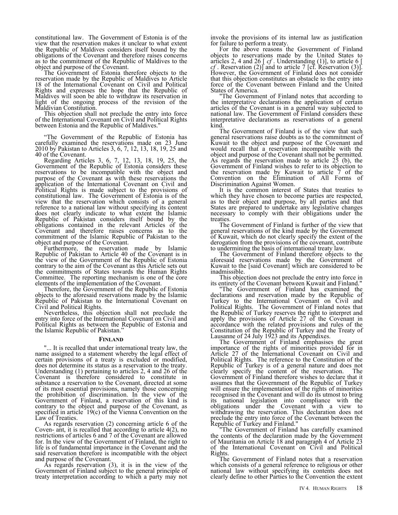constitutional law. The Government of Estonia is of the view that the reservation makes it unclear to what extent the Republic of Maldives considers itself bound by the obligations of the Covenant and therefore raises concerns as to the commitment of the Republic of Maldives to the object and purpose of the Covenant.

The Government of Estonia therefore objects to the reservation made by the Republic of Maldives to Article 18 of the International Covenant on Civil and Political Rights and expresses the hope that the Republic of Maldives will soon be able to withdraw its reservation in light of the ongoing process of the revision of the Maldivian Constitution.

This objection shall not preclude the entry into force of the International Covenant on Civil and Political Rights between Estonia and the Republic of Maldives."

"The Government of the Republic of Estonia has carefully examined the reservations made on 23 June 2010 by Pakistan to Articles 3, 6, 7, 12, 13, 18, 19, 25 and 40 of the Covenant.

Regarding Articles 3, 6, 7, 12, 13, 18, 19, 25, the Government of the Republic of Estonia considers these reservations to be incompatible with the object and purpose of the Covenant as with these reservations the application of the International Covenant on Civil and Political Rights is made subject to the provisions of constitutional law. The Government of Estonia is of the view that the reservation which consists of a general reference to a national law without specifying its content does not clearly indicate to what extent the Islamic Republic of Pakistan considers itself bound by the obligations contained in the relevant Articles of the Covenant and therefore raises concerns as to the commitment of the Islamic Republic of Pakistan to the object and purpose of the Covenant.

Furthermore, the reservation made by Islamic Republic of Pakistan to Article 40 of the Covenant is in the view of the Government of the Republic of Estonia contrary to the aim of the Covenant as this Article sets out the commitments of States towards the Human Rights Committee. The reporting mechanism is one of the core elements of the implementation of the Covenant.

Therefore, the Government of the Republic of Estonia objects to the aforesaid reservations made by the Islamic Republic of Pakistan to the International Covenant on Civil and Political Rights.

Nevertheless, this objection shall not preclude the entry into force of the International Covenant on Civil and Political Rights as between the Republic of Estonia and the Islamic Republic of Pakistan."

### **FINLAND**

"... It is recalled that under international treaty law, the name assigned to a statement whereby the legal effect of certain provisions of a treaty is excluded or modified, does not determine its status as a reservation to the treaty. Understanding (1) pertaining to articles 2, 4 and 26 of the Covenant is therefore considered to constitute in substance a reservation to the Covenant, directed at some of its most essential provisions, namely those concerning the prohibition of discrimination. In the view of the Government of Finland, a reservation of this kind is contrary to the object and purpose of the Covenant, as specified in article 19(c) of the Vienna Convention on the Law of Treaties.

As regards reservation (2) concerning article 6 of the Coven- ant, it is recalled that according to article 4(2), no restrictions of articles 6 and 7 of the Covenant are allowed for. In the view of the Government of Finland, the right to life is of fundamental importance in the Covenant and the said reservation therefore is incompatible with the object and purpose of the Covenant.

As regards reservation (3), it is in the view of the Government of Finland subject to the general principle of treaty interpretation according to which a party may not invoke the provisions of its internal law as justification for failure to perform a treaty.

For the above reasons the Government of Finland objects to reservations made by the United States to articles 2, 4 and 26 [ *cf* . Understanding (1)], to article 6 [ *cf* . Reservation (2)] and to article 7 [cf. Reservation (3)]. However, the Government of Finland does not consider that this objection constitutes an obstacle to the entry into force of the Covenant between Finland and the United States of America.

"The Government of Finland notes that according to the interpretative declarations the application of certain articles of the Covenant is in a general way subjected to national law. The Government of Finland considers these interpretative declarations as reservations of a general kind.

The Government of Finland is of the view that such general reservations raise doubts as to the commitment of Kuwait to the object and purpose of the Covenant and would recall that a reservation incompatible with the object and purpose of the Covenant shall not be permitted. As regards the reservation made to article 25 (b), the Government of Finland wishes to refer to its objection to the reservation made by Kuwait to article 7 of the Convention on the Elimination of All Forms of Discrimination Against Women.

It is the common interest of States that treaties to which they have chosen to become parties are respected, as to their object and purpose, by all parties and that States are prepared to undertake any legislative changes necessary to comply with their obligations under the treaties.

The Government of Finland is further of the view that general reservations of the kind made by the Government of Kuwait, which do not clearly specify the extent of the derogation from the provisions of the covenant, contribute to undermining the basis of international treaty law.

The Government of Finland therefore objects to the aforesaid reservations made by the Government of Kuwait to the [said Covenant] which are considered to be inadmissible.

This objection does not preclude the entry into force in its entirety of the Covenant between Kuwait and Finland."

"The Government of Finland has examined the declarations and reservation made by the Republic of Turkey to the International Covenant on Civil and Political Rights. The Government of Finland notes that the Republic of Turkey reserves the right to interpret and apply the provisions of Article 27 of the Covenant in accordance with the related provisions and rules of the Constitution of the Republic of Turkey and the Treaty of Lausanne of 24 July 1923 and its Appendixes.

The Government of Finland emphasises the great importance of the rights of minorities provided for in Article 27 of the International Covenant on Civil and Political Rights. The reference to the Constitution of the Republic of Turkey is of a general nature and does not clearly specify the content of the reservation. The Government of Finland therefore wishes to declare that it assumes that the Government of the Republic of Turkey will ensure the implementation of the rights of minorities recognised in the Covenant and will do its utmost to bring its national legislation into compliance with the obligations under the Covenant with a view to withdrawing the reservation. This declaration does not preclude the entry into force of the Covenant between the Republic of Turkey and Finland."

"The Government of Finland has carefully examined the contents of the declaration made by the Government of Mauritania on Article 18 and paragraph 4 of Article 23 of the International Covenant on Civil and Political Rights.

The Government of Finland notes that a reservation which consists of a general reference to religious or other national law without specifying its contents does not clearly define to other Parties to the Convention the extent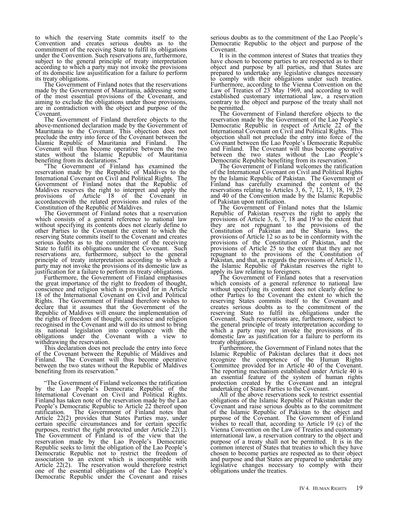to which the reserving State commits itself to the Convention and creates serious doubts as to the commitment of the receiving State to fulfil its obligations under the Convention. Such reservations are, furthermore, subject to the general principle of treaty interpretation according to which a party may not invoke the provisions of its domestic law asjustification for a failure to perform its treaty obligations.

The Government of Finland notes that the reservations made by the Government of Mauritania, addressing some of the most essential provisions of the Covenant, and aiming to exclude the obligations under those provisions, are in contradiction with the object and purpose of the Covenant.

The Government of Finland therefore objects to the above-mentioned declaration made by the Government of Mauritania to the Covenant. This objection does not preclude the entry into force of the Covenant between the Islamic Republic of Mauritania and Finland. The Covenant will thus become operative between the two states without the Islamic Republic of Mauritania benefiting from its declarations."

"The Government of Finland has examined the reservation made by the Republic of Maldives to the International Covenant on Civil and Political Rights. The Government of Finland notes that the Republic of Maldives reserves the right to interpret and apply the provisions of Article 18 of the Covenant in accordancewith the related provisions and rules of the Constitution of the Republic of Maldives.

The Government of Finland notes that a reservation which consists of a general reference to national law without specifying its contents does not clearly define to other Parties to the Covenant the extent to which the reserving State commits itself to the Covenant and creates serious doubts as to the commitment of the receiving State to fulfil its obligations under the Covenant. Such reservations are, furthermore, subject to the general principle of treaty interpretation according to which a party may not invoke the provisions of its domestic law as justification for a failure to perform its treaty obligations.

Furthermore, the Government of Finland emphasises the great importance of the right to freedom of thought, conscience and religion which is provided for in Article 18 of the International Covenant on Civil and Political Rights. The Government of Finland therefore wishes to declare that it assumes that the Government of the Republic of Maldives will ensure the implementation of the rights of freedom of thought, conscience and religion recognised in the Covenant and will do its utmost to bring its national legislation into compliance with the obligations under the Covenant with a view to withdrawing the reservation.

This declaration does not preclude the entry into force of the Covenant between the Republic of Maldives and Finland. The Covenant will thus become operative between the two states without the Republic of Maldives benefiting from its reservation."

"The Government of Finland welcomes the ratification by the Lao People's Democratic Republic of the International Covenant on Civil and Political Rights. Finland has taken note of the reservation made by the Lao People's Democratic Republic to Article 22 thereof upon ratification. The Government of Finland notes that Article 22(2) provides that States Parties may, under certain specific circumstances and for certain specific purposes, restrict the right protected under Article 22(1). The Government of Finland is of the view that the reservation made by the Lao People's Democratic Republic seeks to limit the obligation of the Lao People's Democratic Republic not to restrict the freedom of association to an extent which is incompatible with Article 22(2). The reservation would therefore restrict one of the essential obligations of the Lao People's Democratic Republic under the Covenant and raises

serious doubts as to the commitment of the Lao People's Democratic Republic to the object and purpose of the Covenant.

It is in the common interest of States that treaties they have chosen to become parties to are respected as to their object and purpose by all parties, and that States are prepared to undertake any legislative changes necessary to comply with their obligations under such treaties. Furthermore, according to the Vienna Convention on the Law of Treaties of 23 May 1969, and according to well established customary international law, a reservation contrary to the object and purpose of the treaty shall not be permitted.

The Government of Finland therefore objects to the reservation made by the Government of the Lao People's Democratic Republic in respect of Article 22 of the International Covenant on Civil and Political Rights. This objection shall not preclude the entry into force of the Covenant between the Lao People's Democratic Republic and Finland. The Covenant will thus become operative between the two states without the Lao People's Democratic Republic benefiting from its reservation.

The Government of Finland welcomes the ratification of the International Covenant on Civil and Political Rights by the Islamic Republic of Pakistan. The Government of Finland has carefully examined the content of the reservations relating to Articles 3, 6, 7, 12, 13, 18, 19, 25 and 40 of the Convention made by the Islamic Republic of Pakistan upon ratification.

The Government of Finland notes that the Islamic Republic of Pakistan reserves the right to apply the provisions of Article 3, 6, 7, 18 and 19 to the extent that they are not repugnant to the provisions of the Constitution of Pakistan and the Sharia laws, the provisions of Article 12 so as to be in conformity with the provisions of the Constitution of Pakistan, and the provisions of Article 25 to the extent that they are not repugnant to the provisions of the Constitution of Pakistan, and that, as regards the provisions of Article 13, the Islamic Republic of Pakistan reserves the right to apply its law relating to foreigners.

The Government of Finland notes that a reservation which consists of a general reference to national law without specifying its content does not clearly define to other Parties to the Covenant the extent to which the reserving States commits itself to the Covenant and creates serious doubts as to the commitment of the reserving State to fulfil its obligations under the Covenant. Such reservations are, furthermore, subject to the general principle of treaty interpretation according to which a party may not invoke the provisions of its domestic law as justification for a failure to perform its treaty obligations.

Furthermore, the Government of Finland notes that the Islamic Republic of Pakistan declares that it does not recognize the competence of the Human Rights Committee provided for in Article 40 of the Covenant. The reporting mechanism established under Article 40 is an essential feature of the system of human rights protection created by the Covenant and an integral undertaking of States Parties to the Covenant.

All of the above reservations seek to restrict essential obligations of the Islamic Republic of Pakistan under the Covenant and raise serious doubts as to the commitment of the Islamic Republic of Pakistan to the object and purpose of the Covenant. The Government of Finland wishes to recall that, according to Article 19 (c) of the Vienna Convention on the Law of Treaties and customary international law, a reservation contrary to the object and purpose of a treaty shall not be permitted. It is in the common interest of States that treaties to which they have chosen to become parties are respected as to their object and purpose and that States are prepared to undertake any legislative changes necessary to comply with their obligations under the treaties.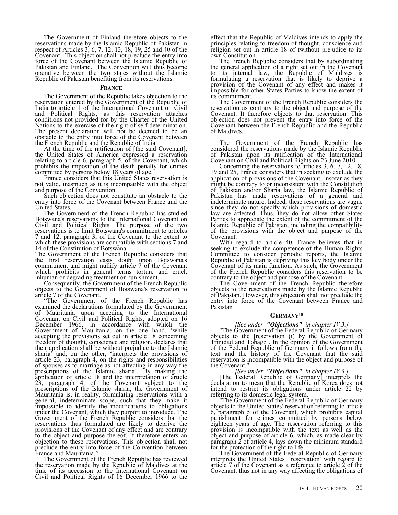The Government of Finland therefore objects to the reservations made by the Islamic Republic of Pakistan in respect of Articles 3, 6, 7, 12, 13, 18, 19, 25 and 40 of the Covenant. This objection shall not preclude the entry into force of the Covenant between the Islamic Republic of Pakistan and Finland. The Convention will thus become operative between the two states without the Islamic Republic of Pakistan benefiting from its reservations.

## **FRANCE**

The Government of the Republic takes objection to the reservation entered by the Government of the Republic of India to article 1 of the International Covenant on Civil and Political Rights, as this reservation attaches conditions not provided for by the Charter of the United Nations to the exercise of the right of self-determination. The present declaration will not be deemed to be an obstacle to the entry into force of the Covenant between the French Republic and the Republic of India.

At the time of the ratification of [the said Covenant], the United States of America expressed a reservation relating to article 6, paragraph 5, of the Covenant, which prohibits the imposition of the death penalty for crimes committed by persons below 18 years of age.

France considers that this United States reservation is not valid, inasmuch as it is incompatible with the object and purpose of the Convention.

Such objection does not constitute an obstacle to the entry into force of the Covenant between France and the United States.

The Government of the French Republic has studied Botswana's reservations to the International Covenant on Civil and Political Rights. The purpose of the two reservations is to limit Botswana's commitment to articles 7 and 12, paragraph 3, of the Covenant to the extent to which these provisions are compatible with sections 7 and 14 of the Constitution of Botswana.

The Government of the French Republic considers that the first reservation casts doubt upon Botswana's commitment and might nullify article 7 of the Covenant which prohibits in general terms torture and cruel, inhuman or degrading treatment or punishment.

Consequently, the Government of the French Republic objects to the Government of Botswana's reservation to article 7 of the Covenant.

"The Government of the French Republic has examined the declarations formulated by the Government of Mauritania upon acceding to the International Covenant on Civil and Political Rights, adopted on 16 December 1966, in accordance with which the Government of Mauritania, on the one hand, 'while accepting the provisions set out in article 18 concerning freedom of thought, conscience and religion, declares that their application shall be without prejudice to the Islamic sharia' and, on the other, 'interprets the provisions of article 23, paragraph 4, on the rights and responsibilities of spouses as to marriage as not affecting in any way the prescriptions of the Islamic sharia'. By making the application of article 18 and the interpretation of article 23, paragraph 4, of the Covenant subject to the prescriptions of the Islamic sharia, the Government of Mauritania is, in reality, formulating reservations with a general, indeterminate scope, such that they make it impossible to identify the modifications to obligations under the Covenant, which they purport to introduce. The Government of the French Republic considers that the reservations thus formulated are likely to deprive the provisions of the Covenant of any effect and are contrary to the object and purpose thereof. It therefore enters an objection to these reservations. This objection shall not preclude the entry into force of the Convention between France and Mauritania."

The Government of the French Republic has reviewed the reservation made by the Republic of Maldives at the time of its accession to the International Covenant on Civil and Political Rights of 16 December 1966 to the

effect that the Republic of Maldives intends to apply the principles relating to freedom of thought, conscience and religion set out in article 18 of twithout prejudice to its own Constitution.

The French Republic considers that by subordinating the general application of a right set out in the Covenant to its internal law, the Republic of Maldives is formulating a reservation that is likely to deprive a provision of the Covenant of any effect and makes it impossible for other States Parties to know the extent of its commitment.

The Government of the French Republic considers the reservation as contrary to the object and purpose of the Covenant. It therefore objects to that reservation. This objection does not prevent the entry into force of the Covenant between the French Republic and the Republic of Maldives.

The Government of the French Republic has considered the reservations made by the Islamic Republic of Pakistan upon its ratification of the International Covenant on Civil and Political Rights on 23 June 2010.

Concerning the reservations to articles 3, 6, 7, 12, 18, 19 and 25, France considers that in seeking to exclude the application of provisions of the Covenant, insofar as they might be contrary to or inconsistent with the Constitution of Pakistan and/or Sharia law, the Islamic Republic of Pakistan has made reservations of a general and indeterminate nature. Indeed, these reservations are vague since they do not specify which provisions of domestic law are affected. Thus, they do not allow other States Parties to appreciate the extent of the commitment of the Islamic Republic of Pakistan, including the compatibility of the provisions with the object and purpose of the Covenant.

With regard to article 40, France believes that in seeking to exclude the competence of the Human Rights Committee to consider periodic reports, the Islamic Republic of Pakistan is depriving this key body under the Covenant of its main function. As such, the Government of the French Republic considers this reservation to be contrary to the object and purpose of the Covenant.

The Government of the French Republic therefore objects to the reservations made by the Islamic Republic of Pakistan. However, this objection shall not preclude the entry into force of the Covenant between France and Pakistan

## **GERMANY<sup>10</sup>**

## *[See under "Objections" in chapter IV.3.]*

"The Government of the Federal Republic of Germany objects to the [reservation (i) by the Government of Trinidad and Tobago]. In the opinion of the Government of the Federal Republic of Germany it follows from the text and the history of the Covenant that the said reservation is incompatible with the object and purpose of the Covenant."

*[See under "Objections" in chapter IV.3.]* 

[The Federal Republic of Germany] interprets the declaration to mean that the Republic of Korea does not intend to restrict its obligations under article 22 by referring to its domestic legal system.

"The Government of the Federal Republic of Germany objects to the United States' reservation referring to article 6, paragraph 5 of the Covenant, which prohibits capital punishment for crimes committed by persons below eighteen years of age. The reservation referring to this provision is incompatible with the text as well as the object and purpose of article 6, which, as made clear by paragraph 2 of article 4, lays down the minimum standard for the protection of the right to life.

The Government of the Federal Republic of Germany interprets the United States' `reservation' with regard to article 7 of the Covenant as a reference to article  $\tilde{2}$  of the Covenant, thus not in any way affecting the obligations of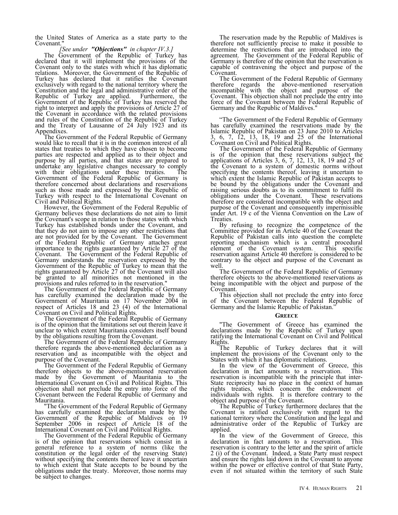the United States of America as a state party to the Covenant.

*[See under "Objections" in chapter IV.3.]* 

The Government of the Republic of Turkey has declared that it will implement the provisions of the Covenant only to the states with which it has diplomatic relations. Moreover, the Government of the Republic of Turkey has declared that it ratifies the Covenant exclusively with regard to the national territory where the Constitution and the legal and administrative order of the Republic of Turkey are applied. Furthermore, the Government of the Republic of Turkey has reserved the right to interpret and apply the provisions of Article 27 of the Covenant in accordance with the related provisions and rules of the Constitution of the Republic of Turkey and the Treaty of Lausanne of 24 July 1923 and its Appendixes.

The Government of the Federal Republic of Germany would like to recall that it is in the common interest of all states that treaties to which they have chosen to become parties are respected and applied as to their object and purpose by all parties, and that states are prepared to undertake any legislative changes necessary to comply with their obligations under these treaties. The Government of the Federal Republic of Germany is therefore concerned about declarations and reservations such as those made and expressed by the Republic of Turkey with respect to the International Covenant on Civil and Political Rights.

However, the Government of the Federal Republic of Germany believes these declarations do not aim to limit the Covenant's scope in relation to those states with which Turkey has established bonds under the Covenant, and that they do not aim to impose any other restrictions that are not provided for by the Covenant. The Government of the Federal Republic of Germany attaches great importance to the rights guaranteed by Article 27 of the Covenant. The Government of the Federal Republic of Germany understands the reservation expressed by the Government of the Republic of Turkey to mean that the rights guaranteed by Article 27 of the Covenant will also be granted to all minorities not mentioned in the provisions and rules referred to in the reservation."

The Government of the Federal Republic of Germany has carefully examined the declaration made by the Government of Mauritania on 17 November 2004 in respect of Articles 18 and 23 (4) of the International Covenant on Civil and Political Rights.

The Government of the Federal Republic of Germany is of the opinion that the limitations set out therein leave it unclear to which extent Mauritania considers itself bound by the obligations resulting from the Covenant.

The Government of the Federal Republic of Germany therefore regards the above-mentioned declaration as a reservation and as incompatible with the object and purpose of the Covenant.

The Government of the Federal Republic of Germany therefore objects to the above-mentioned reservation made by the Government of Mauritania to the International Covenant on Civil and Political Rights. This objection shall not preclude the entry into force of the Covenant between the Federal Republic of Germany and Mauritania.

"The Government of the Federal Republic of Germany has carefully examined the declaration made by the Government of the Republic of Maldives on 19 September 2006 in respect of Article 18 of the International Covenant on Civil and Political Rights.

The Government of the Federal Republic of Germany is of the opinion that reservations which consist in a general reference to a system of norms (like the constitution or the legal order of the reserving State) without specifying the contents thereof leave it uncertain to which extent that State accepts to be bound by the obligations under the treaty. Moreover, those norms may be subject to changes.

The reservation made by the Republic of Maldives is therefore not sufficiently precise to make it possible to determine the restrictions that are introduced into the agreement. The Government of the Federal Republic of Germany is therefore of the opinion that the reservation is capable of contravening the object and purpose of the Covenant.

The Government of the Federal Republic of Germany therefore regards the above-mentioned reservation incompatible with the object and purpose of the Covenant. This objection shall not preclude the entry into force of the Covenant between the Federal Republic of Germany and the Republic of Maldives."

"The Government of the Federal Republic of Germany has carefully examined the reservations made by the Islamic Republic of Pakistan on 23 June 2010 to Articles 3, 6, 7, 12, 13, 18, 19 and 25 of the International Covenant on Civil and Political Rights.

The Government of the Federal Republic of Germany is of the opinion that these reservations subject the applications of Articles 3, 6, 7, 12, 13, 18, 19 and 25 of the Covenant to a system of domestic norms without specifying the contents thereof, leaving it uncertain to which extent the Islamic Republic of Pakistan accepts to be bound by the obligations under the Covenant and raising serious doubts as to its commitment to fulfil its obligations under the Covenant. These reservations obligations under the Covenant. therefore are considered incompatible with the object and purpose of the Covenant and consequently impermissible under Art. 19 c of the Vienna Convention on the Law of Treaties.

By refusing to recognize the competence of the Committee provided for in Article 40 of the Covenant the Republic of Pakistan calls into question the complete reporting mechanism which is a central procedural element of the Covenant system. This specific reservation against Article 40 therefore is considered to be contrary to the object and purpose of the Covenant as well.

The Government of the Federal Republic of Germany therefore objects to the above-mentioned reservations as being incompatible with the object and purpose of the Covenant.

This objection shall not preclude the entry into force of the Covenant between the Federal Republic of Germany and the Islamic Republic of Pakistan."

# **GREECE**

"The Government of Greece has examined the declarations made by the Republic of Turkey upon ratifying the International Covenant on Civil and Political Rights.

The Republic of Turkey declares that it will implement the provisions of the Covenant only to the States with which it has diplomatic relations.

In the view of the Government of Greece, this claration in fact amounts to a reservation. This declaration in fact amounts to a reservation. reservation is incompatible with the principle that inter-State reciprocity has no place in the context of human rights treaties, which concern the endowment of individuals with rights. It is therefore contrary to the It is therefore contrary to the object and purpose of the Covenant.

The Republic of Turkey furthermore declares that the Covenant is ratified exclusively with regard to the national territory where the Constitution and the legal and administrative order of the Republic of Turkey are applied.

In the view of the Government of Greece, this declaration in fact amounts to a reservation. This declaration in fact amounts to a reservation. This reservation is contrary to the letter and the spirit of article 2 (i) of the Covenant. Indeed, a State Party must respect and ensure the rights laid down in the Covenant to anyone within the power or effective control of that State Party, even if not situated within the territory of such State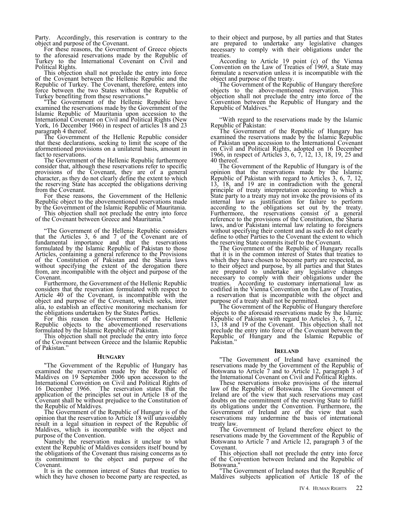Party. Accordingly, this reservation is contrary to the object and purpose of the Covenant.

For these reasons, the Government of Greece objects to the aforesaid reservations made by the Republic of Turkey to the International Covenant on Civil and Political Rights.

This objection shall not preclude the entry into force of the Covenant between the Hellenic Republic and the Republic of Turkey. The Covenant, therefore, enters into force between the two States without the Republic of Turkey benefiting from these reservations."

"The Government of the Hellenic Republic have examined the reservations made by the Government of the Islamic Republic of Mauritania upon accession to the International Covenant on Civil and Political Rights (New York, 16 December 1966) in respect of articles 18 and 23 paragraph 4 thereof.

The Government of the Hellenic Republic consider that these declarations, seeking to limit the scope of the aformentioned provisions on a unilateral basis, amount in fact to reservations.

The Government of the Hellenic Republic furthermore consider that, although these reservations refer to specific provisions of the Covenant, they are of a general character, as they do not clearly define the extent to which the reserving State has accepted the obligations deriving from the Covenant.

For these reasons, the Government of the Hellenic Republic object to the abovementioned reservations made by the Government of the Islamic Republic of Mauritania.

This objection shall not preclude the entry into force of the Covenant between Greece and Mauritania."

"The Government of the Hellenic Republic considers that the Articles 3, 6 and 7 of the Covenant are of fundamental importance and that the reservations formulated by the Islamic Republic of Pakistan to those Articles, containing a general reference to the Provisions of the Constitution of Pakistan and the Sharia laws without specifying the extent of the derogation there from, are incompatible with the object and purpose of the Covenant.

Furthermore, the Government of the Hellenic Republic considers that the reservation formulated with respect to Article 40 of the Covenant, is incompatible with the object and purpose of the Covenant, which seeks, inter alia, to establish an effective monitoring mechanism for the obligations undertaken by the States Parties.

For this reason the Government of the Hellenic Republic objects to the abovementioned reservations formulated by the Islamic Republic of Pakistan.

This objection shall not preclude the entry into force of the Covenant between Greece and the Islamic Republic of Pakistan."

### **HUNGARY**

"The Government of the Republic of Hungary has examined the reservation made by the Republic of Maldives on 19 September 2006 upon accession to the International Convention on Civil and Political Rights of 16 December 1966. The reservation states that the The reservation states that the application of the principles set out in Article 18 of the Covenant shall be without prejudice to the Constitution of the Republic of Maldives.

The Government of the Republic of Hungary is of the opinion that the reservation to Article 18 will unavoidably result in a legal situation in respect of the Republic of Maldives, which is incompatible with the object and purpose of the Convention.

Namely the reservation makes it unclear to what extent the Republic of Maldives considers itself bound by the obligations of the Covenant thus raising concerns as to its commitment to the object and purpose of the Covenant.

It is in the common interest of States that treaties to which they have chosen to become party are respected, as to their object and purpose, by all parties and that States are prepared to undertake any legislative changes necessary to comply with their obligations under the treaties.

According to Article 19 point (c) of the Vienna Convention on the Law of Treaties of 1969, a State may formulate a reservation unless it is incompatible with the object and purpose of the treaty.

The Government of the Republic of Hungary therefore objects to the above-mentioned reservation. This objection shall not preclude the entry into force of the Convention between the Republic of Hungary and the Republic of Maldives."

"With regard to the reservations made by the Islamic Republic of Pakistan:

The Government of the Republic of Hungary has examined the reservations made by the Islamic Republic of Pakistan upon accession to the International Covenant on Civil and Political Rights, adopted on 16 December 1966, in respect of Articles 3, 6, 7, 12, 13, 18, 19, 25 and 40 thereof.

The Government of the Republic of Hungary is of the opinion that the reservations made by the Islamic Republic of Pakistan with regard to Articles 3, 6, 7, 12, 13, 18, and 19 are in contradiction with the general principle of treaty interpretation according to which a State party to a treaty may not invoke the provisions of its internal law as justification for failure to perform according to the obligations set out by the treaty. Furthermore, the reservations consist of a general reference to the provisions of the Constitution, the Sharia laws, and/or Pakistani internal law relating to foreigners without specifying their content and as such do not clearly define to other Parties to the Covenant the extent to which the reserving State commits itself to the Covenant.

The Government of the Republic of Hungary recalls that it is in the common interest of States that treaties to which they have chosen to become party are respected, as to their object and purpose, by all parties and that States are prepared to undertake any legislative changes necessary to comply with their obligations under the treaties. According to customary international law as codified in the Vienna Convention on the Law of Treaties, a reservation that is incompatible with the object and purpose of a treaty shall not be permitted.

The Government of the Republic of Hungary therefore objects to the aforesaid reservations made by the Islamic Republic of Pakistan with regard to Articles 3, 6, 7, 12, 13, 18 and 19 of the Covenant. This objection shall not preclude the entry into force of the Covenant between the Republic of Hungary and the Islamic Republic of Pakistan."

#### **IRELAND**

"The Government of Ireland have examined the reservations made by the Government of the Republic of Botswana to Article 7 and to Article 12, paragraph 3 of the International Covenant on Civil and Political Rights.

These reservations invoke provisions of the internal law of the Republic of Botswana. The Government of Ireland are of the view that such reservations may cast doubts on the commitment of the reserving State to fulfil its obligations under the Convention. Furthermore, the Government of Ireland are of the view that such reservations may undermine the basis of international treaty law.

The Government of Ireland therefore object to the reservations made by the Government of the Republic of Botswana to Article 7 and Article 12, paragraph 3 of the Covenant.

This objection shall not preclude the entry into force of the Convention between Ireland and the Republic of Botswana."

"The Government of Ireland notes that the Republic of Maldives subjects application of Article 18 of the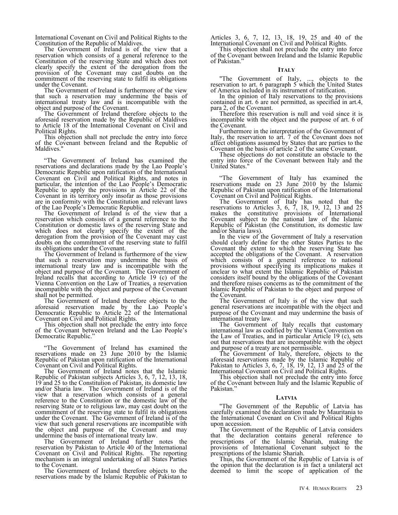International Covenant on Civil and Political Rights to the Constitution of the Republic of Maldives.

The Government of Ireland is of the view that a reservation which consists of a general reference to the Constitution of the reserving State and which does not clearly specify the extent of the derogation from the provision of the Covenant may cast doubts on the commitment of the reserving state to fulfil its obligations under the Covenant.

The Government of Ireland is furthermore of the view that such a reservation may undermine the basis of international treaty law and is incompatible with the object and purpose of the Covenant.

The Government of Ireland therefore objects to the aforesaid reservation made by the Republic of Maldives to Article 18 of the International Covenant on Civil and Political Rights.

This objection shall not preclude the entry into force of the Covenant between Ireland and the Republic of Maldives.'

"The Government of Ireland has examined the reservations and declarations made by the Lao People's Democratic Republic upon ratification of the International Covenant on Civil and Political Rights, and notes in particular, the intention of the Lao People's Democratic Republic to apply the provisions in Article 22 of the Covenant in its territory only insofar as those provisions are in conformity with the Constitution and relevant laws of the Lao People's Democratic Republic.

The Government of Ireland is of the view that a reservation which consists of a general reference to the Constitution or domestic laws of the reserving State and which does not clearly specify the extent of the derogation from the provision of the Covenant may cast doubts on the commitment of the reserving state to fulfil its obligations under the Covenant.

The Government of Ireland is furthermore of the view that such a reservation may undermine the basis of international treaty law and is incompatible with the object and purpose of the Covenant. The Government of Ireland recalls that according to Article 19 (c) of the Vienna Convention on the Law of Treaties, a reservation incompatible with the object and purpose of the Covenant shall not be permitted.

The Government of Ireland therefore objects to the aforesaid reservation made by the Lao People's Democratic Republic to Article 22 of the International Covenant on Civil and Political Rights.

This objection shall not preclude the entry into force of the Covenant between Ireland and the Lao People's Democratic Republic."

"The Government of Ireland has examined the reservations made on 23 June 2010 by the Islamic Republic of Pakistan upon ratification of the International Covenant on Civil and Political Rights.

The Government of Ireland notes that the Islamic Republic of Pakistan subjects Articles 3, 6, 7, 12, 13, 18, 19 and 25 to the Constitution of Pakistan, its domestic law and/or Sharia law. The Government of Ireland is of the view that a reservation which consists of a general reference to the Constitution or the domestic law of the reserving State or to religious law, may cast doubt on the commitment of the reserving state to fulfil its obligations under the Covenant. The Government of Ireland is of the view that such general reservations are incompatible with the object and purpose of the Covenant and may undermine the basis of international treaty law.

The Government of Ireland further notes the reservation by Pakistan to Article 40 of the International Covenant on Civil and Political Rights. The reporting mechanism is an integral undertaking of all States Parties to the Covenant.

The Government of Ireland therefore objects to the reservations made by the Islamic Republic of Pakistan to

Articles 3, 6, 7, 12, 13, 18, 19, 25 and 40 of the International Covenant on Civil and Political Rights.

This objection shall not preclude the entry into force of the Covenant between Ireland and the Islamic Republic of Pakistan."

# **ITALY**

"The Government of Italy, ..., objects to the reservation to art. 6 paragraph 5 which the United States of America included in its instrument of ratification.

In the opinion of Italy reservations to the provisions contained in art. 6 are not permitted, as specified in art.4, para 2, of the Covenant.

Therefore this reservation is null and void since it is incompatible with the object and the purpose of art. 6 of the Covenant.

Furthermore in the interpretation of the Government of Italy, the reservation to art. 7 of the Covenant does not affect obligations assumed by States that are parties to the Covenant on the basis of article 2 of the same Covenant.

These objections do not constitute an obstacle to the entry into force of the Covenant between Italy and the United States."

"The Government of Italy has examined the reservations made on 23 June 2010 by the Islamic Republic of Pakistan upon ratification of the International Covenant on Civil and Political Rights.

The Government of Italy has noted that the reservations to Articles 3, 6, 7, 18, 19, 12, 13 and 25 makes the constitutive provisions of International Covenant subject to the national law of the Islamic Republic of Pakistan (the Constitution, its domestic law and/or Sharia laws).

In the view of the Government of Italy a reservation should clearly define for the other States Parties to the Covenant the extent to which the reserving State has accepted the obligations of the Covenant. A reservation which consists of a general reference to national provisions without specifying its implications makes it unclear to what extent the Islamic Republic of Pakistan considers itself bound by the obligations of the Covenant and therefore raises concerns as to the commitment of the Islamic Republic of Pakistan to the object and purpose of the Covenant.

The Government of Italy is of the view that such general reservations are incompatible with the object and purpose of the Covenant and may undermine the basis of international treaty law.

The Government of Italy recalls that customary international law as codified by the Vienna Convention on the Law of Treaties, and in particular Article 19 (c), sets out that reservations that are incompatible with the object and purpose of a treaty are not permissible.

The Government of Italy, therefore, objects to the aforesaid reservations made by the Islamic Republic of Pakistan to Articles 3, 6, 7, 18, 19, 12, 13 and 25 of the International Covenant on Civil and Political Rights.

This objection shall not preclude the entry into force of the Covenant between Italy and the Islamic Republic of Pakistan.'

### **LATVIA**

"The Government of the Republic of Latvia has carefully examined the declaration made by Mauritania to the International Covenant on Civil and Political Rights upon accession.

The Government of the Republic of Latvia considers that the declaration contains general reference to prescriptions of the Islamic Shariah, making the provisions of International Covenant subject to the prescriptions of the Islamic Shariah.

Thus, the Government of the Republic of Latvia is of the opinion that the declaration is in fact a unilateral act deemed to limit the scope of application of the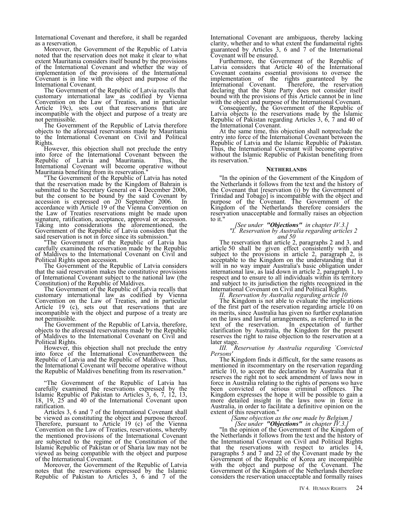International Covenant and therefore, it shall be regarded as a reservation.

Moreover, the Government of the Republic of Latvia noted that the reservation does not make it clear to what extent Mauritania considers itself bound by the provisions of the International Covenant and whether the way of implementation of the provisions of the International Covenant is in line with the object and purpose of the International Covenant.

The Government of the Republic of Latvia recalls that customary international law as codified by Vienna Convention on the Law of Treaties, and in particular Article 19c), sets out that reservations that are incompatible with the object and purpose of a treaty are not permissible.

The Government of the Republic of Latvia therefore objects to the aforesaid reservations made by Mauritania to the International Covenant on Civil and Political Rights.

However, this objection shall not preclude the entry into force of the International Covenant between the Republic of Latvia and Mauritania. Thus, the International Covenant will become operative without Mauritania benefiting from its reservation."

"The Government of the Republic of Latvia has noted that the reservation made by the Kingdom of Bahrain is submitted to the Secretary General on 4 December 2006, but the consent to be bound by the said Covenant by accession is expressed on 20 September 2006. In accordance with Article 19 of the Vienna Convention on the Law of Treaties reservations might be made upon signature, ratification, acceptance, approval or accession. Taking into considerations the aforementioned, the Government of the Republic of Latvia considers that the said reservation is not in force since its submission."

"The Government of the Republic of Latvia has carefully examined the reservation made by the Republic of Maldives to the International Covenant on Civil and Political Rights upon accession.

The Government of the Republic of Latvia considers that the said reservation makes the constitutive provisions of International Covenant subject to the national law (the Constitution) of the Republic of Maldives.

The Government of the Republic of Latvia recalls that customary international law as codified by Vienna Convention on the Law of Treaties, and in particular Article 19 (c), sets out that reservations that are incompatible with the object and purpose of a treaty are not permissible.

The Government of the Republic of Latvia, therefore, objects to the aforesaid reservations made by the Republic of Maldives to the International Covenant on Civil and Political Rights.

However, this objection shall not preclude the entry into force of the International Covenantbetween the Republic of Latvia and the Republic of Maldives. Thus, the International Covenant will become operative without the Republic of Maldives benefiting from its reservation."

"The Government of the Republic of Latvia has carefully examined the reservations expressed by the Islamic Republic of Pakistan to Articles 3, 6, 7, 12, 13, 18, 19, 25 and 40 of the International Covenant upon ratification.

Articles 3, 6 and 7 of the International Covenant shall be viewed as constituting the object and purpose thereof. Therefore, pursuant to Article  $19$  (c) of the Vienna Convention on the Law of Treaties, reservations, whereby the mentioned provisions of the International Covenant are subjected to the regime of the Constitution of the Islamic Republic of Pakistan or of Sharia law may not be viewed as being compatible with the object and purpose of the International Covenant.

Moreover, the Government of the Republic of Latvia notes that the reservations expressed by the Islamic Republic of Pakistan to Articles 3, 6 and 7 of the International Covenant are ambiguous, thereby lacking clarity, whether and to what extent the fundamental rights guaranteed by Articles 3, 6 and 7 of the International Covenant will be ensured.

Furthermore, the Government of the Republic of Latvia considers that Article 40 of the International Covenant contains essential provisions to oversee the implementation of the rights guaranteed by the International Covenant. Therefore, the reservation declaring that the State Party does not consider itself bound with the provisions of this Article cannot be in line with the object and purpose of the International Covenant.

Consequently, the Government of the Republic of Latvia objects to the reservations made by the Islamic Republic of Pakistan regarding Articles 3, 6, 7 and 40 of the International Covenant.

At the same time, this objection shall notpreclude the entry into force of the International Covenant between the Republic of Latvia and the Islamic Republic of Pakistan. Thus, the International Covenant will become operative without the Islamic Republic of Pakistan benefiting from its reservation."

# **NETHERLANDS**

"In the opinion of the Government of the Kingdom of the Netherlands it follows from the text and the history of the Covenant that [reservation (i) by the Government of Trinidad and Tobago] is incompatible with the object and purpose of the Covenant. The Government of the Kingdom of the Netherlands therefore considers the reservation unacceptable and formally raises an objection to it."

## *[See under "Objections" in chapter IV.3.] "I. Reservation by Australia regarding articles 2 and 50*

The reservation that article 2, paragraphs 2 and 3, and article 50 shall be given effect consistently with and subject to the provisions in article 2, paragraph 2, is acceptable to the Kingdom on the understanding that it will in no way impair Australia's basic obligation under international law, as laid down in article 2, paragraph 1, to respect and to ensure to all individuals within its territory and subject to its jurisdiction the rights recognized in the International Covenant on Civil and Political Rights.

*II. Reservation by Australia regarding article 10*

The Kingdom is not able to evaluate the implications of the first part of the reservation regarding article 10 on its merits, since Australia has given no further explanation on the laws and lawful arrangements, as referred to in the text of the reservation. In expectation of further clarification by Australia, the Kingdom for the present reserves the right to raise objection to the reservation at a later stage.

*III. Reservation by Australia regarding `Convicted Persons'*

The Kingdom finds it difficult, for the same reasons as mentioned in itscommentary on the reservation regarding article 10, to accept the declaration by Australia that it reserves the right not to seek amendment of laws now in force in Australia relating to the rights of persons wo have been convicted of serious criminal offences. The Kingdom expresses the hope it will be possible to gain a more detailed insight in the laws now in force in Australia, in order to facilitate a definitive opinion on the extent of this reservation."

*[Same objection as the one made by Belgium.] [See under "Objections" in chapter IV.3.]* 

"In the opinion of the Government of the Kingdom of the Netherlands it follows from the text and the history of the International Covenant on Civil and Political Rights that the reservations with respect to articles 14, paragraphs 5 and 7 and 22 of the Covenant made by the Government of the Republic of Korea are incompatible with the object and purpose of the Covenant. The Government of the Kingdom of the Netherlands therefore considers the reservation unacceptable and formally raises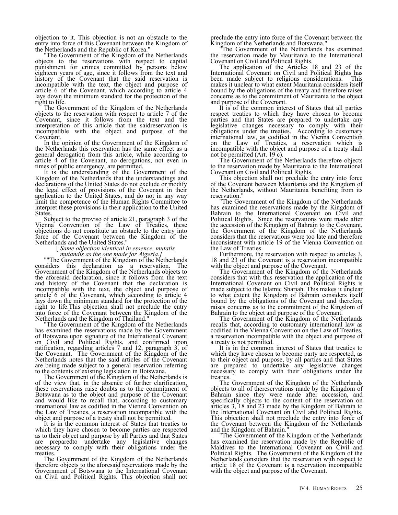objection to it. This objection is not an obstacle to the entry into force of this Covenant between the Kingdom of the Netherlands and the Republic of Korea."

"The Government of the Kingdom of the Netherlands objects to the reservations with respect to capital punishment for crimes committed by persons below eighteen years of age, since it follows from the text and history of the Covenant that the said reservation is incompatible with the text, the object and purpose of article 6 of the Covenant, which according to article 4 lays down the minimum standard for the protection of the right to life.

The Government of the Kingdom of the Netherlands objects to the reservation with respect to article 7 of the Covenant, since it follows from the text and the interpretation of this article that the saidreservation is incompatible with the object and purpose of the Covenant.

In the opinion of the Government of the Kingdom of the Netherlands this reservation has the same effect as a general derogation from this article, while according to article 4 of the Covenant, no derogations, not even in times of public emergency, are permitted.

It is the understanding of the Government of the Kingdom of the Netherlands that the understandings and declarations of the United States do not exclude or modify the legal effect of provisions of the Covenant in their application to the United States, and do not in any way limit the competence of the Human Rights Committee to interpret these provisions in their application to the United States.

Subject to the proviso of article 21, paragraph 3 of the Vienna Convention of the Law of Treaties, these objections do not constitute an obstacle to the entry into force of the Covenant between the Kingdom of the Netherlands and the United States."

[ *Same objection identical in essence, mutatis mutandis as the one made for Algeria.]*

""The Government of the Kingdom of the Netherlands considers this declaration as a reservation. The Government of the Kingdom of the Netherlands objects to the aforesaid declaration, since it follows from the text and history of the Covenant that the declaration is incompatible with the text, the object and purpose of article 6 of the Covenant, which according to article 4 lays down the minimum standard for the protection of the right to life.This objection shall not preclude the entry into force of the Covenant between the Kingdom of the Netherlands and the Kingdom of Thailand."

"The Government of the Kingdom of the Netherlands has examined the reservations made by the Government of Botswana upon signature of the International Covenant on Civil and Political Rights, and confirmed upon ratification, regarding articles 7 and 12, paragraph 3, of the Covenant. The Government of the Kingdom of the Netherlands notes that the said articles of the Covenant are being made subject to a general reservation referring to the contents of existing legislation in Botswana.

The Government of the Kingdom of the Netherlands is of the view that, in the absence of further clarification, these reservations raise doubts as to the commitment of Botswana as to the object and purpose of the Covenant and would like to recall that, according to customary international law as codified in the Vienna Convention on the Law of Treaties, a reservation incompatible with the object and purpose of a treaty shall not be permitted.

It is in the common interest of States that treaties to which they have chosen to become parties are respected as to their object and purpose by all Parties and that States are preparedto undertake any legislative changes necessary to comply with their obligations under the treaties.

The Government of the Kingdom of the Netherlands therefore objects to the aforesaid reservations made by the Government of Botswana to the International Covenant on Civil and Political Rights. This objection shall not preclude the entry into force of the Covenant between the Kingdom of the Netherlands and Botswana.

"The Government of the Netherlands has examined the reservation made by Mauritania to the International Covenant on Civil and Political Rights.

The application of the Articles 18 and 23 of the International Covenant on Civil and Political Rights has been made subject to religious considerations. This makes it unclear to what extent Mauritania considers itself bound by the obligations of the treaty and therefore raises concerns as to the commitment of Mauritania to the object and purpose of the Covenant.

It is of the common interest of States that all parties respect treaties to which they have chosen to become parties and that States are prepared to undertake any legislative changes necessary to comply with their obligations under the treaties. According to customary international law, as codified in the Vienna Convention on the Law of Treaties, a reservation which is incompatible with the object and purpose of a treaty shall not be permitted (Art. 19 c).

The Government of the Netherlands therefore objects to the reservation made by Mauritania to the International Covenant on Civil and Political Rights.

This objection shall not preclude the entry into force of the Covenant between Mauritania and the Kingdom of the Netherlands, without Mauritania benefiting from its reservation."

"The Government of the Kingdom of the Netherlands has examined the reservations made by the Kingdom of Bahrain to the International Covenant on Civil and Political Rights. Since the reservations were made after the accession of the Kingdom of Bahrain to the Covenant, the Government of the Kingdom of the Netherlands considers that the reservations were too late and therefore inconsistent with article 19 of the Vienna Convention on the Law of Treaties.

Furthermore, the reservation with respect to articles 3, 18 and 23 of the Covenant is a reservation incompatible with the object and purpose of the Covenant.

The Government of the Kingdom of the Netherlands considers that with this reservation the application of the International Covenant on Civil and Political Rights is made subject to the Islamic Shariah. This makes it unclear to what extent the Kingdom of Bahrain considers itself bound by the obligations of the Covenant and therefore raises concerns as to the commitment of the Kingdom of Bahrain to the object and purpose of the Covenant.

The Government of the Kingdom of the Netherlands recalls that, according to customary international law as codified in the Vienna Convention on the Law of Treaties, a reservation incompatible with the object and purpose of a treaty is not permitted.

It is in the common interest of States that treaties to which they have chosen to become party are respected, as to their object and purpose, by all parties and that States are prepared to undertake any legislative changes necessary to comply with their obligations under the treaties.

The Government of the Kingdom of the Netherlands objects to all of thereservations made by the Kingdom of Bahrain since they were made after accession, and specifically objects to the content of the reservation on articles 3, 18 and 23 made by the Kingdom of Bahrain to the International Covenant on Civil and Political Rights. This objection shall not preclude the entry into force of the Covenant between the Kingdom of the Netherlands and the Kingdom of Bahrain.

The Government of the Kingdom of the Netherlands has examined the reservation made by the Republic of Maldives to the International Covenant on Civil and Political Rights. The Government of the Kingdom of the Netherlands considers that the reservation with respect to article 18 of the Covenant is a reservation incompatible with the object and purpose of the Covenant.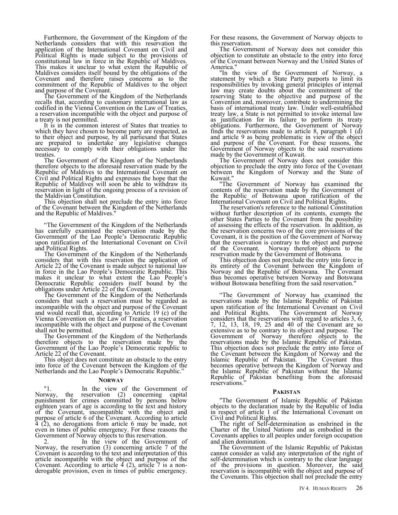Furthermore, the Government of the Kingdom of the Netherlands considers that with this reservation the application of the International Covenant on Civil and Political Rights is made subject to the provisions of constitutional law in force in the Republic of Maldives. This makes it unclear to what extent the Republic of Maldives considers itself bound by the obligations of the Covenant and therefore raises concerns as to the commitment of the Republic of Maldives to the object and purpose of the Covenant.

The Government of the Kingdom of the Netherlands recalls that, according to customary international law as codified in the Vienna Convention on the Law of Treaties, a reservation incompatible with the object and purpose of a treaty is not permitted.

It is in the common interest of States that treaties to which they have chosen to become party are respected, as to their object and purpose, by all partiesand that States are prepared to undertake any legislative changes necessary to comply with their obligations under the treaties.

The Government of the Kingdom of the Netherlands therefore objects to the aforesaid reservation made by the Republic of Maldives to the International Covenant on Civil and Political Rights and expresses the hope that the Republic of Maldives will soon be able to withdraw its reservation in light of the ongoing process of a revision of the Maldivian Constitution.

This objection shall not preclude the entry into force of the Covenant between the Kingdom of the Netherlands and the Republic of Maldives."

"The Government of the Kingdom of the Netherlands has carefully examined the reservation made by the Government of the Lao People's Democratic Republic upon ratification of the International Covenant on Civil and Political Rights.

The Government of the Kingdom of the Netherlands considers that with this reservation the application of Article 22 of the Covenant is made subject to national law in force in the Lao People's Democratic Republic. This makes it unclear to what extent the Lao People's Democratic Republic considers itself bound by the obligations under Article 22 of the Covenant.

The Government of the Kingdom of the Netherlands considers that such a reservation must be regarded as incompatible with the object and purpose of the Covenant and would recall that, according to Article 19 (c) of the Vienna Convention on the Law of Treaties, a reservation incompatible with the object and purpose of the Covenant shall not be permitted.

The Government of the Kingdom of the Netherlands therefore objects to the reservation made by the Government of the Lao People's Democratic republic to Article 22 of the Covenant.

This object does not constitute an obstacle to the entry into force of the Covenant between the Kingdom of the Netherlands and the Lao People's Democratic Republic."

### **NORWAY**

"1. In the view of the Government of Norway, the reservation (2) concerning capital punishment for crimes committed by persons below eighteen years of age is according to the text and history of the Covenant, incompatible with the object and purpose of article 6 of the Covenant. According to article 4 (2), no derogations from article 6 may be made, not even in times of public emergency. For these reasons the Government of Norway objects to this reservation.

2. In the view of the Government of Norway, the reservation (3) concerning article 7 of the Covenant is according to the text and interpretation of this article incompatible with the object and purpose of the Covenant. According to article  $4(2)$ , article  $7$  is a nonderogable provision, even in times of public emergency.

For these reasons, the Government of Norway objects to this reservation.

The Government of Norway does not consider this objection to constitute an obstacle to the entry into force of the Covenant between Norway and the United States of America."

"In the view of the Government of Norway, a statement by which a State Party purports to limit its responsibilities by invoking general principles of internal law may create doubts about the commitment of the reserving State to the objective and purpose of the Convention and, moreover, contribute to undermining the basis of international treaty law. Under well-established treaty law, a State is not permitted to invoke internal law as justification for its failure to perform its treaty obligations. Furthermore, the Government of Norway finds the reservations made to article 8, paragraph 1 (d) and article 9 as being problematic in view of the object and purpose of the Covenant. For these reasons, the Government of Norway objects to the said reservations made by the Government of Kuwait.

The Government of Norway does not consider this objection to preclude the entry into force of the Covenant between the Kingdom of Norway and the State of Kuwait."

"The Government of Norway has examined the contents of the reservation made by the Government of the Republic of Botswana upon ratification of the International Covenant on Civil and Political Rights.

The reservation's reference to the national Constitution without further description of its contents, exempts the other States Parties to the Covenant from the possibility of assessing the effects of the reservation. In addition, as the reservation concerns two of the core provisions of the Covenant, it is the position of the Government of Norway that the reservation is contrary to the object and purpose<br>of the Covenant. Norway therefore objects to the Norway therefore objects to the reservation made by the Government of Botswana.

This objection does not preclude the entry into force in its entirety of the Covenant between the Kingdom of Norway and the Republic of Botswana. The Covenant thus becomes operative between Norway and Botswana without Botswana benefiting from the said reservation."

"The Government of Norway has examined the reservations made by the Islamic Republic of Pakistan upon ratification of the International Covenant on Civil and Political Rights. The Government of Norway considers that the reservations with regard to articles 3, 6, 7, 12, 13, 18, 19, 25 and 40 of the Covenant are so extensive as to be contrary to its object and purpose. The Government of Norway therefore objects to the reservations made by the Islamic Republic of Pakistan. This objection does not preclude the entry into force of the Covenant between the Kingdom of Norway and the Islamic Republic of Pakistan. The Covenant thus becomes operative between the Kingdom of Norway and the Islamic Republic of Pakistan without the Islamic Republic of Pakistan benefiting from the aforesaid reservations."

### **PAKISTAN**

"The Government of Islamic Republic of Pakistan objects to the declaration made by the Republic of India in respect of article 1 of the International Covenant on Civil and Political Rights.

The right of Self-determination as enshrined in the Charter of the United Nations and as embodied in the Covenants applies to all peoples under foreign occupation and alien domination.

The Government of the Islamic Republic of Pakistan cannot consider as valid any interpretation of the right of self-determination which is contrary to the clear language of the provisions in question. Moreover, the said reservation is incompatible with the object and purpose of the Covenants. This objection shall not preclude the entry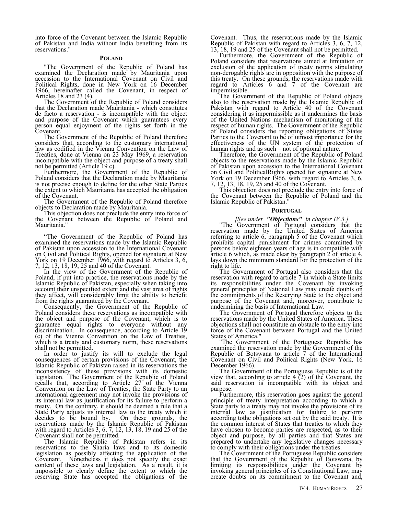into force of the Covenant between the Islamic Republic of Pakistan and India without India benefiting from its reservations."

# **POLAND**

"The Government of the Republic of Poland has examined the Declaration made by Mauritania upon accession to the International Covenant on Civil and Political Rights, done in New York on 16 December 1966, hereinafter called the Covenant, in respect of Articles 18 and 23 (4).

The Government of the Republic of Poland considers that the Declaration made Mauritania - which constitutes de facto a reservation - is incompatible with the object and purpose of the Covenant which guarantees every person equal enjoyment of the rights set forth in the Covenant.

The Government of the Republic of Poland therefore considers that, according to the customary international law as codified in the Vienna Convention on the Law of Treaties, done at Vienna on 23 May 1969, a reservation incompatible with the object and purpose of a treaty shall not be permitted (Article 19 c).

Furthermore, the Government of the Republic of Poland considers that the Declaration made by Mauritania is not precise enough to define for the other State Parties the extent to which Mauritania has accepted the obligation of the Covenant.

The Government of the Republic of Poland therefore objects to Declaration made by Mauritania.

This objection does not preclude the entry into force of the Covenant between the Republic of Poland and Mauritania."

"The Government of the Republic of Poland has examined the reservations made by the Islamic Republic of Pakistan upon accession to the International Covenant on Civil and Political Rights, opened for signature at New York on 19 December 1966, with regard to Articles 3, 6, 7, 12, 13, 18, 19, 25 and 40 of the Covenant.

In the view of the Government of the Republic of Poland, if put into practice, the reservations made by the Islamic Republic of Pakistan, especially when taking into account their unspecified extent and the vast area of rights they affect, will considerably limit the ability to benefit from the rights guaranteed by the Covenant.

Consequently, the Government of the Republic of Poland considers these reservations as incompatible with the object and purpose of the Covenant, which is to guarantee equal rights to everyone without any discrimination. In consequence, according to Article 19 (c) of the Vienna Convention on the Law of Treaties, which is a treaty and customary norm, these reservations shall not be permitted.

In order to justify its will to exclude the legal consequences of certain provisions of the Covenant, the Islamic Republic of Pakistan raised in its reservations the inconsistency of these provisions with its domestic legislation. The Government of the Republic of Poland recalls that, according to Article 27 of the Vienna Convention on the Law of Treaties, the State Party to an international agreement may not invoke the provisions of its internal law as justification for its failure to perform a treaty. On the contrary, it should be deemed a rule that a State Party adjusts its internal law to the treaty which it decides to be bound by. On these grounds, the reservations made by the Islamic Republic of Pakistan with regard to Articles 3, 6, 7, 12, 13, 18, 19 and 25 of the Covenant shall not be permitted.

The Islamic Republic of Pakistan refers in its reservations to the Sharia laws and to its domestic legislation as possibly affecting the application of the Covenant. Nonetheless it does not specify the exact content of these laws and legislation. As a result, it is impossible to clearly define the extent to which the reserving State has accepted the obligations of the

Covenant. Thus, the reservations made by the Islamic Republic of Pakistan with regard to Articles 3, 6, 7, 12, 13, 18, 19 and 25 of the Covenant shall not be permitted.

Furthermore, the Government of the Republic of Poland considers that reservations aimed at limitation or exclusion of the application of treaty norms stipulating non-derogable rights are in opposition with the purpose of this treaty. On these grounds, the reservations made with regard to Articles 6 and 7 of the Covenant are impermissible.

The Government of the Republic of Poland objects also to the reservation made by the Islamic Republic of Pakistan with regard to Article 40 of the Covenant considering it as impermissible as it undermines the basis of the United Nations mechanism of monitoring of the respect of human rights. The Government of the Republic of Poland considers the reporting obligations of States Parties to the Covenant to be of utmost importance for the effectiveness of the UN system of the protection of human rights and as such – not of optional nature.

Therefore, the Government of the Republic of Poland objects to the reservations made by the Islamic Republic of Pakistan upon accession to the International Covenant on Civil and PoliticalRights opened for signature at New York on 19 December 1966, with regard to Articles 3, 6, 7, 12, 13, 18, 19, 25 and 40 of the Covenant.

This objection does not preclude the entry into force of the Covenant between the Republic of Poland and the Islamic Republic of Pakistan."

### **PORTUGAL**

# *[See under "Objections" in chapter IV.3.]*

"The Government of Portugal considers that the reservation made by the United States of America referring to article 6, paragraph 5 of the Covenant which prohibits capital punishment for crimes committed by persons below eighteen years of age is in compatible with article 6 which, as made clear by paragraph 2 of article 4, lays down the minimum standard for the protection of the right to life.

The Government of Portugal also considers that the reservation with regard to article 7 in which a State limits its responsibilities under the Covenant by invoking general principles of National Law may create doubts on the commitments of the Reserving State to the object and purpose of the Covenant and, moreover, contribute to undermining the basis of International Law.

The Government of Portugal therefore objects to the reservations made by the United States of America. These objections shall not constitute an obstacle to the entry into force of the Covenant between Portugal and the United States of America."

"The Government of the Portuguese Republic has examined the reservation made by the Government of the Republic of Botswana to article 7 of the International Covenant on Civil and Political Rights (New York, 16 December 1966).

The Government of the Portuguese Republic is of the view that, according to article 4 (2) of the Covenant, the said reservation is incompatible with its object and purpose.

Furthermore, this reservation goes against the general principle of treaty interpretation according to which a State party to a treaty may not invoke the provisions of its internal law as justification for failure to perform according tothe obligations set out by the said treaty. It is the common interest of States that treaties to which they have chosen to become parties are respected, as to their object and purpose, by all parties and that States are prepared to undertake any legislative changes necessary to comply with their obligations under the treaties.

The Government of the Portuguese Republic considers that the Government of the Republic of Botswana, by limiting its responsibilities under the Covenant by invoking general principles of its Constitutional Law, may create doubts on its commitment to the Covenant and,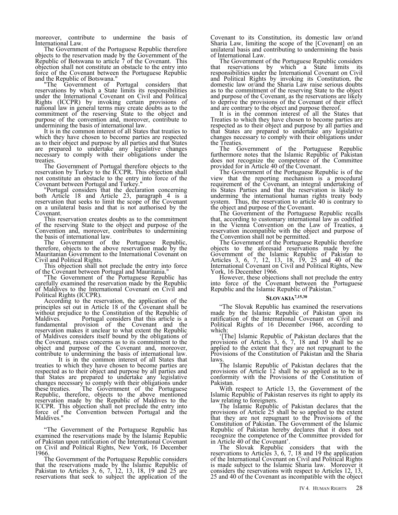moreover, contribute to undermine the basis of International Law.

The Government of the Portuguese Republic therefore objects to the reservation made by the Government of the Republic of Botswana to article 7 of the Covenant. This objection shall not constitute an obstacle to the entry into force of the Covenant between the Portuguese Republic and the Republic of Botswana.

"The Government of Portugal considers that reservations by which a State limits its responsibilities under the International Covenant on Civil and Political Rights (ICCPR) by invoking certain provisions of national law in general terms may create doubts as to the commitment of the reserving State to the object and purpose of the convention and, moreover, contribute to undermining the basis of international law.

It is in the common interest of all States that treaties to which they have chosen to become parties are respected as to their object and purpose by all parties and that States are prepared to undertake any legislative changes necessary to comply with their obligations under the treaties.

The Government of Portugal therefore objects to the reservation by Turkey to the ICCPR. This objection shall not constitute an obstacle to the entry into force of the Covenant between Portugal and Turkey."

"Portugal considers that the declaration concerning both Article 18 and Article 23, paragraph 4 is a reservation that seeks to limit the scope of the Covenant on a unilateral basis and that is not authorised by the Covenant.

This reservation creates doubts as to the commitment of the reserving State to the object and purpose of the Convention and, moreover, contributes to undermining the basis of international law.

The Government of the Portuguese Republic, therefore, objects to the above reservation made by the Mauritanian Government to the International Covenant on Civil and Political Rights.

This objection shall not preclude the entry into force of the Covenant between Portugal and Mauritania."

"The Government of the Portuguese Republic has carefully examined the reservation made by the Republic of Maldives to the International Covenant on Civil and Political Rights (ICCPR).

According to the reservation, the application of the principles set out in Article 18 of the Covenant shall be without prejudice to the Constitution of the Republic of Maldives. Portugal considers that this article is a fundamental provision of the Covenant and the reservation makes it unclear to what extent the Republic of Maldives considers itself bound by the obligations of the Covenant, raises concerns as to its commitment to the object and purpose of the Covenant and, moreover, contribute to undermining the basis of international law.

It is in the common interest of all States that treaties to which they have chosen to become parties are respected as to their object and purpose by all parties and that States are prepared to undertake any legislative changes necessary to comply with their obligations under these treaties. The Government of the Portuguese Republic, therefore, objects to the above mentioned reservation made by the Republic of Maldives to the ICCPR. This objection shall not preclude the entry into force of the Convention between Portugal and the Maldives.

"The Government of the Portuguese Republic has examined the reservations made by the Islamic Republic of Pakistan upon ratification of the International Covenant on Civil and Political Rights, New York, 16 December 1966.

The Government of the Portuguese Republic considers that the reservations made by the Islamic Republic of Pakistan to Articles 3, 6, 7, 12, 13, 18, 19 and 25 are reservations that seek to subject the application of the Covenant to its Constitution, its domestic law or/and Sharia Law, limiting the scope of the [Covenant] on an unilateral basis and contributing to undermining the basis of International Law.

The Government of the Portuguese Republic considers that reservations by which a State limits its responsibilities under the International Covenant on Civil and Political Rights by invoking its Constitution, the domestic law or/and the Sharia Law raise serious doubts as to the commitment of the reserving State to the object and purpose of the Covenant, as the reservations are likely to deprive the provisions of the Covenant of their effect and are contrary to the object and purpose thereof.

It is in the common interest of all the States that Treaties to which they have chosen to become parties are respected as to their object and purpose by all parties and that States are prepared to undertake any legislative changes necessary to comply with their obligations under the Treaties.

The Government of the Portuguese Republic furthermore notes that the Islamic Republic of Pakistan does not recognize the competence of the Committee provided for in Article 40 of the Covenant.

The Government of the Portuguese Republic is of the view that the reporting mechanism is a procedural requirement of the Covenant, an integral undertaking of its States Parties and that the reservation is likely to undermine the international human rights treaty body system. Thus, the reservation to article 40 is contrary to the object and purpose of the Covenant.

The Government of the Portuguese Republic recalls that, according to customary international law as codified in the Vienna Convention on the Law of Treaties, a reservation incompatible with the object and purpose of the Convention shall not be permitted.

The Government of the Portuguese Republic therefore objects to the aforesaid reservations made by the Government of the Islamic Republic of Pakistan to Articles 3, 6, 7, 12, 13, 18, 19, 25 and 40 of the International Covenant on Civil and Political Rights, New York, 16 December 1966.

However, these objections shall not preclude the entry into force of the Covenant between the Portuguese Republic and the Islamic Republic of Pakistan."

# **SLOVAKIA7,15,30**

"The Slovak Republic has examined the reservations made by the Islamic Republic of Pakistan upon its ratification of the International Covenant on Civil and Political Rights of 16 December 1966, according to which:

'[The] Islamic Republic of Pakistan declares that the provisions of Articles 3, 6, 7, 18 and 19 shall be so applied to the extent that they are not repugnant to the Provisions of the Constitution of Pakistan and the Sharia laws.

The Islamic Republic of Pakistan declares that the provisions of Article 12 shall be so applied as to be in conformity with the Provisions of the Constitution of Pakistan.

With respect to Article 13, the Government of the Islamic Republic of Pakistan reserves its right to apply its law relating to foreigners.

The Islamic Republic of Pakistan declares that the provisions of Article 25 shall be so applied to the extent that they are not repugnant to the Provisions of the Constitution of Pakistan. The Government of the Islamic Republic of Pakistan hereby declares that it does not recognize the competence of the Committee provided for in Article 40 of the Covenant'.

The Slovak Republic considers that with the reservations to Articles 3, 6, 7, 18 and 19 the application of the International Covenant on Civil and Political Rights is made subject to the Islamic Sharia law. Moreover it considers the reservations with respect to Articles 12, 13, 25 and 40 of the Covenant as incompatible with the object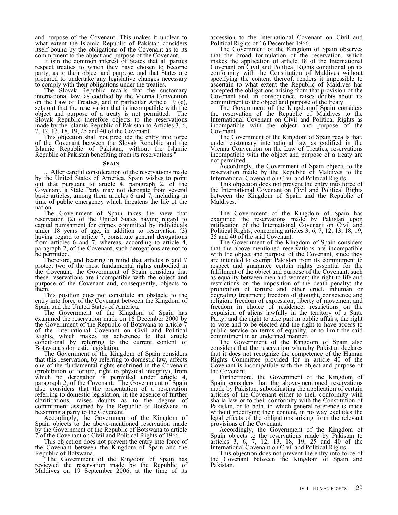and purpose of the Covenant. This makes it unclear to what extent the Islamic Republic of Pakistan considers itself bound by the obligations of the Covenant as to its commitment to the object and purpose of the Covenant.

It isin the common interest of States that all parties respect treaties to which they have chosen to become party, as to their object and purpose, and that States are prepared to undertake any legislative changes necessary to comply with their obligations under the treaties.

The Slovak Republic recalls that the customary international law, as codified by the Vienna Convention on the Law of Treaties, and in particular Article 19 (c), sets out that the reservation that is incompatible with the object and purpose of a treaty is not permitted. The Slovak Republic therefore objects to the reservations made by the Islamic Republic of Pakistan to Articles 3, 6, 7, 12, 13, 18, 19, 25 and 40 of the Covenant.

This objection shall not preclude the entry into force of the Covenant between the Slovak Republic and the Islamic Republic of Pakistan, without the Islamic Republic of Pakistan benefiting from its reservations."

## **SPAIN**

... After careful consideration of the reservations made by the United States of America, Spain wishes to point out that pursuant to article 4, paragraph 2, of the Covenant, a State Party may not derogate from several basic articles, among them articles 6 and 7, including in time of public emergency which threatens the life of the nation.

The Government of Spain takes the view that reservation (2) of the United States having regard to capital punishment for crimes committed by individuals under 18 years of age, in addition to reservation (3) having regard to article 7, constitute general derogations from articles 6 and 7, whereas, according to article 4, paragraph 2, of the Covenant, such derogations are not to be permitted.

Therefore, and bearing in mind that articles 6 and 7 protect two of the most fundamental rights embodied in the Covenant, the Government of Spain considers that these reservations are incompatible with the object and purpose of the Covenant and, consequently, objects to them.

This position does not constitute an obstacle to the entry into force of the Covenant between the Kingdom of Spain and the United States of America.

The Government of the Kingdom of Spain has examined the reservation made on 16 December 2000 by the Government of the Republic of Botswana to article 7 of the International Covenant on Civil and Political Rights, which makes its adherence to that article conditional by referring to the current content of Botswana's domestic legislation.

The Government of the Kingdom of Spain considers that this reservation, by referring to domestic law, affects one of the fundamental rights enshrined in the Covenant (prohibition of torture, right to physical integrity), from which no derogation is permitted under article 4, paragraph 2, of the Covenant. The Government of Spain also considers that the presentation of a reservation referring to domestic legislation, in the absence of further clarifications, raises doubts as to the degree of commitment assumed by the Republic of Botswana in becoming a party to the Covenant.

Accordingly, the Government of the Kingdom of Spain objects to the above-mentioned reservation made by the Government of the Republic of Botswana to article 7 of the Covenant on Civil and Political Rights of 1966.

This objection does not prevent the entry into force of the Covenant between the Kingdom of Spain and the Republic of Botswana.

"The Government of the Kingdom of Spain has reviewed the reservation made by the Republic of Maldives on 19 September 2006, at the time of its accession to the International Covenant on Civil and Political Rights of 16 December 1966.

The Government of the Kingdom of Spain observes that the broad formulation of the reservation, which makes the application of article 18 of the International Covenant on Civil and Political Rights conditional on its conformity with the Constitution of Maldives without specifying the content thereof, renders it impossible to ascertain to what extent the Republic of Maldives has accepted the obligations arising from that provision of the Covenant and, in consequence, raises doubts about its commitment to the object and purpose of the treaty.

The Government of the Kingdomof Spain considers the reservation of the Republic of Maldives to the International Covenant on Civil and Political Rights as incompatible with the object and purpose of the Covenant.

The Government of the Kingdom of Spain recalls that, under customary international law as codified in the Vienna Convention on the Law of Treaties, reservations incompatible with the object and purpose of a treaty are not permitted.

Accordingly, the Government of Spain objects to the reservation made by the Republic of Maldives to the International Covenant on Civil and Political Rights.

This objection does not prevent the entry into force of the International Covenant on Civil and Political Rights between the Kingdom of Spain and the Republic of Maldives."

The Government of the Kingdom of Spain has examined the reservations made by Pakistan upon ratification of the International Covenant on Civil and Political Rights, concerning articles 3, 6, 7, 12, 13, 18, 19, 25 and 40 of the said Covenant.

The Government of the Kingdom of Spain considers that the above-mentioned reservations are incompatible with the object and purpose of the Covenant, since they are intended to exempt Pakistan from its commitment to respect and guarantee certain rights essential for the fulfilment of the object and purpose of the Covenant, such as equality between men and women; the right to life and restrictions on the imposition of the death penalty; the prohibition of torture and other cruel, inhuman or degrading treatment; freedom of thought, conscience and religion; freedom of expression; liberty of movement and freedom in choice of residence; restrictions on the expulsion of aliens lawfully in the territory of a State Party; and the right to take part in public affairs, the right to vote and to be elected and the right to have access to public service on terms of equality, or to limit the said commitment in an undefined manner.

The Government of the Kingdom of Spain also considers that the reservation whereby Pakistan declares that it does not recognize the competence of the Human Rights Committee provided for in article 40 of the Covenant is incompatible with the object and purpose of the Covenant.

Furthermore, the Government of the Kingdom of Spain considers that the above-mentioned reservations made by Pakistan, subordinating the application of certain articles of the Covenant either to their conformity with sharia law or to their conformity with the Constitution of Pakistan, or to both, to which general reference is made without specifying their content, in no way excludes the legal effects of the obligations arising from the relevant provisions of the Covenant.

Accordingly, the Government of the Kingdom of Spain objects to the reservations made by Pakistan to articles 3, 6, 7, 12, 13, 18, 19, 25 and 40 of the International Covenant on Civil and Political Rights.

This objection does not prevent the entry into force of the Covenant between the Kingdom of Spain and Pakistan.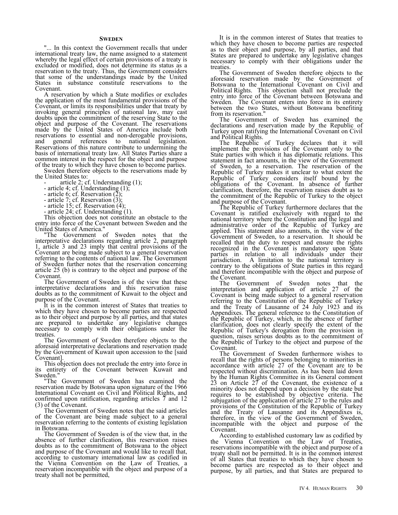### **SWEDEN**

"... In this context the Government recalls that under international treaty law, the name assigned to a statement whereby the legal effect of certain provisions of a treaty is excluded or modified, does not determine its status as a reservation to the treaty. Thus, the Government considers that some of the understandings made by the United States in substance constitute reservations to the Covenant.

A reservation by which a State modifies or excludes the application of the most fundamental provisions of the Covenant, or limits its responsibilities under that treaty by invoking general principles of national law, may cast doubts upon the commitment of the reserving State to the object and purpose of the Covenant. The reservations made by the United States of America include both reservations to essential and non-derogable provisions, and general references to national legislation. and general references to national Reservations of this nature contribute to undermining the basis of international treaty law. All States Parties share a common interest in the respect for the object and purpose of the treaty to which they have chosen to become parties.

Sweden therefore objects to the reservations made by the United States to:

- article 2; cf. Understanding (1);

- article 4; cf. Understanding (1);

- article 6; cf. Reservation  $(2)$ ;

- article 7; cf. Reservation  $(3)$ ;

- article 15; cf. Reservation (4);

- article 24; cf. Understanding  $(1)$ .

This objection does not constitute an obstacle to the entry into force of the Covenant between Sweden and the United States of America."

"The Government of Sweden notes that the interpretative declarations regarding article 2, paragraph 1, article 3 and 23 imply that central provisions of the Covenant are being made subject to a general reservation referring to the contents of national law. The Government of Sweden further notes that the reservation concerning article 25 (b) is contrary to the object and purpose of the Covenant.

The Government of Sweden is of the view that these interpretative declarations and this reservation raise doubts as to the commitment of Kuwait to the object and purpose of the Covenant.

It is in the common interest of States that treaties to which they have chosen to become parties are respected as to their object and purpose by all parties, and that states are prepared to undertake any legislative changes necessary to comply with their obligations under the treaties.

The Government of Sweden therefore objects to the aforesaid interpretative declarations and reservation made by the Government of Kuwait upon accession to the [said Covenant].

This objection does not preclude the entry into force in its entirety of the Covenant between Kuwait and Sweden."

"The Government of Sweden has examined the reservation made by Botswana upon signature of the 1966 International Covenant on Civil and Political Rights, and confirmed upon ratification, regarding articles  $\bar{7}$  and 12 (3) of the Covenant.

The Government of Sweden notes that the said articles of the Covenant are being made subject to a general reservation referring to the contents of existing legislation in Botswana.

The Government of Sweden is of the view that, in the absence of further clarification, this reservation raises doubts as to the commitment of Botswana to the object and purpose of the Covenant and would like to recall that, according to customary international law as codified in the Vienna Convention on the Law of Treaties, a reservation incompatible with the object and purpose of a treaty shall not be permitted,

It is in the common interest of States that treaties to which they have chosen to become parties are respected as to their object and purpose, by all parties, and that States are prepared to undertake any legislative changes necessary to comply with their obligations under the treaties.

The Government of Sweden therefore objects to the aforesaid reservation made by the Government of Botswana to the International Covenant on Civil and Political Rights. This objection shall not preclude the entry into force of the Covenant between Botswana and Sweden. The Covenant enters into force in its entirety The Covenant enters into force in its entirety between the two States, without Botswana benefiting from its reservation."

The Government of Sweden has examined the declarations and reservation made by the Republic of Turkey upon ratifying the International Covenant on Civil and Political Rights.

The Republic of Turkey declares that it will implement the provisions of the Covenant only to the State parties with which it has diplomatic relations. This statement in fact amounts, in the view of the Government of Sweden, to a reservation. The reservation of the Republic of Turkey makes it unclear to what extent the Republic of Turkey considers itself bound by the obligations of the Covenant. In absence of further clarification, therefore, the reservation raises doubt as to the commitment of the Republic of Turkey to the object and purpose of the Covenant.

The Republic of Turkey furthermore declares that the Covenant is ratified exclusively with regard to the national territory where the Constitution and the legal and administrative order of the Republic of Turkey are applied. This statement also amounts, in the view of the Government of Sweden, to a reservation. It should be recalled that the duty to respect and ensure the rights recognized in the Covenant is mandatory upon State parties in relation to all individuals under their jurisdiction. A limitation to the national territory is contrary to the obligations of State parties in this regard and therefore incompatible with the object and purpose of the Covenant.

The Government of Sweden notes that the interpretation and application of article 27 of the Covenant is being made subject to a general reservation referring to the Constitution of the Republic of Turkey and the Treaty of Lausanne of 24 July 1923 and its Appendixes. The general reference to the Constitution of the Republic of Turkey, which, in the absence of further clarification, does not clearly specify the extent of the Republic of Turkey's derogation from the provision in question, raises serious doubts as to the commitment of the Republic of Turkey to the object and purpose of the Covenant.

The Government of Sweden furthermore wishes to recall that the rights of persons belonging to minorities in accordance with article 27 of the Covenant are to be respected without discrimination. As has been laid down by the Human Rights Committee in its General comment 23 on Article 27 of the Covenant, the existence of a minority does not depend upon a decision by the state but requires to be established by objective criteria. The subjugation of the application of article 27 to the rules and provisions of the Constitution of the Republic of Turkey and the Treaty of Lausanne and its Appendixes is, therefore, in the view of the Government of Sweden, incompatible with the object and purpose of the Covenant.

According to established customary law as codified by the Vienna Convention on the Law of Treaties, reservations incompatible with the object and purpose of a treaty shall not be permitted. It is in the common interest of all States that treaties to which they have chosen to become parties are respected as to their object and purpose, by all parties, and that States are prepared to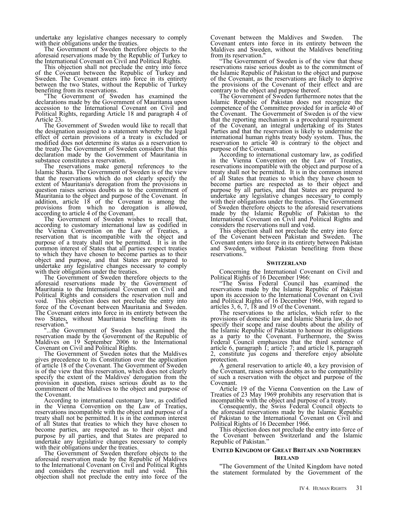undertake any legislative changes necessary to comply with their obligations under the treaties.

The Government of Sweden therefore objects to the aforesaid reservations made by the Republic of Turkey to the International Covenant on Civil and Political Rights.

This objection shall not preclude the entry into force of the Covenant between the Republic of Turkey and Sweden. The Covenant enters into force in its entirety between the two States, without the Republic of Turkey benefiting from its reservations.

"The Government of Sweden has examined the declarations made by the Government of Mauritania upon accession to the International Covenant on Civil and Political Rights, regarding Article 18 and paragraph 4 of Article 23.

The Government of Sweden would like to recall that the designation assigned to a statement whereby the legal effect of certain provisions of a treaty is excluded or modified does not determine its status as a reservation to the treaty.The Government of Sweden considers that this declaration made by the Government of Mauritania in substance constitutes a reservation.

The reservations make general references to the Islamic Sharia. The Government of Sweden is of the view that the reservations which do not clearly specify the extent of Mauritania's derogation from the provisions in question raises serious doubts as to the commitment of Mauritania to the object and purpose of the Covenant. In addition, article 18 of the Covenant is among the provisions from which no derogation is allowed, according to article 4 of the Covenant.

The Government of Sweden wishes to recall that, according to customary international law as codified in the Vienna Convention on the Law of Treaties, a reservation that is incompatible with the object and purpose of a treaty shall not be permitted. It is in the common interest of States that all parties respect treaties to which they have chosen to become parties as to their object and purpose, and that States are prepared to undertake any legislative changes necessary to comply with their obligations under the treaties.

The Government of Sweden therefore objects to the aforesaid reservations made by the Government of Mauritania to the International Covenant on Civil and Political Rights and considers the reservation null and void. This objection does not preclude the entry into force of the Covenant between Mauritania and Sweden. The Covenant enters into force in its entirety between the two States, without Mauritania benefiting from its reservation.

"...the Government of Sweden has examined the reservation made by the Government of the Republic of Maldives on 19 September 2006 to the International Covenant on Civil and Political Rights.

The Government of Sweden notes that the Maldives gives precedence to its Constitution over the application of article 18 of the Covenant. The Government of Sweden is of the view that this reservation, which does not clearly specify the extent of the Maldives' derogation from the provision in question, raises serious doubt as to the commitment of the Maldives to the object and purpose of the Covenant.

According to international customary law, as codified in the Vienna Convention on the Law of Treaties, reservations incompatible with the object and purpose of a treaty shall not be permitted. It is in the common interest of all States that treaties to which they have chosen to become parties, are respected as to their object and purpose by all parties, and that States are prepared to undertake any legislative changes necessary to comply with their obligations under the treaties.

The Government of Sweden therefore objects to the aforesaid reservation made by the Republic of Maldives to the International Covenant on Civil and Political Rights<br>and considers the reservation null and void. This and considers the reservation null and void. objection shall not preclude the entry into force of the

Covenant between the Maldives and Sweden. The Covenant enters into force in its entirety between the Maldives and Sweden, without the Maldives benefiting from its reservation."

"The Government of Sweden is of the view that these reservations raise serious doubt as to the commitment of the Islamic Republic of Pakistan to the object and purpose of the Covenant, as the reservations are likely to deprive the provisions of the Covenant of their effect and are contrary to the object and purpose thereof.

The Government of Sweden furthermore notes that the Islamic Republic of Pakistan does not recognize the competence of the Committee provided for in article 40 of the Covenant. The Government of Sweden is of the view that the reporting mechanism is a procedural requirement of the Covenant, an integral undertaking of its States Parties and that the reservation is likely to undermine the international human rights treaty body system. Thus, the reservation to article 40 is contrary to the object and purpose of the Covenant.

According to international customary law, as codified in the Vienna Convention on the Law of Treaties, reservations incompatible with the object and purpose of a treaty shall not be permitted. It is in the common interest of all States that treaties to which they have chosen to become parties are respected as to their object and purpose by all parties, and that States are prepared to undertake any legislative changes necessary to comply with their obligations under the treaties. The Government of Sweden therefore objects to the aforesaid reservations made by the Islamic Republic of Pakistan to the International Covenant on Civil and Political Rights and considers the reservations null and void.

This objection shall not preclude the entry into force of the Covenant between Pakistan and Sweden. The Covenant enters into force in its entirety between Pakistan and Sweden, without Pakistan benefiting from these reservations."

## **SWITZERLAND**

Concerning the International Covenant on Civil and Political Rights of 16 December 1966:

"The Swiss Federal Council has examined the reservations made by the Islamic Republic of Pakistan upon its accession to the International Covenant on Civil and Political Rights of 16 December 1966, with regard to articles 3, 6, 7, 18 and 19 of the Covenant.

The reservations to the articles, which refer to the provisions of domestic law and Islamic Sharia law, do not specify their scope and raise doubts about the ability of the Islamic Republic of Pakistan to honour its obligations as a party to the Covenant. Furthermore, the Swiss Federal Council emphasizes that the third sentence of article 6, paragraph 1; article 7; and article 18, paragraph 2, constitute jus cogens and therefore enjoy absolute protection.

A general reservation to article 40, a key provision of the Covenant, raises serious doubts as to the compatibility of such a reservation with the object and purpose of the Covenant.

Article 19 of the Vienna Convention on the Law of Treaties of 23 May 1969 prohibits any reservation that is incompatible with the object and purpose of a treaty.

Consequently, the Swiss Federal Council objects to the aforesaid reservations made by the Islamic Republic of Pakistan to the International Covenant on Civil and Political Rights of 16 December 1966.

This objection does not preclude the entry into force of the Covenant between Switzerland and the Islamic Republic of Pakistan."

# **UNITED KINGDOM OF GREAT BRITAIN AND NORTHERN IRELAND**

"The Government of the United Kingdom have noted the statement formulated by the Government of the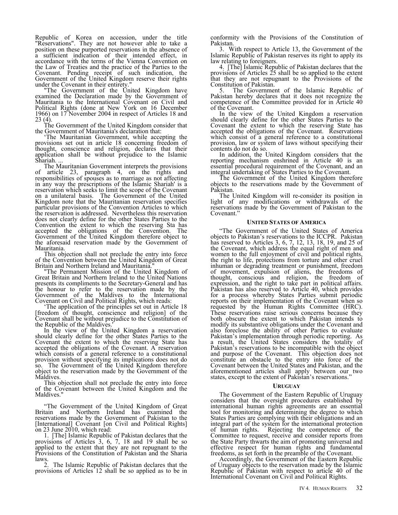Republic of Korea on accession, under the title "Reservations". They are not however able to take a position on these purported reservations in the absence of a sufficient indication of their intended effect, in accordance with the terms of the Vienna Convention on the Law of Treaties and the practice of the Parties to the Covenant. Pending receipt of such indication, the Government of the United Kingdom reserve their rights under the Covenant in their entirety."

"The Government of the United Kingdom have examined the Declaration made by the Government of Mauritania to the International Covenant on Civil and Political Rights (done at New York on 16 December 1966) on 17 November 2004 in respect of Articles 18 and 23 (4).

The Government of the United Kingdom consider that the Government of Mauritania's declaration that:

'The Mauritanian Government, while accepting the provisions set out in article 18 concerning freedom of thought, conscience and religion, declares that their application shall be without prejudice to the Islamic Shariah...

The Mauritanian Government interprets the provisions of article 23, paragraph 4, on the rights and responsibilities of spouses as to marriage as not affecting in any way the prescriptions of the Islamic Shariah' is a reservation which seeks to limit the scope of the Covenant on a unilateral basis. The Government of the United Kingdom note that the Mauritanian reservation specifies particular provisions of the Convention Articles to which the reservation is addressed. Nevertheless this reservation does not clearly define for the other States Parties to the Convention the extent to which the reserving Sta has accepted the obligations of the Convention. The Government of the United Kingdom therefore object to the aforesaid reservation made by the Government of Mauritania.

This objection shall not preclude the entry into force of the Convention between the United Kingdom of Great Britain and Northern Ireland and Mauritania."

"The Permanent Mission of the United Kingdom of Great Britain and Northern Ireland to the United Nations presents its compliments to the Secretary-General and has the honour to refer to the reservation made by the Government of the Maldives to the International Covenant on Civil and Political Rights, which reads:

'The application of the principles set out in Article 18 [freedom of thought, conscience and religion] of the Covenant shall be without prejudice to the Constitution of the Republic of the Maldives.'

In the view of the United Kingdom a reservation should clearly define for the other States Parties to the Covenant the extent to which the reserving State has accepted the obligations of the Covenant. A reservation which consists of a general reference to a constitutional provision without specifying its implications does not do so. The Government of the United Kingdom therefore object to the reservation made by the Government of the Maldives.

This objection shall not preclude the entry into force of the Covenant between the United Kingdom and the Maldives.'

"The Government of the United Kingdom of Great Britain and Northern Ireland has examined the reservations made by the Government of Pakistan to the [International] Covenant [on Civil and Political Rights] on 23 June 2010, which read:

1. [The] Islamic Republic of Pakistan declares that the provisions of Articles 3, 6, 7, 18 and 19 shall be so applied to the extent that they are not repugnant to the Provisions of the Constitution of Pakistan and the Sharia laws.

The Islamic Republic of Pakistan declares that the provisions of Articles 12 shall be so applied as to be in conformity with the Provisions of the Constitution of Pakistan.

3. With respect to Article 13, the Government of the Islamic Republic of Pakistan reserves its right to apply its law relating to foreigners.

4. [The] Islamic Republic of Pakistan declares that the provisions of Articles 25 shall be so applied to the extent that they are not repugnant to the Provisions of the Constitution of Pakistan.

5. The Government of the Islamic Republic of Pakistan hereby declares that it does not recognize the competence of the Committee provided for in Article 40 of the Covenant.

In the view of the United Kingdom a reservation should clearly define for the other States Parties to the Covenant the extent to which the reserving State has accepted the obligations of the Covenant. Reservations which consist of a general reference to a constitutional provision, law or system of laws without specifying their contents do not do so.

In addition, the United Kingdom considers that the reporting mechanism enshrined in Article 40 is an essential procedural requirement of the Covenant, and an integral undertaking of States Parties to the Covenant.

The Government of the United Kingdom therefore objects to the reservations made by the Government of Pakistan.

The United Kingdom will re-consider its position in light of any modifications or withdrawals of the reservations made by the Government of Pakistan to the Covenant.'

## **UNITED STATES OF AMERICA**

"The Government of the United States of America objects to Pakistan's reservations to the ICCPR. Pakistan has reserved to Articles 3, 6, 7, 12, 13, 18, 19, and 25 of the Covenant, which address the equal right of men and women to the full enjoyment of civil and political rights, the right to life, protections from torture and other cruel inhuman or degrading treatment or punishment, freedom of movement, expulsion of aliens, the freedoms of thought, conscious and religion, the freedom of expression, and the right to take part in political affairs. Pakistan has also reserved to Article 40, which provides for a process whereby States Parties submit periodic reports on their implementation of the Covenant when so requested by the Human Rights Committee (HRC). These reservations raise serious concerns because they both obscure the extent to which Pakistan intends to modify its substantive obligations under the Covenant and also foreclose the ability of other Parties to evaluate Pakistan's implementation through periodic reporting. As a result, the United States considers the totality of Pakistan's reservations to be incompatible with the object and purpose of the Covenant. This objection does not constitute an obstacle to the entry into force of the Covenant between the United States and Pakistan, and the aforementioned articles shall apply between our two states, except to the extent of Pakistan's reservations."

### **URUGUAY**

The Government of the Eastern Republic of Uruguay considers that the oversight procedures established by international human rights agreements are an essential tool for monitoring and determining the degree to which States Parties are complying with their obligations and an integral part of the system for the international protection of human rights. Rejecting the competence of the Committee to request, receive and consider reports from the State Party thwarts the aim of promoting universal and effective respect for human rights and fundamental freedoms, as set forth in the preamble of the Covenant.

Accordingly, the Government of the Eastern Republic of Uruguay objects to the reservation made by the Islamic Republic of Pakistan with respect to article 40 of the International Covenant on Civil and Political Rights.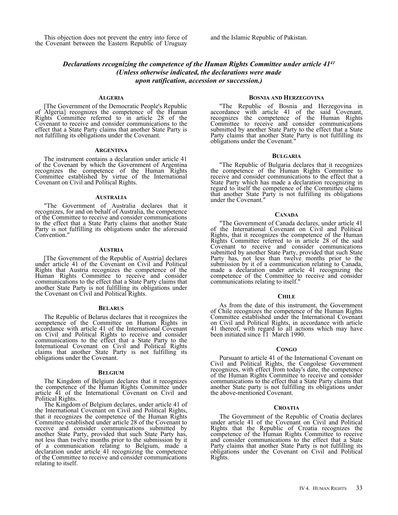# *Declarations recognizing the competence of the Human Rights Committee under article 41<sup>41</sup> (Unless otherwise indicated, the declarations were made upon ratification, accession or succession.)*

## **ALGERIA**

[The Government of the Democratic People's Republic of Algeria] recognizes the competence of the Human Rights Committee referred to in article 28 of the Covenant to receive and consider communications to the effect that a State Party claims that another State Party is not fulfilling its obligations under the Covenant.

### **ARGENTINA**

The instrument contains a declaration under article 41 of the Covenant by which the Government of Argentina recognizes the competence of the Human Rights Committee established by virtue of the International Covenant on Civil and Political Rights.

## **AUSTRALIA**

"The Government of Australia declares that it recognizes, for and on behalf of Australia, the competence of the Committee to receive and consider communications to the effect that a State Party claims that another State Party is not fulfilling its obligations under the aforesaid Convention."

### **AUSTRIA**

[The Government of the Republic of Austria] declares under article 41 of the Covenant on Civil and Political Rights that Austria recognizes the competence of the Human Rights Committee to receive and consider communications to the effect that a State Party claims that another State Party is not fulfilling its obligations under the Covenant on Civil and Political Rights.

### **BELARUS**

The Republic of Belarus declares that it recognizes the competence of the Committee on Human Rights in accordance with article 41 of the International Covenant on Civil and Political Rights to receive and consider communications to the effect that a State Party to the International Covenant on Civil and Political Rights claims that another State Party is not fulfilling its obligations under the Covenant.

### **BELGIUM**

The Kingdom of Belgium declares that it recognizes the competence of the Human Rights Committee under article 41 of the International Covenant on Civil and Political Rights.

The Kingdom of Belgium declares, under article 41 of the International Covenant on Civil and Political Rights, that it recognizes the competence of the Human Rights Committee established under article 28 of the Covenant to receive and consider communications submitted by another State Party, provided that such State Party has, not less than twelve months prior to the submission by it of a communication relating to Belgium, made a declaration under article 41 recognizing the competence of the Committee to receive and consider communications relating to itself.

## **BOSNIA AND HERZEGOVINA**

"The Republic of Bosnia and Herzegovina in accordance with article 41 of the said Covenant, recognizes the competence of the Human Rights Committee to receive and consider communications submitted by another State Party to the effect that a State Party claims that another State Party is not fulfilling its obligations under the Covenant."

## **BULGARIA**

"The Republic of Bulgaria declares that it recognizes the competence of the Human Rights Committee to receive and consider communications to the effect that a State Party which has made a declaration recognizing in regard to itself the competence of the Committee claims that another State Party is not fulfilling its obligations under the Covenant."

## **CANADA**

"The Government of Canada declares, under article 41 of the International Covenant on Civil and Political Rights, that it recognizes the competence of the Human Rights Committee referred to in article 28 of the said Covenant to receive and consider communications submitted by another State Party, provided that such State Party has, not less than twelve months prior to the submission by it of a communication relating to Canada, made a declaration under article 41 recognizing the competence of the Committee to receive and consider communications relating to itself."

# **CHILE**

As from the date of this instrument, the Government of Chile recognizes the competence of the Human Rights Committee established under the International Covenant on Civil and Political Rights, in accordance with article 41 thereof, with regard to all actions which may have been initiated since 11 March 1990.

### **CONGO**

Pursuant to article 41 of the International Covenant on Civil and Political Rights, the Congolese Government recognizes, with effect from today's date, the competence of the Human Rights Committee to receive and consider communications to the effect that a State Party claims that another State party is not fulfilling its obligations under the above-mentioned Covenant.

### **CROATIA**

The Government of the Republic of Croatia declares under article 41 of the Covenant on Civil and Political Rights that the Republic of Croatia recognizes the competence of the Human Rights Committee to receive and consider communications to the effect that a State Party claims that another State Party is not fulfilling its obligations under the Covenant on Civil and Political Rights.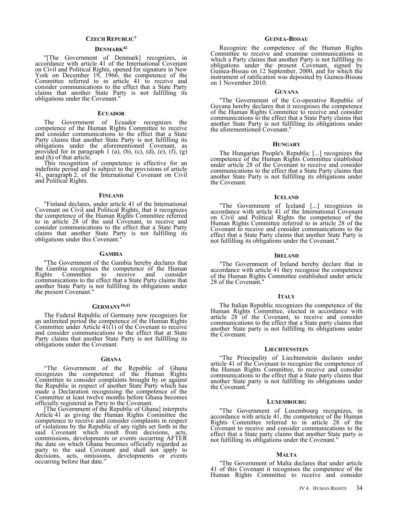# **CZECH REPUBLIC<sup>7</sup>**

# **DENMARK<sup>42</sup>**

"[The Government of Denmark] recognizes, in accordance with article 41 of the International Covenant on Civil and Political Rights, opened for signature in New York on December 19, 1966, the competence of the Committee referred to in article 41 to receive and consider communications to the effect that a State Party claims that another State Party is not fulfilling its obligations under the Covenant."

## **ECUADOR**

The Government of Ecuador recognizes the competence of the Human Rights Committee to receive and consider communications to the effect that a State Party claims that another State Party is not fulfilling its obligations under the aforementioned Covenant, as provided for in paragraph 1 (a), (b), (c), (d), (e),  $(f)$ ,  $(g)$ and (h) of that article.

This recognition of competence is effective for an indefinite period and is subject to the provisions of article 41, paragraph 2, of the International Covenant on Civil and Political Rights.

#### **FINLAND**

"Finland declares, under article 41 of the International Covenant on Civil and Political Rights, that it recognizes the competence of the Human Rights Committee referred to in article 28 of the said Covenant, to receive and consider communications to the effect that a State Party claims that another State Party is not fulfilling its obligations under this Covenant."

#### **GAMBIA**

"The Government of the Gambia hereby declares that the Gambia recognises the competence of the Human Rights Committee to receive and consider Committee communications to the effect that a State Party claims that another State Party is not fulfilling its obligations under the present Covenant."

## **GERMANY10,43**

The Federal Republic of Germany now recognizes for an unlimited period the competence of the Human Rights Committee under Article 41(1) of the Covenant to receive and consider communications to the effect that at State Party claims that another State Party is not fulfilling its obligations under the Covenant.

#### **GHANA**

"The Government of the Republic of Ghana recognizes the competence of the Human Rights Committee to consider complaints brought by or against the Republic in respect of another State Party which has made a Declaration recognising the competence of the Committee at least twelve months before Ghana becomes officially registered as Party to the Covenant.

[The Government of the Republic of Ghana] interprets Article 41 as giving the Human Rights Committee the competence to receive and consider complaints in respect of violations by the Republic of any rights set forth in the said Covenant which result from decisions, acts, commissions, developments or events occurring AFTER the date on which Ghana becomes officially regarded as party to the said Covenant and shall not apply to decisions, acts, omissions, developments or events occurring before that date."

#### **GUINEA-BISSAU**

Recognize the competence of the Human Rights Committee to receive and examine communications in which a Party claims that another Party is not fulfilling its obligations under the present Covenant, signed by Guinea-Bissau on 12 September, 2000, and for which the instrument of ratification was deposited by Guinea-Bissau on 1 November 2010.

#### **GUYANA**

"The Government of the Co-operative Republic of Guyana hereby declares that it recognises the competence of the Human Rights Committee to receive and consider communications to the effect that a State Party claims that another State Party is not fulfilling its obligations under the aforementioned Covenant."

#### **HUNGARY**

The Hungarian People's Republic [...] recognizes the competence of the Human Rights Committee established under article 28 of the Covenant to receive and consider communications to the effect that a State Party claims that another State Party is not fulfilling its obligations under the Covenant.

#### **ICELAND**

"The Government of Iceland [...] recognizes in accordance with article 41 of the International Covenant on Civil and Political Rights the competence of the Human Rights Committee referred to in article 28 of the Covenant to receive and consider communications to the effect that a State Party claims that another State Party is not fulfilling its obligations under the Covenant."

#### **IRELAND**

"The Government of Ireland hereby declare that in accordance with article 41 they recognise the competence of the Human Rights Committee established under article 28 of the Covenant."

#### **ITALY**

The Italian Republic recognizes the competence of the Human Rights Committee, elected in accordance with article 28 of the Covenant, to receive and consider communications to the effect that a State party claims that another State party is not fulfilling its obligations under the Covenant.

## **LIECHTENSTEIN**

"The Principality of Liechtenstein declares under article 41 of the Covenant to recognize the competence of the Human Rights Committee, to receive and consider communications to the effect that a State party claims that another State party is not fulfilling its obligations under the Covenant.

#### **LUXEMBOURG**

"The Government of Luxembourg recognizes, in accordance with article 41, the competence of the Human Rights Committee referred to in article 28 of the Covenant to receive and consider communications to the effect that a State party claims that another State party is not fulfilling its obligations under the Covenant."

#### **MALTA**

"The Government of Malta declares that under article 41 of this Covenant it recognises the competence of the Human Rights Committee to receive and consider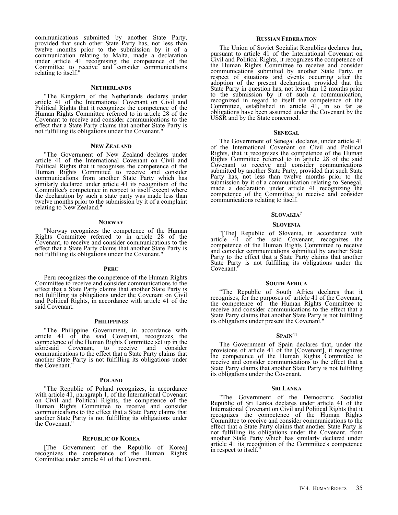communications submitted by another State Party, provided that such other State Party has, not less than twelve months prior to the submission by it of a communication relating to Malta, made a declaration under article 41 recognising the competence of the Committee to receive and consider communications relating to itself."

#### **NETHERLANDS**

"The Kingdom of the Netherlands declares under article 41 of the International Covenant on Civil and Political Rights that it recognizes the competence of the Human Rights Committee referred to in article 28 of the Covenant to receive and consider communications to the effect that a State Party claims that another State Party is not fulfilling its obligations under the Covenant."

#### **NEW ZEALAND**

"The Government of New Zealand declares under article 41 of the International Covenant on Civil and Political Rights that it recognises the competence of the Human Rights Committee to receive and consider communications from another State Party which has similarly declared under article 41 its recognition of the Committee's competence in respect to itself except where the declaration by such a state party was made less than twelve months prior to the submission by it of a complaint relating to New Zealand."

#### **NORWAY**

"Norway recognizes the competence of the Human Rights Committee referred to in article 28 of the Covenant, to receive and consider communications to the effect that a State Party claims that another State Party is not fulfilling its obligations under the Covenant."

#### **PERU**

Peru recognizes the competence of the Human Rights Committee to receive and consider communications to the effect that a State Party claims that another State Party is not fulfilling its obligations under the Covenant on Civil and Political Rights, in accordance with article 41 of the said Covenant.

#### **PHILIPPINES**

"The Philippine Government, in accordance with article 41 of the said Covenant, recognizes the competence of the Human Rights Committee set up in the aforesaid Covenant, to receive and consider communications to the effect that a State Party claims that another State Party is not fulfilling its obligations under the Covenant."

#### **POLAND**

"The Republic of Poland recognizes, in accordance with article 41, paragraph 1, of the International Covenant on Civil and Political Rights, the competence of the Human Rights Committee to receive and consider communications to the effect that a State Party claims that another State Party is not fulfilling its obligations under the Covenant."

#### **REPUBLIC OF KOREA**

[The Government of the Republic of Korea] recognizes the competence of the Human Rights Committee under article 41 of the Covenant.

#### **RUSSIAN FEDERATION**

The Union of Soviet Socialist Republics declares that, pursuant to article 41 of the International Covenant on Civil and Political Rights, it recognizes the competence of the Human Rights Committee to receive and consider communications submitted by another State Party, in respect of situations and events occurring after the adoption of the present declaration, provided that the State Party in question has, not less than 12 months prior to the submission by it of such a communication, recognized in regard to itself the competence of the Committee, established in article 41, in so far as obligations have been assumed under the Covenant by the USSR and by the State concerned.

#### **SENEGAL**

The Government of Senegal declares, under article 41 of the International Covenant on Civil and Political Rights, that it recognizes the competence of the Human Rights Committee referred to in article 28 of the said Covenant to receive and consider communications submitted by another State Party, provided that such State Party has, not less than twelve months prior to the submission by it of a communication relating to Senegal, made a declaration under article 41 recognizing the competence of the Committee to receive and consider communications relating to itself.

### **SLOVAKIA<sup>7</sup>**

#### **SLOVENIA**

"[The] Republic of Slovenia, in accordance with article 41 of the said Covenant, recognizes the competence of the Human Rights Committee to receive and consider communications submitted by another State Party to the effect that a State Party claims that another State Party is not fulfilling its obligations under the Covenant."

#### **SOUTH AFRICA**

"The Republic of South Africa declares that it recognises, for the purposes of article 41 of the Covenant, the competence of the Human Rights Committee to receive and consider communications to the effect that a State Party claims that another State Party is not fulfilling its obligations under present the Covenant."

# **SPAIN<sup>44</sup>**

The Government of Spain declares that, under the provisions of article 41 of the [Covenant], it recognizes the competence of the Human Rights Committee to receive and consider communications to the effect that a State Party claims that another State Party is not fulfilling its obligations under the Covenant.

#### **SRI LANKA**

"The Government of the Democratic Socialist Republic of Sri Lanka declares under article 41 of the International Covenant on Civil and Political Rights that it recognizes the competence of the Human Rights Committee to receive and consider communications to the effect that a State Party claims that another State Party is not fulfilling its obligations under the Covenant, from another State Party which has similarly declared under article 41 its recognition of the Committee's competence in respect to itself.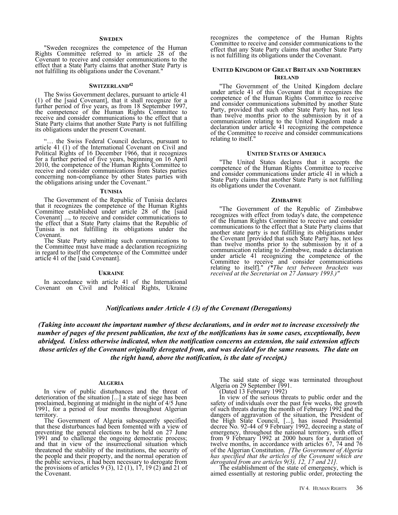## **SWEDEN**

"Sweden recognizes the competence of the Human Rights Committee referred to in article 28 of the Covenant to receive and consider communications to the effect that a State Party claims that another State Party is not fulfilling its obligations under the Covenant."

#### **SWITZERLAND<sup>42</sup>**

The Swiss Government declares, pursuant to article 41 (1) of the [said Covenant], that it shall recognize for a further period of five years, as from 18 September 1997, the competence of the Human Rights Committee to receive and consider communications to the effect that a State Party claims that another State Party is not fulfilling its obligations under the present Covenant.

.. the Swiss Federal Council declares, pursuant to article 41 (1) of the International Covenant on Civil and Political Rights of 16 December 1966, that it recognizes for a further period of five years, beginning on 16 April 2010, the competence of the Human Rights Committee to receive and consider communications from States parties concerning non-compliance by other States parties with the obligations arising under the Covenant."

#### **TUNISIA**

The Government of the Republic of Tunisia declares that it recognizes the competence of the Human Rights Committee established under article 28 of the [said Covenant] ..., to receive and consider communications to the effect that a State Party claims that the Republic of Tunisia is not fulfilling its obligations under the Covenant.

The State Party submitting such communications to the Committee must have made a declaration recognizing in regard to itself the competence of the Committee under article 41 of the [said Covenant].

#### **UKRAINE**

In accordance with article 41 of the International Covenant on Civil and Political Rights, Ukraine recognizes the competence of the Human Rights Committee to receive and consider communications to the effect that any State Party claims that another State Party is not fulfilling its obligations under the Covenant.

# **UNITED KINGDOM OF GREAT BRITAIN AND NORTHERN IRELAND**

"The Government of the United Kingdom declare under article 41 of this Covenant that it recognizes the competence of the Human Rights Committee to receive and consider communications submitted by another State Party, provided that such other State Party has, not less than twelve months prior to the submission by it of a communication relating to the United Kingdom made a declaration under article 41 recognizing the competence of the Committee to receive and consider communications relating to itself."

#### **UNITED STATES OF AMERICA**

"The United States declares that it accepts the competence of the Human Rights Committee to receive and consider communications under article 41 in which a State Party claims that another State Party is not fulfilling its obligations under the Covenant.

#### **ZIMBABWE**

"The Government of the Republic of Zimbabwe recognizes with effect from today's date, the competence of the Human Rights Committee to receive and consider communications to the effect that a State Party claims that another state party is not fulfilling its obligations under the Covenant [provided that such State Party has, not less than twelve months prior to the submission by it of a communication relating to Zimbabwe, made a declaration under article 41 recognizing the competence of the Committee to receive and consider communications relating to itself]." *(\*The text between brackets was received at the Secretariat on 27 January 1993.)"*

# *Notifications under Article 4 (3) of the Covenant (Derogations)*

(Taking into account the important number of these declarations, and in order not to increase excessively the number of pages of the present publication, the text of the notifications has in some cases, exceptionally, been *abridged. Unless otherwise indicated, when the notification concerns an extension, the said extension affects* those articles of the Covenant originally derogated from, and was decided for the same reasons. The date on *the right hand, above the notification, is the date of receipt.)*

## **ALGERIA**

In view of public disturbances and the threat of deterioration of the situation [...] a state of siege has been proclaimed, beginning at midnight in the night of 4/5 June 1991, for a period of four months throughout Algerian territory.

The Government of Algeria subsequently specified that these disturbances had been fomented with a view of preventing the general elections to be held on 27 June 1991 and to challenge the ongoing democratic process; and that in view of the insurrectional situation which threatened the stability of the institutions, the security of the people and their property, and the normal operation of the public services, it had been necessary to derogate from the provisions of articles 9 (3), 12 (1), 17, 19 (2) and 21 of the Covenant.

The said state of siege was terminated throughout Algeria on 29 September 1991.

(Dated 13 February 1992)

In view of the serious threats to public order and the safety of individuals over the past few weeks, the growth of such threats during the month of February 1992 and the dangers of aggravation of the situation, the President of the High State Council, [...], has issued Presidential decree No. 92-44 of 9 February 1992, decreeing a state of emergency, throughout the national territory, with effect from 9 February 1992 at 2000 hours for a duration of twelve months, in accordance with articles 67, 74 and 76 of the Algerian Constitution. *[The Government of Algeria has specified that the articles of the Covenant which are derogated from are articles 9(3), 12, 17 and 21].*

The establishment of the state of emergency, which is aimed essentially at restoring public order, protecting the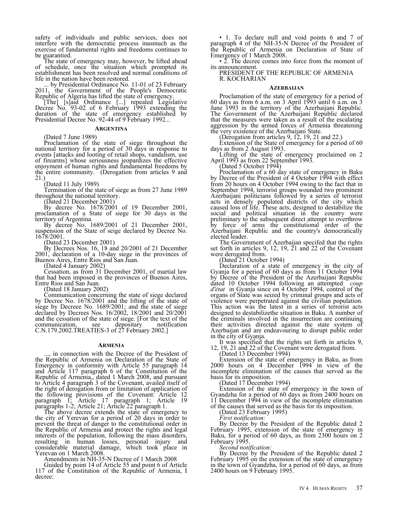safety of individuals and public services, does not interfere with the democratic process inasmuch as the exercise of fundamental rights and freedoms continues to be guarantied.

The state of emergency may, however, be lifted ahead of schedule, once the situation which prompted its establishment has been resolved and normal conditions of life in the nation have been restored.

by Presidential Ordinance No. 11-01 of 23 February 2011, the Government of the People's Democratic Republic of Algeria has lifted the state of emergency.

[The] [s]aid Ordinance [...] repealed Legislative Decree No. 93-02 of 6 February 1993 extending the duration of the state of emergency established by Presidential Decree No. 92-44 of 9 February 1992...

### **ARGENTINA**

(Dated 7 June 1989)

Proclamation of the state of siege throughout the national territory for a period of 30 days in response to events [attacks and looting of retail shops, vandalism, use of firearms] whose seriousness jeopardizes the effective enjoyment of human rights and fundamental freedoms by the entire community. (Derogation from articles 9 and 21.)

(Dated 11 July 1989)

Termination of the state of siege as from 27 June 1989 throughout the national territory.

(Dated 21 December 2001)

By decree No. 1678/2001 of 19 December 2001, proclamation of a State of siege for 30 days in the territory of Argentina.

By decree No. 1689/2001 of 21 December 2001, suspension of the State of seige declared by Decree No. 1678/2001.

(Dated 23 December 2001)

By Decrees Nos. 16, 18 and 20/2001 of 21 December 2001, declaration of a 10-day siege in the provinces of Buenos Aires, Entre Rios and San Juan.

(Dated 4 January 2002)

Cessation, as from 31 December 2001, of martial law that had been imposed in the provinces of Buenos Aires, Entre Rios and San Juan.

(Dated 18 January 2002)

Communication concerning the state of siege declared by Decree No. 1678/2001 and the lifting of the state of siege by Decreee No. 1689/2001; and the state of siege declared by Decrees Nos. 16/2002, 18/2001 and 20/2001 and the cessation of the state of siege. [For the text of the communication, see depositary notification see depositary C.N.179.2002.TREATIES-3 of 27 February 2002.]

#### **ARMENIA**

..., in connection with the Decree of the President of the Republic of Armenia on Declaration of the State of Emergency in conformity with Article 55 paragraph 14 and Article 117 paragraph 6 of the Constitution of the Republic of Armenia,, dated 1 March 2008, and pursuant to Article 4 paragraph 3 of the Covenant, availed itself of the right of derogation from or limitation of application of the following provisions of the Covenant: Article 12 paragraph 1; Article 17 paragraph 1; Article 19 paragraphs 1-2; Article 21; Article 22 paragraph 1.

The above decree extends the state of emergency to the city of Yerevan for a period of 20 days in order to prevent the threat of danger to the constitutional order in the Republic of Armenia and protect the rights and legal interests of the population, following the mass disorders, resulting in human losses, personal injury and considerable material damage, which took place in Yerevan on 1 March 2008.

Amendments in NH-35-N Decree of 1 March 2008

Guided by point 14 of Article 55 and point 6 of Article 117 of the Constitution of the Republic of Armenia, I decree:

• 1. To declare null and void points 6 and 7 of paragraph 4 of the NH-35-N Decree of the President of the Republic of Armenia on Declaration of State of Emergency of 1 March 2008.

• 2. The decree comes into force from the moment of its announcement.

PRESIDENT OF THE REPUBLIC OF ARMENIA R. KOCHARIAN

### **AZERBAIJAN**

Proclamation of the state of emergency for a period of 60 days as from 6 a.m. on 3 April 1993 until 6 a.m. on 3 June 1993 in the territory of the Azerbaijani Republic. The Government of the Azerbaijani Republic declared that the measures were taken as a result of the escalating aggression by the armed forces of Armenia threatening the very existence of the Azerbaijani State.

(Derogation from articles 9, 12, 19, 21 and 22.)

Extension of the State of emergency for a period of 60 days as from 2 August 1993.

Lifting of the state of emergency proclaimed on 2 April 1993 as from 22 September 1993.

(Dated 5 October 1994)

Proclamation of a 60 day state of emergency in Baku by Decree of the President of 4 October 1994 with effect from 20 hours on 4 October 1994 owing to the fact that in September 1994, terrorist groups wounded two prominent Azerbaijani politicians followed by a series of terrorist acts in densely populated districts of the city which caused loss of life. These acts, designed to destabilize the social and political situation in the country were preliminary to the subsequent direct attempt to overthrow by force of arms the constitutional order of the Azerbaijani Republic and the country's democratically elected leader.

The Government of Azerbaijan specifed that the rights set forth in articles 9, 12, 19, 21 and 22 of the Covenant were derogated from.

(Dated 21 October 1994)

Declaration of a state of emergency in the city of Gyanja for a period of 60 days as from 11 October 1994 by Decree of the President of the Azerbaijani Republic dated 10 October 1994 following an attempted *coup d'état* in Gyanja since on 4 October 1994, control of the organs of State was seized by criminal groups and acts of violence were perpetrated against the civilian population. This action was the latest in a series of terrorist acts designed to destabilizethe situation in Baku. A number of the criminals involved in the insurrection are continuing their activities directed against the state system of Azerbaijan and are endeavouring to disrupt public order in the city of Gyanja.

It was specified that the rights set forth in articles 9, 12, 19, 21 and 22 of the Covenant were derogated from.

(Dated 13 December 1994)

Extension of the state of emergency in Baku, as from 2000 hours on 4 December 1994 in view of the incomplete elimination of the causes that served as the basis for its imposition.

(Dated 17 December 1994)

Extension of the state of emergency in the town of Gyandzha for a period of 60 days as from 2400 hours on 11 December 1994 in view of the incomplete elimination of the causes that served as the basis for its imposition.

(Dated 23 February 1995)

*First notification:*

By Decree by the President of the Republic dated 2 February 1995, extension of the state of emergency in Baku, for a period of 60 days, as from 2300 hours on 2 February 1995.

*Second notification:*

By Decree by the President of the Republic dated 2 February 1995 on the extension of the state of emergency in the town of Gyandzha, for a period of 60 days, as from 2400 hours on 9 February 1995.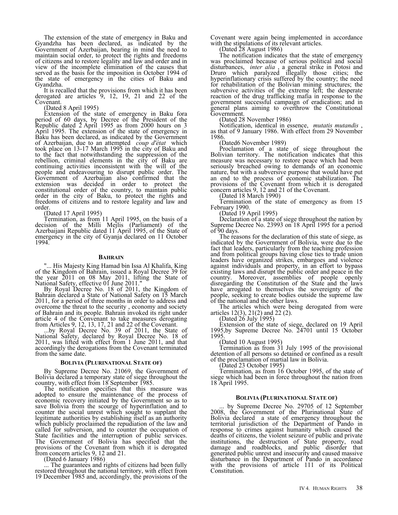The extension of the state of emergency in Baku and Gyandzha has been declared, as indicated by the Government of Azerbaijan, bearing in mind the need to maintain social order, to protect the rights and freedoms of citizens and to restore legality and law and order and in view of the incomplete elimination of the causes that served as the basis for the imposition in October 1994 of the state of emergency in the cities of Baku and Gyandzha.

It is recalled that the provisions from which it has been derogated are articles 9, 12, 19, 21 and 22 of the Covenant.

(Dated 8 April 1995)

Extension of the state of emergency in Baku fora period of 60 days, by Decree of the President of the Republic dated 2 April 1995 as from 2000 hours on 3 April 1995. The extension of the state of emergency in Baku has been declared, as indicated by the Government of Azerbaijan, due to an attempted *coup d'état* which took place on 13-17 March 1995 in the city of Baku and to the fact that notwithstanding the suppression of the rebellion, criminal elements in the city of Baku are continuing activities inconsistent with the will of the people and endeavouring to disrupt public order. The Government of Azerbaijan also confirmed that the extension was decided in order to protect the constitutional order of the country, to maintain public order in the city of Baku, to protect the rights and freedoms of citizens and to restore legality and law and order.

(Dated 17 April 1995)

Termination, as from 11 April 1995, on the basis of a decision of the Milli Mejlis (Parliament) of the Azerbaijani Republic dated 11 April 1995, of the State of emergency in the city of Gyanja declared on 11 October 1994.

### **BAHRAIN**

"... His Majesty King Hamad bin Issa Al Khalifa, King of the Kingdom of Bahrain, issued a Royal Decree 39 for the year 2011 on 08 May 2011, lifting the State of National Safety, effective 01 June 2011."

By Royal Decree No. 18 of 2011, the Kingdom of Bahrain declared a State of National Safety on 15 March 2011, for a period of three months in order to address and overcome the threat to the security , economy and society of Bahrain and its people. Bahrain invoked its right under article 4 of the Convenant to take measures derogating from Articles 9, 12, 13, 17, 21 and 22 of the Covenant.

...by Royal Decree No. 39 of 2011, the State of National Safety, declared by Royal Decree No. 18 of 2011, was lifted with effect from 1 June 2011, and that accordingly the derogations from the Covenant terminated from the same date.

### **BOLIVIA (PLURINATIONAL STATE OF)**

By Supreme Decree No. 21069, the Government of Bolivia declared a temporary state of siege throughout the country, with effect from 18 September 1985.

The notification specifies that this measure was adopted to ensure the maintenance of the process of economic recovery initiated by the Government so as to save Bolivia from the scourge of hyperinflation and to counter the social unrest which sought to supplant the legitimate authorities by establishing itself as an authority which publicly proclaimed the repudiation of the law and called for subversion, and to counter the occupation of State facilities and the interruption of public services. The Government of Bolivia has specified that the provisions of the Covenant from which it is derogated from concern articles 9, 12 and 21.

(Dated 6 January 1986)

... The guarantees and rights of citizens had been fully restored throughout the national territory, with effect from 19 December 1985 and, accordingly, the provisions of the Covenant were again being implemented in accordance with the stipulations of its relevant articles.

(Dated 28 August 1986)

The notification indicates that the state of emergency was proclaimed because of serious political and social disturbances, *inter alia* , a general strike in Potosi and Druro which paralyzed illegally those cities; the hyperinflationary crisis suffered by the country; the need for rehabilitation of the Bolivian mining structures; the subversive activities of the extreme left; the desperate reaction of the drug trafficking mafia in response to the government successful campaign of eradication; and in general plans aiming to overthrow the Constitutional Government.

(Dated 28 November 1986)

Notification, identical in essence, *mutatis mutandis* , as that of 9 January 1986. With effect from 29 November 1986.

(Dated6 November 1989)

Proclamation of a state of siege throughout the Bolivian territory. The notification indicates that this measure was necessary to restore peace which had been seriously breached owing to demands of an economic nature, but with a subversive purpose that would have put an end to the process of economic stabilization. The provisions of the Covenant from which it is derogated concern articles 9, 12 and 21 of the Covenant.

(Dated 18 March 1990)

Termination of the state of emergency as from 15 February 1990.

(Dated 19 April 1995)

Declaration of a state of siege throughout the nation by Supreme Decree No. 23993 on 18 April 1995 for a period of 90 days.

The reasons for the declaration of this state of siege, as indicated by the Government of Bolivia, were due to the fact that leaders, particularly from the teaching profession and from political groups having close ties to trade union leaders have organized strikes, embargoes and violence against individuals and property, in an effort to bypass existing laws and disrupt the public order and peace in the country. Moreover, assemblies of people openly disregarding the Constitution of the State and the laws have arrogated to themselves the sovereignty of the people, seeking to create bodies outside the supreme law of the national and the other laws.

The articles which were being derogated from were articles 12(3), 21(2) and 22 (2).

(Dated 26 July 1995)

Extension of the state of siege, declared on 19 April 1995,by Supreme Decree No. 24701 until 15 October 1995.

(Dated 10 August 1995)

Termination as from 31 July 1995 of the provisional detention of all persons so detained or confined as a result of the proclamation of martial law in Bolivia.

(Dated 23 October 1995)

Termination, as from 16 October 1995, of the state of siege which had been in force throughout the nation from 18 April 1995.

### **BOLIVIA (PLURINATIONAL STATE OF)**

by Supreme Decree No. 29705 of 12 September 2008, the Government of the Plurinational State of Bolivia declared a state of emergency throughout the territorial jurisdiction of the Department of Pando in response to crimes against humanity which caused the deaths of citizens, the violent seizure of public and private institutions, the destruction of State property, road damage and roadblocks, and public disorder that generated public unrest and insecurity and caused massive disturbance in the Department of Pando in accordance with the provisions of article 111 of its Political Constitution.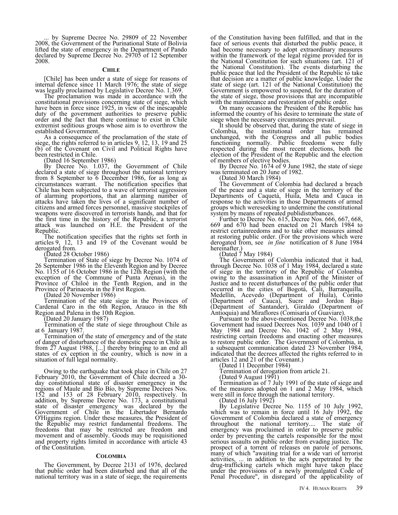by Supreme Decree No. 29809 of 22 November 2008, the Government of the Purinational State of Bolivia lifted the state of emergency in the Department of Pando declared by Supreme Decree No. 29705 of 12 September 2008.

### **CHILE**

[Chile] has been under a state of siege for reasons of internal defence since 11 March 1976; the state of siege was legally proclaimed by Legislative Decree No. 1.369.

The proclamation was made in accordance with the constitutional provisions concerning state of siege, which have been in force since 1925, in view of the inescapable duty of the government authorities to preserve public order and the fact that there continue to exist in Chile extremist seditious groups whose aim is to overthrow the established Government.

As a consequence of the proclamation of the state of siege, the rights referred to in articles 9, 12, 13, 19 and 25 (b) of the Covenant on Civil and Political Rights have been restricted in Chile.

(Dated 16 September 1986)

By Decree No. 1.037, the Government of Chile declared a state of siege throughout the national territory from 8 September to 6 December 1986, for as long as circumstances warrant. The notification specifies that Chile has been subjected to a wave of terrorist aggression of alarming proportions, that an alarming number of attacks have taken the lives of a significant number of citizens and armed forces personnel, massive stockpiles of weapons were discovered in terrorists hands, and that for the first time in the history of the Republic, a terrorist attack was launched on H.E. the President of the Republic.

The notification specifies that the rights set forth in articles 9, 12, 13 and 19 of the Covenant would be derogated from.

(Dated 28 October 1986)

Termination of State of siege by Decree No. 1074 of 26 September 1986 in the Eleventh Region and by Decree No. 1155 of 16 October 1986 in the 12th Region (with the exception of the Commune of Punta Arenas), in the Province of Chiloé in the Tenth Region, and in the Province of Parinacota in the First Region.

(Dated 20 November 1986)

Termination of the state siege in the Provinces of Cardenal Caro in the 6th Region, Arauco in the 8th Region and Palena in the 10th Region.

(Dated 20 January 1987)

Termination of the state of siege throughout Chile as at 6 January 1987.

Termination of the state of emergency and of the state of danger of disturbance of the domestic peace in Chile as from 27 August 1988, [...] thereby bringing to an end all states of ex ception in the country, which is now in a situation of full legal normality.

Owing to the earthquake that took place in Chile on 27 February 2010, the Government of Chile decreed a 30 day constitutional state of disaster emergency in the regions of Maule and Bío Bío, by Supreme Decrees Nos. 152 and 153 of 28 February 2010, respectively. In addition, by Supreme Decree No. 173, a constitutional state of disaster emergency was declared by the Government of Chile in the Libertador Bernardo O'Higgins region. Under these measures, the President of the Republic may restrict fundamental freedoms. The freedoms that may be restricted are freedom and movement and of assembly. Goods may be requisitioned and property rights limited in accordance with article 43 of the Constitution.

#### **COLOMBIA**

The Government, by Decree 2131 of 1976, declared that public order had been disturbed and that all of the national territory was in a state of siege, the requirements of the Constitution having been fulfilled, and that in the face of serious events that disturbed the public peace, it had become necessary to adopt extraordinary measures within the framework of the legal régime provided for in the National Constitution for such situations (art. 121 of the National Constitution). The events disturbing the public peace that led the President of the Republic to take that decision are a matter of public knowledge. Under the state of siege (art. 121 of the National Constitution) the Government is empowered to suspend, for the duration of the state of siege, those provisions that are incompatible with the maintenance and restoration of public order.

On many occasions the President of the Republic has informed the country of his desire to terminate the state of siege when the necessary circumstances prevail.

It should be observed that, during the state of siege in Colombia, the institutional order has remained unchanged, with the Congress and all public bodies functioning normally. Public freedoms were fully respected during the most recent elections, both the election of the President of the Republic and the election of members of elective bodies.

By Decree No. 1674 of 9 June 1982, the state of siege was terminated on 20 June of 1982.

(Dated 30 March 1984)

The Government of Colombia had declared a breach of the peace and a state of siege in the territory of the Departments of Caquetá, Huila, Meta and Cauca in response to the activities in those Departments of armed groups which wereseeking to undermine the constitutional system by means of repeated publidisturbances.

Further to Decree No. 615, Decree Nos. 666, 667, 668, 669 and 670 had been enacted on 21 March 1984 to restrict certainreedoms and to take other measures aimed at restoring public order. (For the provisions which were derogated from, see *in fine* notification of 8 June 1984 hereinafter.)

(Dated 7 May 1984)

The Government of Colombia indicated that it had, through Decree No. 1038 of 1 May 1984, declared a state of siege in the territory of the Republic of Colombia owing to the assassination in April of the Minister of Justice and to recent disturbances of the public order that occurred in the cities of Bogotá, Cali, Barranquilla, Medellín, Acevedo (Department of Huila), Corinto (Department of Cauca), Sucre and Jordon Bajo (Department of Santander), Giraldo (Department of Antioquia) and Miraflores (Comisaría of Guaviare).

Pursuant to the above-mentioned Decree No. 1038,the Government had issued Decrees Nos. 1039 and 1040 of 1 May 1984 and Decree No. 1042 of 2 May 1984, restricting certain freedoms and enacting other measures to restore public order. The Government of Colombia, in a subsequent communication dated 23 November 1984, indicated that the decrees affected the rights referred to in articles 12 and 21 of the Covenant.)

(Dated 11 December 1984)

Termination of derogation from article 21.

(Dated 9 August 1991)

Termination as of 7 July 1991 of the state of siege and of the measures adopted on 1 and 2 May 1984, which were still in force through the national territory.

(Dated 16 July 1992)

By Legislative Decree No. 1155 of 10 July 1992, which was to remain in force until 16 July 1992, the Government of Colombia declared a state of emergency throughout the national territory.... The state of emergency was proclaimed in order to preserve public order by preventing the cartels responsible for the most serious assaults on public order from evading justice. The prospect of a torrent of releases on parole of persons, many of which "awaiting trial for a wide vari of terrorist activities, ... in addition to the acts perpetrated by the drug-trafficking cartels which might have taken place under the provisions of a newly promulgated Code of Penal Procedure", in disregard of the applicability of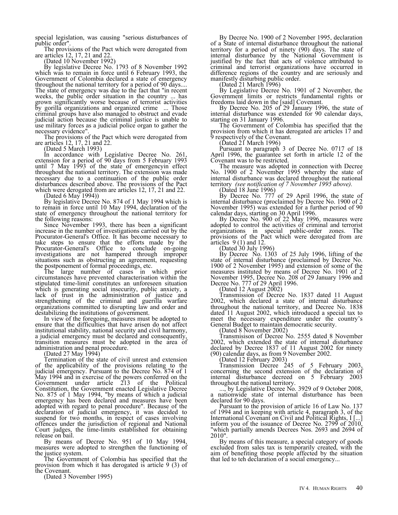special legislation, was causing "serious disturbances of public order".

The provisions of the Pact which were derogated from are articles 12, 17, 21 and 22.

(Dated 10 November 1992)

By legislative Decree No. 1793 of 8 November 1992 which was to remain in force until 6 February 1993, the Government of Colombia declared a state of emergency throughout the national territory for a period of 90 days.... The state of emergency was due to the fact that "in recent weeks, the public order situation in the country ... has grown significantly worse because of terrorist activities by gorilla organizations and organized crime ... Those criminal groups have also managed to obstruct and evade judicial action because the criminal justice is unable to use military forces as a judicial police organ to gather the necessary evidence".

The provisions of the Pact which were derogated from are articles 12, 17, 21 and 22.

(Dated 5 March 1993)

In accordance with Legislative Decree No. 261, extension for a period of 90 days from 5 February 1993 until 7 May 1993 of the state of emergencyin effect throughout the national territory. The extension was made necessary due to a continuation of the public order disturbances described above. The provisions of the Pact which were derogated from are articles 12, 17, 21 and 22.

(Dated 6 May 1994))

By legislative Decree No. 874 of 1 May 1994 which is to remain in force until 10 May 1994, declaration of the state of emergency throughout the national territory for the following reasons:

Since November 1993, there has been a significant increase in the number of investigations carried out by the Procurator-General's Office. It has become necessary to take steps to ensure that the efforts made by the Procurator-General's Office to conclude on-going investigations are not hampered through improper situations such as obstructing an agreement, requesting the postponement of formal proceedings, etc.

The large number of cases in which prior circumstances have prevented characterisation within the stipulated time-limit constitutes an unforeseen situation which is generating social insecurity, public anxiety, a lack of trust in the administration of justice and strengthening of the criminal and guerilla warfare organizations committed to disrupting law and order and destabilizing the institutions of government.

In view of the foregoing, measures must be adopted to ensure that the difficulties that have arisen do not affect institutional stability, national security and civil harmony, a judicial emergency must be declared and consequently, transition measures must be adopted in the area of administration and penal procedure.

(Dated 27 May 1994)

Termination of the state of civil unrest and extension of the applicability of the provisions relating to the judicial emergency. Pursuant to the Decree No. 874 of 1 May 1994 and in exercise of the powers conferred on the Government under article 213 of the Political Constitution, the Government enacted Legislative Decree No. 875 of 1 May 1994, "by means of which a judicial emergency has been declared and measures have been adopted with regard to penal procedure". Because of the declaration of judicial emergency, it was decided to suspend for two months, in respect of cases involving offences under the jurisdiction of regional and National Court judges, the time-limits established for obtaining release on bail.

By means of Decree No. 951 of 10 May 1994, measures were adopted to strengthen the functioning of the justice system.

The Government of Colombia has specified that the provision from which it has derogated is article 9 (3) of the Covenant.

(Dated 3 November 1995)

By Decree No. 1900 of 2 November 1995, declaration of a State of internal disturbance throughout the national territory for a period of ninety (90) days. The state of internal disturbance by the National Government is justified by the fact that acts of violence attributed to criminal and terrorist organizations have occurred in difference regions of the country and are seriously and manifestly disturbing public order.

(Dated 21 March 1996)

By Legislative Decree No. 1901 of 2 November, the Government limits or restricts fundamental rights or freedoms laid down in the [said] Covenant.

By Decree No. 205 of 29 January 1996, the state of internal disturbance was extended for 90 calendar days, starting on 31 January 1996.

The Government of Colombia has specified that the provision from which it has derogated are articles 17 and 9 respectively of the Covenant.

(Dated 21 March 1996)

Pursuant to paragraph 3 of Decree No. 0717 of 18 April 1996, the guarantee set forth in article 12 of the Covenant was to be restricted.

The measure was adopted in connection with Decree No. 1900 of 2 November 1995 whereby the state of internal disturbance was declared throughout the national territory *(see notification of 7 November 1995 above).*

(Dated 18 June 1996)

By Decree No. 777 of 29 April 1996, the state of internal disturbance (proclaimed by Decree No. 1900 of 2 November 1995) was extended for a further period of 90 calendar days, starting on 30 April 1996.

By Decree No. 900 of 22 May 1996, measures were adopted to control the activities of criminal and terrorist organizations in special public-order zones. The provisions of the Pact which were derogated from are articles 9 (1) and 12.

(Dated 30 July 1996)

By Decree No. 1303 of 25 July 1996, lifting of the state of internal disturbance (proclaimed by Decree No. 1900 of 2 November 1995) and extension of some of the measures instituted by means of Decree No. 1901 of 2 November 1995, Decree No. 208 of 29 January 1996 and Decree No. 777 of 29 April 1996.

(Dated 12 August 2002)

Transmission of Decree No. 1837 dated 11 August 2002, which declared a state of internal disturbance throughout the national territory, and Decree No. 1838 dated 11 August 2002, which introduced a special tax to meet the necessary expenditure under the country's General Budget to maintain democratic security.

(Dated 8 November 2002)

Transmisison of Decree No. 2555 dated 8 November 2002, which extended the state of internal disturbance declared by Decree 1837 of 11 August 2002 for ninety (90) calendar days, as from 9 November 2002.

Dated 12 February 2003)

Transmission Decree 245 of 5 February 2003, concerning the second extension of the declaration of internal disturbance decreed on 5 February 2003 throughout the national territory.

..., by Legislative Decree No. 3929 of 9 October 2008, a nationwide state of internal disturbance has been declared for 90 days.

Pursuant to the provision of article 16 of Law No. 137 of 1994 and in keeping with article 4, paragraph 3, of the International Covenant on Civil and Political Rights, I [...] inform you of the issuance of Decree No. 2799 of 2010, "which partially amends Decrees Nos. 2693 and 2694 of 2010".

By means of this measure, a special category of goods excluded from sales tax is temporarily created, with the aim of benefiting those people affected by the situation that led to teh declaration of a social emergency...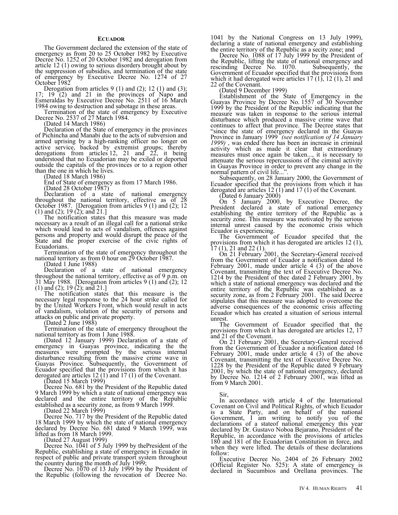#### **ECUADOR**

The Government declared the extension of the state of emergency as from 20 to 25 October 1982 by Executive Decree No. 1252 of 20 October 1982 and derogation from article 12 (1) owing to serious disorders brought about by the suppression of subsidies, and termination of the state of emergency by Executive Decree No. 1274 of 27 October 1982

Derogation from articles  $9(1)$  and  $(2)$ ; 12 (1) and  $(3)$ 17; 19  $(2)$  and 21 in the provinces of Napo and Esmeraldas by Executive Decree No. 2511 of 16 March 1984 owing to destruction and sabotage in these areas.

Termination of the state of emergency by Executive Decree No. 2537 of 27 March 1984.

(Dated 14 March 1986)

Declaration of the State of emergency in the provinces of Pichincha and Manabi due to the acts of subversion and armed uprising by a high-ranking officer no longer on active service, backed by extremist groups; thereby derogations from articles 12, 21 and 22, it being understood that no Ecuadorian may be exiled or deported outside the capitals of the provinces or to a region other than the one in which he lives.

(Dated 18 March 1986)

End of State of emergency as from 17 March 1986.

(Dated 28 October 1987)

Declaration of a state of national emergency throughout the national territory, effective as of 28 October 1987. [Derogation from articles 9 (1) and (2); 12 (1) and (2); 19 (2); and 21.]

The notification states that this measure was made necessary as a result of an illegal call for a national strike which would lead to acts of vandalism, offences against persons and property and would disrupt the peace of the State and the proper exercise of the civic rights of Ecuadorians.

Termination of the state of emergency throughout the national territory as from 0 hour on 29 October 1987.

(Dated 1 June 1988)

Declaration of a state of national emergency throughout the national territory, effective as of 9 p.m. on 31 May 1988. [Derogation from articles 9 (1) and (2); 12 (1) and (2); 19 (2); and 21.]

The notification states that this measure is the necessary legal response to the 24 hour strike called for by the United Workers Front, which would result in acts of vandalism, violation of the security of persons and attacks on public and private property.

(Dated 2 June 1988)

Termination of the state of emergency throughout the national territory as from 1 June 1988.

(Dated 12 January 1999) Declaration of a state of emergency in Guayas province, indicating the the measures were prompted by the serious internal disturbance resulting from the massive crime wave in Guayas Province. Subsequently, the Government of Ecuador specified that the provisions from which it has derogated are articles 12 (1) and 17 (1) of the Covenant.

(Dated 15 March 1999)

Decree No. 681 by the President of the Republic dated 9 March 1999 by which a state of national emergency was declared and the entire territory of the Republic established as a security zone, as from 9 March 1999.

(Dated 22 March 1999)

Decree No. 717 by the President of the Republic dated 18 March 1999 by which the state of national emergency declared by Decree No. 681 dated 9 March 1999, was lifted as from 18 March 1999.

(Dated 27 August 1999)

Decree No. 1041 of 5 July 1999 by thePresident of the Republic, establishing a state of emergency in Ecuador in respect of public and private transport system throughout the country during the month of July 1999;

Decree No. 1070 of 13 July 1999 by the President of the Republic (following the revocation of Decree No. 1041 by the National Congress on 13 July 1999), declaring a state of national emergency and establishing the entire territory of the Republic as a secity zone; and

Decree No. 1088 of 17 July 1999 by the President of the Republic, lifting the state of national emergency and rescinding Decree No.  $1070$ . Subsequently, the rescinding Decree No. 1070. Government of Ecuador specified that the provisions from which it had derogated were articles 17 (1), 12 (1), 21 and 22 of the Covenant.

(Dated 9 December 1999)

Establishment of the State of Emergency in the Guayas Province by Decree No. 1557 of 30 November 1999 by the President of the Republic indicating that the measure was taken in response to the serious internal disturbance which produced a massive crime wave that continues to affect that province. The Decree states that "since the state of emergency declared in the Guayas Province in January 1999 *(see notification of 14 January 1999)* , was ended there has been an increase in criminal activity which as made it clear that extraordinary measures must once again be taken..., it is necessary to attenuate the serious repercussions of the ciminal activity in Guayas Province in order to prevent any change in the normal pattern of civil life...".

Subsequently, on 28 January 2000, the Government of Ecuador specified that the provisions from which it has derogated are articles 12 (1) and 17 (1) of the Covenant.

(Dated 6 January 2000)

On 5 January 2000, by Executive Decree, the President declared a state of national emergency establishing the entire territory of the Republic as a security zone. This measure was motivated by the serious internal unrest caused by the economic crisis which Ecuador is experiencing.

The Government of Ecuador specifed that the provisions from which it has derogated are articles 12 (1), 17 (1), 21 and 22 (1).

On 21 February 2001, the Secretary-General received from the Government of Ecuador a notification dated 16 February 2001, made under article 4 (3) of the above Covenant, transmitting the text of Executive Decree No. 1214 by the President of thec dated 2 February 2001, by which a state of national emergency was declared and the entire territory of the Republic was established as a security zone, as from 2 February 2001. The said Decree stipulates that this measure was adopted to overcome the adverse consequences of the economic crisis affecting Ecuador which has created a situation of serious internal unrest.

The Government of Ecuador specified that the provisions from which it has derogated are articles 12, 17 and 21 of the Covenant.

On 21 February 2001, the Secretary-General received from the Government of Ecuador a notification dated 16 February 2001, made under article 4 (3) of the above Covenant, transmitting the text of Executive Decree No. 1228 by the President of the Republic dated 9 February 2001, by which the state of national emergency, declared by Decree No. 1214 of 2 February 2001, was lifted as from 9 March 2001.

Sir,

In accordance with article 4 of the International Covenant on Civil and Political Rights, of which Ecuador is a State Party, and on behalf of the national Government, I am writing to notify you of the declarations of a stateof national emergency this year declared by Dr. Gustavo Noboa Bejarano, President of the Republic, in accordance with the provisions of articles 180 and 181 of the Ecuadorian Constitution in force, and when they were lifted. The details of these declarations follow:

Executive Decree No. 2404 of 26 February 2002 (Official Register No. 525): A state of emergency is declared in Sucumbios and Orellana provinces. The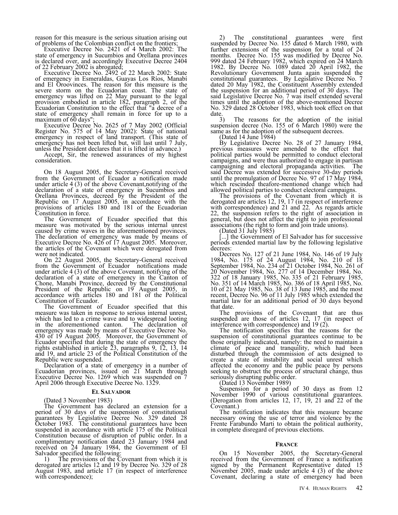reason for this measure is the serious situation arising out of problems of the Colombian conflict on the frontiers;

Executive Decree No. 2421 of 4 March 2002: The state of emergency in Sucumbios and Orellana provinces is declared over, and accordingly Executive Decree 2404 of 22 February 2002 is abrogated;

Executive Decree No. 2492 of 22 March 2002: State of emergency in Esmeraldas, Guayas Los Ríos, Manabí and El Oroovinces. The reason for this measure is the severe storm on the Ecuadorian coast. The state of emergency was lifted on 22 May pursuant to the legal provision embodied in article 182, paragraph 2, of the Ecuadorian Constitution to the effect that "a decree of a state of emergency shall remain in force for up to a maximum of 60 days

Executive Decree No. 2625 of 7 May 2002 (Official Register No. 575 of 14 May 2002): State of national emergency in respect of land transport. (This state of emergency has not been lifted but, will last until 7 July, unless the President declares that it is lifted in advance.)

Accept, Sir, the renewed assurances of my highest consideration.

On 18 August 2005, the Secretary-General received from the Government of Ecuador a notification made under article 4 (3) of the above Covenant,notifying of the declaration of a state of emergency in Sucumbios and Orellana Provinces, decreed by the President of the Republic on 17 August 2005, in accordance with the provisions of articles 180 and 181 of the Ecuadorian Constitution in force.

The Government of Ecuador specified that this measure was motivated by the serious internal unrest caused by crime waves in the aforementioned provinces. The declaration of emergency was made by means of Executive Decree No. 426 of 17 August 2005. Moreover, the articles of the Covenant which were derogated from were not indicated.

On 22 August 2005, the Secretary-General received from the Government of Ecuador notifications made under article 4 (3) of the above Covenant, notifying of the declaration of a state of emergency in the Canton of Chone, Manabi Province, decreed by the Constitutional President of the Republic on 19 August 2005, in accordance with articles 180 and 181 of the Political Constitution of Ecuador.

The Government of Ecuador specified that this measure was taken in response to serious internal unrest, which has led to a crime wave and to widespread looting<br>in the aforementioned canton. The declaration of in the aforementioned canton. The declaration of emergency was made by means of Executive Decree No. 430 of 19 August 2005. Moreover, the Government of Ecuador specified that during the state of emergency the rights established in article 23, paragraphs 9, 12, 13, 14 and 19, and article 23 of the Political Constitution of the Republic were suspended.

Declaration of a state of emergency in a number of Ecuadorian provinces, issued on 21 March through Executive Decree No. 1269 which was suspended on 7 April 2006 through Executive Decree No. 1329.

### **EL SALVADOR**

(Dated 3 November 1983)

The Government has declared an extension for a period of 30 days of the suspension of constitutional guarantees by Legislative Decree No. 329 dated 28 October 1983. The constitutional guarantees have been suspended in accordance with article 175 of the Political Constitution because of disruption of public order. In a complimentary notification dated 23 January 1984 and received on 24 January 1984, the Government of El Salvador specified the following:

1) The provisions of the Covenant from which it is derogated are articles 12 and 19 by Decree No. 329 of 28 August 1983, and article 17 (in respect of interference with correspondence);

2) The constitutional guarantees were first suspended by Decree No. 155 dated 6 March 1980, with further extensions of the suspension for a total of 24 months. Decree No. 155 was modified by Decree No. 999 dated 24 February 1982, which expired on 24 March 1982. By Decree No. 1089 dated 20 April 1982, the Revolutionary Government Junta again suspended the constitutional guarantees. By Legislative Decree No. 7 dated 20 May 1982, the Constituent Assembly extended the suspension for an additional period of 30 days. The said Legislative Decree No. 7 was itself extended several times until the adoption of the above-mentioned Decree No. 329 dated 28 October 1983, which took effect on that date.

3) The reasons for the adoption of the initial suspension decree (No. 155 of 6 March 1980) were the same as for the adoption of the subsequent decrees.

(Dated 14 June 1984)

By Legislative Decree No. 28 of 27 January 1984, previous measures were amended to the effect that political parties would be permitted to conduct electoral campaigns, and were thus authorized to engage in partisan campaigning and electoral propaganda activities. The said Decree was extended for successive 30-day periods until the promulgation of Decree No. 97 of 17 May 1984, which rescinded theafore-mentioned change which had allowed political parties to conduct electoral campaigns.

The provisions of the Covenant from which it is derogated are articles 12, 19, 17 (in respect of interference with correspondence) and  $21$  and  $22$ . As regards article 22, the suspension refers to the right of association in general, but does not affect the right to join professional associations (the right to form and join trade unions).

(Dated 31 July 1985)

[...] the Government of El Salvador has for successive periods extended martial law by the following legislative decrees:

Decrees No. 127 of 21 June 1984, No. 146 of 19 July 1984, No. 175 of 24 August 1984, No. 210 of 18 September 1984, No. 234 of 21 October 1984, No. 261 of 20 November 1984, No. 277 of 14 December 1984, No. 322 of 18 January 1985, No. 335 of 21 February 1985, No. 351 of 14 March 1985, No. 386 of 18 April 1985, No. 10 of 21 May 1985, No. 38 of 13 June 1985, and the most recent, Decree No. 96 of 11 July 1985 which extended the martial law for an additional period of 30 days beyond that date.

The provisions of the Covenant that are thus suspended are those of articles 12, 17 (in respect of interference with correspondence) and 19 (2).

The notification specifies that the reasons for the suspension of constitutional guarantees continue to be those originally indicated, namely: the need to maintain a climate of peace and tranquility, which had been disturbed through the commission of acts designed to create a state of instability and social unrest which affected the economy and the public peace by persons seeking to obstruct the process of structural change, thus seriously disrupting public order.

(Dated 13 November 1989)

Suspension for a period of 30 days as from 12 November 1990 of various constitutional guarantees. (Derogation from articles 12, 17, 19, 21 and 22 of the Covenant.)

The notification indicates that this measure became necessary owing the use of terror and violence by the Frente Farabundo Marti to obtain the political authority, in complete disregard of previous elections.

### **FRANCE**

On 15 November 2005, the Secretary-General received from the Government of France a notification signed by the Permanent Representative dated 15 November 2005, made under article 4 (3) of the above Covenant, declaring a state of emergency had been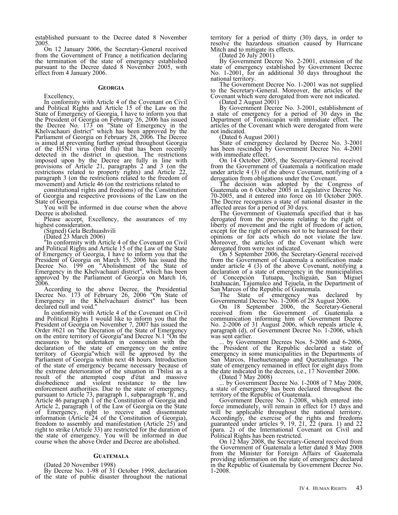established pursuant to the Decree dated 8 November 2005.

On 12 January 2006, the Secretary-General received from the Government of France a notification declaring the termination of the state of emergency established pursuant to the Decree dated 8 November 2005, with effect from 4 January 2006.

### **GEORGIA**

Excellency,

In conformity with Article 4 of the Covenant on Civil and Political Rights and Article 15 of the Law on the State of Emergency of Georgia, I have to inform you that the President of Georgia on February 26, 2006 has issued the Decree No. 173 on "State of Emergency in the Khelvachauri district" which has been approved by the Parliament of Georgia on February 28, 2006. The Decree is aimed at preventing further spread throughout Georgia of the H5N1 virus (bird flu) that has been recently detected in the district in question. The restrictions imposed upon by the Decree are fully in line with provisions of Article 21, paragraphs 2 and 3 (on the restrictions related to property rights) and Article 22, paragraph 3 (on the restrictions related to the freedom of movement) and Article 46 (on the restrictions related to

constitutional rights and freedoms) of the Constitution of Georgia and respective provisions of the Law on the State of Georgia.

You will be informed in due course when the above Decree is abolished.

Please accept, Excellency, the assurances of my highest consideration.

(Signed) Gela Bezhuashvili

(Dated 23 March 2006)

"In conformity with Article 4 of the Covenant on Civil and Political Rights and Article 15 of the Law of the State of Emergency of Georgia, I have to inform you that the President of Georgia on March 15, 2006 has issued the Decree No. 199 on "Abolishment of the State of Emergency in the Khelvachauri district", which has been approved by the Parliament of Georgia on March 16, 2006.

According to the above Decree, the Presidential Decree No. 173 of February 26, 2006 "On State of Emergency in the Khelvachauri district" has been declared null and void."

In conformity with Article 4 of the Covenant on Civil and Political Rights I would like to inform you that the President of Georgia on November 7, 2007 has issued the Order #621 on "the Decration of the State of Emergency on the entire territory of Georgia"and Decree N.1 "On the measures to be undertaken in connection with the declaration of the state of emergency on the entire territory of Georgia"which will be approved by the Parliament of Georgia within next 48 hours. Introduction of the state of emergency became necessary because of the extreme deterioration of the situation in Tbilisi as a result of the attempted coup d'état and massive disobedience and violent resistance to the law enforcement authorities. Due to the state of emergency, pursuant to Article 73, paragraph 1, subparagraph 'h', and Article 46 paragraph 1 of the Constitution of Georgia and Article 2, paragraph 1 of the Law of Georgia on the State of Emergency, right to receive and disseminate information (Article 24 of the Constitution of Georgia), freedom to assembly and manifestation (Article 25) and right to strike (Article 33) are restricted for the duration of the state of emergency. You will be informed in due course when the above Order and Decree are abolished.

### **GUATEMALA**

(Dated 20 November 1998)

By Decree No. 1-98 of 31 October 1998, declaration of the state of public disaster throughout the national territory for a period of thirty (30) days, in order to resolve the hazardous situation caused by Hurricane Mitch and to mitigate its effects.

(Dated 26 July 2001)

By Government Decree No. 2-2001, extension of the state of emergency established by Government Decree No. 1-2001, for an additional 30 days throughout the national territory.

The Government Decree No. 1-2001 was not supplied to the Secretary-General. Moreover, the articles of the Covenant which were derogated from were not indicated.

(Dated 2 August 2001)

By Government Decree No. 3-2001, establishment of a state of emergency for a period of 30 days in the Department of Totonicapán with immidiate effect. The articles of the Covenant which were derogated from were not indicated.

(Dated 6 August 2001)

State of emergency declared by Decree No. 3-2001 has been rescinded by Government Decree No. 4-2001 with immediate effect.

On 14 October 2005, the Secretary-General received from the Government of Guatemala a notification made under article 4 (3) of the above Covenant, notifying of a derogation from obligations under the Covenant.

The decision was adopted by the Congress of Guatemala on 6 October 2005 in Legislative Decree No. 70-2005, and it entered into force on 10 October 2005. The Decree recognizes a state of national disaster in the affected areas for a period of 30 days.

The Government of Guatemala specified that it has derogated from the provisions relating to the right of liberty of movement and the right of freedom of action, except for the right of persons not to be harassed for their opinions or for acts which do not violate the law. Moreover, the articles of the Covenant which were derogated from were not indicated.

On 5 September 2006, the Secretary-General received from the Government of Guatemala a notification made under article 4 (3) of the above Covenant, notifying a declaration of a state of emergency in the municipalities of Concepción Tutuapa, Ixchiguán, San Miguel Ixtahuacán, Tajumulco and Tejuela, in the Department of San Marcos of the Republic of Guatemala.<br>The State of emergency was

The State of emergency was declared by Governmental Decree No. 1-2006 of 28 August 2006.

On 18 September 2006, the Secretary-General received from the Government of Guatemala a communication informing him of Government Decree No. 2-2006 of 31 August 2006, which repeals article 4, paragraph (d), of Government Decree No. 1-2006, which was sent earlier.

by Government Decrees Nos. 5-2006 and 6-2006, the President of the Republic declared a state of emergency in some municipalities in the Departments of San Marcos, Huehuetenango and Quetzaltenango. The state of emergency remained in effect for eight days from the date indicated in the decrees, i.e., 17 November 2006.

(Dated 7 May 2008)

... by Government Decree No. 1-2008 of 7 May 2008, a state of emergency has been declared throughout the territory of the Republic of Guatemala.

Government Decree No. 1-2008, which entered into force immediately, will remain in effect for 15 days and will be applicable throughout the national territory. Accordingly, the exercise of the rights and freedoms guaranteed under articles 9, 19, 21,  $\tilde{22}$  (para. 1) and 22 (para. 2) of the International Covenant on Civil and Political Rights has been restricted.

On 12 May 2008, the Secretary-General received from the Government of Guatemala a letter dated 8 May 2008 from the Minister for Foreign Affairs of Guatemala providing information on the state of emergency declared in the Republic of Guatemala by Government Decree No. 1-2008.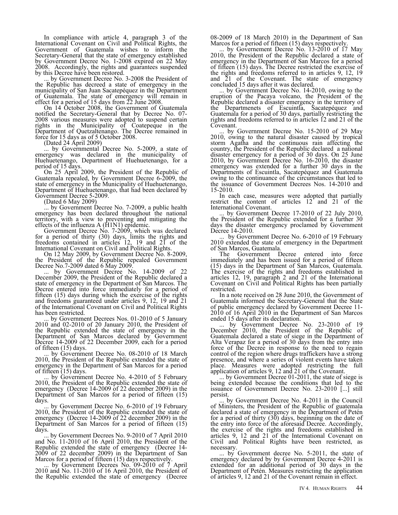In compliance with article 4, paragraph 3 of the International Covenant on Civil and Political Rights, the Government of Guatemala wishes to inform the Secretary-General that the state of emergency established by Government Decree No. 1-2008 expired on 22 May 2008. Accordingly, the rights and guarantees suspended by this Decree have been restored.

. by Government Decree No. 3-2008 the President of the Republic has decreed a state of emergency in the municipality of San Juan Sacatepéquez in the Department of Guatemala. The state of emergency will remain in effect for a period of 15 days from 22 June 2008.

On 14 October 2008, the Government of Guatemala notified the Secretary-General that by Decree No. 07- 2008 various measures were adopted to suspend certain rights in the Municipality of Coatepeque in the Department of Quetzaltenango. The Decree remained in force for 15 days as of 5 October 2008.

(Dated 24 April 2009)

... by Governmental Decree No. 5-2009, a state of emergency was declared in the municipality of Huehuetenango, Department of Huehuetenango, for a period of 15 days.

On 25 April 2009, the President of the Republic of Guatemala repealed, by Government Decree 6-2009, the state of emergency in the Municipality of Huehuetenango, Department of Huehuetenango, that had been declared by Government Decree 5-2009.

(Dated 6 May 2009)

... by Government Decree No. 7-2009, a public health emergency has been declared throughout the national territory, with a view to preventing and mitigating the effects of the influenza A (H1N1) epidemic.

Government Decree No. 7-2009, which was declared for a period of thirty (30) days, limits the rights and freedoms contained in articles 12, 19 and 21 of the International Covenant on Civil and Political Rights.

On 12 May 2009, by Government Decree No. 8-2009, the President of the Republic repealed Government Decree No.7-2009 dated 6 May 2009.

... by Government Decree No. 14-2009 of 22 December 2009, the President of the Republic declared a state of emergency in the Department of San Marcos. The Decree entered into force immediately for a period of fifteen (15) days during which the exercise of the rights and freedoms guaranteed under articles 9, 12, 19 and 21 of the International Covenant on Civil and Political Rights has been restricted.

by Government Decrees Nos. 01-2010 of 5 January 2010 and 02-2010 of 20 January 2010, the President of the Republic extended the state of emergency in the Department of San Marcos declared by Government Decree 14-2009 of 22 December 2009, each for a period of fifteen (15) days.

by Government Decree No. 08-2010 of 18 March 2010, the President of the Republic extended the state of emergency in the Department of San Marcos for a period of fifteen (15) days.

by Government Decree No. 4-2010 of 5 February 2010, the President of the Republic extended the state of emergency (Decree 14-2009 of 22 december 2009) in the Department of San Marcos for a period of fifteen (15) days.

by Government Decree No. 6-2010 of 19 February 2010, the President of the Republic extended the state of emergency (Decree 14-2009 of 22 december 2009) in the Department of San Marcos for a period of fifteen (15) days.

by Government Decrees No. 9-2010 of 7 April 2010 and No. 11-2010 of 16 April 2010, the President of the Republic extended the state of emergency (Decree 14- 2009 of 22 december 2009) in the Department of San Marcos for a period of fifteen (15) days respectively.

... by Government Decrees No. 09-2010 of 7 April 2010 and No. 11-2010 of 16 April 2010, the President of the Republic extended the state of emergency (Decree 08-2009 of 18 March 2010) in the Department of San Marcos for a period of fifteen (15) days respectively.

by Governement Decree No. 13-2010 of 17 May 2010, the President of the Republic declared a state of emergency in the Department of San Marcos for a period of fifteen (15) days. The Decree restricted the exercise of the rights and freedoms referred to in articles 9, 12, 19 and 21 of the Covenant. The state of emergency concluded 15 days after it was declared.

... by Government Decree No. 14-2010, owing to the eruption of the Pacaya volcano, the President of the Republic declared a disaster emergency in the territory of the Departmenets of Escuintla, Sacatepéquez and Guatemala for a period of 30 days, partially restricting the rights and freedoms referred to in articles 12 and 21 of the Covenant.

... by Government Decree No. 15-2010 of 29 May 2010, owing to the natural disaster caused by tropical storm Agatha and the continuous rain affecting the country, the President of the Republic declared a national disaster emergency for a period of 30 days. On 25 June 2010, by Government Decree No. 16-2010, the disaster emergency was extended for a further 30 days in the Departments of Escuintla, Sacatepéquez and Guatemala owing to the continuance of the circumstances that led to the issuance of Government Decrees Nos. 14-2010 and 15-2010.

In each case, measures were adopted that partially restrict the content of articles  $12<sup>1</sup>$  and  $21<sup>1</sup>$  of the International Covenant.

... by Government Decree 17-2010 of 22 July 2010, the President of the Republic extended for a further 30 days the disaster emergency proclamed by Government Decree 14-2010.

by Government Decree No. 6-2010 of 19 February 2010 extended the state of emergency in the Department of San Marcos, Guatemala.

The Government Decree entered into force immediately and has been issued for a period of fifteen (15) days in the Department of San Marcos, Guatemala. The exercise of the rights and freedoms established in articles 12, 19, paragraph 2 and 21 of the International Covenant on Civil and Political Rights has been partially restricted.

In a note received on 28 June 2010, the Government of Guatemala informed the Secretary-General that the State of public emergency declared by Government Decree 11- 2010 of 16 April 2010 in the Department of San Marcos ended 15 days after its declaration.

... by Government Decree No. 23-2010 of 19 December 2010, the President of the Republic of Guatemala declared a state of siege in the Department of Alta Verapaz for a period of 30 days from the entry into force of the Decree in response to the need to regain control of the region where drugs traffickers have a strong presence, and where a series of violent events have taken place. Measures were adopted restricting the full application of articles 9, 12 and 21 of the Covenant.

... by Government Decree 01-2011, the state of siege is being extended because the conditions that led to the issuance of Government Decree No. 23-2010 [...] still persist.

by Government Decree No. 4-2011 in the Council of Ministers, the President of the Republic of guatemala declared a state of emergency in the Department of Petén for a period of thirty (30) days, beginning on the date of the entry into force of the aforesaid Decree. Accordingly, the exercise of the rights and freedoms established in articles 9, 12 and 21 of the International Covenant on Civil and Political Rights have been restricted, as necessary.

... by Government decree No. 5-2011, the state of emergency declared by by Government Decree 4-2011 is extended for an additional period of 30 days in the Department of Petén. Measures restricting the application of articles 9, 12 and 21 of the Covenant remain in effect.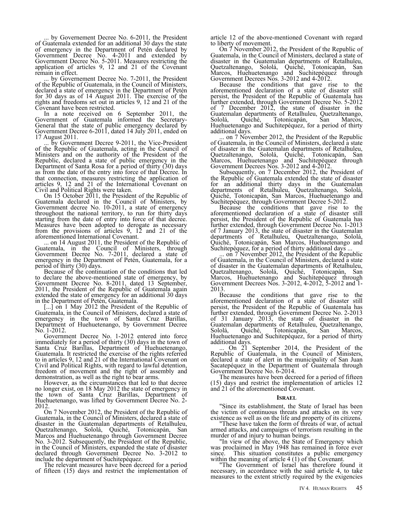. by Governement Decree No. 6-2011, the President of Guatemala extended for an additional 30 days the state of emergency in the Department of Petén declared by Government Decree No. 4-2011 and extended by Government Decree No. 5-2011. Measures restricting the application of articles 9, 12 and 21 of the Covenant remain in effect.

... by Governement Decree No. 7-2011, the President of the Republic of Guatemala, in the Council of Ministers, declared a state of emergency in the Department of Petén for 30 days as of 14 August 2011. The exercise of the rights and freedoms set out in articles 9, 12 and 21 of the Covenant have been restricted.

In a note received on 6 September 2011, the Government of Guatemala informed the Secretary-General that the state of public emergency declared by Government Decree 6-2011, dated 14 July 2011, ended on 17 August 2011.

... by Government Decree 9-2011, the Vice-President of the Republic of Guatemala, acting in the Council of Ministers and on the authority of the President of the Republic, declared a state of public emergency in the Department of Santa Rosa for a period of thirty (30) days as from the date of the entry into force of that Decree. In that connection, measures restricting the application of articles 9, 12 and 21 of the International Covenant on Civil and Political Rights were taken.

On 15 October 2011, the President of the Republic of Guatemala declared in the Council of Ministers, by Government decree No. 10-2011, a state of emergency throughout the national territory, to run for thirty days starting from the date of entry into force of that decree. Measures have been adopted to derogate as necessary from the provisions of articles 9, 12 and 21 of the aforementioned International Covenant.

... on 14 August 2011, the President of the Republic of Guatemala, in the Council of Ministers, through Government Decree No. 7-2011, declared a state of emergency in the Department of Petén, Guatemala, for a period of thirty (30) days.

Because of the continuation of the conditions that led to declare the above-mentioned state of emergency, by Government Decree No. 8-2011, dated 13 September, 2011, the President of the Republic of Guatemala again extended the state of emergency for an additional 30 days in the Department of Petén, Guatemala.

[...] on 1 May 2012 the President of the Republic of Guatemala, in the Council of Ministers, declared a state of emergency in the town of Santa Cruz Barillas, Department of Huehuetenango, by Government Decree No. 1-2012.

Government Decree No. 1-2012 entered into force immediately for a period of thirty (30) days in the town of Santa Cruz Barillas, Department of Huehuetenango, Guatemala. It restricted the exercise of the rights referred to in articles 9, 12 and 21 of the International Covenant on Civil and Political Rights, with regard to lawful detention, freedom of movement and the right of assembly and demonstration, as well as the right to bear arms.

However, as the circumstances that led to that decree no longer exist, on 18 May 2012 the state of emergency in the town of Santa Cruz Barillas, Department of Huehuetenango, was lifted by Government Decree No. 2- 2012.

On 7 November 2012, the President of the Republic of Guatemala, in the Council of Ministers, declared a state of disaster in the Guatemalan departments of Retalhuleu, Quetzaltenango, Sololá, Quiché, Totonicapán, San Marcos and Huehuetenango through Government Decree No. 3-2012. Subsequently, the President of the Republic, in the Council of Ministers, expanded the state of disaster declared through Government Decree No. 3-2012 to include the department of Suchitepéquez.

The relevant measures have been decreed for a period of fifteen (15) days and restrict the implementation of article 12 of the above-mentioned Covenant with regard to liberty of movement.

On 7 November 2012, the President of the Republic of Guatemala, in the Council of Ministers, declared a state of disaster in the Guatemalan departments of Retalhuleu, Quetzaltenango, Sololá, Quiché, Totonicapán, San Marcos, Huehuetenango and Suchitepéquez through Government Decrees Nos. 3-2012 and 4-2012.

Because the conditions that gave rise to the aforementioned declaration of a state of disaster still persist, the President of the Republic of Guatemala has further extended, through Government Decree No. 5-2012 of 7 December 2012, the state of disaster in the Guatemalan departments of Retalhuleu, Quetzaltenango, Sololá, Quiché, Totonicapán, San Marcos, Sololá, Quiché, Totonicapán, San Marcos,<br>Huehuetenango and Suchitepéquez, for a period of thirty additional days.

... on 7 November 2012, the President of the Republic of Guatemala, in the Council of Ministers, declared a state of disaster in the Guatemalan departments of Retalhuleu, Quetzaltenango, Sololá, Quiché, Totonicapán, San Marcos, Huehuetenango and Suchitepéquez through Government Decrees Nos. 3-2012 and 4-2012.

Subsequently, on 7 December 2012, the President of the Republic of Guatemala extended the state of disaster for an additional thirty days in the Guatemalan departments of Retalhuleu, Quetzaltenango, Sololá, Quiché, Totonicapán, San Marcos, Huehuetenango and Suchitepéquez, through Government Decree 5-2012.

Because the conditions that gave rise to the aforementioned declaration of a state of disaster still persist, the President of the Republic of Guatemala has further extended, through Government Decree No. 1-2013 of 7 January 2013, the state of disaster in the Guatemalan departments of Retalhuleu, Quetzaltenango, Sololá, Quiché, Totonicapán, San Marcos, Huehuetenango and Suchitepéquez, for a period of thirty additional days ...

... on 7 November 2012, the President of the Republic of Guatemala, in the Council of Ministers, declared a state of disaster in the Guatemalan departments of Retalhuleu, Quetzaltenango, Sololá, Quiché, Totonicapán, San Marcos, Huehuetenango and Suchitepéquez through Government Decrees Nos. 3-2012, 4-2012, 5-2012 and 1- 2013.

Because the conditions that gave rise to the aforementioned declaration of a state of disaster still persist, the President of the Republic of Guatemala has further extended, through Government Decree No. 2-2013 of 31 January 2013, the state of disaster in the Guatemalan departments of Retalhuleu, Quetzaltenango, Sololá, Quiché, Totonicapán, San Marcos, Sololá, Quiché, Totonicapán, San Marcos,<br>Huehuetenango and Suchitepéquez, for a period of thirty additional days.

... On 21 September 2014, the President of the Republic of Guatemala, in the Council of Ministers, declared a state of alert in the municipality of San Juan Sacatepéquez in the Department of Guatemala through Government Decree No. 6-2014.

The measures have been decreed for a period of fifteen (15) days and restrict the implementation of articles 12 and 21 of the aforementioned Covenant.

## **ISRAEL**

"Since its establishment, the State of Israel has been the victim of continuous threats and attacks on its very existence as well as on the life and property of its citizens.

"These have taken the form of threats of war, of actual armed attacks, and campaigns of terrorism resulting in the murder of and injury to human beings.

"In view of the above, the State of Emergency which was proclaimed in May 1948 has remained in force ever since. This situation constitutes a public emergency This situation constitutes a public emergency within the meaning of article 4 (1) of the Covenant.

"The Government of Israel has therefore found it necessary, in accordance with the said article 4, to take measures to the extent strictly required by the exigencies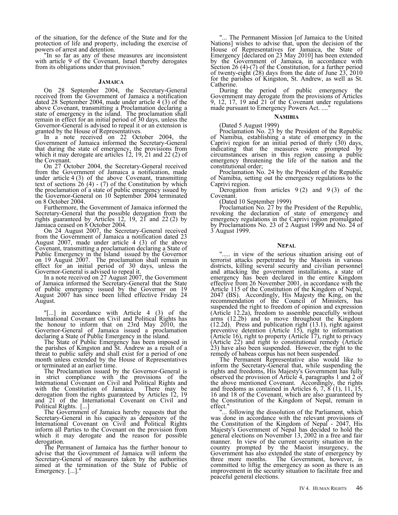of the situation, for the defence of the State and for the protection of life and property, including the exercise of powers of arrest and detention.

"In so far as any of these measures are inconsistent with article 9 of the Covenant, Israel thereby derogates from its obligations under that provision."

### **JAMAICA**

On 28 September 2004, the Secretary-General received from the Government of Jamaica a notification dated 28 September 2004, made under article 4 (3) of the above Covenant, transmitting a Proclamation declaring a state of emergency in the island. The proclamation shall remain in effect for an initial period of 30 days, unless the Governor-General is advised to repeal it or an extension is granted by the House of Representatives.

In a note received on 22 October 2004, the Government of Jamaica informed the Secretary-General that during the state of emergency, the provisions from which it may derogate are articles 12, 19, 21 and 22 (2) of the Covenant.

On 27 October 2004, the Secretary-General received from the Government of Jamaica a notification, made under article 4 (3) of the above Covenant, transmitting text of sections 26 (4) - (7) of the Constitution by which the proclamation of a state of public emergency issued by the Governor-General on 10 September 2004 terminated on 8 October 2004.

Furthermore, the Government of Jamaica informed the Secretary-General that the possible derogation from the rights guaranteed by Articles 12, 19, 21 and 22 (2) by Jamiaca ceased on 8 October 2004.

On 24 August 2007, the Secretary-General received from the Government of Jamaica a notification dated 23 August 2007, made under article 4 (3) of the above Covenant, transmitting a proclamation declaring a State of Public Emergency in the Island issued by the Governor on 19 August 2007. The proclamation shall remain in effect for an initial period of 30 days, unless the Governor-General is advised to repeal it.

In a note received on 27 August 2007, the Government of Jamaica informed the Secretary-General that the State of public emergency issued by the Governor on 19 August 2007 has since been lifted effective Friday 24 August.

"[...] in accordance with Article 4 (3) of the International Covenant on Civil and Political Rights has the honour to inform that on 23rd May 2010, the Governor-General of Jamaica issued a proclamation declaring a State of Public Emergency in the island.

The State of Public Emergency has been imposed in the parishes of Kingston and St. Andrew as a result of a threat to public safety and shall exist for a period of one month unless extended by the House of Representatives or terminated at an earlier time.

The Proclamation issued by the Governor-General is in strict compliance with the provisions of the International Covenant on Civil and Political Rights and with the Constitution of Jamaica. There may be derogation from the rights guaranteed by Articles 12, 19 and 21 of the International Covenant on Civil and Political Rights. [...]

The Government of Jamaica hereby requests that the Secretary-General in his capacity as depository of the International Covenant on Civil and Political Rights inform all Parties to the Covenant on the provision from which it may derogate and the reason for possible derogation.

The Permanent of Jamaica has the further honour to advise that the Government of Jamaica will inform the Secretary-General of measures taken by the authorities aimed at the termination of the State of Public of Emergency. [...].'

"... The Permanent Mission [of Jamaica to the United Nations] wishes to advise that, upon the decision of the House of Representatives for Jamaica, the State of Emergency [declared on 23 May 2010] has been extended by the Government of Jamaica, in accordance with Section 26 (4)-(7) of the Constitution, for a further period of twenty-eight (28) days from the date of June 23, 2010 for the parishes of Kingston, St. Andrew, as well as St. Catherine.

During the period of public emergency the Government may derogate from the provisions of Articles 9, 12, 17, 19 and 21 of the Covenant under regulations made pursuant to Emergency Powers Act. ....

## **NAMIBIA**

## (Dated 5 August 1999)

Proclamation No. 23 by the President of the Republic of Namibia, establishing a state of emergency in the Caprivi region for an initial period of thirty (30) days, indicating that the measures were prompted by circumstances arisen in this region causing a public emergency threatening the life of the nation and the constitutional order;

Proclamation No. 24 by the President of the Republic of Namibia, setting out the emergency regulations to the Caprivi region.

Derogation from articles  $9(2)$  and  $9(3)$  of the Covenant.

(Dated 10 September 1999)

Proclamation No. 27 by the President of the Republic, revoking the declaration of state of emergency and emergency regulations in the Caprivi region promulgated by Proclamations No. 23 of 2 August 1999 and No. 24 of 3 August 1999.

### **NEPAL**

"..... in view of the serious situation arising out of terrorist attacks perpetrated by the Maoists in various districts, killing several security and civilian personnel and attacking the government installations, a state of emergency has been declared in the entire Kingdom effective from 26 November 2001, in accordance with the Article 115 of the Constitution of the Kingdom of Nepal, 2047 (BS). Accordingly, His Majesty the King, on the recommendation of the Council of Ministers, has suspended the right to freedom of opinion and expression (Article 12.2a), freedom to assemble peacefully without arms  $(12.2b)$  and to move throughout the Kingdom (12.2d). Press and publication right (13.1), right against preventive detention (Article 15), right to information (Article 16), right to property (Article 17), right to privacy (Article 22) and right to constitutional remedy (Article 23) have also been suspended. However, the right to the remedy of habeas corpus has not been suspended.

The Permanent Representative also would like to inform the Secretary-General that, while suspending the rights and freedoms, His Majesty's Government has fully observed the provision of Article 4, paragraphs 1 and 2 of the above mentioned Covenant. Accordingly, the rights and freedoms as contained in Articles 6,  $7, 8$  (1), 11, 15, 16 and 18 of the Covenant, which are also guaranteed by the Constitution of the Kingdom of Nepal, remain in effect."

... following the dissolution of the Parliament, which was done in accordance with the relevant provisions of the Constitution of the Kingdom of Nepal - 2047, His Majesty's Government of Nepal has decided to hold the general elections on November 13, 2002 in a free and fair manner. In view of the current security situation in the country prompted by the Maoist insurgency, the Government has also extended the state of emergency by three more months. The Government, however, is committed to liftig the emergency as soon as there is an improvement in the security situation to facilitate free and peaceful general elections.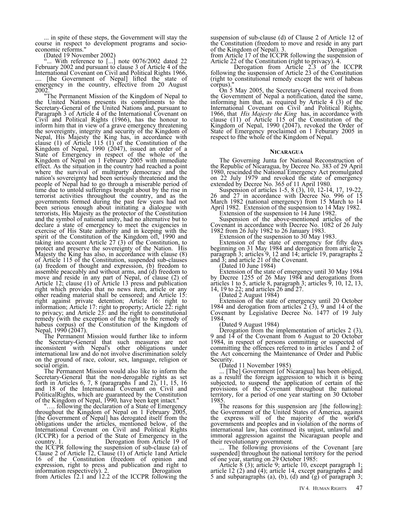... in spite of these steps, the Government will stay the course in respect to development programs and socioeconomic reforms."

(Dated 19 November 2002)

... With reference to [...] note 0076/2002 dated 22 February 2002 and pursuant to clause 3 of Article 4 of the International Covenant on Civil and Political Rights 1966,

.... [the Government of Nepal] lifted the state of emergency in the country, effective from 20 August 2002.

"The Permanent Mission of the Kingdom of Nepal to the United Nations presents its compliments to the Secretary-General of the United Nations and, pursuant to Paragraph 3 of Article 4 of the International Covenant on Civil and Political Rights (1966), has the honour to inform him that in view of a grave emergency threatening the sovereignty, integrity and security of the Kingdom of Nepal, His Majesty the King has, in accordance with clause (1) of Article 115 (1) of the Constitution of the Kingdom of Nepal, 1990 (2047), issued an order of a State of Emergency in respect of the whole of the Kingdom of Nepal on 1 February 2005 with immediate effect. As the situation in the country had reached a point where the survival of multiparty democracy and the nation's sovereignty had been seriously threatened and the people of Nepal had to go through a miserable period of time due to untold sufferings brought about by the rise in terrorist activities throughout the country, and as the governments formed during the past few years had not been serious enough about initiating a dialogue with terrorists, His Majesty as the protector of the Constitution and the symbol of national unity, had no alternative but to declare a state of emergency to meet the exigencies in exercise of His State authority and in keeping with the spirit of the Constitution of the Kingdom ofl, 1990 and taking into account Article 27 (3) of the Constitution, to protect and preserve the sovereignty of the Nation. His Majesty the King has also, in accordance with clause (8) of Article 115 of the Constitution, suspended sub-clauses (a) freedom of thought and expression, (b) freedom to assemble peaceably and without arms, and (d) freedom to move and reside in any part of Nepal, of clause (2) of Article 12; clause (1) of Article 13 press and publication right which provides that no news item, article or any other reading material shall be censored; and Article 15: right against private detention; Article 16: right to information; Article 17: right to property; Article 22: right to privacy; and Article 23: and the right to constitutional remedy (with the exception of the right to the remedy of habeus corpus) of the Constitution of the Kingdom of Nepal, 1990 (2047).

The Permanent Mission would further like to inform the Secretary-General that such measures are not inconsistent with Nepal's other obligations under international law and do not involve discrimination solely on the ground of race, colour, sex, language, religion or social origin.

The Permanent Mission would also like to inform the Secretary-General that the non-derogable rights as set forth in Articles 6, 7, 8 (paragraphs  $\tilde{\Gamma}$  and 2), 11, 15, 16 and 18 of the International Covenant on Civil and PoliticalRights, which are guaranteed by the Constitution of the Kingdom of Nepal, 1990, have been kept intact."

".... following the declaration of a State of Emergency throughout the Kingdom of Nepal on 1 February 2005, [the Government of Nepal] has derogated itself from the obligations under the articles, mentioned below, of the International Covenant on Civil and Political Rights (ICCPR) for a period of the State of Emergency in the Derogation from Article 19 of the ICCPR following the suspension of sub-clause (a) of Clause 2 of Article 12, Clause (1) of Article 1and Article 16 of the Constitution (freedom of opinion and expression, right to press and publication and right to information respectively). 2. Derogation information respectively). 2. from Articles 12.1 and 12.2 of the ICCPR following the suspension of sub-clause (d) of Clause 2 of Article 12 of the Constitution (freedom to move and reside in any part of the Kingdom of Nepal). 3. Derogation of the Kingdom of Nepal). 3. from Article 17 of the ICCPR following the suspension of Article 22 of the Constitution (right to privacy). 4.

Derogation from Article 2.3 of the ICCPR following the suspension of Article 23 of the Constitution (right to constitutional remedy except the writ of habeas corpus).

On 5 May 2005, the Secretary-General received from the Government of Nepal a notification, dated the same, informing him that, as required by Article 4 (3) of the International Covenant on Civil and Political Rights, 1966, that *His Majesty the King* has, in accordance with clause (11) of Article 115 of the Constitution of the Kingdom of Nepal, 1990 (2047), revoked the Order of State of Emergency proclaimed on 1 Feburary 2005 in respect to fthe whole of the Kingdom of Nepal.

### **NICARAGUA**

The Governing Junta for National Reconstruction of the Republic of Nicaragua, by Decree No. 383 of 29 April 1980, rescinded the National Emergency Act promulgated on 22 July 1979 and revoked the state of emergency extended by Decree No. 365 of 11 April 1980.

Suspension of articles 1-5, 8 (3), 10, 12-14, 17, 19-22, 26 and 27 in accordance with Decree No. 996 of 15 March 1982 (national emergency) from 15 March to 14 April 1982. Extension of the suspension to 14 May 1982.

Extension of the suspension to 14 June 1982.

Suspension of the above-mentioned articles of the Covenant in accordance with Decree No. 1082 of 26 July 1982 from 26 July 1982 to 26 January 1983.

Extension of the suspension to 30 May 1983.

Extension of the state of emergency for fifty days beginning on 31 May 1984 and derogation from article 2 paragraph 3; articles 9, 12 and 14; article 19, paragraphs 2 and 3; and article 21 of the Covenant.

(Dated 10 June 1984)

Extension of the state of emergency until 30 May 1984 by Decree 1255 of 26 May 1984 and derogations from articles 1 to 5, article 8, paragraph 3; articles 9, 10, 12, 13, 14, 19 to 22; and articles 26 and 27.

(Dated 2 August 1984)

Extension of the state of emergency until 20 October 1984 and derogation from articles  $2(3)$ , 9 and 14 of the Covenant by Legislative Decree No. 1477 of 19 July 1984.

(Dated 9 August 1984)

Derogation from the implementation of articles 2 (3), 9 and 14 of the Covenant from 6 August to 20 October 1984, in respect of persons committing or suspected of committing the offences referred to in articles 1 and 2 of the Act concerning the Maintenance of Order and Public Security.

(Dated 11 November 1985)

... [The] Government [of Nicaragua] has been obliged, as a resultf the foreign aggression to which it is being subjected, to suspend the application of certain of the provisions of the Covenant throughout the national territory, for a period of one year starting on 30 October 1985.

The reasons for this suspension are [the following]: the Government of the United States of America, against the express will of the majority of the world's governments and peoples and in violation of the norms of international law, has continued its unjust, unlawful and immoral aggression against the Nicaraguan people and their revolutionary government.

... The following provisions of the Covenant [are suspended] throughout the national territory for the period of one year, starting on 29 October 1985:

Article 8 (3); article 9; article 10, except paragraph 1; article 12 (2) and (4); article 14, except paragraphs 2 and 5 and subparagraphs (a), (b), (d) and (g) of paragraph 3;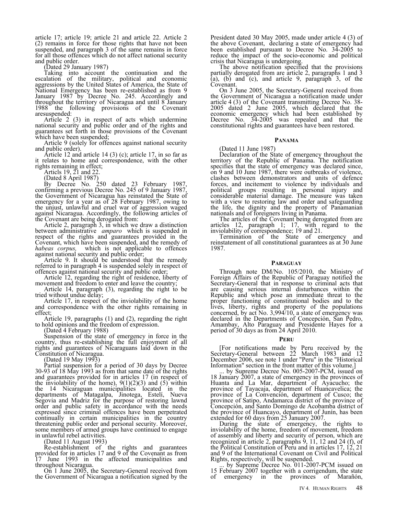article 17; article 19; article 21 and article 22. Article 2 (2) remains in force for those rights that have not been suspended, and paragraph 3 of the same remains in force for all those offences which do not affect national security and public order.

(Dated 29 January 1987)

Taking into account the continuation and the escalation of the military, political and economic aggressions by the United States of America, the State of National Emergency has been re-established as from 9 January 1987 by Decree No. 245. Accordingly and throughout the territory of Nicaragua and until 8 January 1988 the following provisions of the Covenant aresuspended:

Article 2 (3) in respect of acts which undermine national security and public order and of the rights and guarantees set forth in those provisions of the Covenant which have been suspended;

Article 9 (solely for offences against national security and public order).

Article 12 and article 14 (3) (c); article 17, in so far as it relates to home and correspondence, with the other rights remaining in effect;

Articls 19, 21 and 22.

(Dated 8 April 1987)

By Decree No. 250 dated 23 February 1987, confirming a previous Decree No. 245 of 9 January 1987, the Government of Nicaragua has reinstated the State of emergency for a year as of 28 February 1987, owing to the unjust, unlawful and cruel war of aggression waged against Nicaragua. Accordingly, the following articles of the Covenant are being derogated from:

Article 2, paragraph 3, in which we draw a distinction between administrative *amparo* which is suspended in respect of the rights and guarantees provided in the Covenant, which have been suspended, and the remedy of *habeas corpus,* which is not applicable to offences against national security and public order;

Article 9. It should be understood that the remedy referred to in paragraph 4 is suspended solely in respect of offences against national security and public order;

Article 12, regarding the right of residence, liberty of movement and freedom to enter and leave the country;

Article 14, paragraph (3), regarding the right to be tried without undue delay;

Article 17, in respect of the inviolability of the home and correspondence with the other rights remaining in effect;

Article 19, paragraphs (1) and (2), regarding the right to hold opinions and the freedom of expression.

(Dated 4 February 1988)

Suspension of the state of emergency in force in the country, thus re-establishing the full enjoyment of all rights and guarantees of Nicaraguans laid down in the Constitution of Nicaragua.

(Dated 19 May 1993)

Partial suspension for a period of 30 days by Decree 30-93 of 18 May 1993 as from that same date of the rights and guarantees provided for in articles 17 (in respect of the inviolability of the home),  $9(1)(2)(3)$  and  $(5)$  within the 14 Nicaraguan municipalities located in the departments of Matagalpa, Jinotega, Estelí, Nueva Segovia and Madriz for the purpose of restoring lawnd order and public safety in accordance with the needs expressed since criminal offences have been perpetrated continually in certain municipalities in the country threatening public order and personal security. Moreover, some members of armed groups have continued to engage in unlawful rebel activities.

(Dated 11 August 1993)

Re-establishment of the rights and guarantees provided for in articles 17 and 9 of the Covenant as from 17 June 1993 in the affected municipalities and throughout Nicaragua.

On 1 June 2005, the Secretary-General received from the Government of Nicaragua a notification signed by the President dated 30 May 2005, made under article 4 (3) of the above Covenant, declaring a state of emergency had been established pursuant to Decree No. 34-2005 to reduce the impact of the socio-economic and political crisis that Nicaragua is undergoing.

The above notification specified that the provisions partially derogated from are article 2, paragraphs 1 and 3  $(a)$ ,  $(b)$  and  $(c)$ , and article 9, paragraph 3, of the Covenant.

On 3 June 2005, the Secretary-General received from the Government of Nicaragua a notification made under article 4 (3) of the Covenant transmitting Decree No. 38- 2005 dated 2 June 2005, which declared that the economic emergency which had been established by Decree No. 34-2005 was repealed and that the constitutional rights and guarantees have been restored.

### **PANAMA**

(Dated 11 June 1987)

Declaration of the State of emergency throughout the territory of the Republic of Panama. The notification specifies that the state of emergency was declared since, on 9 and 10 June 1987, there were outbreaks of violence, clashes between demonstrators and units of defence forces, and incitement to violence by individuals and political groups resulting in personal injury and considerable material damage. The measure was taken with a view to restoring law and order and safeguarding the life, the dignity and the property of Panamanian nationals and of foreigners living in Panama.

The articles of the Covenant being derogated from are articles 12, paragraph 1; 17, with regard to the inviolability of correspondence; 19 and 21.

Termination of the State of emergency and reinstatement of all constitutional guarantees as at 30 June 1987.

### **PARAGUAY**

Through note DM/No. 105/2010, the Ministry of Foreign Affairs of the Republic of Paraguay notified the Secretary-General that in response to criminal acts that are causing serious internal disturbances within the Republic and which pose an immediate threat to the proper functioning of constitutional bodies and to the lives, liberty, rights and property of the populations concerned, by act No. 3,994/10, a state of emergency was declared in the Departments of Concepción, San Pedro, Amambay, Alto Paraguay and Presidente Hayes for a period of 30 days as from 24 April 2010.

## **PERU**

[For notifications made by Peru received by the Secretary-General between 22 March 1983 and 12 December 2006, see note 1 under "Peru" in the "Historical Information" section in the front matter of this volume.]

... by Supreme Decree No. 005-2007-PCM, issued on 18 January 2007, a state of emergency in the provinces of Huanta and La Mar, department of Ayacucho; the province of Tayacaja, department of Huancavelica; the province of La Convención, department of Cusco; the province of Satipo, Andamarca district of the province of Concepción, and Santo Domingo de Acobamba district of the province of Huancayo, department of Junín, has been extended for 60 days from 25 January 2007.

During the state of emergency, the rights to inviolability of the home, freedom of movement, freedom of assembly and liberty and security of person, which are recognized in article 2, paragraphs 9, 11, 12 and 24 (f), of the Political Constitution of Peru and in articles 17, 12, 21 and 9 of the International Covenant on Civil and Political Rights, respectively, will be suspended.

by Supreme Decree No. 011-2007-PCM issued on 15 February 2007 together with a corrigendum, the state of emergency in the provinces of Marañón,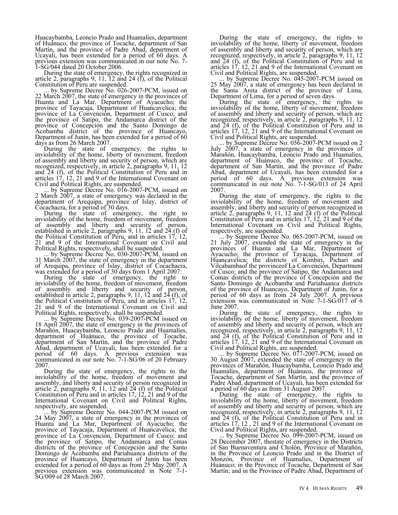Huacaybamba, Leoncio Prado and Huamalíes, department of Huánuco, the province of Tocache, department of San Martín, and the province of Padre Abad, department of Ucayali, has been extended for a period of 60 days. A previous extension was communicated in our note No. 7- 1-SG/044 dated 20 October 2006.

During the state of emergency, the rights recognized in article 2, paragraphs 9, 11, 12 and 24 (f), of the Political Constitution of Peru are suspended.

by Supreme Decree No. 026-2007-PCM, issued on 22 March 2007, the state of emergency in the provinces of Huanta and La Mar, Department of Ayacucho; the province of Tayacaja, Department of Huancavelica; the province of La Convención, Department of Cusco; and the province of Satipo, the Andamarca district of the province of Concepción and the Santo Domingo de Acobamba district of the province of Huancayo, Department of Junín, has been extended for a period of 60 days as from 26 March 2007.

During the state of emergency, the rights to inviolability of the home, liberty of movement, freedom of assembly and liberty and security of person, which are recognized, respectively, in article 2, paragraphs 9, 11, 12 and 24 (f), of the Political Constitution of Peru and in articles  $\hat{I}$ ,  $\hat{I}$ ,  $\hat{I}$ ,  $\hat{I}$  and 9 of the International Covenant on Civil and Political Rights, are suspended.

... by Supreme Decree No. 016-2007-PCM, issued on 2 March 2007, a state of emergency was declared in the department of Arequipa, province of Islay, district of Cocachacra, for a period of 30 days.

During the state of emergency, the right to inviolability of the home, freedom of movement, freedom of assembly and liberty and security of person, established in article 2, paragraphs 9, 11, 12 and 24 (f) of the Political Constitution of Peru, and in articles 17, 12, 21 and 9 of the International Covenant on Civil and Political Rights, respectively, shall be suspended.

... by Supreme Decree No. 030-2007-PCM, issued on 31 March 2007, the state of emergency in the department of Arequipa, province of Islay, district of Cocachacra, was extended for a period of 30 days from 1 April 2007.

During the state of emergency, the right to inviolability of the home, freedom of movement, freedom of assembly and liberty and security of person, established in article 2, paragraphs 9, 11, 12 and 24 (f), of the Political Constitution of Peru, and in articles 17, 12, 21 and 9 of the International Covenant on Civil and Political Rights, respectively, shall be suspended.

... by Supreme Decree No. 039-2007-PCM issued on 18 April 2007, the state of emergency in the provinces of Marañón, Huacaybamba, Leoncio Prado and Huamalíes, department of Huánuco, the province of Tocache, department of San Martín, and the province of Padre Abad, department of Ucayali, has been extended for a period of 60 days. A previous extension was communicated in our note No. 7-1-SG/06 of 20 February 2007.

During the state of emergency, the rights to the inviolability of the home, freedom of movement and assembly, and liberty and security of person recognized in article 2, paragraphs 9, 11, 12 and 24 (f) of the Political Constitution of Peru and in articles  $17$ ,  $12$ ,  $21$  and 9 of the International Covenant on Civil and Political Rights, respectively, are suspended.

by Supreme Decree No. 044-2007-PCM issued on 24 May 2007, a state of emergency in the provinces of Huanta and La Mar, Department of Ayacucho; the province of Tayacaja, Department of Huancavelica; the province of La Convención, Department of Cusco; and the province of Satipo, the Andamarca and Comas districts of the province of Concepción and the Santo Domingo de Acobamba and Pariahuanca districts of the province of Huancayo, Department of Junín has been extended for a period of 60 days as from 25 May 2007. A previous extension was communicated in Note 7-1- SG/009 of 28 March 2007.

During the state of emergency, the rights to inviolability of the home, liberty of movement, freedom of assembly and liberty and security of person, which are recognized, respectively, in article 2, paragraphs 9, 11, 12 and 24 (f), of the Political Constitution of Peru and in articles  $\hat{I}$ ,  $\hat{I}$ ,  $\hat{I}$ ,  $\hat{I}$  and 9 of the International Covenant on Civil and Political Rights, are suspended.

by Supreme Decree No. 045-2007-PCM issued on 25 May 2007, a state of emergency has been declared in the Santa Anita district of the province of Lima, Department of Lima, for a period of seven days.

During the state of emergency, the rights to inviolability of the home, liberty of movement, freedom of assembly and liberty and security of person, which are recognized, respectively, in article 2, paragraphs 9, 11, 12 and 24 (f), of the Political Constitution of Peru and in articles 17, 12, 21 and 9 of the International Covenant on Civil and Political Rights, are suspended.

... by Supreme Decree No. 056-2007-PCM issued on 2 July 2007, a state of emergency in the provinces of Marañón, Huacaybamba, Leoncio Prado and Huamalíes, department of Huánuco, the province of Tocache, department of San Martín, and the province of Padre Abad, department of Ucayali, has been extended for a period of 60 days. A previous extension was communicated in our note No. 7-1-SG/013 of 24 April 2007.

During the state of emergency, the rights to the inviolability of the home, freedom of movement and assembly, and liberty and security of person recognized in article 2, paragraphs 9, 11, 12 and 24 (f) of the Political Constitution of Peru and in articles  $17$ ,  $12$ ,  $21$  and 9 of the International Covenant on Civil and Political Rights, respectively, are suspended.

... by Supreme Decree No. 065-2007-PCM, issued on 21 July 2007, extended the state of emergency in the provinces of Huanta and La Mar, Department of Ayacucho; the province of Tayacaja, Department of Huancavelica; the districts of Kimbiri, Pichari and Vilcabambaof the provinceof La Convención, Department of Cusco; and the province of Satipo, the Andamarca and Comas districts of the province of Concepción and the Santo Domingo de Acobamba and Pariahuanca districts of the province of Huancayo, Department of Junín, for a period of 60 days as from 24 July 2007. A previous extension was communicated in Note 7-1-SG/017 of 6 June 2007.

During the state of emergency, the rights to inviolability of the home, liberty of movement, freedom of assembly and liberty and security of person, which are recognized, respectively, in article 2, paragraphs 9, 11, 12 and 24 (f), of the Political Constitution of Peru and in articles  $\hat{I}$ ,  $\hat{I}$ ,  $\hat{I}$ ,  $\hat{I}$  and 9 of the International Covenant on Civil and Political Rights, are suspended.

... by Supreme Decree No. 077-2007-PCM, issued on 30 August 2007, extended the state of emergency in the provinces of Marañón, Huacaybamba, Leoncio Prado and Huamalíes, department of Huánuco, the province of Tocache, department of San Martín, and the province of Padre Abad, department of Ucayali, has been extended for a period of 60 days as from 31 August 2007.

During the state of emergency, the rights to inviolability of the home, liberty of movement, freedom of assembly and liberty and security of person, which are recognized, respectively, in article 2, paragraphs 9, 11, 12 and 24 (f), of the Political Constitution of Peru and in articles  $\hat{17}$ ,  $\hat{12}$ ,  $\hat{21}$  and 9 of the International Covenant on Civil and Political Rights, are suspended.

... by Supreme Decree No. 099-2007-PCM, issued on 28 December 2007, thestate of emergency in the Districts of San Buenaventura and Cholón, Province of Marañón, in the Province of Leoncio Prado and in the District of Monzón, Province of Huamalíes, Department of Huánuco; in the Province of Tocache, Department of San Martín; and in the Province of Padre Abad, Department of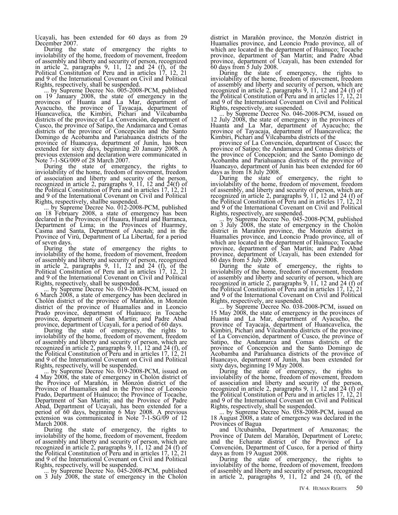Ucayali, has been extended for 60 days as from 29 December 2007.

During the state of emergency the rights to inviolability of the home, freedom of movement, freedom of assembly and liberty and security of person, recognized in article 2, paragraphs 9, 11, 12 and 24 (f), of the Political Constitution of Peru and in articles 17, 12, 21 and 9 of the International Covenant on Civil and Political Rights, respectively, shall be suspended.

by Supreme Decree No. 005-2008-PCM, published on 19 January 2008, the state of emergency in the provinces of Huanta and La Mar, department of Ayacucho, the province of Tayacaja, department of Huancavelica, the Kimbiri, Pichari and Vilcabamba districts of the province of La Convención, department of Cusco, the province of Satipo, the Andamarca and Comas districts of the province of Concepción and the Santo Domingo de Acobamba and Pariahuanca districts of the province of Huancaya, department of Junín, has been extended for sixty days, beginning 20 January 2008. A previous extension and declaration were communicated in Note 7-1-SG/009 of 28 March 2007.

During the state of emergency, the rights to inviolability of the home, freedom of movement, freedom of association and liberty and security of the person, recognized in article 2, paragraphs 9, 11, 12 and 24(f) of the Political Constitution of Peru and in articles 17, 12, 21 and 9 of the International Covenant on Civil and Political Rights, respectively, shallbe suspended.

by Supreme Decree No. 012-2008-PCM, published on 18 February 2008, a state of emergency has been declared in the Provinces of Huaura, Huaral and Barranca, Department of Lima; in the Provinces of Huarmey, Casma and Santa, Department of Ancash; and in the Province of Virú, Department of La Libertad, for a period of seven days.

During the state of emergency the rights to inviolability of the home, freedom of movement, freedom of assembly and liberty and security of person, recognized in article 2, paragraphs 9, 11, 12 and 24 (f), of the Political Constitution of Peru and in articles 17, 12, 21 and 9 of the International Covenant on Civil and Political Rights, respectively, shall be suspended.

... by Supreme Decree No. 019-2008-PCM, issued on 6 March 2008, a state of emergency has been declared in Cholón district of the province of Marañón, in Monzón district of the province of Huamalíes and in Leoncio Prado province, department of Huánuco; in Tocache province, department of San Martín; and Padre Abad province, department of Ucayali, for a period of 60 days.

During the state of emergency, the rights to inviolability of the home, freedom of movement, freedom of assembly and liberty and security of person, which are recognized in article 2, paragraphs 9, 11, 12 and 24 (f), of the Political Constitution of Peru and in articles 17, 12, 21 and 9 of the International Covenant on Civil and Political Rights, respectively, will be suspended.

... by Supreme Decree No. 019-2008-PCM, issued on 4 May 2008, the state of emergency in Cholón district of the Province of Marañón, in Monzón district of the Province of Huamalíes and in the Province of Leoncio Prado, Department of Huánuco; the Province of Tocache, Department of San Martín; and the Province of Padre Abad, Department of Ucayali, has been extended for a period of 60 days, beginning 6 May 2008. A previous extension was communicated in Note 7-1-SG/09 of 12 March 2008.

During the state of emergency, the rights to inviolability of the home, freedom of movement, freedom of assembly and liberty and security of person, which are recognized in article 2, paragraphs 9, 11, 12 and 24 (f) of the Political Constitution of Peru and in articles 17, 12, 21 and 9 of the International Covenant on Civil and Political Rights, respectively, will be suspended.

... by Supreme Decree No. 045-2008-PCM, published on 3 July 2008, the state of emergency in the Cholón district in Marañón province, the Monzón district in Huamalíes province, and Leoncio Prado province, all of which are located in the department of Huánuco; Tocache province, department of San Martín; and Padre Abad province, department of Ucayali, has been extended for 60 days from 5 July 2008.

During the state of emergency, the rights to inviolability of the home, freedom of movement, freedom of assembly and liberty and security of person, which are recognized in article 2, paragraphs 9, 11, 12 and 24 (f) of the Political Constitution of Peru and in articles 17, 12, 21 and 9 of the International Covenant on Civil and Political Rights, respectively, are suspended.

... by Supreme Decree No. 046-2008-PCM, issued on 12 July 2008, the state of emergency in the provinces of Huanta and La Mar, department of Ayacucho; the province of Tayacaja, department of Huancavelica; the Kimbiri, Pichari and Vilcabamba districts of the

province of La Convención, department of Cusco; the province of Satipo; the Andamarca and Comas districts of the province of Concepción; and the Santo Domingo de Acobamba and Pariahuanca districts of the province of Huancayo, department of Junín has been extended for 60 days as from 18 July 2008.

During the state of emergency, the right to inviolability of the home, freedom of movement, freedom of assembly, and liberty and security of person, which are recognized in article 2, paragraphs 9, 11, 12 and 24 (f) of the Political Constitution of Peru and in articles 17, 12, 21 and 9 of the International Covenant on Civil and Political Rights, respectively, are suspended.

... by Supreme Decree No. 045-2008-PCM, published on 3 July 2008, the state of emergency in the Cholón district in Marañón province, the Monzón district in Huamalíes province, and Leoncio Prado province, all of which are located in the department of Huánuco; Tocache province, department of San Martín; and Padre Abad province, department of Ucayali, has been extended for 60 days from 5 July 2008.

During the state of emergency, the rights to inviolability of the home, freedom of movement, freedom of assembly and liberty and security of person, which are recognized in article 2, paragraphs 9, 11, 12 and 24 (f) of the Political Constitution of Peru and in articles 17, 12, 21 and 9 of the International Covenant on Civil and Political Rights, respectively, are suspended.

by Supreme Decree No. 038-2008-PCM, issued on 15 May 2008, the state of emergency in the provinces of Huanta and La Mar, department of Ayacucho, the province of Tayacaja, department of Huancavelica, the Kimbiri, Pichari and Vilcabamba districts of the province of La Convención, department of Cusco, the province of Satipo, the Andamarca and Comas districts of the province of Concepción and the Santo Domingo de Acobamba and Pariahuanca districts of the province of Huancayo, department of Junín, has been extended for sixty days, beginning 19 May 2008.

During the state of emergency, the rights to inviolability of the home, freedom of movement, freedom of association and liberty and security of the person, recognized in article 2, paragraphs 9, 11, 12 and 24 (f) of the Political Constitution of Peru and in articles 17, 12, 21 and 9 of the International Covenant on Civil and Political Rights, respectively, shall be suspended.

... by Supreme Decree No. 058-2008-PCM, issued on 18 August 2008, a state of emergency was declared in the Provinces of Bagua

and Utcubamba, Department of Amazonas; the Province of Datem del Marañón, Department of Loreto; and the Echarate district of the Province of La Convención, Department of Cusco, for a period of thirty days as from 19 August 2008.

During the state of emergency, the rights to inviolability of the home, freedom of movement, freedom of assembly and liberty and security of person, recognized in article 2, paragraphs 9, 11, 12 and 24 (f), of the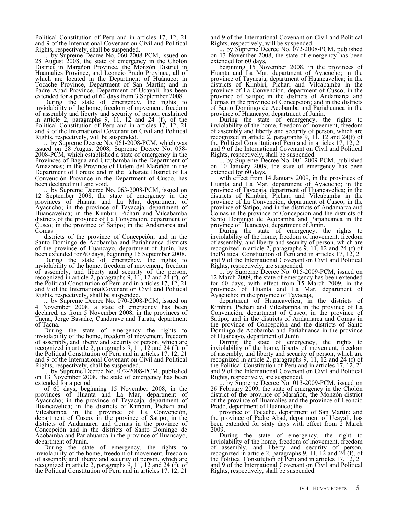Political Constitution of Peru and in articles 17, 12, 21 and 9 of the International Covenant on Civil and Political Rights, respectively, shall be suspended.

... by Supreme Decree No. 060-2008-PCM, issued on 28 August 2008, the state of emergency in the Cholón District in Marañón Province, the Monzón District in Huamalíes Province, and Leoncio Prado Province, all of which are located in the Department of Huánuco; in Tocache Province, Department of San Martín; and in Padre Abad Province, Department of Ucayali, has been extended for a period of 60 days from 3 September 2008.

During the state of emergency, the rights to inviolability of the home, freedom of movement, freedom of assembly and liberty and security of person enshrined in article 2, paragraphs 9, 11, 12 and 24 (f), of the Political Constitution of Peru and in articles 17, 12, 21 and 9 of the International Covenant on Civil and Political Rights, respectively, will be suspended.

... by Supreme Decree No. 061-2008-PCM, which was issued on 28 August 2008, Supreme Decree No. 058- 2008-PCM, which established a state of emergency in the Provinces of Bagua and Utcubamba in the Department of Amazonas; in the Province of Datem del Marañón in the Department of Loreto; and in the Echarate District of La Convención Province in the Department of Cusco, has been declared null and void.

by Supreme Decree No. 063-2008-PCM, issued on 12 September 2008, the state of emergency in the provinces of Huanta and La Mar, department of Ayacucho; in the province of Tayacaja, department of Huancavelica; in the Kimbiri, Pichari and Vilcabamba districts of the province of La Convención, department of Cusco; in the province of Satipo; in the Andamarca and Comas

districts of the province of Concepción; and in the Santo Domingo de Acobamba and Pariahuanca districts of the province of Huancayo, department of Junín, has been extended for 60 days, beginning 16 September 2008.

During the state of emergency, the rights to inviolability of the home, freedom of movement, freedom of assembly, and liberty and security of the person, recognized in article 2, paragraphs 9, 11, 12 and 24 (f), of the Political Constitution of Peru and in articles 17, 12, 21 and 9 of the InternationalCovenant on Civil and Political Rights, respectively, shall be suspended.

... by Supreme Decree No. 070-2008-PCM, issued on 4 November 2008, a state of emergency has been declared, as from 5 November 2008, in the provinces of Tacna, Jorge Basadre, Candarave and Tarata, department of Tacna.

During the state of emergency the rights to inviolability of the home, freedom of movement, freedom of assembly, and liberty and security of person, which are recognized in article 2, paragraphs 9, 11, 12 and 24 (f), of the Political Constitution of Peru and in articles 17, 12, 21 and 9 of the International Covenant on Civil and Political Rights, respectively, shall be suspended.

by Supreme Decree No. 072-2008-PCM, published on 13 November 2008, the state of emergency has been extended for a period

of 60 days, beginning 15 November 2008, in the provinces of Huanta and La Mar, department of Ayacucho; in the province of Tayacaja, department of Huancavelica; in the districts of Kimbiri, Pichari and Vilcabamba in the province of La Convención, department of Cusco; in the province of Satipo; in the districts of Andamarca and Comas in the province of Concepción and in the districts of Santo Domingo de Acobamba and Pariahuanca in the province of Huancayo, department of Junín.

During the state of emergency, the rights to inviolability of the home, freedom of movement, freedom of assembly and liberty and security of person, which are recognized in article 2, paragraphs 9, 11, 12 and 24 (f), of the Political Constitution of Peru and in articles 17, 12, 21

and 9 of the International Covenant on Civil and Political Rights, respectively, will be suspended.

by Supreme Decree No. 072-2008-PCM, published on 13 November 2008, the state of emergency has been extended for 60 days,

beginning 15 November 2008, in the provinces of Huanta and La Mar, department of Ayacucho; in the province of Tayacaja, department of Huancavelica; in the districts of Kimbiri, Pichari and Vilcabamba in the province of La Convención, department of Cusco; in the province of Satipo; in the districts of Andamarca and Comas in the province of Concepción; and in the districts of Santo Domingo de Acobamba and Pariahuanca in the province of Huancayo, department of Junín.

During the state of emergency, the rights to inviolability of the home, freedom of movement, freedom of assembly and liberty and security of person, which are recognized in article 2, paragraphs 9, 11, 12 and 24(f) of the Political Constitutionof Peru and in articles 17, 12, 21 and 9 of the International Covenant on Civil and Political Rights, respectively, shall be suspended.

by Supreme Decree No. 001-2009-PCM, published on 10 January 2009, the state of emergency has been extended for 60 days,

with effect from 14 January 2009, in the provinces of Huanta and La Mar, department of Ayacucho; in the province of Tayacaja, department of Huancavelica; in the districts of Kimbiri, Pichari and Vilcabamba in the province of La Convención, department of Cusco; in the province of Satipo; and in the districts of Andamarca and Comas in the province of Concepción and the districts of Santo Domingo de Acobamba and Pariahuanca in the province of Huancayo, department of Junín.

During the state of emergency, the rights to inviolability of the home, freedom of movement, freedom of assembly, and liberty and security of person, which are recognized in article 2, paragraphs 9, 11, 12 and 24 (f) of thePolitical Constitution of Peru and in articles 17, 12, 21 and 9 of the International Covenant on Civil and Political Rights, respectively, are suspended.

... by Supreme Decree No. 015-2009-PCM, issued on 12 March 2009, the state of emergency has been extended for 60 days, with effect from 15 March 2009, in the provinces of Huanta and La Mar, department of Ayacucho; in the province of Tayacaja,

department of Huancavelica; in the districts of Kimbiri, Pichari and Vilcabamba in the province of La Convención, department of Cusco; in the province of Satipo; and in the districts of Andamarca and Comas in the province of Concepción and the districts of Santo Domingo de Acobamba and Pariahuanca in the province of Huancayo, department of Junín.

During the state of emergency, the rights to inviolability of the home, liberty of movement, freedom of assembly, and liberty and security of person, which are recognized in article 2, paragraphs 9, 11, 12 and 24 (f) of the Political Constitution of Peru and in articles 17, 12, 21 and 9 of the International Covenant on Civil and Political Rights, respectively, are suspended.

... by Supreme Decree No. 013-2009-PCM, issued on 26 February 2009, the state of emergency in the Cholón district of the province of Marañón, the Monzón district of the province of Huamalíes and the province of Leoncio Prado, department of Huánuco; the

province of Tocache, department of San Martín; and the province of Padre Abad, department of Ucayali, has been extended for sixty days with effect from 2 March 2009.

During the state of emergency, the right to inviolability of the home, freedom of movement, freedom of assembly, and liberty and security of person, recognized in article 2, paragraphs 9, 11, 12 and 24 (f), of the Political Constitution of Peru and in articles 17, 12, 21 and 9 of the International Covenant on Civil and Political Rights, respectively, shall be suspended.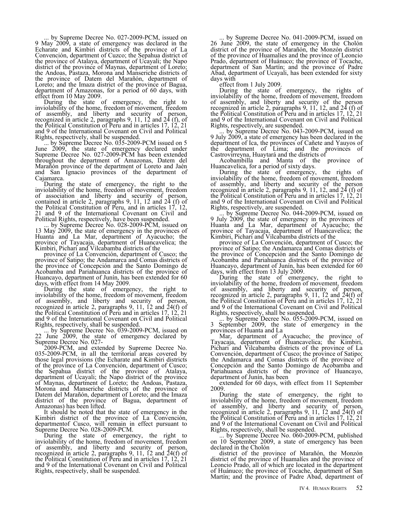... by Supreme Decree No. 027-2009-PCM, issued on 9 May 2009, a state of emergency was declared in the Echarate and Kimbiri districts of the province of La Convención, department of Cuzco; the Sepahua district of the province of Atalaya, department of Ucayali; the Napo district of the province of Maynas, department of Loreto; the Andoas, Pastaza, Morona and Manseriche districts of the province of Datem del Marañón, department of Loreto; and the Imaza district of the province of Bagua, department of Amazonas, for a period of 60 days, with effect from 10 May 2009.

During the state of emergency, the right to inviolability of the home, freedom of movement, freedom of assembly, and liberty and security of person, recognized in article 2, paragraphs 9, 11, 12 and 24 (f), of the Political Constitution of Peru and in articles 17, 12, 21 and 9 of the International Covenant on Civil and Political Rights, respectively, shall be suspended.

... by Supreme Decree No. 035-2009-PCM issued on 5 June 2009, the state of emergency declared under Supreme Decree No. 027-2009-PCM has been extended throughout the department of Amazonas, Datem del Marañón province of the department of Loreto and Jaén and San Ignacio provinces of the department of Cajamarca.

During the state of emergency, the right to the inviolability of the home, freedom of movement, freedom of association and liberty and security of person, contained in article 2, paragraphs 9, 11, 12 and 24 (f) of the Political Constitution of Peru, and in articles 17, 12, 21 and 9 of the International Covenant on Civil and Political Rights, respectively, have been suspended.

by Supreme Decree No. 028-2009-PCM, issued on 13 May 2009, the state of emergency in the provinces of Huanta and La Mar, department of Ayacucho; the province of Tayacaja, department of Huancavelica; the Kimbiri, Pichari and Vilcabamba districts of the

province of La Convención, department of Cusco; the province of Satipo; the Andamarca and Comas districts of the province of Concepción and the Santo Domingo de Acobamba and Pariahuanca districts of the province of Huancayo, department of Junín, has been extended for 60 days, with effect from 14 May 2009.

During the state of emergency, the right to inviolability of the home, freedom of movement, freedom of assembly, and liberty and security of person, recognized in article 2, paragraphs 9, 11, 12 and 24(f) of the Political Constitution of Peru and in articles 17, 12, 21 and 9 of the International Covenant on Civil and Political Rights, respectively, shall be suspended.

by Supreme Decree No. 039-2009-PCM, issued on 22 June 2009, the state of emergency declared by Supreme Decree No. 027-

2009-PCM, and extended by Supreme Decree No. 035-2009-PCM, in all the territorial areas covered by those legal provisions (the Echarate and Kimbiri districts of the province of La Convención, department of Cusco; the Sepahua district of the province of Atalaya, department of Ucayali; the Napo district of the province of Maynas, department of Loreto; the Andoas, Pastaza, Morona and Manseriche districts of the province of Datem del Marañón, department of Loreto; and the Imaza district of the province of Bagua, department of Amazonas) has been lifted.

It should be noted that the state of emergency in the Kimbiri district of the province of La Convención, departmentof Cusco, will remain in effect pursuant to Supreme Decree No. 028-2009-PCM.

During the state of emergency, the right to inviolability of the home, freedom of movement, freedom of assembly, and liberty and security of person, recognized in article 2, paragraphs 9, 11, 12 and 24(f) of the Political Constitution of Peru and in articles 17, 12, 21 and 9 of the International Covenant on Civil and Political Rights, respectively, shall be suspended.

... by Supreme Decree No. 041-2009-PCM, issued on 26 June 2009, the state of emergency in the Cholón district of the province of Marañón, the Monzón district of the province of Huamalíes and the province of Leoncio Prado, department of Huánuco; the province of Tocache, department of San Martín; and the province of Padre Abad, department of Ucayali, has been extended for sixty days with

effect from 1 July 2009.

During the state of emergency, the rights of inviolability of the home, freedom of movement, freedom of assembly, and liberty and security of the person recognized in article 2, paragraphs 9, 11, 12, and 24 (f) of the Political Constitution of Peru and in articles 17, 12, 21 and 9 of the International Covenant on Civil and Political Rights, respectively, are suspended.

... by Supreme Decree No. 043-2009-PCM, issued on 9 July 2009, a state of emergency has been declared in the department of Ica, the provinces of Cañete and Yauyos of the department of Lima; and the provinces of Castrovirreyna, Huaytará and the districts of

Acobambilla and Manta of the province of Huancavelica, for a period of sixty days.

During the state of emergency, the rights of inviolability of the home, freedom of movement, freedom of assembly, and liberty and security of the person recognized in article 2, paragraphs 9, 11, 12, and 24 (f) of the Political Constitution of Peru and in articles 17, 12, 21 and 9 of the International Covenant on Civil and Political Rights, respectively, are suspended.

... by Supreme Decree No. 044-2009-PCM, issued on 9 July 2009, the state of emergency in the provinces of Huanta and La Mar, department of Ayacucho; the province of Tayacaja, department of Huancavelica; the Kimbiri, Pichari and Vilcabamba districts of the

province of La Convención, department of Cusco; the province of Satipo; the Andamarca and Comas districts of the province of Concepción and the Santo Domingo de Acobamba and Pariahuanca districts of the province of Huancayo, department of Junín, has been extended for 60 days, with effect from 13 July 2009.

During the state of emergency, the right to inviolability of the home, freedom of movement, freedom of assembly, and liberty and security of person, recognized in article 2, paragraphs 9, 11, 12 and 24(f) of the Political Constitution of Peru and in articles 17, 12, 21 and 9 of the International Covenant on Civil and Political Rights, respectively, shall be suspended.

... by Supreme Decree No. 055-2009-PCM, issued on 3 September 2009, the state of emergency in the provinces of Huanta and La

Mar, department of Ayacucho; the province of Tayacaja, department of Huancavelica; the Kimbiri, Pichari and Vilcabamba districts of the province of La Convención, department of Cusco; the province of Satipo; the Andamarca and Comas districts of the province of Concepción and the Santo Domingo de Acobamba and Pariahuanca districts of the province of Huancayo, department of Junín, has been

extended for 60 days, with effect from 11 September 2009.

During the state of emergency, the right to inviolability of the home, freedom of movement, freedom of assembly, and liberty and security of person, recognized in article 2, paragraphs 9, 11, 12 and 24(f) of the Political Constitution of Peru and in articles 17, 12, 21 and 9 of the International Covenant on Civil and Political Rights, respectively, shall be suspended.

... by Supreme Decree No. 060-2009-PCM, published on 10 September 2009, a state of emergency has been declared in the Cholón

district of the province of Marañón, the Monzón district of the province of Huamalíes and the province of Leoncio Prado, all of which are located in the department of Huánuco; the province of Tocache, department of San Martín; and the province of Padre Abad, department of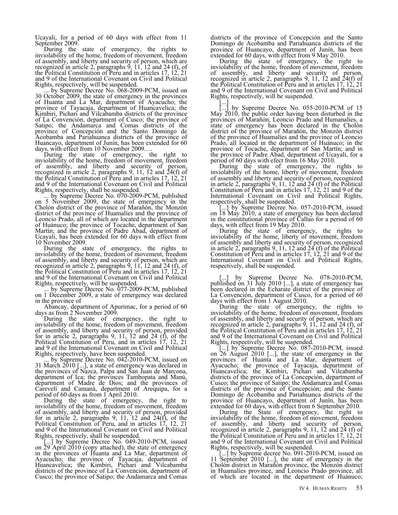Ucayali, for a period of 60 days with effect from 11 September 2009.

During the state of emergency, the rights to inviolability of the home, freedom of movement, freedom of assembly, and liberty and security of person, which are recognized in article 2, paragraphs 9, 11, 12 and 24 (f), of the Political Constitution of Peru and in articles 17, 12, 21 and 9 of the International Covenant on Civil and Political Rights, respectively, will be suspended.

by Supreme Decree No. 068-2009-PCM, issued on 30 October 2009, the state of emergency in the provinces of Huanta and La Mar, department of Ayacucho; the province of Tayacaja, department of Huancavelica; the Kimbiri, Pichari and Vilcabamba districts of the province of La Convención, department of Cusco; the province of Satipo; the Andamarca and Comas districts of the province of Concepción and the Santo Domingo de Acobamba and Pariahuanca districts of the province of Huancayo, department of Junín, has been extended for 60 days, with effect from 10 November 2009.…

During the state of emergency, the right to inviolability of the home, freedom of movement, freedom of assembly, and liberty and security of person, recognized in article 2, paragraphs 9, 11, 12 and 24(f) of the Political Constitution of Peru and in articles 17, 12, 21 and 9 of the International Covenant on Civil and Political Rights, respectively, shall be suspended.

... by Supreme Decree No. 070-2009-PCM, published on 5 November 2009, the state of emergency in the Cholón district of the province of Marañón, the Monzón district of the province of Huamalíes and the province of Leoncio Prado, all of which are located in the department of Huánuco; the province of Tocache, department of San Martín; and the province of Padre Abad, department of Ucayali, has been extended for 60 days with effect from 10 November 2009.

During the state of emergency, the rights to inviolability of the home, freedom of movement, freedom of assembly, and liberty and security of person, which are recognized in article 2, paragraphs 9, 11, 12 and 24 (f), of the Political Constitution of Peru and in articles 17, 12, 21 and 9 of the International Covenant on Civil and Political Rights, respectively, will be suspended.

by Supreme Decree No. 077-2009-PCM, published on 1 December 2009, a state of emergency was declared in the province of

Abancay, department of Apurimac, for a period of 60 days as from 2 November 2009.

During the state of emergency, the right to inviolability of the home, freedom of movement, freedom of assembly, and liberty and security of person, provided for in article 2, paragraphs 9, 11, 12 and 24 (f), of the Political Constitution of Peru, and in articles 17, 12, 21 and 9 of the International Covenant on Civil and Political Rights, respectively, have been suspended.

... by Supreme Decree No. 042-2010-PCM, issued on 31 March 2010 [...], a state of emergency was declared in the provinces of Nazca, Palpa and San Juan de Marcona, department of Ica; the provinces Tambopata and Manú, department of Madre de Dios; and the provinces of Carevelí and Camaná, department of Arequipa, for a period of 60 days as from 1 April 2010.

During the state of emergency, the right to inviolability of the home, freedom of movement, freedom of assembly, and liberty and security of person, provided for in article 2, paragraphs 9, 11, 12 and 24(f), of the Political Constitution of Peru, and in articles 17, 12, 21 and 9 of the International Covenant on Civil and Political Rights, respectively, shall be suspended.

[...] by Supreme Decree No. 049-2010-PCM, issued on 29 April 2010 (copy attached), the state of emergency in the provinces of Huanta and La Mar, department of Ayacucho; the province of Tayacaja, department of Huancavelica; the Kimbiri, Pichari and Vilcabamba districts of the province of La Convención, department of Cusco; the province of Satipo; the Andamarca and Comas districts of the province of Concepción and the Santo Domingo de Acobamba and Pariahuanca districts of the province of Huancayo, department of Junín, has been extended for 60 days, with effect from 9 May 2010.

During the state of emergency, the right to inviolability of the home, freedom of movement, freedom of assembly, and liberty and security of person, recognized in article 2, paragraphs 9, 11, 12 and 24(f) of the Political Constitution of Peru and in articles 17, 12, 21 and 9 of the International Covenant on Civil and Political Rights, respectively, will be suspended.

[...]

by Supreme Decree No. 055-2010-PCM of 15 May 2010, the public order having been disturbed in the provinces of Marañón, Leoncio Prado and Humanalíes, a state of emergency has been declared in the Cholón district of the province of Marañón, the Monzón district of the province of Huamalíes and the province of Leoncio Prado, all located in the department of Huánuco; in the province of Tocache, department of San Martín; and in the province of Padre Abad, department of Ucayali, for a period of 60 days with efect from 16 May 2010.

During the state of emergency, the rights to inviolability of the home, liberty of movement, freedom of assembly and liberty and security of person, recognized in article 2, paragraphs 9, 11, 12 and 24 (f) of the Political Constitution of Peru and in articles 17, 12, 21 and 9 of the International Covenant on Civil and Political Rights, respectively, shall be suspended.

...] by Supreme Decree No. 057-2010-PCM, issued on 18 May 2010, a state of emergency has been declared in the constitutional province of Callao for a period of 60 days, with effect from 19 May 2010.

During the state of emergency, the rights to inviolability of the home, liberty of movement, freedom of assembly and liberty and security of person, recognized in article 2, paragraphs 9, 11, 12 and 24 (f) of the Political Constitution of Peru and in articles 17, 12, 21 and 9 of the International Covenant on Civil and Political Rights, respectively, shall be suspended.

[...] by Supreme Decree No. 078-2010-PCM, published on 31 July 2010 [...], a state of emergency has been declared in the Echarate district of the province of La Convención, department of Cusco, for a period of 60 days with effect from 1 August 2010.

During the state of emergency, the rights to inviolability of the home, freedom of movement, freedom of assembly, and liberty and security of person, which are recognized in article 2, paragraphs 9, 11, 12 and 24 (f), of the Political Constitution of Peru and in articles 17, 12, 21 and 9 of the International Covenant on Civil and Political Rights, respectively, will be suspended.

[...] by Supreme Decree No. 087-2010-PCM, issued on 26 August 2010 [...], the state of emergency in the provinces of Huanta and La Mar, department of Ayacucho; the province of Tayacaja, department of Huancavelica; the Kimbiri, Pichari and Vilcabamba districts of the province of La Concepción, department of Cusco; the province of Satipo; the Andamarca and Comas districts of the province of Concepción; and the Santo Domingo de Acobamba and Pariahuanca districts of the province of Huancayo, department of Junín, has been extended for 60 days, with effect from 6 September 2010.

During the State of emergency, the right to inviolability of the home, freedom of movement, freedom of assembly, and liberty and security of person, recognized in article 2, paragraphs 9, 11, 12 and 24 (f) of the Political Constitution of Peru and in articles 17, 12, 21 and 9 of the International Covenant on Civil and Political Rights, respectively, will be suspended.

[...] by Supreme decree No. 091-2010-PCM, issued on 11 September 2010 [...], the state of emergency in the Cholón district in Marañón province, the Monzón district in Huamalíes province, and Leoncio Prado province, all of which are located in the department of Huánuco;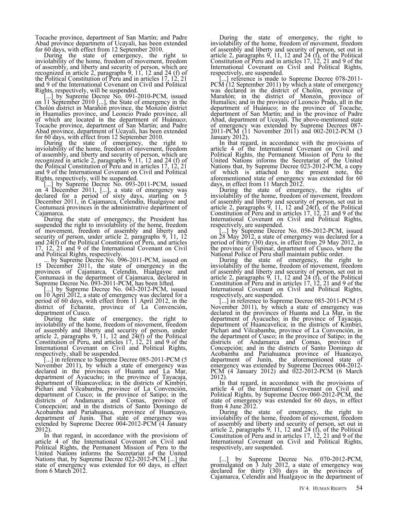Tocache province, department of San Martín; and Padre Abad province departmetn of Ucayali, has been extended for 60 days, with effect from 12 September 2010.

During the state of emergency, the right to inviolability of the home, freedom of movement, freedom of assembly, and liberty and security of person, which are recognized in article 2, paragraphs 9, 11, 12 and 24 (f) of the Political Constitution of Peru and in articles 17, 12, 21 and 9 of the International Covenant on Civil and Political Rights, respectively, will be suspended.

[...] by Supreme Decree No. 091-2010-PCM, issued on 11 September 2010 [...], the State of emergency in the Cholón district in Marañón province, the Monzón district in Huamalíes province, and Leoncio Prado province, all of which are located in the department of Huánuco; Tocache province, department of San Martín; and Padre Abad province, department of Ucayali, has been extended for 60 days, with effect from 12 September 2010.

During the state of emergency, the right to inviolability of the home, freedom of movement, freedom of assembly, and liberty and security of person, which are recognized in article 2, paragraphs 9, 11, 12 and 24 (f) of the Political Constitution of Peru and in articles 17, 12, 21 and 9 of the International Covenant on Civil and Political Rights, respectively, will be suspended.

[...] by Supreme Decree No. 093-2011-PCM, issued on 4 December 2011, [...], a state of emergency was declared for a period of sixty days, starting on 5 December 2011, in Cajamarca, Celendín, Hualgayoc and Contumazá provinces in the administrative department of Cajamarca.

During the state of emergency, the President has suspended the right to inviolability of the home, freedom of movement, freedom of assembly and liberty and security of person, under article 2, paragraphs 9, 11, 12 and 24(f) of the Political Constitution of Peru, and articles 17, 12, 21 and 9 of the International Covenant on Civil and Political Rights, respectively.

by Supreme Decree No. 096-2011-PCM, issued on 15 December 2011, the state of emergency in the provinces of Cajamarca, Celendín, Hualgayoc and Contumazá in the department of Cajamarca, declared in Supreme Decree No. 093-2011-PCM, has been lifted.

...] by Supreme Decree No. 043-2012-PCM, issued on 10 April 2012, a state of emergency was declared for a period of 60 days, with effect from 11 April 2012, in the district of Echarate, province of La Convención, department of Cusco.

During the state of emergency, the right to inviolability of the home, freedom of movement, freedom of assembly and liberty and security of person, under article 2, paragraphs 9, 11, 12 and 24(f) of the Political Constitution of Peru, and articles 17, 12, 21 and 9 of the International Covenant on Civil and Political Rights, respectively, shall be suspended.

[...] in reference to Supreme Decree 085-2011-PCM (5) November 2011), by which a state of emergency was declared in the provinces of Huanta and La Mar, department of Ayacucho; in the province of Tayacaja, department of Huancavelica; in the districts of Kimbiri, Pichari and Vilcabamba, province of La Convención, department of Cusco; in the province of Satipo; in the districts of Andamarca and Comas, province of Concepción; and in the districts of Santo Domingo de Acobamba and Pariahuanca, province of Huancayo, department of Junín. That state of emergency was extended by Supreme Decree 004-2012-PCM (4 January 2012).

In that regard, in accordance with the provisions of article 4 of the International Covenant on Civil and Political Rights, the Permanent Mission of Peru to the United Nations informs the Secretariat of the United Nations that, by Supreme Decree 022-2012-PCM [...] the state of emergency was extended for 60 days, in effect from 6 March 2012.

During the state of emergency, the right to inviolability of the home, freedom of movement, freedom of assembly and liberty and security of person, set out in article 2, paragraphs 9, 11, 12 and 24 (f), of the Political Constitution of Peru and in articles  $17$ ,  $12$ ,  $21$  and  $9$  of the International Covenant on Civil and Political Rights, respectively, are suspended.

[...] reference is made to Supreme Decree 078-2011-PCM (12 September 2011) by which a state of emergency was declared in the district of Cholón, province of Marañón; in the district of Monzón, province of Humalíes; and in the province of Leoncio Prado, all in the department of Huánuco; in the province of Tocache, department of San Martín; and in the province of Padre Abad, department of Ucayali. The above-mentioned state of emergency was extended by Supreme Decrees 087- 2011-PCM (11 November 2011) and 002-2012-PCM (3 January 2012).

In that regard, in accordance with the provisions of article 4 of the International Covenant on Civil and Political Rights, the Permanent Mission of Peru to the United Nations informs the Secretariat of the United Nations that, by Supreme Decree 023-2012-PCM, a copy of which is attached to the present note, the aforementioned state of emergency was extended for 60 days, in effect from 11 March 2012.

During the state of emergency, the rights of inviolability of the home, freedom of movement, freedom of assembly and liberty and security of person, set out in article 2, paragraphs 9, 11, 12 and 24(f), of the Political Constitution of Peru and in articles  $17$ ,  $12$ ,  $21$  and  $9$  of the International Covenant on Civil and Political Rights, respectively, are suspended.

[...] by Supreme Decree No. 056-2012-PCM, issued on 28 May 2012, a state of emergency was declared for a period of thirty (30) days, in effect from 29 May 2012, in the province of Espinar, department of Cusco, where the National Police of Peru shall maintain public order.

During the state of emergency, the right to inviolability of the home, freedom of movement, freedom of assembly and liberty and security of person, set out in article 2, paragraphs 9, 11, 12 and 24 (f), of the Political Constitution of Peru and in articles  $17$ ,  $12$ ,  $21$  and  $9$  of the International Covenant on Civil and Political Rights, respectively, are suspended.

[...] in reference to Supreme Decree 085-2011-PCM (5 November 2011), by which a state of emergency was declared in the provinces of Huanta and La Mar, in the department of Ayacucho; in the province of Tayacaja, department of Huancavelica; in the districts of Kimbiri, Pichari and Vilcabamba, province of La Convención, in the department of Cusco; in the province of Satipo; in the districts of Andamarca and Comas, province of Concepción; and in the districts of Santo Domingo de Acobamba and Pariahuanca province of Huancayo, department of Junín, the aforementioned state of emergency was extended by Supreme Decrees 004-2012- PCM (4 January 2012) and 022-2012-PCM (6 March 2012).

In that regard, in accordance with the provisions of article 4 of the International Covenant on Civil and Political Rights, by Supreme Decree 060-2012-PCM, the state of emergency was extended for 60 days, in effect from 4 June 2012.

During the state of emergency, the right to inviolability of the home, freedom of movement, freedom of assembly and liberty and security of person, set out in article 2, paragraphs 9, 11, 12 and 24 (f), of the Political Constitution of Peru and in articles  $17$ ,  $12$ ,  $21$  and  $9$  of the International Covenant on Civil and Political Rights, respectively, are suspended.

[...] by Supreme Decree No. 070-2012-PCM, promulgated on 3 July 2012, a state of emergency was declared for thirty (30) days in the provinces of Cajamarca, Celendín and Hualgayoc in the department of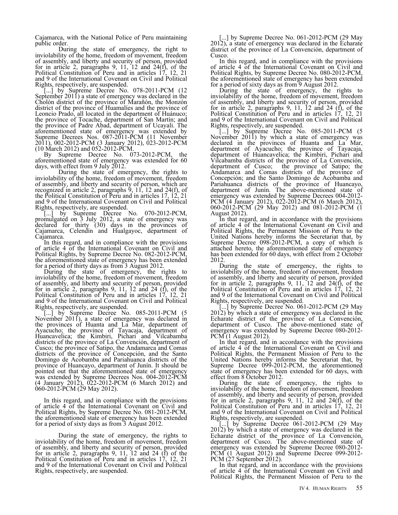Cajamarca, with the National Police of Peru maintaining public order.

During the state of emergency, the right to inviolability of the home, freedom of movement, freedom of assembly, and liberty and security of person, provided for in article 2, paragraphs 9, 11, 12 and 24(f), of the Political Constitution of Peru and in articles 17, 12, 21 and 9 of the International Covenant on Civil and Political Rights, respectively, are suspended.

[...] by Supreme Decree No. 078-2011-PCM (12 September 2011) a state of emergency was declared in the Cholón district of the province of Marañón, the Monzón district of the province of Huamalíes and the province of Leoncio Prado, all located in the department of Huánuco; the province of Tocache, department of San Martín; and the province of Padre Abad, department of Ucayali. The aforementioned state of emergency was extended by Supreme Decrees Nos. 087-2011-PCM (11 November 2011), 002-2012-PCM (3 January 2012), 023-2012-PCM (10 March 2012) and 052-2012-PCM.

By Supreme Decree No. 073-2012-PCM, the aforementioned state of emergency was extended for 60 days, with effect from 9 July 2012.

During the state of emergency, the rights to inviolability of the home, freedom of movement, freedom of assembly, and liberty and security of person, which are recognized in article 2, paragraphs 9, 11, 12 and 24(f), of the Political Constitution of Peru and in articles 17, 12, 21 and 9 of the International Covenant on Civil and Political Rights, respectively, are suspended.

[...] by Supreme Decree No. 070-2012-PCM, promulgated on 3 July 2012, a state of emergency was declared for thirty (30) days in the provinces of Cajamarca, Celendín and Hualgayoc, department of Cajamarca.

In this regard, and in compliance with the provisions of article 4 of the International Covenant on Civil and Political Rights, by Supreme Decree No. 082-2012-PCM, the aforementioned state of emergency has been extended for a period of thirty days as from 3 August 2012.

During the state of emergency, the rights to inviolability of the home, freedom of movement, freedom of assembly, and liberty and security of person, provided for in article 2, paragraphs 9, 11, 12 and 24 (f), of the Political Constitution of Peru and in articles 17, 12, 21 and 9 of the International Covenant on Civil and Political Rights, respectively, are suspended.

[...] by Supreme Decree No. 085-2011-PCM (5 November 2011), a state of emergency was declared in the provinces of Huanta and La Mar, department of Ayacucho; the province of Tayacaja, department of Huancavelica; the Kimbiri, Pichari and Vilcabamba districts of the province of La Convención, department of Cusco; the province of Satipo, the Andamarca and Comas districts of the province of Concepción, and the Santo Domingo de Acobamba and Pariahuanca districts of the province of Huancayo, department of Junín. It should be pointed out that the aforementioned state of emergency was extended by Supreme Decrees Nos. 004-2012-PCM (4 January 2012), 022-2012-PCM (6 March 2012) and 060-2012-PCM (29 May 2012).

In this regard, and in compliance with the provisions of article 4 of the International Covenant on Civil and Political Rights, by Supreme Decree No. 081-2012-PCM, the aforementioned state of emergency has been extended for a period of sixty days as from 3 August 2012.

During the state of emergency, the rights to inviolability of the home, freedom of movement, freedom of assembly, and liberty and security of person, provided for in article 2, paragraphs 9, 11, 12 and 24 (f) of the Political Constitution of Peru and in articles 17, 12, 21 and 9 of the International Covenant on Civil and Political Rights, respectively, are suspended.

[...] by Supreme Decree No. 061-2012-PCM (29 May 2012), a state of emergency was declared in the Echarate district of the province of La Convención, department of Cusco.

In this regard, and in compliance with the provisions of article 4 of the International Covenant on Civil and Political Rights, by Supreme Decree No. 080-2012-PCM, the aforementioned state of emergency has been extended for a period of sixty days as from 9 August 2012.

During the state of emergency, the rights to inviolability of the home, freedom of movement, freedom of assembly, and liberty and security of person, provided for in article 2, paragraphs 9, 11, 12 and 24 (f), of the Political Constitution of Peru and in articles 17, 12, 21 and 9 of the International Covenant on Civil and Political Rights, respectively, are suspended.

[...] by Supreme Decree No. 085-2011-PCM (5 November 2011) by which a state of emergency was declared in the provinces of Huanta and La Mar, department of Ayacucho; the province of Tayacaja, department of Huancavelica; the Kimbiri, Pichari and Vilcabamba districts of the province of La Convención, department of Cusco; the province of Satipo; the Andamarca and Comas districts of the province of Concepción; and the Santo Domingo de Acobamba and Pariahuanca districts of the province of Huancayo, department of Junín. The above-mentioned state of emergency was extended by Supreme Decrees 004-2012- PCM (4 January 2012), 022-2012-PCM (6 March 2012), 060-2012-PCM (29 May 2012) and 081-2012-PCM (1 August 2012).

In that regard, and in accordance with the provisions of article 4 of the International Covenant on Civil and Political Rights, the Permanent Mission of Peru to the United Nations hereby informs the Secretariat that, by Supreme Decree 098-2012-PCM, a copy of which is attached hereto, the aforementioned state of emergency has been extended for 60 days, with effect from 2 October 2012.

During the state of emergency, the rights to inviolability of the home, freedom of movement, freedom of assembly, and liberty and security of person, provided for in article 2, paragraphs 9, 11, 12 and 24(f), of the Political Constitution of Peru and in articles 17, 12, 21 and 9 of the International Covenant on Civil and Political Rights, respectively, are suspended.

[...] by Supreme Decree No. 061-2012-PCM (29 May 2012) by which a state of emergency was declared in the Echarate district of the province of La Convención, department of Cusco. The above-mentioned state of emergency was extended by Supreme Decree 080-2012- PCM (1 August 2012).

In that regard, and in accordance with the provisions of article 4 of the International Covenant on Civil and Political Rights, the Permanent Mission of Peru to the United Nations hereby informs the Secretariat that, by Supreme Decree 099-2012-PCM, the aforementioned state of emergency has been extended for 60 days, with effect from 8 October 2012.

During the state of emergency, the rights to inviolability of the home, freedom of movement, freedom of assembly, and liberty and security of person, provided for in article 2, paragraphs 9, 11, 12 and 24(f), of the Political Constitution of Peru and in articles 17, 12, 21 and 9 of the International Covenant on Civil and Political Rights, respectively, are suspended.

[...] by Supreme Decree 061-2012-PCM (29 May 2012) by which a state of emergency was declared in the Echarate district of the province of La Convención, department of Cusco. The above-mentioned state of emergency was extended by Supreme Decree 080-2012- PCM (1 August 2012) and Supreme Decree 099-2012- PCM (27 September 2012).

In that regard, and in accordance with the provisions of article 4 of the International Covenant on Civil and Political Rights, the Permanent Mission of Peru to the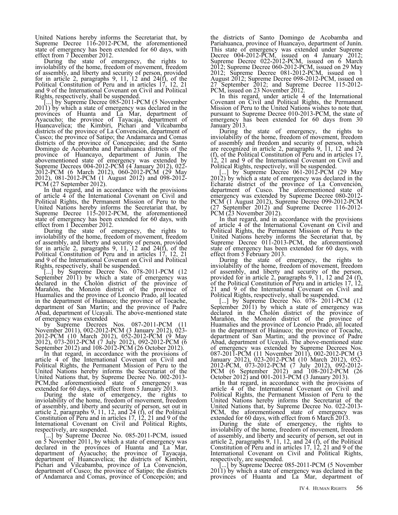United Nations hereby informs the Secretariat that, by Supreme Decree 116-2012-PCM, the aforementioned state of emergency has been extended for 60 days, with effect from 7 December 2012.

During the state of emergency, the rights to inviolability of the home, freedom of movement, freedom of assembly, and liberty and security of person, provided for in article 2, paragraphs 9, 11, 12 and 24(f), of the Political Constitution of Peru and in articles 17, 12, 21 and 9 of the International Covenant on Civil and Political Rights, respectively, shall be suspended.

[...] by Supreme Decree 085-2011-PCM (5 November 2011) by which a state of emergency was declared in the provinces of Huanta and La Mar, department of Ayacucho; the province of Tayacaja, department of Huancavelica; the Kimbiri, Pichari and Vilcabamba districts of the province of La Convención, department of Cusco; the province of Satipo; the Andamarca and Comas districts of the province of Concepción; and the Santo Domingo de Acobamba and Pariahuanca districts of the province of Huancayo, department of Junín. The abovementioned state of emergency was extended by Supreme Decrees 004-2012-PCM (4 January 2012), 022- 2012-PCM (6 March 2012), 060-2012-PCM (29 May 2012), 081-2012-PCM (1 August 2012) and 098-2012- PCM (27 September 2012).

In that regard, and in accordance with the provisions of article 4 of the International Covenant on Civil and Political Rights, the Permanent Mission of Peru to the United Nations hereby informs the Secretariat that, by Supreme Decree 115-2012-PCM, the aforementioned state of emergency has been extended for 60 days, with effect from 1 December 2012.

During the state of emergency, the rights to inviolability of the home, freedom of movement, freedom of assembly, and liberty and security of person, provided for in article 2, paragraphs  $9$ ,  $11$ ,  $12$  and  $24(f)$ , of the Political Constitution of Peru and in articles 17, 12, 21 and 9 of the International Covenant on Civil and Political Rights, respectively, shall be suspended.

[...] by Supreme Decree No. 078-2011-PCM (12 September 2011) by which a state of emergency was declared in the Cholón district of the province of Marañón, the Monzón district of the province of Huamalíes and the province of Leoncio Prado, all located in the department of Huánuco; the province of Tocache, department of San Martín; and the province of Padre Abad, department of Ucayali. The above-mentioned state of emergency was extended

by Supreme Decrees Nos. 087-2011-PCM (11 November 2011), 002-2012-PCM (3 January 2012), 023- 2012-PCM (10 March 2012), 052-2012-PCM (9 May 2012), 073-2012-PCM (7 July 2012), 092-2012-PCM (6 September 2012) and 108-2012-PCM (26 October 2012).

In that regard, in accordance with the provisions of article 4 of the International Covenant on Civil and Political Rights, the Permanent Mission of Peru to the United Nations hereby informs the Secretariat of the United Nations that, by Supreme Decree No. 002-2013- PCM, the aforementioned state of emergency was extended for 60 days, with effect from 5 January 2013.

During the state of emergency, the rights to inviolability of the home, freedom of movement, freedom of assembly, and liberty and security of person, set out in article 2, paragraphs 9, 11, 12, and 24 (f), of the Political Constitution of Peru and in articles 17, 12, 21 and 9 of the International Covenant on Civil and Political Rights, respectively, are suspended.

[...] by Supreme Decree No. 085-2011-PCM, issued on 5 November 2011, by which a state of emergency was declared in the provinces of Huanta and La Mar, department of Ayacucho; the province of Tayacaja, department of Huancavelica; the districts of Kimbiri, Pichari and Vilcabamba, province of La Convención, department of Cusco; the province of Satipo; the districts of Andamarca and Comas, province of Concepción; and the districts of Santo Domingo de Acobamba and Pariahuanca, province of Huancayo, department of Junín. This state of emergency was extended under Supreme Decree 004-2012-PCM, issued on 4 January 2012; Supreme Decree 022-2012-PCM, issued on  $\ddot{6}$  March 2012; Supreme Decree 060-2012-PCM, issued on 29 May 2012; Supreme Decree 081-2012-PCM, issued on 1 August 2012; Supreme Decree 098-2012-PCM, issued on 27 September 2012; and Supreme Decree 115-2012- PCM, issued on 23 November 2012.

In this regard, under article 4 of the International Covenant on Civil and Political Rights, the Permanent Mission of Peru to the United Nations wishes to note that, pursuant to Supreme Decree 010-2013-PCM, the state of emergency has been extended for 60 days from 30 January 2013.

During the state of emergency, the rights to inviolability of the home, freedom of movement, freedom of assembly and freedom and security of person, which are recognized in article 2, paragraphs 9, 11, 12 and 24 (f), of the Political Constitution of Peru and in articles 17, 12, 21 and 9 of the International Covenant on Civil and Political Rights, respectively, will be suspended.

[...] by Supreme Decree 061-2012-PCM (29 May 2012) by which a state of emergency was declared in the Echarate district of the province of La Convención, department of Cusco. The aforementioned state of emergency was extended by Supreme Decree 080-2012- PCM (1 August 2012), Supreme Decree 099-2012-PCM (27 September 2012) and Supreme Decree 116-2012- PCM (23 November 2012).

In that regard, and in accordance with the provisions of article 4 of the International Covenant on Civil and Political Rights, the Permanent Mission of Peru to the United Nations hereby informs the Secretariat that, by Supreme Decree 011-2013-PCM, the aforementioned state of emergency has been extended for 60 days, with effect from 5 February 2013.

During the state of emergency, the rights to inviolability of the home, freedom of movement, freedom of assembly, and liberty and security of the person, provided for in article 2, paragraphs 9, 11, 12 and 24 (f), of the Political Constitution of Peru and in articles 17, 12, 21 and 9 of the International Covenant on Civil and Political Rights, respectively, shall be suspended.

[...] by Supreme Decree No. 078- 2011-PCM (12 September 2011) by which a state of emergency was declared in the Cholón district of the province of Marañón, the Monzón district of the province of Huamalies and the province of Leoncio Prado, all located in the department of Huánuco; the province of Tocache, department of San Martin; and the province of Padre Abad, department of Ucayali. The above-mentioned state of emergency was extended by Supreme Decrees Nos. 087-2011-PCM (11 November 2011), 002-2012-PCM (3 January 2012), 023-2012-PCM (10 March 2012), 052- 2012-PCM, 073-2012-PCM (7 July 2012), 092-2012- PCM (6 September 2012) and 108-2012-PCM (26 October 2012) and 001-2013-PCM (3 January 2013).

In that regard, in accordance with the provisions of article 4 of the International Covenant on Civil and Political Rights, the Permanent Mission of Peru to the United Nations hereby informs the Secretariat of the United Nations that, by Supreme Decree No. 022-2013- PCM, the aforementioned state of emergency was extended for 60 days, with effect from 6 March 2013.

During the state of emergency, the rights to inviolability of the home, freedom of movement, freedom of assembly, and liberty and security of person, set out in article 2, paragraphs 9, 11, 12, and 24 (f), of the Political Constitution of Peru and in articles 17, 12, 21 and 9 of the International Covenant on Civil and Political Rights, respectively, are suspended.

[...] by Supreme Decree 085-2011-PCM (5 November 2011) by which a state of emergency was declared in the provinces of Huanta and La Mar, department of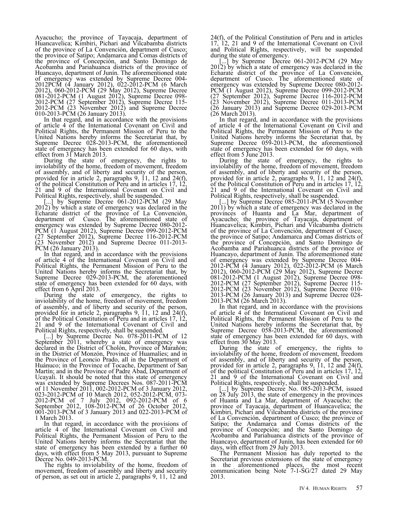Ayacucho; the province of Tayacaja, department of Huancavelica; Kimbiri, Pichari and Vilcabamba districts of the province of La Convención, department of Cusco; the province of Satipo; Andamarca and Comas districts of the province of Concepción, and Santo Domingo de Acobamba and Pariahuanca districts of the province of Huancayo, department of Junín. The aforementioned state of emergency was extended by Supreme Decree 004- 2012PCM (4 January 2012), 022-2012-PCM (6 March 2012), 060-2012-PCM (29 May 2012), Supreme Decree 081-2012-PCM (1 August 2012), Supreme Decree 098- 2012-PCM (27 September 2012), Supreme Decree 115- 2012-PCM (23 November 2012) and Supreme Decree 010-2013-PCM (26 January 2013).

In that regard, and in accordance with the provisions of article 4 of the International Covenant on Civil and Political Rights, the Permanent Mission of Peru to the United Nations hereby informs the Secretariat that, by Supreme Decree 028-2013-PCM, the aforementioned state of emergency has been extended for 60 days, with effect from 31 March 2013.

During the state of emergency, the rights to inviolability of the home, freedom of movement, freedom of assembly, and of liberty and security of the person, provided for in article 2, paragraphs 9, 11, 12 and 24(f), of the political Constitution of Peru and in articles 17, 12, 21 and 9 of the International Covenant on Civil and Political Rights, respectively, shall be suspended.

[...] by Supreme Decree 061-2012-PCM (29 May 2012) by which a state of emergency was declared in the Echarate district of the province of La Convención, department of Cusco. The aforementioned state of emergency was extended by Supreme Decree 080-2012- PCM (1 August 2012), Supreme Decree 099-2012-PCM (27 September 2012), Supreme Decree 116-2012-PCM  $(23$  November 2012) and Supreme Decree 011-2013-PCM (26 January 2013).

In that regard, and in accordance with the provisions of article 4 of the International Covenant on Civil and Political Rights, the Permanent Mission of Peru to the United Nations hereby informs the Secretariat that, by Supreme Decree 029-2013-PCM, the aforementioned state of emergency has been extended for 60 days, with effect from 6 April 2013.

During the state of emergency, the rights to inviolability of the home, freedom of movement, freedom of assembly, and of liberty and security of the person, provided for in article 2, paragraphs 9, 11, 12 and 24(f), of the Political Constitution of Peru and in articles 17, 12, 21 and 9 of the International Covenant of Civil and Political Rights, respectively, shall be suspended.

[...] by Supreme Decree No. 078-2011-PCM of 12 September 2011, whereby a state of emergency was declared in the District of Cholón, Province of Marañón; in the District of Monzón, Province of Huamalíes; and in the Province of Leoncio Prado, all in the Department of Huánuco; in the Province of Tocache, Department of San Martín; and in the Province of Padre Abad, Department of Ucayali. It should be noted that this state of emergency was extended by Supreme Decrees Nos. 087-2011-PCM of 11 November 2011, 002-2012-PCM of 3 January 2012, 023-2012-PCM of 10 March 2012, 052-2012-PCM, 073- 2012-PCM of 7 July 2012, 092-2012-PCM of 6 September 2012, 108-2012-PCM of 26 October 2012, 001-2013-PCM of 3 January 2013 and 022-2013-PCM of 1 March 2013.

In that regard, in accordance with the provisions of article 4 of the International Covenant on Civil and Political Rights, the Permanent Mission of Peru to the United Nations hereby informs the Secretariat that the state of emergency has been extended by a further 60 days, with effect from 5 May 2013, pursuant to Supreme Decree No. 049-2013-PCM.

The rights to inviolability of the home, freedom of movement, freedom of assembly and liberty and security of person, as set out in article 2, paragraphs 9, 11, 12 and

24(f), of the Political Constitution of Peru and in articles 17, 12, 21 and 9 of the International Covenant on Civil and Political Rights, respectively, will be suspended during the state of emergency.

[...] by Supreme Decree 061-2012-PCM (29 May 2012) by which a state of emergency was declared in the Echarate district of the province of La Convención, department of Cusco. The aforementioned state of emergency was extended by Supreme Decree 080-2012- PCM (1 August 2012), Supreme Decree 099-2012-PCM (27 September 2012), Supreme Decree 116-2012-PCM (23 November 2012), Supreme Decree 011-2013-PCM (26 January 2013) and Supreme Decree 029-2013-PCM (26 March 2013).

In that regard, and in accordance with the provisions of article 4 of the International Covenant on Civil and Political Rights, the Permanent Mission of Peru to the United Nations hereby informs the Secretariat that, by Supreme Decree 059-2013-PCM, the aforementioned state of emergency has been extended for 60 days, with effect from 5 June 2013.

During the state of emergency, the rights to inviolability of the home, freedom of movement, freedom of assembly, and of liberty and security of the person, provided for in article 2, paragraphs 9, 11, 12 and 24(f), of the Political Constitution of Peru and in articles 17, 12, 21 and 9 of the International Covenant on Civil and Political Rights, respectively, shall be suspended.

[...] by Supreme Decree 085-2011-PCM (5 November 2011) by which a state of emergency was declared in the provinces of Huanta and La Mar, department of Ayacucho; the province of Tayacaja, department of Huancavelica; Kimbiri, Pichari and Vilcabamba districts of the province of La Convención, department of Cusco; the province of Satipo; Andamarca and Comas districts of the province of Concepción, and Santo Domingo de Acobamba and Pariahuanca districts of the province of Huancayo, department of Junín. The aforementioned state of emergency was extended by Supreme Decree 004- 2012-PCM (4 January 2012), 022-2012-PCM (6 March 2012), 060-2012-PCM (29 May 2012), Supreme Decree 081-2012-PCM (1 August 2012), Supreme Decree 098- 2012-PCM (27 September 2012), Supreme Decree 115- 2012-PCM (23 November 2012), Supreme Decree 010- 2013-PCM (26 January 2013) and Supreme Decree 028- 2013-PCM (26 March 2013).

In that regard, and in accordance with the provisions of article 4 of the International Covenant on Civil and Political Rights, the Permanent Mission of Peru to the United Nations hereby informs the Secretariat that, by Supreme Decree 058-2013-PCM, the aforementioned state of emergency has been extended for 60 days, with effect from 30 May 2013.

During the state of emergency, the rights to inviolability of the home, freedom of movement, freedom of assembly, and of liberty and security of the person, provided for in article 2, paragraphs 9, 11, 12 and 24(f), of the political Constitution of Peru and in articles 17, 12, 21 and 9 of the International Covenant on Civil and Political Rights, respectively, shall be suspended.

[...] by Supreme Decree No. 085-2013-PCM, issued on 28 July 2013, the state of emergency in the provinces of Huanta and La Mar, department of Ayacucho; the province of Tayacaja, department of Huancavelica; the Kimbiri, Pichari and Vilcabamba districts of the province of La Convención, department of Cusco; the province of Satipo; the Andamarca and Comas districts of the province of Concepción; and the Santo Domingo de Acobamba and Pariahuanca districts of the province of Huancayo, department of Junín, has been extended for 60 days, with effect from 29 July 2013.

The Permanent Mission has duly reported to the Secretariat previous extensions of the state of emergency in the aforementioned places, the most recent communication being Note 7-1-SG/27 dated 29 May 2013.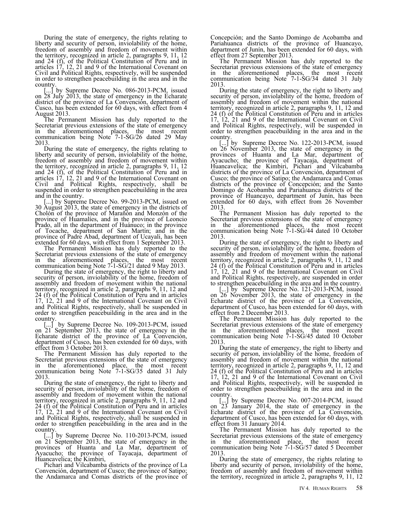During the state of emergency, the rights relating to liberty and security of person, inviolability of the home, freedom of assembly and freedom of movement within the territory, recognized in article 2, paragraphs 9, 11, 12 and 24 (f), of the Political Constitution of Peru and in articles  $\hat{I}$ ,  $\hat{I}$ ,  $\hat{I}$ ,  $\hat{I}$  and 9 of the International Covenant on Civil and Political Rights, respectively, will be suspended in order to strengthen peacebuilding in the area and in the country.

[...] by Supreme Decree No. 086-2013-PCM, issued on 28 July 2013, the state of emergency in the Echarate district of the province of La Convención, department of Cusco, has been extended for 60 days, with effect from 4 August 2013.

The Permanent Mission has duly reported to the Secretariat previous extensions of the state of emergency in the aforementioned places, the most recent communication being Note 7-1-SG/26 dated 29 May 2013.

During the state of emergency, the rights relating to liberty and security of person, inviolability of the home, freedom of assembly and freedom of movement within the territory, recognized in article 2, paragraphs 9, 11, 12 and 24 (f), of the Political Constitution of Peru and in articles  $\hat{I}$ ,  $\hat{I}$ ,  $\hat{I}$ ,  $\hat{I}$  and 9 of the International Covenant on Civil and Political Rights, respectively, shall be suspended in order to strengthen peacebuilding in the area and in the country.

[...] by Supreme Decree No. 99-2013-PCM, issued on 30 August 2013, the state of emergency in the districts of Cholón of the province of Marañón and Monzón of the province of Huamalíes, and in the province of Leoncio Prado, all in the department of Huánuco; in the province of Tocache, department of San Martín; and in the province of Padre Abad, department of Ucayali, has been extended for 60 days, with effect from 1 September 2013.

The Permanent Mission has duly reported to the Secretariat previous extensions of the state of emergency<br>in the aforementioned places, the most recent in the aforementioned places, the most recent communication being Note 7-1-SG/21 dated 9 May 2013.

During the state of emergency, the right to liberty and security of person, inviolability of the home, freedom of assembly and freedom of movement within the national territory, recognized in article 2, paragraphs 9, 11, 12 and 24 (f) of the Political Constitution of Peru and in articles 17, 12, 21 and 9 of the International Covenant on Civil and Political Rights, respectively, shall be suspended in order to strengthen peacebuilding in the area and in the country.

[...] by Supreme Decree No. 109-2013-PCM, issued on 21 September 2013, the state of emergency in the Echarate district of the province of La Convención, department of Cusco, has been extended for 60 days, with effect from 3 October 2013.

The Permanent Mission has duly reported to the Secretariat previous extensions of the state of emergency in the aforementioned place, the most recent communication being Note 7-1-SG/35 dated 31 July 2013.

During the state of emergency, the right to liberty and security of person, inviolability of the home, freedom of assembly and freedom of movement within the national territory, recognized in article 2, paragraphs 9, 11, 12 and 24 (f) of the Political Constitution of Peru and in articles 17, 12, 21 and 9 of the International Covenant on Civil and Political Rights, respectively, shall be suspended in order to strengthen peacebuilding in the area and in the country.

[...] by Supreme Decree No. 110-2013-PCM, issued on 21 September 2013, the state of emergency in the provinces of Huanta and La Mar, department of Ayacucho; the province of Tayacaja, department of Huancavelica; the Kimbiri,

Pichari and Vilcabamba districts of the province of La Convención, department of Cusco; the province of Satipo; the Andamarca and Comas districts of the province of Concepción; and the Santo Domingo de Acobamba and Pariahuanca districts of the province of Huancayo, department of Junín, has been extended for 60 days, with effect from 27 September 2013.

The Permanent Mission has duly reported to the Secretariat previous extensions of the state of emergency in the aforementioned places, the most recent communication being Note 7-1-SG/34 dated 31 July 2013.

During the state of emergency, the right to liberty and security of person, inviolability of the home, freedom of assembly and freedom of movement within the national territory, recognized in article 2, paragraphs 9, 11, 12 and 24 (f) of the Political Constitution of Peru and in articles 17, 12, 21 and 9 of the International Covenant on Civil and Political Rights, respectively, will be suspended in order to strengthen peacebuilding in the area and in the country.

[...] by Supreme Decree No. 122-2013-PCM, issued on 26 November 2013, the state of emergency in the provinces of Huanta and La Mar, department of Ayacucho; the province of Tayacaja, department of Huancavelica; the Kimbiri, Pichari and Vilcabamba districts of the province of La Convención, department of Cusco; the province of Satipo; the Andamarca and Comas districts of the province of Concepción; and the Santo Domingo de Acobamba and Pariahuanca districts of the province of Huancayo, department of Junín, has been extended for 60 days, with effect from 26 November 2013.

The Permanent Mission has duly reported to the Secretariat previous extensions of the state of emergency in the aforementioned places, the most recent communication being Note 7-1-SG/44 dated 10 October 2013.

During the state of emergency, the right to liberty and security of person, inviolability of the home, freedom of assembly and freedom of movement within the national territory, recognized in article 2, paragraphs 9, 11, 12 and 24 (f) of the Political Constitution of Peru and in articles 17, 12, 21 and 9 of the International Covenant on Civil and Political Rights, respectively, are suspended in order to strengthen peacebuilding in the area and in the country.

[...] by Supreme Decree No. 121-2013-PCM, issued on 26 November 2013, the state of emergency in the Echarate district of the province of La Convención, department of Cusco, has been extended for 60 days, with effect from 2 December 2013.

The Permanent Mission has duly reported to the Secretariat previous extensions of the state of emergency in the aforementioned places, the most recent communication being Note 7-1-SG/45 dated 10 October 2013.

During the state of emergency, the right to liberty and security of person, inviolability of the home, freedom of assembly and freedom of movement within the national territory, recognized in article 2, paragraphs 9, 11, 12 and 24 (f) of the Political Constitution of Peru and in articles 17, 12, 21 and 9 of the International Covenant on Civil and Political Rights, respectively, will be suspended in order to strengthen peacebuilding in the area and in the country.

[...] by Supreme Decree No. 007-2014-PCM, issued on 23 January 2014, the state of emergency in the Echarate district of the province of La Convención, department of Cusco, has been extended for 60 days, with effect from 31 January 2014.

The Permanent Mission has duly reported to the Secretariat previous extensions of the state of emergency in the aforementioned place, the most recent communication being Note 7-1-SG/57 dated 5 December 2013.

During the state of emergency, the rights relating to liberty and security of person, inviolability of the home, freedom of assembly and freedom of movement within the territory, recognized in article 2, paragraphs 9, 11, 12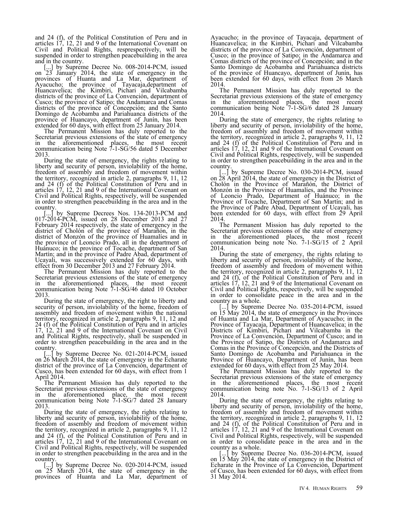and 24 (f), of the Political Constitution of Peru and in articles  $\hat{I}$ ,  $\hat{I}$ ,  $\hat{I}$ ,  $\hat{I}$  and 9 of the International Covenant on Civil and Political Rights, resprespectively, will be suspended in order to strengthen peacebuilding in the area and in the country.

[...] by Supreme Decree No. 008-2014-PCM, issued on 23 January 2014, the state of emergency in the provinces of Huanta and La Mar, department of Ayacucho; the province of Tayacaja,department of Huancavelica; the Kimbiri, Pichari and Vilcabamba districts of the province of La Convención, department of Cusco; the province of Satipo; the Andamarca and Comas districts of the province of Concepción; and the Santo Domingo de Acobamba and Pariahuanca districts of the province of Huancayo, department of Junín, has been extended for 60 days, with effect from 25 January 2014.

The Permanent Mission has duly reported to the Secretariat previous extensions of the state of emergency in the aforementioned places, the most recent communication being Note 7-1-SG/56 dated 5 December 2013.

During the state of emergency, the rights relating to liberty and security of person, inviolability of the home, freedom of assembly and freedom of movement within the territory, recognized in article 2, paragraphs 9, 11, 12 and 24 (f) of the Political Constitution of Peru and in articles 17, 12, 21 and 9 of the International Covenant on Civil and Political Rights, respectively, will be suspended in order to strengthen peacebuilding in the area and in the country.

[...] by Supreme Decrees Nos. 134-2013-PCM and 017-2014-PCM, issued on 28 December 2013 and 27 February 2014 respectively, the state of emergency in the district of Cholón of the province of Marañón, in the district of Monzón of the province of Huamalíes and in the province of Leoncio Prado, all in the department of Huánuco; in the province of Tocache, department of San Martín; and in the province of Padre Abad, department of Ucayali, was successively extended for 60 days, with effect from 30 December 2013 and 27 February 2014.

The Permanent Mission has duly reported to the Secretariat previous extensions of the state of emergency in the aforementioned places, the most recent communication being Note 7-1-SG/46 dated 10 October 2013.

During the state of emergency, the right to liberty and security of person, inviolability of the home, freedom of assembly and freedom of movement within the national territory, recognized in article 2, paragraphs 9, 11, 12 and 24 (f) of the Political Constitution of Peru and in articles 17, 12, 21 and 9 of the International Covenant on Civil and Political Rights, respectively, shall be suspended in order to strengthen peacebuilding in the area and in the country.

[...] by Supreme Decree No. 021-2014-PCM, issued on 26 March 2014, the state of emergency in the Echarate district of the province of La Convención, department of Cusco, has been extended for 60 days, with effect from 1 April 2014.

The Permanent Mission has duly reported to the Secretariat previous extensions of the state of emergency in the aforementioned place, the most recent communication being Note 7-1-SG/7 dated 28 January 2013.

During the state of emergency, the rights relating to liberty and security of person, inviolability of the home, freedom of assembly and freedom of movement within the territory, recognized in article 2, paragraphs 9, 11, 12 and 24 (f), of the Political Constitution of Peru and in articles  $\hat{I}$ ,  $\hat{I}$ ,  $\hat{I}$ ,  $\hat{I}$  and 9 of the International Covenant on Civil and Political Rights, respectively, will be suspended in order to strengthen peacebuilding in the area and in the country.

[...] by Supreme Decree No. 020-2014-PCM, issued on 25 March 2014, the state of emergency in the provinces of Huanta and La Mar, department of

Ayacucho; in the province of Tayacaja, department of Huancavelica; in the Kimbiri, Pichari and Vilcabamba districts of the province of La Convención, department of Cusco; in the province of Satipo; in the Andamarca and Comas districts of the province of Concepción; and in the Santo Domingo de Acobamba and Pariahuanca districts of the province of Huancayo, department of Junín, has been extended for 60 days, with effect from 26 March 2014.

The Permanent Mission has duly reported to the Secretariat previous extensions of the state of emergency in the aforementioned places, the most recent communication being Note 7-1-SG/6 dated 28 January 2014.

During the state of emergency, the rights relating to liberty and security of person, inviolability of the home, freedom of assembly and freedom of movement within the territory, recognized in article 2, paragraphs 9, 11, 12 and 24 (f) of the Political Constitution of Peru and in articles 17, 12, 21 and 9 of the International Covenant on Civil and Political Rights, respectively, will be suspended in order to strengthen peacebuilding in the area and in the country.

[...] by Supreme Decree No. 030-2014-PCM, issued on 28 April 2014, the state of emergency in the District of Cholón in the Province of Marañón, the District of Monzón in the Province of Huamalíes, and the Province of Leoncio Prado, Department of Huánuco; in the Province of Tocache, Department of San Martín; and in the Province of Padre Abad, Department of Ucayali, has been extended for 60 days, with effect from 29 April 2014.

The Permanent Mission has duly reported to the Secretariat previous extensions of the state of emergency in the aforementioned places, the most recent communication being note No. 7-1-SG/15 of 2 April 2014.

During the state of emergency, the rights relating to liberty and security of person, inviolability of the home, freedom of assembly and freedom of movement within the territory, recognized in article 2, paragraphs 9, 11, 12 and 24 (f), of the Political Constitution of Peru and in articles  $\hat{I}$ ,  $\hat{I}$ ,  $\hat{I}$ ,  $\hat{I}$  and 9 of the International Covenant on Civil and Political Rights, respectively, will be suspended in order to consolidate peace in the area and in the country as a whole.

[...] by Supreme Decree No. 035-2014-PCM, issued on 15 May 2014, the state of emergency in the Provinces of Huanta and La Mar, Department of Ayacucho; in the Province of Tayacaja, Department of Huancavelica; in the Districts of Kimbiri, Pichari and Vilcabamba in the Province of La Convención, Department of Cusco; and in the Province of Satipo, the Districts of Andamarca and Comas in the Province of Concepción, and the Districts of Santo Domingo de Acobamba and Pariahuanca in the Province of Huancayo, Department of Junín, has been extended for 60 days, with effect from 25 May 2014.

The Permanent Mission has duly reported to the Secretariat previous extensions of the state of emergency in the aforementioned places, the most recent communication being note No. 7-1-SG/13 of 2 April 2014.

During the state of emergency, the rights relating to liberty and security of person, inviolability of the home, freedom of assembly and freedom of movement within the territory, recognized in article 2, paragraphs 9, 11, 12 and 24 (f), of the Political Constitution of Peru and in articles  $\hat{I}$ ,  $\hat{I}$ ,  $\hat{I}$ ,  $\hat{I}$  and 9 of the International Covenant on Civil and Political Rights, respectively, will be suspended in order to consolidate peace in the area and in the country as a whole.

[...] by Supreme Decree No. 036-2014-PCM, issued on 15 May 2014, the state of emergency in the District of Echarate in the Province of La Convención, Department of Cusco, has been extended for 60 days, with effect from 31 May 2014.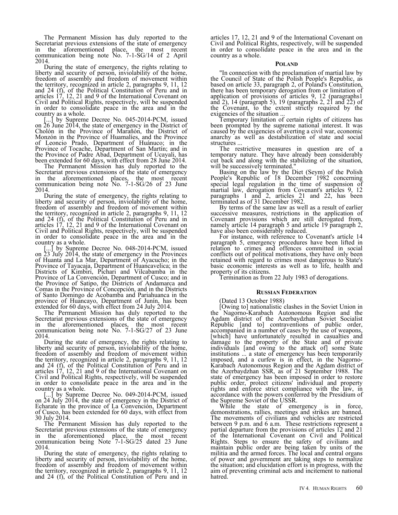The Permanent Mission has duly reported to the Secretariat previous extensions of the state of emergency in the aforementioned place, the most recent communication being note No. 7-1-SG/14 of 2 April 2014.

During the state of emergency, the rights relating to liberty and security of person, inviolability of the home, freedom of assembly and freedom of movement within the territory, recognized in article 2, paragraphs 9, 11, 12 and 24 (f), of the Political Constitution of Peru and in articles  $\hat{I}$ ,  $\hat{I}$ ,  $\hat{I}$ ,  $\hat{I}$  and 9 of the International Covenant on Civil and Political Rights, respectively, will be suspended in order to consolidate peace in the area and in the country as a whole.

[...] by Supreme Decree No. 045-2014-PCM, issued on 26 June 2014, the state of emergency in the District of Cholón in the Province of Marañón, the District of Monzón in the Province of Huamalíes, and the Province of Leoncio Prado, Department of Huánuco; in the Province of Tocache, Department of San Martín; and in the Province of Padre Abad, Department of Ucayali, has been extended for 60 days, with effect from 28 June 2014.

The Permanent Mission has duly reported to the Secretariat previous extensions of the state of emergency in the aforementioned places, the most recent communication being note No. 7-1-SG/26 of 23 June 2014.

During the state of emergency, the rights relating to liberty and security of person, inviolability of the home, freedom of assembly and freedom of movement within the territory, recognized in article 2, paragraphs 9, 11, 12 and 24 (f), of the Political Constitution of Peru and in articles  $\hat{I}$ ,  $\hat{I}$ ,  $\hat{I}$ ,  $\hat{I}$  and 9 of the International Covenant on Civil and Political Rights, respectively, will be suspended in order to consolidate peace in the area and in the country as a whole.

[...] by Supreme Decree No. 048-2014-PCM, issued on 23 July 2014, the state of emergency in the Provinces of Huanta and La Mar, Department of Ayacucho; in the Province of Tayacaja, Department of Huancavelica; in the Districts of Kimbiri, Pichari and Vilcabamba in the Province of La Convención, Department of Cusco; and in the Province of Satipo, the Districts of Andamarca and Comas in the Province of Concepción, and in the Districts of Santo Domingo de Acobamba and Pariahuanca in the province of Huancayo, Department of Junín, has been extended for 60 days, with effect from 24 July 2014.

The Permanent Mission has duly reported to the Secretariat previous extensions of the state of emergency in the aforementioned places, the most recent communication being note No. 7-1-SG/27 of 23 June 2014.

During the state of emergency, the rights relating to liberty and security of person, inviolability of the home, freedom of assembly and freedom of movement within the territory, recognized in article 2, paragraphs 9, 11, 12 and 24 (f), of the Political Constitution of Peru and in articles  $\hat{I}$ ,  $\hat{I}$ ,  $\hat{I}$ ,  $\hat{I}$  and 9 of the International Covenant on Civil and Political Rights, respectively, will be suspended in order to consolidate peace in the area and in the country as a whole.

[...] by Supreme Decree No. 049-2014-PCM, issued on 24 July 2014, the state of emergency in the District of Echarate in the province of La Convención, Department of Cusco, has been extended for 60 days, with effect from 30 July 2014.

The Permanent Mission has duly reported to the Secretariat previous extensions of the state of emergency in the aforementioned place, the most recent communication being Note 7-1-SG/25 dated 23 June 2014.

During the state of emergency, the rights relating to liberty and security of person, inviolability of the home, freedom of assembly and freedom of movement within the territory, recognized in article 2, paragraphs 9, 11, 12 and 24 (f), of the Political Constitution of Peru and in articles 17, 12, 21 and 9 of the International Covenant on Civil and Political Rights, respectively, will be suspended in order to consolidate peace in the area and in the country as a whole.

### **POLAND**

"In connection with the proclamation of martial law by the Council of State of the Polish People's Republic, as based on article 33, paragraph 2, of Poland's Constitution, there has been temporary derogation from or limitation of application of provisions of articles 9, 12 (paragraphs1 and 2), 14 (paragraph 5), 19 (paragraphs 2, 21 and 22) of the Covenant, to the extent strictly required by the exigencies of the situation ...

Temporary limitation of certain rights of citizens has been prompted by the supreme national interest. It was caused by the exigencies of averting a civil war, economic anarchy as well as destabilization of state and social structures ...

The restrictive measures in question are of a temporary nature. They have already been considerably cut back and along with the stabilizing of the situation, will be successively terminated."

Basing on the law by the Diet (Seym) of the Polish People's Republic of 18 December 1982 concerning special legal regulation in the time of suspension of martial law, derogation from Covenant's articles 9, 12 paragraphs 1 and 2, articles 21 and 22, has been terminated as of 31 December 1982.

By terms of the same law as well as a result of earlier successive measures, restrictions in the application of Covenant provisions which are still derogated from, namely article 14 paragraph 5 and article 19 paragraph 2, have also been considerably reduced.

For instance, with reference to Covenant's article 14 paragraph 5, emergency procedures have been lifted in relation to crimes and offences committed in social conflicts out of political motivations, they have only been retained with regard to crimes most dangerous to State's basic economic interests as well as to life, health and property of its citizens.

Termination as from 22 July 1983 of derogations.

## **RUSSIAN FEDERATION**

(Dated 13 October 1988)

[Owing to] nationalistic clashes in the Soviet Union in the Nagorno-Karabach Autonomous Region and the Agdam district of the Azerbaydzhan Soviet Socialist Republic [and to] contraventions of public order, accompanied in a number of cases by the use of weapons, [which] have unfortunately resulted in casualties and damage to the property of the State and of private individuals [and owing to the attack of] some State institutions ... a state of emergency has been temporarily imposed, and a curfew is in effect, in the Nagorno-Karabach Autonomous Region and the Agdam district of the Azerbaydzhan SSR, as of 21 September 1988. The state of emergency has been imposed in order to restore public order, protect citizens' individual and property rights and enforce strict compliance with the law, in accordance with the powers conferred by the Presidium of the Supreme Soviet of the USSR.

While the state of emergency is in force, demonstrations, rallies, meetings and strikes are banned. The movements of civilians and vehicles are restricted between 9 p.m. and 6 a.m. These restrictions represent a partial departure from the provisions of articles 12 and 21 of the International Covenant on Civil and Political Rights. Steps to ensure the safety of civilians and maintain public order are being taken by units of the militia and the armed forces. The local and central organs of power and government are taking steps to normalize the situation; and elucidation effort is in progress, with the aim of preventing criminal acts and incitement to national hatred.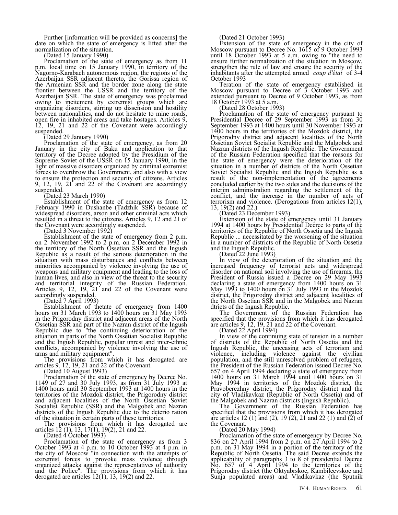Further [information will be provided as concerns] the date on which the state of emergency is lifted after the normalization of the situation.

(Dated 15 January 1990)

Proclamation of the state of emergency as from 11 p.m. local time on 15 January 1990, in territory of the Nagorno-Karabach autonomous region, the regions of the Azerbaijan SSR adjacent thereto, the Gorissa region of the Armenian SSR and the border zone along the state frontier between the USSR and the territory of the Azerbaijan SSR. The state of emergency was proclaimed owing to incitement by extremist groups which are organizing disorders, stirring up dissension and hostility between nationalities, and do not hesitate to mine roads, open fire in inhabited areas and take hostages. Articles 9, 12, 19, 21 and 22 of the Covenant were accordingly suspended.

(Dated 29 January 1990)

Proclamation of the state of emergency, as from 20 January in the city of Baku and application to that territory of the Decree adopted by the Presidium of the Supreme Soviet of the USSR on 15 January 1990, in the light of massive disorders organized by criminal extremist forces to overthrow the Government, and also with a view to ensure the protection and security of citizens. Articles 9, 12, 19, 21 and 22 of the Covenant are accordingly suspended.

(Dated 23 March 1990)

Establishment of the state of emergency as from 12 February 1990 in Dushanbe (Tadzhik SSR) because of widespread disorders, arson and other criminal acts which resulted in a threat to the citizens. Articles 9, 12 and 21 of the Covenant were accordingly suspended.

(Dated 3 November 1992)

Establishment of the state of emergency from 2 p.m. on 2 November 1992 to 2 p.m. on 2 December 1992 in the territory of the North Ossetian SSR and the Ingush Republic as a result of the serious deterioration in the situation with mass disturbances and conflicts between minorities accompanied by violence involving the use of weapons and military equipment and leading to the loss of human lives, and also in view of the threat to the security and territorial integrity of the Russian Federation. Articles 9, 12, 19, 21 and 22 of the Covenant were accordingly suspended.

(Dated 7 April 1993)

Establishment of thetate of emergency from 1400 hours on 31 March 1993 to 1400 hours on 31 May 1993 in the Prigorodny district and adjacent areas of the North Ossetian SSR and part of the Nazran district of the Ingush Republic due to "the continuing deterioration of the situation in parts of the North Ossetian Socialist Republic and the Ingush Republic, popular unrest and inter-ethnic conflicts, accompanied by violence involving the use of arms and military equipment".

The provisions from which it has derogated are articles  $9, 12, 19, 21$  and 22 of the Covenant.

(Dated 10 August 1993)

Proclamation of the state of emergency by Decree No. 1149 of 27 and 30 July 1993, as from 31 July 1993 at 1400 hours until 30 September 1993 at 1400 hours in the territories of the Mozdok district, the Prigorodny district and adjacent localities of the North Ossetian Soviet Socialist Republic (SSR) and the Malgobek and Nazran districts of the Ingush Republic due to the deterio ration of the situation in certain parts of these territories.

The provisions from which it has derogated are articles 12 (1), 13, 17(1), 19(2), 21 and 22.

(Dated 4 October 1993)

Proclamation of the state of emergency as from 3 October 1993 at 4 p.m. to 10 October 1993 at 4 p.m. in the city of Moscow "in connection with the attempts of extremist forces to provoke mass violence through organized attacks against the representatives of authority and the Police". The provisions from which it has derogated are articles 12(1), 13, 19(2) and 22.

(Dated 21 October 1993)

Extension of the state of emergency in the city of Moscow pursuant to Decree No. 1615 of 9 October 1993 until 18 October 1993 at 5 a.m. owing to "the need to ensure further normalization of the situation in Moscow, strengthen the rule of law and ensure the security of the inhabitants after the attempted armed *coup d'état* of 3-4 October 1993

Teration of the state of emergency established in Moscow pursuant to Decree of 3 October 1993 and extended pursuant to Decree of 9 October 1993, as from 18 October 1993 at 5 a.m.

(Dated 28 October 1993)

Proclamation of the state of emergency pursuant to Presidential Decree of 29 September 1993 as from 30 September 1993 at 1400 hours until 30 November 1993 at 1400 hours in the territories of the Mozdok district, the Prigorodny district and adjacent localities of the North Ossetian Soviet Socialist Republic and the Malgobek and Nazran districts of the Ingush Republic. The Government of the Russian Federation specified that the reasons for the state of emergency were the deterioration of the situation in a number of districts of the North Ossetian Soviet Socialist Republic and the Ingush Republic as a result of the non-implementation of the agreements concluded earlier by the two sides and the decisions of the interim administration regarding the settlement of the conflict, and the increase in the number of acts of terrorism and violence. (Derogations from articles 12(1), 13, 19(2) and 22.)

(Dated 23 December 1993)

Extension of the state of emergency until 31 January 1994 at 1400 hours by Presidential Decree to parts of the territories of the Republic of North Ossetia and the Ingush Republic ... necessitated by the worsening of the situation in a number of districts of the Republic of North Ossetia and the Ingush Republic.

(Dated 22 June 1993)

In view of the deterioration of the situation and the increased frequency of terrorist acts and widespread disorder on national soil involving the use of firearms, the President of Russia issued a Decree on 29 May 1993 declaring a state of emergency from 1400 hours on 31 May 1993 to 1400 hours on 31 July 1993 in the Mozdok district, the Prigorodny district and adjacent localities of the North Ossetian SSR and in the Malgobek and Nazran dtricts of the Ingush Republic.

The Government of the Russian Federation has specified that the provisions from which it has derogated are articles 9, 12, 19, 21 and 22 of the Covenant.

(Dated 22 April 1994)

In view of the continuing state of tension in a number of districts of the Republic of North Ossetia and the Ingush Republic, the unceasing acts of terrorism and violence, including violence against the civilian population, and the still unresolved problem of refugees, the President of the Russian Federation issued Decree No. 657 on 4 April 1994 declaring a state of emergency from 1400 hours on 31 March 1994 until 1400 hours on 31 May 1994 in territories of the Mozdok district, the Pravoberezhny district, the Prigorodny district and the city of Vladikavkaz (Republic of North Ossetia) and of the Malgobek and Nazran districts (Ingush Republic).

The Government of the Russian Federation has specified that the provisions from which it has derogated are articles 12 (1) and (2), 19 (2), 21 and 22 (1) and (2) of the Covenant.

(Dated 20 May 1994)

Proclamation of the state of emergency by Decree No. 836 on 27 April 1994 from 2 p.m. on 27 April 1994 to 2 p.m. on 31 May 1994 in a portion of the territory of the Republic of North Ossetia. The said Decree extends the applicability of paragraphs 3 to 8 of presidential Decree No. 657 of 4 April 1994 to the territories of the Prigorodny district (the Oktyabrskoe, Kambileevskoe and Sunja populated areas) and Vladikavkaz (the Sputnik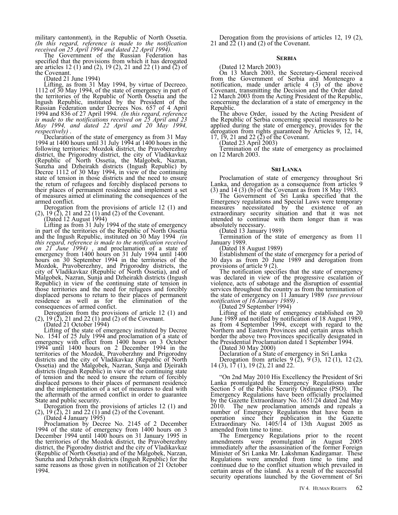military cantonment), in the Republic of North Ossetia. *(In this regard, reference is made to the notification received on 25 April 1994 and dated 22 April 1994).*

The Government of the Russian Federation has specified that the provisions from which it has derogated are articles 12 (1) and (2), 19 (2), 21 and 22 (1) and (2) of the Covenant.

(Dated 21 June 1994)

Lifting, as from 31 May 1994, by virtue of Decreeo. 1112 of 30 May 1994, of the state of emergency in part of the territories of the Republic of North Ossetia and the Ingush Republic, instituted by the President of the Russian Federation under Decrees Nos. 657 of 4 April 1994 and 836 of 27 April 1994. *(In this regard, reference is made to the notifications received on 25 April and 23 May 1994, and dated 22 April and 20 May 1994, respectively)* .

Declaration of the state of emergency as from 31 May 1994 at 1400 hours until 31 July 1994 at 1400 hours in the following territories: Mozdok district, the Pravoberezhny district, the Prigorodny district, the city of Vladikavkaz (Republic of North Ossetia, the Malgobek, Nazran, Sunzha and Dzheirakh districts (Ingush Republic) by Decree 1112 of 30 May 1994, in view of the continuing state of tension in those districts and the need to ensure the return of refugees and forcibly displaced persons to their places of permanent residence and implement a set of measures aimed at eliminating the consequences of the armed conflict.

Derogation from the provisions of article 12 (1) and (2), 19 (2), 21 and 22 (1) and (2) of the Covenant.

(Dated 12 August 1994)

Lifting as from 31 July 1994 of the state of emergency in part of the territories of the Republic of North Ossetia and the Ingush Republic, instituted on 30 May 1994 *(in this regard, reference is made to the notification received on 21 June 1994)* , and proclamation of a state of emergency from 1400 hours on 31 July 1994 until 1400 hours on 30 September 1994 in the territories of the Mozdok, Pravoberezhny, and Prigorodny districts, the city of Vladikavkaz (Republic of North Ossetia), and of Malgobek, Nazran, Sunja and Dzheirakh districts (Ingush Republic) in view of the continuing state of tension in those territories and the need for refugees and forcibly displaced persons to return to their places of permanent residence as well as for the elimination of the consequences of armed confict.

Derogation from the provisions of article 12 (1) and  $(2)$ , 19  $(2)$ , 21 and 22  $(1)$  and  $(2)$  of the Covenant.

(Dated 21 October 1994)

Lifting of the state of emergency instituted by Decree No. 1541 of 25 July 1994 and proclamation of a state of emergency with effect from 1400 hours on 3 October 1994 until 1400 hours on 2 December 1994 in the territories of the Mozdok, Pravoberzhny and Prigorodny districts and the city of Vladikavkaz (Republic of North Ossetia) and the Malgobek, Nazran, Sunja and Djeirakh districts (Ingush Republic) in view of the continuing state of tension and the need to ensure the return of forcibly displaced persons to their places of permanent residence and the implementation of a set of measures to deal with the aftermath of the armed conflict in order to guarantee State and public security.

Derogation from the provisions of articles 12 (1) and  $(2)$ , 19  $(2)$ , 21 and 22  $(1)$  and  $(2)$  of the Covenant.

(Dated 4 January 1995)

Proclamation by Decree No. 2145 of 2 December 1994 of the state of emergency from 1400 hours on 3 December 1994 until 1400 hours on 31 January 1995 in the territories of the Mozdok district, the Pravoberezhny district, the Pigorodny district and the city of Vladikavkaz (Republic of North Ossetia) and of the Malgobek, Narzan, Sunzha and Dzheyrakh districts (Ingush Republic) for the same reasons as those given in notification of 21 October 1994.

Derogation from the provisions of articles 12, 19 (2), 21 and 22 (1) and (2) of the Covenant.

### **SERBIA**

(Dated 12 March 2003)

On 13 March 2003, the Secretary-General received from the Government of Serbia and Montenegro a notification, made under article 4 (3) of the above Covenant, transmitting the Decision and the Order dated 12 March 2003 from the Acting President of the Republic, concerning the declaration of a state of emergency in the Republic.

The above Order, issued by the Acting President of the Republic of Serbia concerning special measures to be applied during the state of emergency, provides for the derogation from rights guaranteed by Articles 9, 12, 14, 17, 19, 21 and 22  $(2)$  of the Covenant.

(Dated 23 April 2003)

Termination of the state of emergency as proclaimed on 12 March 2003.

## **SRI LANKA**

Proclamation of state of emergency throughout Sri Lanka, and derogation as a consequence from articles 9  $(3)$  and 14  $(3)$  (b) of the Covenant as from 18 May 1983.

The Government of Sri Lanka specified that the Emergency regulations and Special Laws were temporary measures necessitated by the existence of an extraordinary security situation and that it was not intended to continue with them longer than it was absolutely necessary.

(Dated 13 January 1989)

Termination of the state of emergency as from 11 January 1989.

(Dated 18 August 1989)

Establishment of the state of emergency for a period of 30 days as from 20 June 1989 and derogation from provisions of article 9 (2).

The notification specifies that the state of emergency was declared in view of the progressive escalation of violence, acts of sabotage and the disruption of essential services throughout the country as from the termination of the state of emergency on 11 January 1989 *(see previous notification of 16 January 1989)* .

(Dated 29 September 1994)

Lifting of the state of emergency established on 20 June 1989 and notified by notification of 18 August 1989, as from 4 September 1994, except with regard to the Northern and Eastern Provinces and certain areas which border the above two Provinces specifically designated in the Presidential Proclamation dated 1 September 1994.

(Dated 30 May 2000)

Declaration of a State of emergency in Sri Lanka Derogation from articles 9 (2), 9 (3), 12 (1), 12 (2), 14 (3), 17 (1), 19 (2), 21 and 22.

"On 2nd May 2010 His Excellency the President of Sri Lanka promulgated the Emergency Regulations under Section 5 of the Public Security Ordinance (PSO). The Emergency Regulations have been officially proclaimed by the Gazette Extraordinary No. 1651/24 dated 2nd May 2010. The new proclamation amends and repeals a number of Emergency Regulations that have been in operation since their publication in the Gazette Extraordinary No. 1405/14 of 13th August 2005 as amended from time to time.

The Emergency Regulations prior to the recent amendments were promulgated in August 2005 amendments were promulgated in August 2005<br>immediately after the assassination of the former Foreign Minister of Sri Lanka Mr. Lakshman Kadirgamar. These Regulations were amended from time to time and continued due to the conflict situation which prevailed in certain areas of the island. As a result of the successful security operations launched by the Government of Sri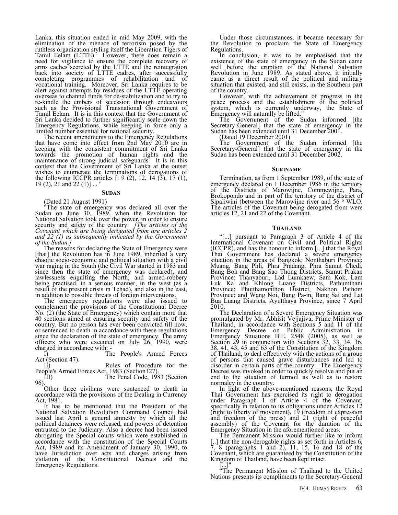Lanka, this situation ended in mid May 2009, with the elimination of the menace of terrorism posed by the ruthless organization styling itself the Liberation Tigers of Tamil Eelam (LTTE). However, there does remain a need for vigilance to ensure the complete recovery of arms caches secreted by the LTTE and the reintegration back into society of LTTE cadres, after successfully completing programmes of rehabilitation and of vocational training. Moreover, Sri Lanka requires to be alert against attempts by residues of the LTTE operating overseas to channel funds for de-stabilization and to try to re-kindle the embers of secession through endeavours such as the Provisional Transnational Government of Tamil Eelam. It is in this context that the Government of Sri Lanka decided to further significantly scale down the Emergency Regulations, while keeping in force only a limited number essential for national security.

The recent amendments to the Emergency Regulations that have come into effect from 2nd May 2010 are in keeping with the consistent commitment of Sri Lanka towards the promotion of human rights and the maintenance of strong judicial safeguards. It is in this context that the Government of Sri Lanka at the outset wishes to enumerate the terminations of derogations of the following ICCPR articles [: 9 (2), 12, 14 (3), 17 (1), 19 (2), 21 and 22 (1)] ... "

#### **SUDAN**

(Dated 21 August 1991)

"The state of emergency was declared all over the Sudan on June 30, 1989, when the Revolution for National Salvation took over the power, in order to ensure security and safety of the country. *[The articles of the Covenant which are being derogated from are articles 2 and 22 (1) as subsequently indicated by the Government of the Sudan.]*

The reasons for declaring the State of Emergency were [that] the Revolution has in June 1989, inherited a very chaotic socio-economic and political situation with a civil war raging in the South (the Civil War started in 1983 and since then the state of emergency was declared), and lawlessness engulfing the North, and armed-robbery being practised, in a serious manner, in the west (as a result of the present crisis in Tchad), and also in the east, in addition to possible threats of foreign interventions.

The emergency regulations were also issued to complement the provisions of the Constitutional Decree No. (2) (the State of Emergency) which contain more that 40 sections aimed at ensuring security and safety of the country. But no person has ever been convicted till now, or sentenced to death in accordance with these regulations since the declaration of the state of emergency. The army officers who were executed on July 26, 1990, were charged in accordance with: -

I) The People's Armed Forces Act (Section 47).<br>II)

Rules of Procedure for the People's Armed Forces Act, 1983 (Section127).

III) The Penal Code, 1983 (Section 96).

Other three civilians were sentenced to death in accordance with the provisions of the Dealing in Currency Act, 1981.

It has to be mentioned that the President of the National Salvation Revolution Command Council had issued last April a general amnesty by which all the political detainees were released, and powers of detention entrusted to the Judiciary. Also a decree had been issued abrogating the Special courts which were established in accordance with the constitution of the Special Courts Act, 1989 and its Amendment of January 30, 1990, to have Jurisdiction over acts and charges arising from violation of the Constitutional Decrees and the Emergency Regulations.

Under those circumstances, it became necessary for the Revolution to proclaim the State of Emergency Regulations.

In conclusion, it was to be emphasised that the existence of the state of emergency in the Sudan came well before the eruption of the National Salvation Revolution in June 1989. As stated above, it initially came as a direct result of the political and military situation that existed, and still exists, in the Southern part of the country.

However, with the achievement of progress in the peace process and the establishment of the political system, which is currently underway, the State of Emergency will naturally be lifted."

The Government of the Sudan informed [the Secretary-General] that the state of emergency in the Sudan has been extended until 31 December 2001.

(Dated 19 December 2001)

The Government of the Sudan informed [the Secretary-General] that the state of emergency in the Sudan has been extended until 31 December 2002.

### **SURINAME**

Termination, as from 1 September 1989, of the state of emergency declared on 1 December 1986 in the territory of the Districts of Marowijne, Commewijne, Para, Brokopondo and in part of the territory of the district of Sipaliwini (between the Marowijne river and  $56 \degree$  WLO. The articles of the Covenant being derogated from were articles 12, 21 and 22 of the Covenant.

#### **THAILAND**

"[...] pursuant to Paragraph 3 of Article 4 of the International Covenant on Civil and Political Rights (ICCPR), and has the honour to inform [...] that the Royal Thai Government has declared a severe emergency situation in the areas of Bangkok; Nonthaburi Province; Muang, Bang Phli, Phra Pradang, Phra Samut Chedi, Bang Boh and Bang Sao Thong Districts, Samut Prakan Province; Thanyaburi, Lad Lumkaew, Sam Kok, Lam Luk Ka and Khlong Luang Districts, Pathumthani Province; Phutthamonthon District, Nakhon Pathom Province; and Wang Noi, Bang Pa-in, Bang Sai and Lat Bua Luang Districts, Ayutthaya Province, since 7 April 2010.

The Declaration of a Severe Emergency Situation was promulgated by Mr. Abhisit Vejjajiva, Prime Minister of Thailand, in accordance with Sections 5 and 11 of the Emergency Decree on Public Administration in Emergency Situations B.E. 2548 (2005), as well as Section 29 in conjunction with Sections 32, 33, 34, 36, 38, 41, 43, 45 and 63 of the Constitution of the Kingdom of Thailand, to deal effectively with the actions of a group of persons that caused grave disturbances and led to disorder in certain parts of the country. The Emergency Decree was invoked in order to quickly resolve and put an end to the situation of turmoil as well as to restore normalcy in the country.

In light of the above-mentioned reasons, the Royal Thai Government has exercised its right to derogation under Paragraph 1 of Article 4 of the Covenant, specifically in relation to its obligations under Articles 12 (right to liberty of movement), 19 (freedom of expression and freedom of the press) and 21 (right of peaceful assembly) of the Covenant for the duration of the Emergency Situation in the aforementioned areas.

The Permanent Mission would further like to inform [..] that the non-derogable rights as set forth in Articles 6, 7, 8 (paragraphs 1 and 2), 11, 15, 16 and 18 of the Covenant, which are guaranteed by the Constitution of the Kingdom of Thailand, have been kept intact. [...]"

The Permanent Mission of Thailand to the United Nations presents its compliments to the Secretary-General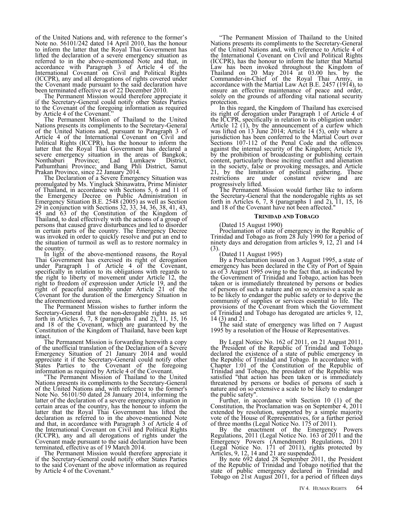of the United Nations and, with reference to the former's Note no. 56101/242 dated 14 April 2010, has the honour to inform the latter that the Royal Thai Government has lifted the declaration of a severe emergency situation as referred to in the above-mentioned Note and that, in accordance with Paragraph 3 of Article 4 of the International Covenant on Civil and Political Rights (ICCPR), any and all derogations of rights covered under the Covenant made pursuant to the said declaration have been terminated effective as of 22 December 2010.

The Permanent Mission would therefore appreciate it if the Secretary-General could notify other States Parties to the Covenant of the foregoing information as required by Article 4 of the Covenant."

The Permanent Mission of Thailand to the United Nations presents its compliments to the Secretary-General of the United Nations and, pursuant to Paragraph 3 of Article 4 of the International Covenant on Civil and Political Rights (ICCPR), has the honour to inform the latter that the Royal Thai Government has declared a severe emergency situation in the areas of Bangkok;<br>Nonthaburi Province; Lad Lumkaew District, Nonthaburi Province; Lad Lumkaew District, Pathumthani Province; and Bang Phli District, Samut Prakan Province, since 22 January 2014.

The Declaration of a Severe Emergency Situation was promulgated by Ms. Yingluck Shinawatra, Prime Minister of Thailand, in accordance with Sections 5, 6 and 11 of the Emergency Decree on Public Administration in Emergency Situation B.E. 2548 (2005) as well as Section 29 in conjunction with Sections 32, 33, 34, 36, 38, 41, 43, 45 and 63 of the Constitution of the Kingdom of Thailand, to deal effectively with the actions of a group of persons that caused grave disturbances and led to disorder in certain parts of the country. The Emergency Decree was invoked in order to quickly resolve and put an end to the situation of turmoil as well as to restore normalcy in the country.

In light of the above-mentioned reasons, the Royal Thai Government has exercised its right of derogation under Paragraph 1 of Article 4 of the Covenant, specifically in relation to its obligations with regards to the right to liberty of movement under Article 12, the right to freedom of expression under Article 19, and the right of peaceful assembly under Article 21 of the Covenant for the duration of the Emergency Situation in the aforementioned areas.

The Permanent Mission wishes to further inform the Secretary-General that the non-derogable rights as set forth in Articles 6, 7, 8 (paragraphs  $\tilde{\Gamma}$  and 2), 11, 15, 16 and 18 of the Covenant, which are guaranteed by the Constitution of the Kingdom of Thailand, have been kept intact.

The Permanent Mission is forwarding herewith a copy of the unofficial translation of the Declaration of a Severe Emergency Situation of 21 January 2014 and would appreciate it if the Secretary-General could notify other States Parties to the Covenant of the foregoing information as required by Article 4 of the Covenant.

"The Permanent Mission of Thailand to the United Nations presents its compliments to the Secretary-General of the United Nations and, with reference to the former's Note No. 56101/50 dated 28 January 2014, informing the latter of the declaration of a severe emergency situation in certain areas of the country, has the honour to inform the latter that the Royal Thai Government has lifted the declaration as referred to in the above-mentioned Note and that, in accordance with Paragraph 3 of Article 4 of the International Covenant on Civil and Political Rights (ICCPR), any and all derogations of rights under the Covenant made pursuant to the said declaration have been terminated, effective as of 19 March 2014.

The Permanent Mission would therefore appreciate it if the Secretary-General could notify other States Parties to the said Covenant of the above information as required by Article 4 of the Covenant."

"The Permanent Mission of Thailand to the United Nations presents its compliments to the Secretary-General of the United Nations and, with reference to Article 4 of the International Covenant on Civil and Political Rights (ICCPR), has the honour to inform the latter that Martial Law has been invoked throughout the Kingdom of Thailand on 20 May 2014 at  $03.00$  hrs. by the Commander-in-Chief of the Royal Thai Army, in accordance with the Martial Law Act B.E. 2457 (1914), to ensure an effective maintenance of peace and order, solely on the grounds of affording vital national security protection.

In this regard, the Kingdom of Thailand has exercised its right of derogation under Paragraph 1 of Article 4 of the ICCPR, specifically in relation to its obligation under: Article 12 (1), by the announcement of a curfew which was lifted on 13 June 2014; Article 14 (5), only where a jurisdiction has been conferred to the Martial Court over Sections 107-112 of the Penal Code and the offences against the internal security of the Kingdom; Article 19, by the prohibition of broadcasting or publishing certain content, particularly those inciting conflict and alienation in the society, false or provoking messages, and Article 21, by the limitation of political gathering. These restrictions are under constant review and are progressively lifted.

The Permanent Mission would further like to inform the Secretary-General that the nonderogable rights as set forth in Articles 6, 7, 8 (paragraphs 1 and 2), 11, 15, 16 and 18 of the Covenant have not been affected."

### **TRINIDAD AND TOBAGO**

(Dated 15 August 1990)

Proclamation of state of emergency in the Republic of Trinidad and Tobago as from 28 July 1990 for a period of ninety days and derogation from articles 9, 12, 21 and 14 (3).

(Dated 11 August 1995)

By a Proclamation issued on 3 August 1995, a state of emergency has been declared in the City of Port of Spain as of 3 August 1995 owing to the fact that, as indicated by the Government of Trinidad and Tobago, action has been taken or is immediately threatened by persons or bodies of persons of such a nature and on so extensive a scale as to be likely to endanger the public safety or to deprive the community of supplies or services essential to life. The provisions of the Covenant from which the Government of Trinidiad and Tobago has derogated are articles 9, 12, 14 (3) and 21.

The said state of emergency was lifted on 7 August 1995 by a resolution of the House of Representatives.

By Legal Notice No. 162 of 2011, on 21 August 2011, the President of the Republic of Trinidad and Tobago declared the existence of a state of public emergency in the Republic of Trinidad and Tobago. In accordance with Chapter 1:01 of the Constitution of the Republic of Trinidad and Tobago, the president of the Republic was satisfied "that action has been taken or is immediately threatened by persons or bodies of persons of such a nature and on so extensive a scale to be likely to endanger the public safety".

Further, in accordance with Section 10 (1) of the Constitution, the Proclamation was on September 4, 2011 extended by resolution, supported by a simple majority vote of the House of Representatives, for a further period of three months (Legal Notice No. 175 of 2011).

By the enactment of the Emergency Powers Regulations, 2011 (Legal Notice No. 163 of 2011 and the Emergency Powers (Amendment) Regulations, 2011 (Legal Notice No. 171 of 2011), rights protected by Articles, 9, 12, 14 and 21 are suspended.

By note 692 dated 28 September 2011, the President of the Republic of Trinidad and Tobago notified that the state of public emergency declared in Trinidad and Tobago on 21st August 2011, for a period of fifteen days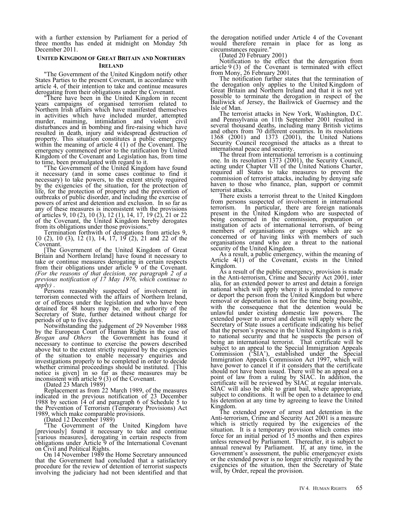with a further extension by Parliament for a period of three months has ended at midnight on Monday 5th December 2011.

## **UNITED KINGDOM OF GREAT BRITAIN AND NORTHERN IRELAND**

"The Government of the United Kingdom notify other States Parties to the present Covenant, in accordance with article 4, of their intention to take and continue measures derogating from their obligations under the Covenant.

"There have been in the United Kingdom in recent years campaigns of organised terrorism related to Northern Irish affairs which have manifested themselves in activities which have included murder, attempted murder, maiming, intimidation and violent civil disturbances and in bombing and fire-raising which have resulted in death, injury and widespread destruction of property. This situation constitutes a public emergency within the meaning of article 4 (1) of the Covenant. The emergency commenced prior to the ratification by United Kingdom of the Covenant and Legislation has, from time to time, been promulgated with regard to it.

"The Government of the United Kingdom have found it necessary (and in some cases continue to find it necessary) to take powers, to the extent strictly required by the exigencies of the situation, for the protection of life, for the protection of property and the prevention of outbreaks of public disorder, and including the exercise of powers of arrest and detention and exclusion. In so far as any of these measures is inconsistent with the provisions of articles 9, 10 (2), 10 (3), 12 (1), 14, 17, 19 (2), 21 or 22 of the Covenant, the United Kingdom hereby derogates from its obligations under those provisions."

Termination forthwith of derogations from articles 9, 10 (2), 10 (3), 12 (1), 14, 17, 19 (2), 21 and 22 of the Covenant.

[The Government of the United Kingdom of Great Britain and Northern Ireland] have found it necessary to take or continue measures derogating in certain respects from their obligations under article 9 of the Covenant. *(For the reasons of that decision, see paragraph 2 of a previous notification of 17 May 1976, which continue to apply)* .

Persons reasonably suspected of involvement in terrorism connected with the affairs of Northern Ireland, or of offences under the legislation and who have been detained for 48 hours may be, on the authority of the Secretary of State, further detained without charge for periods of up to five days.

Notwithstanding the judgement of 29 November 1988 by the European Court of Human Rights in the case of *Brogan and Others* the Government has found it the Government has found it necessary to continue to exercise the powers described above but to the extent strictly required by the exigencies of the situation to enable necessary enquiries and investigations properly to be completed in order to decide whether criminal proceedings should be instituted. [This notice is given] in so far as these measures may be inconsistent with article 9 (3) of the Covenant.

(Dated 23 March 1989)

Replacement as from 22 March 1989, of the measures indicated in the previous notification of 23 December 1988 by section 14 of and paragraph 6 of Schedule 5 to the Prevention of Terrorism (Temporary Provisions) Act 1989, which make comparable provisions.

(Dated 12 December 1989)

"The Government of the United Kingdom have [previously] found it necessary to take and continue [various measures], derogating in certain respects from obligations under Article 9 of the International Covenant on Civil and Political Rights.

On 14 November 1989 the Home Secretary announced that the Government had concluded that a satisfactory procedure for the review of detention of terrorist suspects involving the judiciary had not been identified and that the derogation notified under Article 4 of the Covenant would therefore remain in place for as long as circumstances require."

(Dated 20 February 2001)

Notification to the effect that the derogation from article 9 (3) of the Covenant is terminated with effect from Mony, 26 February 2001.

The notification further states that the termination of the derogation only applies to the United Kingdom of Great Britain and Northern Ireland and that it is not yet possible to terminate the derogation in respect of the Bailiwick of Jersey, the Bailiwick of Guernsey and the Isle of Man.

The terrorist attacks in New York, Washington, D.C. and Pennsylvania on 11th September 2001 resulted in several thousand deaths, including many British victims and others from 70 different countries. In its resolutions 1368 (2001) and 1373 (2001), the United Nations Security Council recognised the attacks as a threat to international peace and security.

The threat from international terrorism is a continuing one. In its resolution 1373 (2001), the Security Council, acting under Chapter VII of the United Nations Charter, required all States to take measures to prevent the commission of terrorist attacks, including by denying safe haven to those who finance, plan, support or commit terrorist attacks.

There exists a terrorist threat to the United Kingdom from persons suspected of involvement in international terrorism. In particular, there are foreign nationals In particular, there are foreign nationals present in the United Kingdom who are suspected of being concerned in the commission, preparation or instigation of acts of international terrorism, of being members of organisations or groups which are so concerned or of having links with members of such organisations orand who are a threat to the national security of the United Kingdom.

As a result, a public emergency, within the meaning of Article 4(1) of the Covenant, exists in the United Kingdom.

As a result of the public emergency, provision is made in the Anti-terrorism, Crime and Security Act 2001, inter alia, for an extended power to arrest and detain a foreign national which will apply where it is intended to remove or deport the person from the United Kingdom but where removal or deportation is not for the time being possible, with the consequence that the detention would be unlawful under existing domestic law powers. The extended power to arrest and detain will apply where the Secretary of State issues a certificate indicating his belief that the person's presence in the United Kingdom is a risk to national security and that he suspects the person of being an international terrorist. That certificate will be subject to an appeal to the Special Immigration Appeals Commission ('SIA'), established under the Special Immigration Appeals Commission Act 1997, which will have power to cancel it if it considers that the certificate should not have been issued. There will be an appeal on a point of law from a ruling by SIAC. In addition, the certificate will be reviewed by SIAC at regular intervals. SIAC will also be able to grant bail, where appropriate, subject to conditions. It will be open to a detainee to end his detention at any time by agreeing to leave the United Kingdom.

The extended power of arrest and detention in the Anti-terrorism, Crime and Security Act 2001 is a measure which is strictly required by the exigencies of the situation. It is a temporary provision which comes into force for an initial period of 15 months and then expires unless renewed by Parliament. Thereafter, it is subject to annual renewal by Parliament. If, at any time, in the Government's assessment, the public emergencyer exists or the extended power is no longer strictly required by the exigencies of the situation, then the Secretary of State will, by Order, repeal the provision.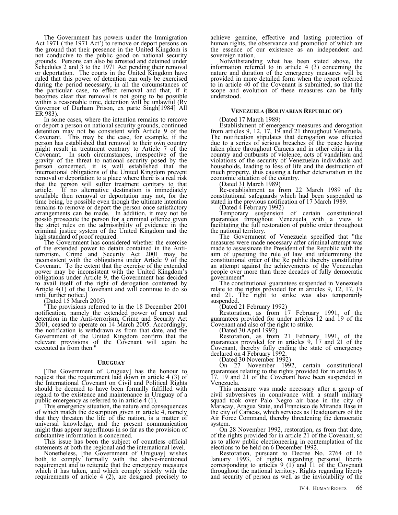The Government has powers under the Immigration Act 1971 ('the 1971 Act') to remove or deport persons on the ground that their presence in the United Kingdom is not conducive to the public good on national security grounds. Persons can also be arrested and detained under Schedules 2 and 3 to the 1971 Act pending their removal or deportation. The courts in the United Kingdom have ruled that this power of detention can only be exercised during the period necessary, in all the circumstances of the particular case, to effect removal and that, if it becomes clear that removal is not going to be possible within a reasonable time, detention will be unlawful (Rv Governor of Durham Prison, ex parte Singh[1984] All ER 983).

In some cases, where the intention remains to remove or deport a person on national security grounds, continued detention may not be consistent with Article 9 of the Covenant. This may be the case, for example, if the person has established that removal to their own country might result in treatment contrary to Article 7 of the Covenant. In such circumstances, irrespective of the gravity of the threat to national security posed by the person concerned, it is well established that the international obligations of the United Kingdom prevent removal or deportation to a place where there is a real risk that the person will suffer treatment contrary to that article. If no alternative destination is immediately available then removal or deportation may not, for the time being, be possible even though the ultimate intention remains to remove or deport the person once satisfactory arrangements can be made. In addition, it may not be possto prosecute the person for a criminal offence given the strict rules on the admissibility of evidence in the criminal justice system of the United Kingdom and the high standard of proof required.

The Government has considered whether the exercise of the extended power to detain contained in the Antiterrorism, Crime and Security Act 2001 may be inconsistent with the obligations under Article 9 of the Covenant. To the extent that the exercise of the extended power may be inconsistent with the United Kingdom's obligations under Article 9, the Government has decided to avail itself of the right of derogation conferred by Article 4(1) of the Covenant and will continue to do so until further notice.]

(Dated 15 March 2005)

"The provisions referred to in the 18 December 2001 notification, namely the extended power of arrest and detention in the Anti-terrorism, Crime and Security Act 2001, ceased to operate on 14 March 2005. Accordingly, the notification is withdrawn as from that date, and the Government of the United Kingdom confirm that the relevant provisions of the Covenant will again be executed as from then."

### **URUGUAY**

[The Government of Uruguay] has the honour to request that the requirement laid down in article 4 (3) of the International Covenant on Civil and Political Rights should be deemed to have been formally fulfilled with regard to the existence and maintenance in Uruguay of a public emergency as referred to in article 4 (1).

This emergency situation, the nature and consequences of which match the description given in article 4, namely that they threaten the life of the nation, is a matter of universal knowledge, and the present communication might thus appear superfluous in so far as the provision of substantive information is concerned.

This issue has been the subject of countless official statements at both the regional and the international level.

Nonetheless, [the Government of Uruguay] wishes both to comply formally with the above-mentioned requirement and to reiterate that the emergency measures which it has taken, and which comply strictly with the requirements of article 4 (2), are designed precisely to

achieve genuine, effective and lasting protection of human rights, the observance and promotion of which are the essence of our existence as an independent and sovereign nation.

Notwithstanding what has been stated above, the information referred to in article 4 (3) concerning the nature and duration of the emergency measures will be provided in more detailed form when the report referred to in article 40 of the Covenant is submitted, so that the scope and evolution of these measures can be fully understood.

### **VENEZUELA (BOLIVARIAN REPUBLIC OF)**

(Dated 17 March 1989)

Establishment of emergency measures and derogation from articles 9, 12, 17, 19 and 21 throughout Venezuela. The notification stipulates that derogation was effected due to a series of serious breaches of the peace having taken place throughout Caracas and in other cities in the country and outbursts of violence, acts of vandalism and violations of the security of Venezuelan individuals and households, leading to loss of life and the destruction of much property, thus causing a further deterioration in the economic situation of the country.

(Dated 31 March 1989)

Re-establishment as from 22 March 1989 of the constitutional safeguards which had been suspended as stated in the previous notification of 17 March 1989.

(Dated 4 February 1992)

Temporary suspension of certain constitutional guarantees throughout Venezuela with a view to facilitating the full restoration of public order throughout the national territory.

The Government of Venezuela specified that "the measures were made necessary after criminal attempt was made to assassinate the President of the Republic with the aim of upsetting the rule of law and undermining the constitutional order of the Re public thereby constituting an attempt against the achievements of the Venezuelan people over more than three decades of fully democratic government".

The constitutional guarantees suspended in Venezuela relate to the rights provided for in articles 9, 12, 17, 19 and 21. The right to strike was also temporarily suspended.

(Dated 21 February 1992)

Restoration, as from 17 February 1991, of the guarantees provided for under articles 12 and 19 of the Covenant and also of the right to strike.

(Dated 30 April 1992)

Restoration, as from 21 February 1991, of the guarantees provided for in articles 9, 17 and 21 of the Covenant, thereby fully ending the state of emergency declared on 4 February 1992.

(Dated 30 November 1992)

On 27 November 1992, certain constitutional guarantees relating to the rights provided for in articles 9, 17, 19 and 21 of the Covenant have been suspended in Venezuela.

This measure was made necessary after a group of civil subversives in connivance with a small military squad took over Palo Negro air base in the city of Maracay, Aragua State, and Francisco de Miranda Base in the city of Caracas, which services as Headquarters of the Air Force Command, thereby threatening the democratic system.

On 28 November 1992, restoration, as from that date, of the rights provided for in article 21 of the Covenant, so as to allow public electioneering in contemplation of the elections to be held on 6 December 1992.

Restoration, pursuant to Decree No. 2764 of 16 January 1993, of rights regarding personal liberty corresponding to articles 9 (1) and 11 of the Covenant throughout the national territory. Rights regarding liberty and security of person as well as the inviolability of the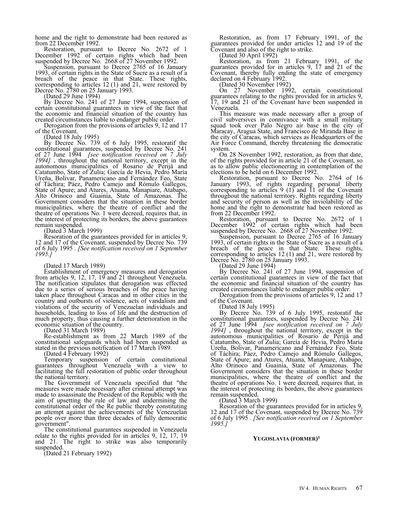home and the right to demonstrate had been restored as from 22 December 1992.

Restoration, pursuant to Decree No. 2672 of 1 December 1992 of certain rights which had been suspended by Decree No. 2668 of 27 November 1992.

Suspension, pursuant to Decree 2765 of 16 January 1993, of certain rights in the State of Sucre as a result of a breach of the peace in that State. These rights, corresponding to articles 12 (1) and 21, were restored by Decree No. 2780 on 25 January 1993.

(Dated 29 June 1994)

By Decree No. 241 of 27 June 1994, suspension of certain constitutional guarantees in view of the fact that the economic and financial situation of the country has created circumstances liable to endanger public order.

Derogation from the provisions of articles 9, 12 and 17 of the Covenant.

(Dated 18 July 1995)

By Decree No. 739 of 6 July 1995, restoratif the constitutional guarantees, suspended by Decree No. 241 of 27 June 1994 *[see notification received on 7 July* 1994], throughout the national territory, except in the autonomous municipalities of Rosario de Perijá and Catatumbo, State of Zulia; García de Hevia, Pedro María Ureña, Bolivar, Panamericano and Fernández Feo, State of Táchira; Páez, Pedro Camejo and Rómulo Gallegos, State of Apure; and Atures, Atuana, Manapiare, Atabapo, Alto Orinoco and Guainía, State of Amazonas. The Government considers that the situation in these border municipalities, where the theatre of conflict and the theatre of operations No. 1 were decreed, requires that, in the interest of protecting its borders, the above guarantees remain suspended.

(Dated 3 March 1999)

Resoration of the guarantees provided for in articles 9, 12 and 17 of the Covenant, suspended by Decree No. 739 of 6 July 1995 *. [See notification received on 1 September 1995.]*

(Dated 17 March 1989)

Establishment of emergency measures and derogation from articles 9, 12, 17, 19 and 21 throughout Venezuela. The notification stipulates that derogation was effected due to a series of serious breaches of the peace having taken place throughout Caracas and in other cities in the country and outbursts of violence, acts of vandalism and violations of the security of Venezuelan individuals and households, leading to loss of life and the destruction of much property, thus causing a further deterioration in the economic situation of the country.

(Dated 31 March 1989)

Re-establishment as from 22 March 1989 of the constitutional safeguards which had been suspended as stated in the previous notification of 17 March 1989.

(Dated 4 February 1992)

Temporary suspension of certain constitutional guarantees throughout Venezuela with a view to facilitating the full restoration of public order throughout the national territory.

The Government of Venezuela specified that "the measures were made necessary after criminal attempt was made to assassinate the President of the Republic with the aim of upsetting the rule of law and undermining the constitutional order of the Re public thereby constituting an attempt against the achievements of the Venezuelan people over more than three decades of fully democratic government".

The constitutional guarantees suspended in Venezuela relate to the rights provided for in articles 9, 12, 17, 19 and 21. The right to strike was also temporarily suspended.

(Dated 21 February 1992)

Restoration, as from 17 February 1991, of the guarantees provided for under articles 12 and 19 of the Covenant and also of the right to strike.

(Dated 30 April 1992)

Restoration, as from 21 February 1991, of the guarantees provided for in articles 9, 17 and 21 of the Covenant, thereby fully ending the state of emergency declared on 4 February 1992.

(Dated 30 November 1992)

On 27 November 1992, certain constitutional guarantees relating to the rights provided for in articles 9, 17, 19 and 21 of the Covenant have been suspended in Venezuela.

This measure was made necessary after a group of civil subversives in connivance with a small military squad took over Palo Negro air base in the city of Maracay, Aragua State, and Francisco de Miranda Base in the city of Caracas, which services as Headquarters of the Air Force Command, thereby threatening the democratic system.

On 28 November 1992, restoration, as from that date, of the rights provided for in article 21 of the Covenant, so as to allow public electioneering in contemplation of the elections to be held on 6 December 1992.

Restoration, pursuant to Decree No. 2764 of 16 January 1993, of rights regarding personal liberty corresponding to articles 9 (1) and 11 of the Covenant throughout the national territory. Rights regarding liberty and security of person as well as the inviolability of the home and the right to demonstrate had been restored as from 22 December 1992.

Restoration, pursuant to Decree No. 2672 of 1 December 1992 of certain rights which had been suspended by Decree No. 2668 of 27 November 1992.

Suspension, pursuant to Decree 2765 of 16 January 1993, of certain rights in the State of Sucre as a result of a breach of the peace in that State. These rights, corresponding to articles 12 (1) and 21, were restored by Decree No. 2780 on 25 January 1993.

(Dated 29 June 1994)

By Decree No. 241 of 27 June 1994, suspension of certain constitutional guarantees in view of the fact that the economic and financial situation of the country has created circumstances liable to endanger public order.

Derogation from the provisions of articles 9, 12 and 17 of the Covenant.

(Dated 18 July 1995)

By Decree No. 739 of 6 July 1995, restoratif the constitutional guarantees, suspended by Decree No. 241 of 27 June 1994 *[see notification received on 7 July* 1994], throughout the national territory, except in the autonomous municipalities of Rosario de Perijá and Catatumbo, State of Zulia; García de Hevia, Pedro María Ureña, Bolivar, Panamericano and Fernández Feo, State of Táchira; Páez, Pedro Camejo and Rómulo Gallegos, State of Apure; and Atures, Atuana, Manapiare, Atabapo, Alto Orinoco and Guainía, State of Amazonas. The Government considers that the situation in these border municipalities, where the theatre of conflict and the theatre of operations No. 1 were decreed, requires that, in the interest of protecting its borders, the above guarantees remain suspended.

(Dated 3 March 1999)

Resoration of the guarantees provided for in articles 9, 12 and 17 of the Covenant, suspended by Decree No. 739 of 6 July 1995 *. [See notification received on 1 September 1995.]*

# **YUGOSLAVIA (FORMER) 1**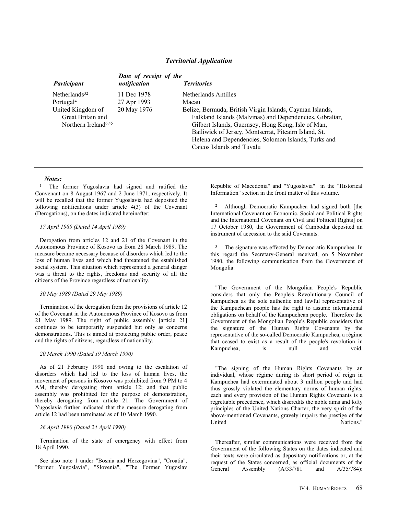# *Territorial Application*

|                                  | Date of receipt of the |                                                          |  |
|----------------------------------|------------------------|----------------------------------------------------------|--|
| <b>Participant</b>               | notification           | <b>Territories</b>                                       |  |
| Netherlands <sup>32</sup>        | 11 Dec 1978            | Netherlands Antilles                                     |  |
| Portugal <sup>4</sup>            | 27 Apr 1993            | Macau                                                    |  |
| United Kingdom of                | 20 May 1976            | Belize, Bermuda, British Virgin Islands, Cayman Islands, |  |
| Great Britain and                |                        | Falkland Islands (Malvinas) and Dependencies, Gibraltar, |  |
| Northern Ireland <sup>6,45</sup> |                        | Gilbert Islands, Guernsey, Hong Kong, Isle of Man,       |  |
|                                  |                        | Bailiwick of Jersey, Montserrat, Pitcairn Island, St.    |  |
|                                  |                        | Helena and Dependencies, Solomon Islands, Turks and      |  |
|                                  |                        | Caicos Islands and Tuvalu                                |  |
|                                  |                        |                                                          |  |

## *Notes:*

<sup>1</sup> The former Yugoslavia had signed and ratified the Convenant on 8 August 1967 and 2 June 1971, respectively. It will be recalled that the former Yugoslavia had deposited the following notifications under article 4(3) of the Covenant (Derogations), on the dates indicated hereinafter:

## *17 April 1989 (Dated 14 April 1989)*

Derogation from articles 12 and 21 of the Covenant in the Autonomous Province of Kosovo as from 28 March 1989. The measure became necessary because of disorders which led to the loss of human lives and which had threatened the established social system. This situation which represented a general danger was a threat to the rights, freedoms and security of all the citizens of the Province regardless of nationality.

### *30 May 1989 (Dated 29 May 1989)*

Termination of the derogation from the provisions of article 12 of the Covenant in the Autonomous Province of Kosovo as from 21 May 1989. The right of public assembly [article 21] continues to be temporarily suspended but only as concerns demonstrations. This is aimed at protecting public order, peace and the rights of citizens, regardless of nationality.

## *20 March 1990 (Dated 19 March 1990)*

As of 21 February 1990 and owing to the escalation of disorders which had led to the loss of human lives, the movement of persons in Kosovo was prohibited from 9 PM to 4 AM, thereby derogating from article 12; and that public assembly was prohibited for the purpose of demonstration, thereby derogating from article 21. The Government of Yugoslavia further indicated that the measure derogating from article 12 had been terminated as of 10 March 1990.

### *26 April 1990 (Dated 24 April 1990)*

Termination of the state of emergency with effect from 18 April 1990.

See also note 1 under "Bosnia and Herzegovina", "Croatia", "former Yugoslavia", "Slovenia", "The Former Yugoslav Republic of Macedonia" and "Yugoslavia" in the "Historical Information" section in the front matter of this volume.

Although Democratic Kampuchea had signed both [the International Covenant on Economic, Social and Political Rights and the International Covenant on Civil and Political Rights] on 17 October 1980, the Government of Cambodia deposited an instrument of accession to the said Covenants.

The signature was effected by Democratic Kampuchea. In this regard the Secretary-General received, on 5 November 1980, the following communication from the Government of Mongolia:

"The Government of the Mongolian People's Republic considers that only the People's Revolutionary Council of Kampuchea as the sole authentic and lawful representative of the Kampuchean people has the right to assume international obligations on behalf of the Kampuchean people. Therefore the Government of the Mongolian People's Republic considers that the signature of the Human Rights Covenants by the representative of the so-called Democratic Kampuchea, a régime that ceased to exist as a result of the people's revolution in Kampuchea. is null and void.

"The signing of the Human Rights Covenants by an individual, whose régime during its short period of reign in Kampuchea had exterminated about 3 million people and had thus grossly violated the elementary norms of human rights, each and every provision of the Human Rights Covenants is a regrettable precedence, which discredits the noble aims and lofty principles of the United Nations Charter, the very spirit of the above-mentioned Covenants, gravely impairs the prestige of the United Nations."

Thereafter, similar communications were received from the Government of the following States on the dates indicated and their texts were circulated as depositary notifications or, at the request of the States concerned, as official documents of the General Assembly (A/33/781 and A/35/784):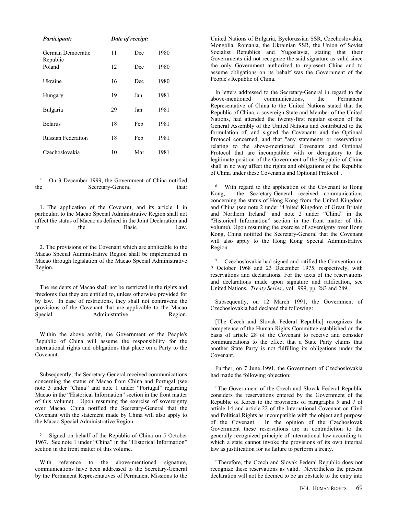| Participant:                  | Date of receipt: |     |      |
|-------------------------------|------------------|-----|------|
| German Democratic<br>Republic | 11               | Dec | 1980 |
| Poland                        | 12               | Dec | 1980 |
| Ukraine                       | 16               | Dec | 1980 |
| Hungary                       | 19               | Jan | 1981 |
| Bulgaria                      | 29               | Jan | 1981 |
| <b>Belarus</b>                | 18               | Feb | 1981 |
| <b>Russian Federation</b>     | 18               | Feb | 1981 |
| Czechoslovakia                | 10               | Mar | 1981 |

<sup>4</sup> On 3 December 1999, the Government of China notified the Secretary-General that:

1. The application of the Covenant, and its article 1 in particular, to the Macao Special Administrative Region shall not affect the status of Macao as defined in the Joint Declaration and in the Basic Law.

2. The provisions of the Covenant which are applicable to the Macao Special Administrative Region shall be implemented in Macao through legislation of the Macao Special Administrative Region.

The residents of Macao shall not be restricted in the rights and freedoms that they are entitled to, unless otherwise provided for by law. In case of restrictions, they shall not contravene the provisions of the Covenant that are applicable to the Macao Special Administrative Region.

Within the above ambit, the Government of the People's Republic of China will assume the responsibility for the international rights and obligations that place on a Party to the Covenant.

Subsequently, the Secretary-General received communications concerning the status of Macao from China and Portugal (see note 3 under "China" and note 1 under "Portugal" regarding Macao in the "Historical Information" section in the front matter of this volume). Upon resuming the exercise of sovereignty over Macao, China notified the Secretary-General that the Covenant with the statement made by China will also apply to the Macao Special Administrative Region.

<sup>5</sup> Signed on behalf of the Republic of China on 5 October 1967. See note 1 under "China" in the "Historical Information" section in the front matter of this volume.

With reference to the above-mentioned signature, communications have been addressed to the Secretary-General by the Permanent Representatives of Permanent Missions to the United Nations of Bulgaria, Byelorussian SSR, Czechoslovakia, Mongolia, Romania, the Ukrainian SSR, the Union of Soviet Socialist Republics and Yugoslavia, stating that their Governments did not recognize the said signature as valid since the only Government authorized to represent China and to assume obligations on its behalf was the Government of the People's Republic of China.

In letters addressed to the Secretary-General in regard to the above-mentioned communications, the Permanent Representative of China to the United Nations stated that the Republic of China, a sovereign State and Member of the United Nations, had attended the twenty-first regular session of the General Assembly of the United Nations and contributed to the formulation of, and signed the Covenants and the Optional Protocol concerned, and that "any statements or reservations relating to the above-mentioned Covenants and Optional Protocol that are incompatible with or derogatory to the legitimate position of the Government of the Republic of China shall in no way affect the rights and obligations of the Republic of China under these Covenants and Optional Protocol".

<sup>6</sup> With regard to the application of the Covenant to Hong Kong, the Secretary-General received communications concerning the status of Hong Kong from the United Kingdom and China (see note 2 under "United Kingdom of Great Britain and Northern Ireland" and note 2 under "China" in the "Historical Information" section in the front matter of this volume). Upon resuming the exercise of sovereignty over Hong Kong, China notified the Secretary-General that the Covenant will also apply to the Hong Kong Special Administrative Region.

Czechoslovakia had signed and ratified the Convention on 7 October 1968 and 23 December 1975, respectively, with reservations and declarations. For the texts of the reservations and declarations made upon signature and ratification, see United Nations, *Treaty Series* , vol. 999, pp. 283 and 289.

Subsequently, on 12 March 1991, the Government of Czechoslovakia had declared the following:

[The Czech and Slovak Federal Republic] recognizes the competence of the Human Rights Committee established on the basis of article 28 of the Covenant to receive and consider communications to the effect that a State Party claims that another State Party is not fulfilling its obligations under the Covenant.

Further, on 7 June 1991, the Government of Czechoslovakia had made the following objection:

"The Government of the Czech and Slovak Federal Republic considers the reservations entered by the Government of the Republic of Korea to the provisions of paragraphs 5 and 7 of article 14 and article 22 of the International Covenant on Civil and Political Rights as incompatible with the object and purpose of the Covenant. In the opinion of the Czechoslovak Government these reservations are in contradiction to the generally recognized principle of international law according to which a state cannot invoke the provisions of its own internal law as justification for its failure to perform a treaty.

"Therefore, the Czech and Slovak Federal Republic does not recognize these reservations as valid. Nevertheless the present declaration will not be deemed to be an obstacle to the entry into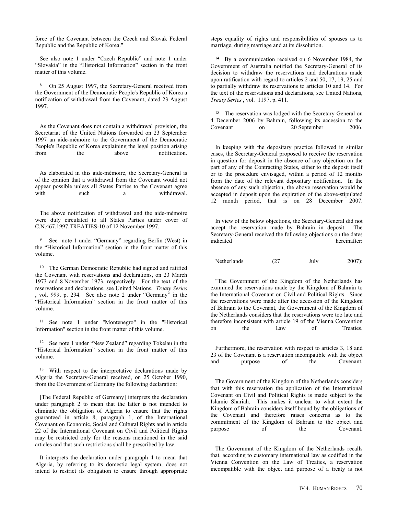force of the Covenant between the Czech and Slovak Federal Republic and the Republic of Korea."

See also note 1 under "Czech Republic" and note 1 under "Slovakia" in the "Historical Information" section in the front matter of this volume.

<sup>8</sup> On 25 August 1997, the Secretary-General received from the Government of the Democratic People's Republic of Korea a notification of withdrawal from the Covenant, dated 23 August 1997.

As the Covenant does not contain a withdrawal provision, the Secretariat of the United Nations forwarded on 23 September 1997 an aide-mémoire to the Government of the Democratic People's Republic of Korea explaining the legal position arising from the above notification.

As elaborated in this aide-mémoire, the Secretary-General is of the opinion that a withdrawal from the Covenant would not appear possible unless all States Parties to the Covenant agree with such a withdrawal.

The above notification of withdrawal and the aide-mémoire were duly circulated to all States Parties under cover of C.N.467.1997.TREATIES-10 of 12 November 1997.

<sup>9</sup> See note 1 under "Germany" regarding Berlin (West) in the "Historical Information" section in the front matter of this volume.

<sup>10</sup> The German Democratic Republic had signed and ratified the Covenant with reservations and declarations, on 23 March 1973 and 8 November 1973, respectively. For the text of the reservations and declarations, see United Nations, *Treaty Series* , vol. 999, p. 294. See also note 2 under "Germany" in the "Historical Information" section in the front matter of this volume.

<sup>11</sup> See note 1 under "Montenegro" in the "Historical Information" section in the front matter of this volume.

<sup>12</sup> See note 1 under "New Zealand" regarding Tokelau in the "Historical Information" section in the front matter of this volume.

<sup>13</sup> With respect to the interpretative declarations made by Algeria the Secretary-General received, on 25 October 1990, from the Government of Germany the following declaration:

[The Federal Republic of Germany] interprets the declaration under paragraph  $2$  to mean that the latter is not intended to eliminate the obligation of Algeria to ensure that the rights guaranteed in article 8, paragraph 1, of the International Covenant on Economic, Social and Cultural Rights and in article 22 of the International Covenant on Civil and Political Rights may be restricted only for the reasons mentioned in the said articles and that such restrictions shall be prescribed by law.

It interprets the declaration under paragraph 4 to mean that Algeria, by referring to its domestic legal system, does not intend to restrict its obligation to ensure through appropriate steps equality of rights and responsibilities of spouses as to marriage, during marriage and at its dissolution.

<sup>14</sup> By a communication received on 6 November 1984, the Government of Australia notified the Secretary-General of its decision to withdraw the reservations and declarations made upon ratification with regard to articles 2 and 50, 17, 19, 25 and to partially withdraw its reservations to articles 10 and 14. For the text of the reservations and declarations, see United Nations, *Treaty Series* , vol. 1197, p. 411.

<sup>15</sup> The reservation was lodged with the Secretary-General on 4 December 2006 by Bahrain, following its accession to the Covenant on 20 September 2006.

In keeping with the depositary practice followed in similar cases, the Secretary-General proposed to receive the reservation in question for deposit in the absence of any objection on the part of any of the Contracting States, either to the deposit itself or to the procedure envisaged, within a period of 12 months from the date of the relevant depositary notification. In the absence of any such objection, the above reservation would be accepted in deposit upon the expiration of the above-stipulated 12 month period, that is on 28 December 2007.

In view of the below objections, the Secretary-General did not accept the reservation made by Bahrain in deposit. The Secretary-General received the following objections on the dates indicated hereinafter:

| Netherlands<br>(27 | July | $2007$ : |
|--------------------|------|----------|
|--------------------|------|----------|

"The Government of the Kingdom of the Netherlands has examined the reservations made by the Kingdom of Bahrain to the International Covenant on Civil and Political Rights. Since the reservations were made after the accession of the Kingdom of Bahrain to the Covenant, the Government of the Kingdom of the Netherlands considers that the reservations were too late and therefore inconsistent with article 19 of the Vienna Convention on the Law of Treaties.

Furthermore, the reservation with respect to articles 3, 18 and 23 of the Covenant is a reservation incompatible with the object and purpose of the Covenant.

The Government of the Kingdom of the Netherlands considers that with this reservation the application of the International Covenant on Civil and Political Rights is made subject to the Islamic Shariah. This makes it unclear to what extent the Kingdom of Bahrain considers itself bound by the obligations of the Covenant and therefore raises concerns as to the commitment of the Kingdom of Bahrain to the object and purpose of the Covenant.

The Governmnt of the Kingdom of the Netherlands recalls that, according to customary international law as codified in the Vienna Convention on the Law of Treaties, a reservation incompatible with the object and purpose of a treaty is not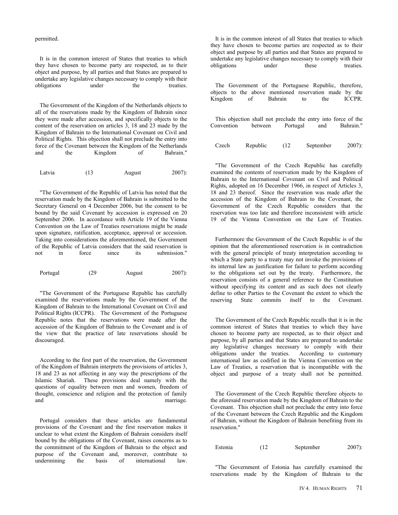permitted.

It is in the common interest of States that treaties to which they have chosen to become party are respected, as to their object and purpose, by all parties and that States are prepared to undertake any legislative changes necessary to comply with their obligations under the treaties.

The Government of the Kingdom of the Netherlands objects to all of the reservations made by the Kingdom of Bahrain since they were made after accession, and specifically objects to the content of the reservation on articles 3, 18 and 23 made by the Kingdom of Bahrain to the International Covenant on Civil and Political Rights. This objection shall not preclude the entry into force of the Covenant between the Kingdom of the Netherlands and the Kingdom of Bahrain."

| Latvia | (13 | August | $2007$ : |
|--------|-----|--------|----------|
|        |     |        |          |

"The Government of the Republic of Latvia has noted that the reservation made by the Kingdom of Bahrain is submitted to the Secretary General on 4 December 2006, but the consent to be bound by the said Covenant by accession is expressed on 20 September 2006. In accordance with Article 19 of the Vienna Convention on the Law of Treaties reservations might be made upon signature, ratification, acceptance, approval or accession. Taking into considerations the aforementioned, the Government of the Republic of Latvia considers that the said reservation is not in force since its submission."

| Portugal | (29) | August | 2007): |
|----------|------|--------|--------|
|----------|------|--------|--------|

"The Government of the Portuguese Republic has carefully examined the reservations made by the Government of the Kingdom of Bahrain to the International Covenant on Civil and Political Rights (ICCPR). The Government of the Portuguese Republic notes that the reservations were made after the accession of the Kingdom of Bahrain to the Covenant and is of the view that the practice of late reservations should be discouraged.

According to the first part of the reservation, the Government of the Kingdom of Bahrain interprets the provisions of articles 3, 18 and 23 as not affecting in any way the prescriptions of the Islamic Shariah. These provisions deal namely with the questions of equality between men and women, freedom of thought, conscience and religion and the protection of family and marriage.

Portugal considers that these articles are fundamental provisions of the Covenant and the first reservation makes it unclear to what extent the Kingdom of Bahrain considers itself bound by the obligations of the Covenant, raises concerns as to the commitment of the Kingdom of Bahrain to the object and purpose of the Covenant and, moreover, contribute to undermining the basis of international law.

It is in the common interest of all States that treaties to which they have chosen to become parties are respected as to their object and purpose by all parties and that States are prepared to undertake any legislative changes necessary to comply with their obligations under these treaties.

|  | The Government of the Portuguese Republic, therefore,<br>objects to the above mentioned reservation made by the<br>Kingdom of Bahrain to the ICCPR. |  |
|--|-----------------------------------------------------------------------------------------------------------------------------------------------------|--|
|  | This objection shall not preclude the entry into force of the<br>Convention between Portugal and Bahrain."                                          |  |
|  | Czech Republic (12 September 2007):                                                                                                                 |  |

"The Government of the Czech Republic has carefully examined the contents of reservation made by the Kingdom of Bahrain to the International Covenant on Civil and Political Rights, adopted on 16 December 1966, in respect of Articles 3, 18 and 23 thereof. Since the reservation was made after the accession of the Kingdom of Bahrain to the Covenant, the Government of the Czech Republic considers that the reservation was too late and therefore inconsistent with article 19 of the Vienna Convention on the Law of Treaties.

Furthermore the Government of the Czech Republic is of the opinion that the aforementioned reservation is in contradiction with the general principle of treaty interpretation according to which a State party to a treaty may not invoke the provisions of its internal law as justification for failure to perform according to the obligations set out by the treaty. Furthermore, the reservation consists of a general reference to the Constitution without specifying its content and as such does not clearly define to other Parties to the Covenant the extent to which the reserving State commits itself to the Covenant.

The Government of the Czech Republic recalls that it is in the common interest of States that treaties to which they have chosen to become party are respected, as to their object and purpose, by all parties and that States are prepared to undertake any legislative changes necessary to comply with their obligations under the treaties. According to customary international law as codified in the Vienna Convention on the Law of Treaties, a reservation that is incompatible with the object and purpose of a treaty shall not be permitted.

The Government of the Czech Republic therefore objects to the aforesaid reservation made by the Kingdom of Bahrain to the Covenant. This objection shall not preclude the entry into force of the Covenant between the Czech Republic and the Kingdom of Bahrain, without the Kingdom of Bahrain benefiting from its reservation."

Estonia (12 September 2007):

"The Government of Estonia has carefully examined the reservations made by the Kingdom of Bahrain to the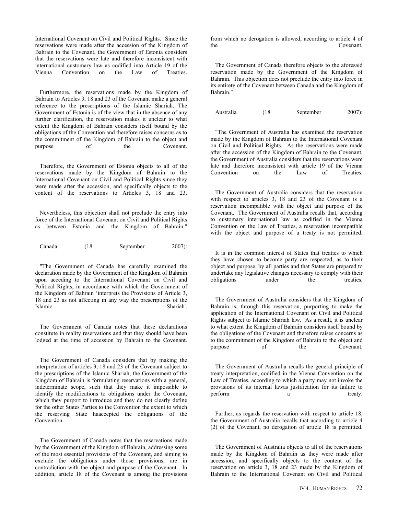International Covenant on Civil and Political Rights. Since the reservations were made after the accession of the Kingdom of Bahrain to the Covenant, the Government of Estonia considers that the reservations were late and therefore inconsistent with international customary law as codified into Article 19 of the Vienna Convention on the Law of Treaties.

Furthermore, the reservations made by the Kingdom of Bahrain to Articles 3, 18 and 23 of the Covenant make a general reference to the prescriptions of the Islamic Shariah. The Government of Estonia is of the view that in the absence of any further clarification, the reservation makes it unclear to what extent the Kingdom of Bahrain considers itself bound by the obligations of the Convention and therefore raises concerns as to the commitment of the Kingdom of Bahrain to the object and purpose of the Covenant.

Therefore, the Government of Estonia objects to all of the reservations made by the Kingdom of Bahrain to the International Covenant on Civil and Political Rights since they were made after the accession, and specifically objects to the content of the reservations to Articles 3, 18 and 23.

Nevertheless, this objection shall not preclude the entry into force of the International Covenant on Civil and Political Rights as between Estonia and the Kingdom of Bahrain."

| Canada | (18 | September | $2007$ ): |
|--------|-----|-----------|-----------|
|--------|-----|-----------|-----------|

"The Government of Canada has carefully examined the declaration made by the Government of the Kingdom of Bahrain upon acceding to the International Covenant on Civil and Political Rights, in accordance with which the Government of the Kingdom of Bahrain 'interprets the Provisions of Article 3, 18 and 23 as not affecting in any way the prescriptions of the Islamic Shariah'.

The Government of Canada notes that these declarations constitute in reality reservations and that they should have been lodged at the time of accession by Bahrain to the Covenant.

The Government of Canada considers that by making the interpretation of articles 3, 18 and 23 of the Covenant subject to the prescriptions of the Islamic Shariah, the Government of the Kingdom of Bahrain is formulating reservations with a general, indeterminate scope, such that they make it impossible to identify the modifications to obligations under the Covenant, which they purport to introduce and they do not clearly define for the other States Parties to the Convention the extent to which the reserving State haaccepted the obligations of the Convention.

The Government of Canada notes that the reservations made by the Government of the Kingdom of Bahrain, addressing some of the most essential provisions of the Covenant, and aiming to exclude the obligations under those provisions, are in contradiction with the object and purpose of the Covenant. In addition, article 18 of the Covenant is among the provisions

from which no derogation is allowed, according to article 4 of the Covenant.

The Government of Canada therefore objects to the aforesaid reservation made by the Government of the Kingdom of Bahrain. This objection does not preclude the entry into force in its entirety of the Covenant between Canada and the Kingdom of Bahrain."

| (18<br>Australia | September | $2007$ : |
|------------------|-----------|----------|
|------------------|-----------|----------|

"The Government of Australia has examined the reservation made by the Kingdom of Bahrain to the International Covenant on Civil and Political Rights. As the reservations were made after the accession of the Kingdom of Bahrain to the Covenant, the Government of Australia considers that the reservations were late and therefore inconsistent with article 19 of the Vienna Convention on the Law of Treaties.

The Government of Australia considers that the reservation with respect to articles 3, 18 and 23 of the Covenant is a reservation incompatible with the object and purpose of the Covenant. The Government of Australia recalls that, according to customary international law as codified in the Vienna Convention on the Law of Treaties, a reservation incompatible with the object and purpose of a treaty is not permitted.

It is in the common interest of States that treaties to which they have chosen to become party are respected, as to their object and purpose, by all parties and that States are prepared to undertake any legislative changes necessary to comply with their obligations under the treaties.

The Government of Australia considers that the Kingdom of Bahrain is, through this reservation, purporting to make the application of the International Covenant on Civil and Political Rights subject to Islamic Shariah law. As a result, it is unclear to what extent the Kingdom of Bahrain considers itself bound by the obligations of the Covenant and therefore raises concerns as to the commitment of the Kingdom of Bahrain to the object and purpose of the Covenant.

The Government of Australia recalls the general principle of treaty interpretation, codified in the Vienna Convention on the Law of Treaties, according to which a party may not invoke the provisions of its internal lawas justification for its failure to perform a treaty.

Further, as regards the reservation with respect to article 18, the Government of Australia recalls that according to article 4 (2) of the Covenant, no derogation of article 18 is permitted.

The Government of Australia objects to all of the reservations made by the Kingdom of Bahrain as they were made after accession, and specifically objects to the content of the reservation on article 3, 18 and 23 made by the Kingdom of Bahrain to the International Covenant on Civil and Political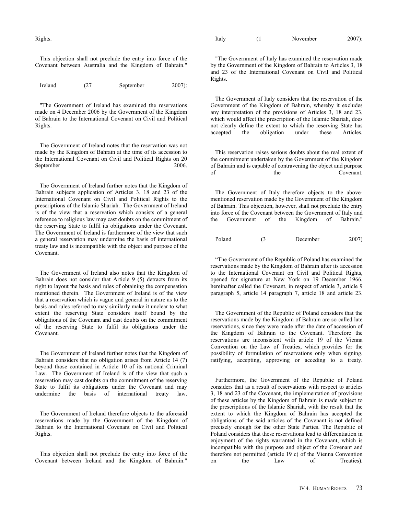Rights.

This objection shall not preclude the entry into force of the Covenant between Australia and the Kingdom of Bahrain."

| Ireland | (27) | September | $2007$ ): |
|---------|------|-----------|-----------|
|---------|------|-----------|-----------|

"The Government of Ireland has examined the reservations made on 4 December 2006 by the Government of the Kingdom of Bahrain to the International Covenant on Civil and Political Rights.

The Government of Ireland notes that the reservation was not made by the Kingdom of Bahrain at the time of its accession to the International Covenant on Civil and Political Rights on 20 September 2006.

The Government of Ireland further notes that the Kingdom of Bahrain subjects application of Articles 3, 18 and 23 of the International Covenant on Civil and Political Rights to the prescriptions of the Islamic Shariah. The Government of Ireland is of the view that a reservation which consists of a general reference to religious law may cast doubts on the commitment of the reserving State to fulfil its obligations under the Covenant. The Government of Ireland is furthermore of the view that such a general reservation may undermine the basis of international treaty law and is incompatible with the object and purpose of the Covenant.

The Government of Ireland also notes that the Kingdom of Bahrain does not consider that Article 9 (5) detracts from its right to layout the basis and rules of obtaining the compensation mentioned therein. The Government of Ireland is of the view that a reservation which is vague and general in nature as to the basis and rules referred to may similarly make it unclear to what extent the reserving State considers itself bound by the obligations of the Covenant and cast doubts on the commitment of the reserving State to fulfil its obligations under the Covenant.

The Government of Ireland further notes that the Kingdom of Bahrain considers that no obligation arises from Article 14 (7) beyond those contained in Article 10 of its national Criminal Law. The Government of Ireland is of the view that such a reservation may cast doubts on the commitment of the reserving State to fulfil its obligations under the Covenant and may undermine the basis of international treaty law.

The Government of Ireland therefore objects to the aforesaid reservations made by the Government of the Kingdom of Bahrain to the International Covenant on Civil and Political Rights.

This objection shall not preclude the entry into force of the Covenant between Ireland and the Kingdom of Bahrain."

| Italy<br>November | $2007$ : |
|-------------------|----------|
|-------------------|----------|

"The Government of Italy has examined the reservation made by the Government of the Kingdom of Bahrain to Articles 3, 18 and 23 of the International Covenant on Civil and Political Rights.

The Government of Italy considers that the reservation of the Government of the Kingdom of Bahrain, whereby it excludes any interpretation of the provisions of Articles 3, 18 and 23, which would affect the prescription of the Islamic Shariah, does not clearly define the extent to which the reserving State has accepted the obligation under these Articles.

This reservation raises serious doubts about the real extent of the commitment undertaken by the Government of the Kingdom of Bahrain and is capable of contravening the object and purpose of the the Covenant.

The Government of Italy therefore objects to the abovementioned reservation made by the Government of the Kingdom of Bahrain. This objection, however, shall not preclude the entry into force of the Covenant between the Government of Italy and the Government of the Kingdom of Bahrain."

| Poland<br>December | 2007) |
|--------------------|-------|
|--------------------|-------|

"The Government of the Republic of Poland has examined the reservations made by the Kingdom of Bahrain after its accession to the International Covenant on Civil and Political Rights, opened for signature at New York on 19 December 1966, hereinafter called the Covenant, in respect of article 3, article 9 paragraph 5, article 14 paragraph 7, article 18 and article 23.

The Government of the Republic of Poland considers that the reservations made by the Kingdom of Bahrain are so called late reservations, since they were made after the date of accession of the Kingdom of Bahrain to the Covenant. Therefore the reservations are inconsistent with article 19 of the Vienna Convention on the Law of Treaties, which provides for the possibility of formulation of reservations only when signing, ratifying, accepting, approving or acceding to a treaty.

Furthermore, the Government of the Republic of Poland considers that as a result of reservations with respect to articles 3, 18 and 23 of the Covenant, the implementation of provisions of these articles by the Kingdom of Bahrain is made subject to the prescriptions of the Islamic Shariah, with the result that the extent to which the Kingdom of Bahrain has accepted the obligations of the said articles of the Covenant is not defined precisely enough for the other State Parties. The Republic of Poland considers that these reservations lead to differentiation in enjoyment of the rights warranted in the Covenant, which is incompatible with the purpose and object of the Covenant and therefore not permitted (article 19 c) of the Vienna Convention on the Law of Treaties).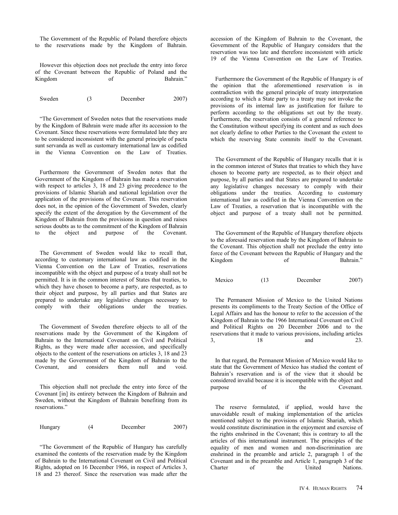The Government of the Republic of Poland therefore objects to the reservations made by the Kingdom of Bahrain.

However this objection does not preclude the entry into force of the Covenant between the Republic of Poland and the Kingdom of Bahrain."

| Sweden |  | December | 2007) |
|--------|--|----------|-------|
|--------|--|----------|-------|

"The Government of Sweden notes that the reservations made by the Kingdom of Bahrain were made after its accession to the Covenant. Since these reservations were formulated late they are to be considered inconsistent with the general principle of pacta sunt servanda as well as customary international law as codified in the Vienna Convention on the Law of Treaties.

Furthermore the Government of Sweden notes that the Government of the Kingdom of Bahrain has made a reservation with respect to articles 3, 18 and 23 giving precedence to the provisions of Islamic Shariah and national legislation over the application of the provisions of the Covenant. This reservation does not, in the opinion of the Government of Sweden, clearly specify the extent of the derogation by the Government of the Kingdom of Bahrain from the provisions in question and raises serious doubts as to the commitment of the Kingdom of Bahrain to the object and purpose of the Covenant.

The Government of Sweden would like to recall that, according to customary international law as codified in the Vienna Convention on the Law of Treaties, reservations incompatible with the object and purpose of a treaty shall not be permitted. It is in the common interest of States that treaties, to which they have chosen to become a party, are respected, as to their object and purpose, by all parties and that States are prepared to undertake any legislative changes necessary to comply with their obligations under the treaties.

The Government of Sweden therefore objects to all of the reservations made by the Government of the Kingdom of Bahrain to the International Covenant on Civil and Political Rights, as they were made after accession, and specifically objects to the content of the reservations on articles 3, 18 and 23 made by the Government of the Kingdom of Bahrain to the Covenant, and considers them null and void.

This objection shall not preclude the entry into force of the Covenant [in] its entirety between the Kingdom of Bahrain and Sweden, without the Kingdom of Bahrain benefiting from its reservations."

Hungary (4 December 2007)

"The Government of the Republic of Hungary has carefully examined the contents of the reservation made by the Kingdom of Bahrain to the International Covenant on Civil and Political Rights, adopted on 16 December 1966, in respect of Articles 3, 18 and 23 thereof. Since the reservation was made after the

accession of the Kingdom of Bahrain to the Covenant, the Government of the Republic of Hungary considers that the reservation was too late and therefore inconsistent with article 19 of the Vienna Convention on the Law of Treaties.

Furthermore the Government of the Republic of Hungary is of the opinion that the aforementioned reservation is in contradiction with the general principle of treaty interpretation according to which a State party to a treaty may not invoke the provisions of its internal law as justification for failure to perform according to the obligations set out by the treaty. Furthermore, the reservation consists of a general reference to the Constitution without specifying its content and as such does not clearly define to other Parties to the Covenant the extent to which the reserving State commits itself to the Covenant.

The Government of the Republic of Hungary recalls that it is in the common interest of States that treaties to which they have chosen to become party are respected, as to their object and purpose, by all parties and that States are prepared to undertake any legislative changes necessary to comply with their obligations under the treaties. According to customary international law as codified in the Vienna Convention on the Law of Treaties, a reservation that is incompatible with the object and purpose of a treaty shall not be permitted.

The Government of the Republic of Hungary therefore objects to the aforesaid reservation made by the Kingdom of Bahrain to the Covenant. This objection shall not preclude the entry into force of the Covenant between the Republic of Hungary and the Kingdom of Bahrain."

| Mexico | (13) | December | 2007) |
|--------|------|----------|-------|
|--------|------|----------|-------|

The Permanent Mission of Mexico to the United Nations presents its compliments to the Treaty Section of the Office of Legal Affairs and has the honour to refer to the accession of the Kingdom of Bahrain to the 1966 International Covenant on Civil and Political Rights on 20 December 2006 and to the reservations that it made to various provisions, including articles 3, 18 and 23.

In that regard, the Permanent Mission of Mexico would like to state that the Government of Mexico has studied the content of Bahrain's reservation and is of the view that it should be considered invalid because it is incompatible with the object and purpose of the Covenant.

The reserve formulated, if applied, would have the unavoidable result of making implementation of the articles mentioned subject to the provisions of Islamic Shariah, which would constitute discrimination in the enjoyment and exercise of the rights enshrined in the Covenant; this is contrary to all the articles of this international instrument. The principles of the equality of men and women and non-discrimination are enshrined in the preamble and article 2, paragraph 1 of the Covenant and in the preamble and Article 1, paragraph 3 of the Charter of the United Nations.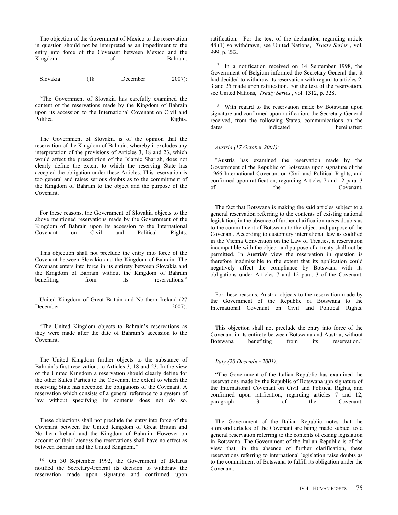The objection of the Government of Mexico to the reservation in question should not be interpreted as an impediment to the entry into force of the Covenant between Mexico and the Kingdom of Bahrain.

Slovakia (18 December 2007):

"The Government of Slovakia has carefully examined the content of the reservations made by the Kingdom of Bahrain upon its accession to the International Covenant on Civil and Political

The Government of Slovakia is of the opinion that the reservation of the Kingdom of Bahrain, whereby it excludes any interpretation of the provisions of Articles 3, 18 and 23, which would affect the prescription of the Islamic Shariah, does not clearly define the extent to which the reserving State has accepted the obligation under these Articles. This reservation is too general and raises serious doubts as to the commitment of the Kingdom of Bahrain to the object and the purpose of the Covenant.

For these reasons, the Government of Slovakia objects to the above mentioned reservations made by the Government of the Kingdom of Bahrain upon its accession to the International Covenant on Civil and Political Rights.

This objection shall not preclude the entry into force of the Covenant between Slovakia and the Kingdom of Bahrain. The Covenant enters into force in its entirety between Slovakia and the Kingdom of Bahrain without the Kingdom of Bahrain benefiting from its reservations."

United Kingdom of Great Britain and Northern Ireland (27 December 2007):

"The United Kingdom objects to Bahrain's reservations as they were made after the date of Bahrain's accession to the Covenant.

The United Kingdom further objects to the substance of Bahrain's first reservation, to Articles 3, 18 and 23. In the view of the United Kingdom a reservation should clearly define for the other States Parties to the Covenant the extent to which the reserving State has accepted the obligations of the Covenant. A reservation which consists of a general reference to a system of law without specifying its contents does not do so.

These objections shall not preclude the entry into force of the Covenant between the United Kingdom of Great Britain and Northern Ireland and the Kingdom of Bahrain. However on account of their lateness the reservations shall have no effect as between Bahrain and the United Kingdom."

<sup>16</sup> On 30 September 1992, the Government of Belarus notified the Secretary-General its decision to withdraw the reservation made upon signature and confirmed upon ratification. For the text of the declaration regarding article 48 (1) so withdrawn, see United Nations, *Treaty Series* , vol. 999, p. 282.

<sup>17</sup> In a notification received on 14 September 1998, the Government of Belgium informed the Secretary-General that it had decided to withdraw its reservation with regard to articles 2, 3 and 25 made upon ratification. For the text of the reservation, see United Nations, *Treaty Series* , vol. 1312, p. 328.

<sup>18</sup> With regard to the reservation made by Botswana upon signature and confirmed upon ratification, the Secretary-General received, from the following States, communications on the dates indicated hereinafter:

#### *Austria (17 October 2001):*

"Austria has examined the reservation made by the Government of the Republic of Botswana upon signature of the 1966 International Covenant on Civil and Political Rights, and confirmed upon ratification, regarding Articles 7 and 12 para. 3 of the the Covenant.

The fact that Botswana is making the said articles subject to a general reservation referring to the contents of existing national legislation, in the absence of further clarification raises doubts as to the commitment of Botswana to the object and purpose of the Covenant. According to customary international law as codified in the Vienna Convention on the Law of Treaties, a reservation incompatible with the object and purpose of a treaty shall not be permitted. In Austria's view the reservation in question is therefore inadmissible to the extent that its application could negatively affect the compliance by Botswana with its obligations under Articles 7 and 12 para. 3 of the Covenant.

For these reasons, Austria objects to the reservation made by the Government of the Republic of Botswana to the International Covenant on Civil and Political Rights.

This objection shall not preclude the entry into force of the Covenant in its entirety between Botswana and Austria, without Botswana benefiting from its reservation."

# *Italy (20 December 2001):*

"The Government of the Italian Republic has examined the reservations made by the Republic of Botswana upn signature of the International Covenant on Civil and Political Rights, and confirmed upon ratification, regarding articles 7 and 12, paragraph 3 of the Covenant.

The Government of the Italian Republic notes that the aforesaid articles of the Covenant are being made subject to a general reservation referring to the contents of exsing legislation in Botswana. The Government of the Italian Republic is of the view that, in the absence of further clarification, these reservations referring to international legislation raise doubts as to the commitment of Botswana to fulfill its obligation under the Covenant.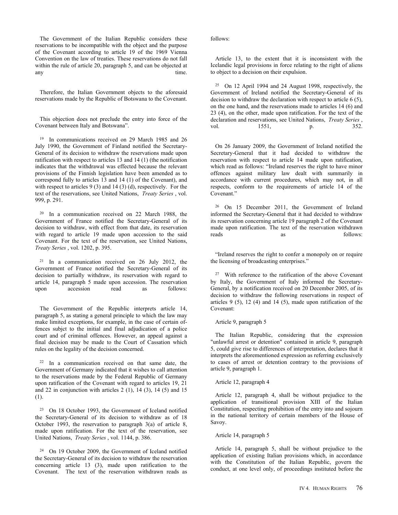The Government of the Italian Republic considers these reservations to be incompatible with the object and the purpose of the Covenant according to article 19 of the 1969 Vienna Convention on the law of treaties. These reservations do not fall within the rule of article 20, paragraph 5, and can be objected at any time.

Therefore, the Italian Government objects to the aforesaid reservations made by the Republic of Botswana to the Covenant.

This objection does not preclude the entry into force of the Covenant between Italy and Botswana".

<sup>19</sup> In communications received on 29 March 1985 and 26 July 1990, the Government of Finland notified the Secretary-General of its decision to withdraw the reservations made upon ratification with respect to articles 13 and 14 (1) (the notification indicates that the withdrawal was effected because the relevant provisions of the Finnish legislation have been amended as to correspond fully to articles 13 and 14 (1) of the Covenant), and with respect to articles 9 (3) and 14 (3) (d), respectively. For the text of the reservations, see United Nations, *Treaty Series* , vol. 999, p. 291.

<sup>20</sup> In a communication received on 22 March 1988, the Government of France notified the Secretary-General of its decision to withdraw, with effect from that date, its reservation with regard to article 19 made upon accession to the said Covenant. For the text of the reservation, see United Nations, *Treaty Series* , vol. 1202, p. 395.

<sup>21</sup> In a communication received on 26 July 2012, the Government of France notified the Secretary-General of its decision to partially withdraw, its reservation with regard to article 14, paragraph 5 made upon accession. The reservation upon accession read as follows:

The Government of the Republic interprets article 14, paragraph 5, as stating a general principle to which the law may make limited exceptions, for example, in the case of certain offences subjct to the initial and final adjudication of a police court and of criminal offences. However, an appeal against a final decision may be made to the Court of Cassation which rules on the legality of the decision concerned.

<sup>22</sup> In a communication received on that same date, the Government of Germany indicated that it wishes to call attention to the reservations made by the Federal Republic of Germany upon ratification of the Covenant with regard to articles 19, 21 and 22 in conjunction with articles  $2(1)$ ,  $14(3)$ ,  $14(5)$  and  $15$ (1).

<sup>23</sup> On 18 October 1993, the Government of Iceland notified the Secretary-General of its decision to withdraw as of 18 October 1993, the reservation to paragraph 3(a) of article 8, made upon ratification. For the text of the reservation, see United Nations, *Treaty Series* , vol. 1144, p. 386.

<sup>24</sup> On 19 October 2009, the Government of Iceland notified the Secretary-General of its decision to withdraw the reservation concerning article 13 (3), made upon ratification to the Covenant. The text of the reservation withdrawn reads as follows:

Article 13, to the extent that it is inconsistent with the Icelandic legal provisions in force relating to the right of aliens to object to a decision on their expulsion.

<sup>25</sup> On 12 April 1994 and 24 August 1998, respectively, the Government of Ireland notified the Secretary-General of its decision to withdraw the declaration with respect to article 6 (5), on the one hand, and the reservations made to articles 14 (6) and 23 (4), on the other, made upon ratification. For the text of the declaration and reservations, see United Nations, *Treaty Series* , vol. 1551, p. 352.

On 26 January 2009, the Government of Ireland notified the Secretary-General that it had decided to withdraw the reservation with respect to article 14 made upon ratification, which read as follows: "Ireland reserves the right to have minor offences against military law dealt with summarily in accordance with current procedures, which may not, in all respects, conform to the requirements of article 14 of the Covenant."

<sup>26</sup> On 15 December 2011, the Government of Ireland informed the Secretary-General that it had decided to withdraw its reservation concerning article 19 paragraph 2 of the Covenant made upon ratification. The text of the reservation withdrawn reads as follows:

"Ireland reserves the right to confer a monopoly on or require the licensing of broadcasting enterprises."

<sup>27</sup> With reference to the ratification of the above Covenant by Italy, the Government of Italy informed the Secretary-General, by a notification received on 20 December 2005, of its decision to withdraw the following reservations in respect of articles  $9(5)$ ,  $12(4)$  and  $14(5)$ , made upon ratification of the Covenant:

# Article 9, paragraph 5

The Italian Republic, considering that the expression "unlawful arrest or detention" contained in article 9, paragraph 5, could give rise to differences of interpretation, declares that it interprets the aforementioned expression as referring exclusively to cases of arrest or detention contrary to the provisions of article 9, paragraph 1.

Article 12, paragraph 4

Article 12, paragraph 4, shall be without prejudice to the application of transitional provision XIII of the Italian Constitution, respecting prohibition of the entry into and sojourn in the national territory of certain members of the House of Savoy.

### Article 14, paragraph 5

Article 14, paragraph 5, shall be without prejudice to the application of existing Italian provisions which, in accordance with the Constitution of the Italian Republic, govern the conduct, at one level only, of proceedings instituted before the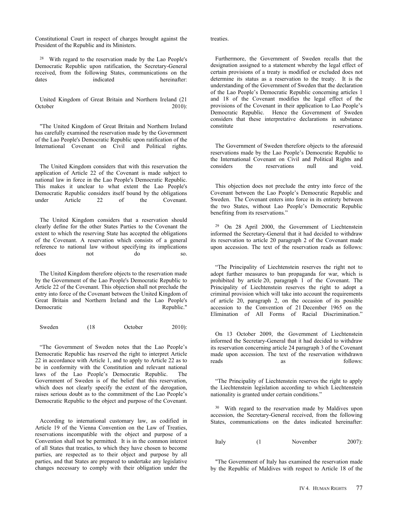Constitutional Court in respect of charges brought against the President of the Republic and its Ministers.

<sup>28</sup> With regard to the reservation made by the Lao People's Democratic Republic upon ratification, the Secretary-General received, from the following States, communications on the dates indicated hereinafter:

United Kingdom of Great Britain and Northern Ireland (21 October 2010):

"The United Kingdom of Great Britain and Northern Ireland has carefully examined the reservation made by the Government of the Lao People's Democratic Republic upon ratification of the International Covenant on Civil and Political rights.

The United Kingdom considers that with this reservation the application of Article 22 of the Covenant is made subject to national law in force in the Lao People's Democratic Republic. This makes it unclear to what extent the Lao People's Democratic Republic considers itself bound by the obligations<br>under Article 22 of the Covenant under Article 22 of the Covenant.

The United Kingdom considers that a reservation should clearly define for the other States Parties to the Covenant the extent to which the reserving State has accepted the obligations of the Covenant. A reservation which consists of a general reference to national law without specifying its implications does not do so.

The United Kingdom therefore objects to the reservation made by the Government of the Lao People's Democratic Republic to Article 22 of the Covenant. This objection shall not preclude the entry into force of the Covenant between the United Kingdom of Great Britain and Northern Ireland and the Lao People's Democratic Republic."

Sweden (18 October 2010):

"The Government of Sweden notes that the Lao People's Democratic Republic has reserved the right to interpret Article 22 in accordance with Article 1, and to apply to Article 22 as to be in conformity with the Constitution and relevant national laws of the Lao People's Democratic Republic. The Government of Sweden is of the belief that this reservation, which does not clearly specify the extent of the derogation, raises serious doubt as to the commitment of the Lao People's Democratic Republic to the object and purpose of the Covenant.

According to international customary law, as codified in Article 19 of the Vienna Convention on the Law of Treaties, reservations incompatible with the object and purpose of a Convention shall not be permitted. It is in the common interest of all States that treaties, to which they have chosen to become parties, are respected as to their object and purpose by all parties, and that States are prepared to undertake any legislative changes necessary to comply with their obligation under the **treaties** 

Furthermore, the Government of Sweden recalls that the designation assigned to a statement whereby the legal effect of certain provisions of a treaty is modified or excluded does not determine its status as a reservation to the treaty. It is the understanding of the Government of Sweden that the declaration of the Lao People's Democratic Republic concerning articles 1 and 18 of the Covenant modifies the legal effect of the provisions of the Covenant in their application to Lao People's Democratic Republic. Hence the Government of Sweden considers that these interpretative declarations in substance constitute reservations.

The Government of Sweden therefore objects to the aforesaid reservations made by the Lao People's Democratic Republic to the International Covenant on Civil and Political Rights and considers the reservations null and void.

This objection does not preclude the entry into force of the Covenant between the Lao People's Democratic Republic and Sweden. The Covenant enters into force in its entirety between the two States, without Lao People's Democratic Republic benefiting from its reservations."

<sup>29</sup> On 28 April 2000, the Government of Liechtenstein informed the Secretary-General that it had decided to withdraw its reservation to article 20 paragraph 2 of the Covenant made upon accession. The text of the reservation reads as follows:

"The Principality of Liechtenstein reserves the right not to adopt further measures to ban propaganda for war, which is prohibited by article 20, paragraph 1 of the Covenant. The Principality of Liechtenstein reserves the right to adopt a criminal provision which will take into account the requirements of article 20, paragraph 2, on the occasion of its possible accession to the Convention of 21 December 1965 on the Elimination of All Forms of Racial Discrimination."

On 13 October 2009, the Government of Liechtenstein informed the Secretary-General that it had decided to withdraw its reservation concerning article 24 paragraph 3 of the Covenant made upon accession. The text of the reservation withdrawn reads as follows:

"The Principality of Liechtenstein reserves the right to apply the Liechtenstein legislation according to which Liechtenstein nationality is granted under certain conditions."

<sup>30</sup> With regard to the reservation made by Maldives upon accession, the Secretary-General received, from the following States, communications on the dates indicated hereinafter:

Italy (1 November 2007):

"The Government of Italy has examined the reservation made by the Republic of Maldives with respect to Article 18 of the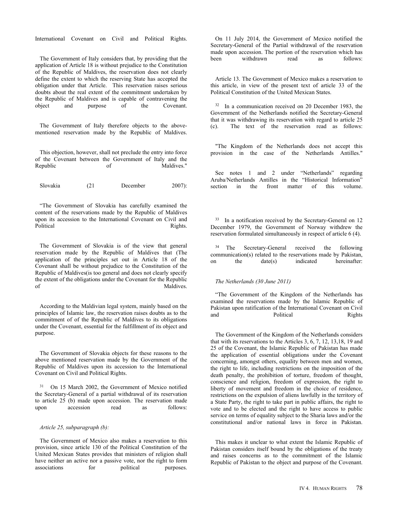International Covenant on Civil and Political Rights.

The Government of Italy considers that, by providing that the application of Article 18 is without prejudice to the Constitution of the Republic of Maldives, the reservation does not clearly define the extent to which the reserving State has accepted the obligation under that Article. This reservation raises serious doubts about the real extent of the commitment undertaken by the Republic of Maldives and is capable of contravening the object and purpose of the Covenant.

The Government of Italy therefore objects to the abovementioned reservation made by the Republic of Maldives.

This objection, however, shall not preclude the entry into force of the Covenant between the Government of Italy and the Republic of Maldives."

| Slovakia | (21) | December | $2007$ : |
|----------|------|----------|----------|
|----------|------|----------|----------|

"The Government of Slovakia has carefully examined the content of the reservations made by the Republic of Maldives upon its accession to the International Covenant on Civil and Political Rights.

The Government of Slovakia is of the view that general reservation made by the Republic of Maldives that (The application of the principles set out in Article 18 of the Covenant shall be without prejudice to the Constitution of the Republic of Maldives(is too general and does not clearly specify the extent of the obligations under the Covenant for the Republic of Maldives.

According to the Maldivian legal system, mainly based on the principles of Islamic law, the reservation raises doubts as to the commitment of of the Republic of Maldives to its obligations under the Covenant, essential for the fulfillment of its object and purpose.

The Government of Slovakia objects for these reasons to the above mentioned reservation made by the Government of the Republic of Maldives upon its accession to the International Covenant on Civil and Political Rights.

<sup>31</sup> On 15 March 2002, the Government of Mexico notified the Secretary-General of a partial withdrawal of its reservation to article  $25$  (b) made upon accession. The reservation made<br>upon accession read as follows: accession

*Article 25, subparagraph (b):*

The Government of Mexico also makes a reservation to this provision, since article 130 of the Political Constitution of the United Mexican States provides that ministers of religion shall have neither an active nor a passive vote, nor the right to form<br>associations for political purposes. associations for political purposes.

On 11 July 2014, the Government of Mexico notified the Secretary-General of the Partial withdrawal of the reservation made upon accession. The portion of the reservation which has been withdrawn read as follows:

Article 13. The Government of Mexico makes a reservation to this article, in view of the present text of article 33 of the Political Constitution of the United Mexican States.

<sup>32</sup> In a communication received on 20 December 1983, the Government of the Netherlands notified the Secretary-General that it was withdrawing its reservation with regard to article 25 (c). The text of the reservation read as follows:

"The Kingdom of the Netherlands does not accept this provision in the case of the Netherlands Antilles."

See notes 1 and 2 under "Netherlands" regarding Aruba/Netherlands Antilles in the "Historical Information" section in the front matter of this volume.

<sup>33</sup> In a notification received by the Secretary-General on 12 December 1979, the Government of Norway withdrew the reservation formulated simultaneously in respect of article 6 (4).

The Secretary-General received the following communication(s) related to the reservations made by Pakistan, on the date(s) indicated hereinafter:

#### *The Netherlands (30 June 2011)*

"The Government of the Kingdom of the Netherlands has examined the reservations made by the Islamic Republic of Pakistan upon ratification of the International Covenant on Civil and Political Rights

The Government of the Kingdom of the Netherlands considers that with its reservations to the Articles 3, 6, 7, 12, 13,18, 19 and 25 of the Covenant, the Islamic Republic of Pakistan has made the application of essential obligations under the Covenant concerning, amongst others, equality between men and women, the right to life, including restrictions on the imposition of the death penalty, the prohibition of torture, freedom of thought, conscience and religion, freedom of expression, the right to liberty of movement and freedom in the choice of residence, restrictions on the expulsion of aliens lawfully in the territory of a State Party, the right to take part in public affairs, the right to vote and to be elected and the right to have access to public service on terms of equality subject to the Sharia laws and/or the constitutional and/or national laws in force in Pakistan.

This makes it unclear to what extent the Islamic Republic of Pakistan considers itself bound by the obligations of the treaty and raises concerns as to the commitment of the Islamic Republic of Pakistan to the object and purpose of the Covenant.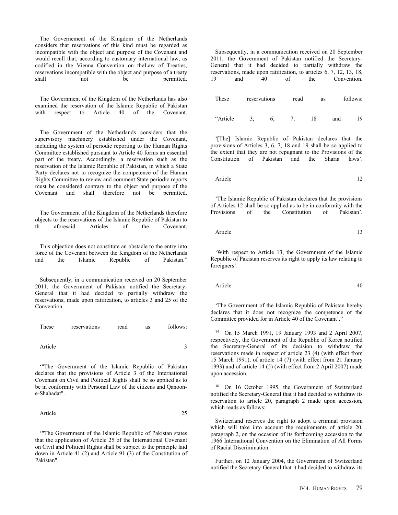The Governement of the Kingdom of the Netherlands considers that reservations of this kind must be regarded as incompatible with the object and purpose of the Covenant and would recall that, according to customary international law, as codified in the Vienna Convention on theLaw of Treaties, reservations incompatible with the object and purpose of a treaty shall not be permitted.

The Government of the Kingdom of the Netherlands has also examined the reservation of the Islamic Republic of Pakistan with respect to Article 40 of the Covenant.

The Government of the Netherlands considers that the supervisory machinery established under the Covenant, including the system of periodic reporting to the Human Rights Committee established pursuant to Article 40 forms an essential part of the treaty. Accordingly, a reservation such as the reservation of the Islamic Republic of Pakistan, in which a State Party declares not to recognize the competence of the Human Rights Committee to review and comment State periodic reports must be considered contrary to the object and purpose of the Covenant and shall therefore not be permitted.

The Government of the Kingdom of the Netherlands therefore objects to the reservations of the Islamic Republic of Pakistan to th aforesaid Articles of the Covenant.

This objection does not constitute an obstacle to the entry into force of the Covenant between the Kingdom of the Netherlands and the Islamic Republic of Pakistan."

Subsequently, in a communication received on 20 September 2011, the Government of Pakistan notified the Secretary-General that it had decided to partially withdraw the reservations, made upon ratification, to articles 3 and 25 of the Convention.

| These   | reservations | read | as | follows: |
|---------|--------------|------|----|----------|
|         |              |      |    |          |
| Article |              |      |    |          |

'"The Government of the Islamic Republic of Pakistan declares that the provisions of Article 3 of the International Covenant on Civil and Political Rights shall be so applied as to be in conformity with Personal Law of the citizens and Qanoone-Shahadat".

'"The Government of the Islamic Republic of Pakistan states that the application of Article 25 of the International Covenant on Civil and Political Rights shall be subject to the principle laid down in Article 41 (2) and Article 91 (3) of the Constitution of Pakistan".

Subsequently, in a communication received on 20 September 2011, the Government of Pakistan notified the Secretary-General that it had decided to partially withdraw the reservations, made upon ratification, to articles 6, 7, 12, 13, 18, 19 and 40 of the Convention.

| These     | reservations |    | read | as |     | follows: |
|-----------|--------------|----|------|----|-----|----------|
| "Article" |              | 6. |      | 18 | and | 19       |

'[The] Islamic Republic of Pakistan declares that the provisions of Articles 3, 6, 7, 18 and 19 shall be so applied to the extent that they are not repugnant to the Provisions of the Constitution of Pakistan and the Sharia laws'.

Article 12

'The Islamic Republic of Pakistan declares that the provisions of Articles 12 shall be so applied as to be in conformity with the Provisions of the Constitution of Pakistan'.

```
Article 13
```
'With respect to Article 13, the Government of the Islamic Republic of Pakistan reserves its right to apply its law relating to foreigners'.

Article 40

'The Government of the Islamic Republic of Pakistan hereby declares that it does not recognize the competence of the Committee provided for in Article 40 of the Covenant'."

<sup>35</sup> On 15 March 1991, 19 January 1993 and 2 April 2007, respectively, the Government of the Republic of Korea notified the Secretary-General of its decision to withdraw the reservations made in respect of article 23 (4) (with effect from 15 March 1991), of article 14 (7) (with effect from 21 January 1993) and of article 14 (5) (with effect from 2 April 2007) made upon accession.

<sup>36</sup> On 16 October 1995, the Government of Switzerland notified the Secretary-General that it had decided to withdraw its reservation to article 20, paragraph 2 made upon accession, which reads as follows:

Switzerland reserves the right to adopt a criminal provision which will take into account the requirements of article 20, paragraph 2, on the occasion of its forthcoming accession to the 1966 International Convention on the Elimination of All Forms of Racial Discrimination.

Further, on 12 January 2004, the Government of Switzerland notified the Secretary-General that it had decided to withdraw its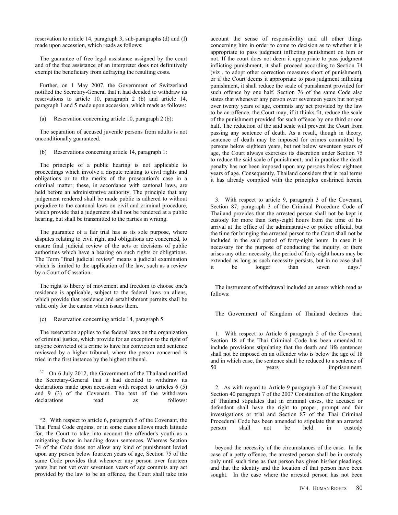reservation to article 14, paragraph 3, sub-paragraphs (d) and (f) made upon accession, which reads as follows:

The guarantee of free legal assistance assigned by the court and of the free assistance of an interpreter does not definitively exempt the beneficiary from defraying the resulting costs.

Further, on 1 May 2007, the Government of Switzerland notified the Secretary-General that it had decided to withdraw its reservations to article 10, paragraph 2 (b) and article 14, paragraph 1 and 5 made upon accession, which reads as follows:

(a) Reservation concerning article 10, paragraph 2 (b):

The separation of accused juvenile persons from adults is not unconditionally guaranteed.

(b) Reservations concerning article 14, paragraph 1:

The principle of a public hearing is not applicable to proceedings which involve a dispute relating to civil rights and obligations or to the merits of the prosecution's case in a criminal matter; these, in accordance with cantonal laws, are held before an administrative authority. The principle that any judgement rendered shall be made public is adhered to without prejudice to the cantonal laws on civil and criminal procedure, which provide that a judgement shall not be rendered at a public hearing, but shall be transmitted to the parties in writing.

The guarantee of a fair trial has as its sole purpose, where disputes relating to civil right and obligations are concerned, to ensure final judicial review of the acts or decisions of public authorities which have a bearing on such rights or obligations. The Term "final judicial review" means a judicial examination which is limited to the application of the law, such as a review by a Court of Cassation.

The right to liberty of movement and freedom to choose one's residence is applicable, subject to the federal laws on aliens, which provide that residence and establishment permits shall be valid only for the canton which issues them.

(c) Reservation concerning article 14, paragraph 5:

The reservation applies to the federal laws on the organization of criminal justice, which provide for an exception to the right of anyone convicted of a crime to have his conviction and sentence reviewed by a higher tribunal, where the person concerned is tried in the first instance by the highest tribunal.

<sup>37</sup> On 6 July 2012, the Government of the Thailand notified the Secretary-General that it had decided to withdraw its declarations made upon accession with respect to articles 6 (5) and 9 (3) of the Covenant. The text of the withdrawn declarations read as follows:

"2. With respect to article 6, paragraph 5 of the Covenant, the Thai Penal Code enjoins, or in some cases allows much latitude for, the Court to take into account the offender's youth as a mitigating factor in handing down sentences. Whereas Section 74 of the Code does not allow any kind of punishment levied upon any person below fourteen years of age, Section 75 of the same Code provides that whenever any person over fourteen years but not yet over seventeen years of age commits any act provided by the law to be an offence, the Court shall take into

account the sense of responsibility and all other things concerning him in order to come to decision as to whether it is appropriate to pass judgment inflicting punishment on him or not. If the court does not deem it appropriate to pass judgment inflicting punishment, it shall proceed according to Section 74 (viz . to adopt other correction measures short of punishment), or if the Court deems it appropriate to pass judgment inflicting punishment, it shall reduce the scale of punishment provided for such offence by one half. Section 76 of the same Code also states that whenever any person over seventeen years but not yet over twenty years of age, commits any act provided by the law to be an offence, the Court may, if it thinks fit, reduce the scale of the punishment provided for such offence by one third or one half. The reduction of the said scale will prevent the Court from passing any sentence of death. As a result, though in theory, sentence of death may be imposed for crimes committed by persons below eighteen years, but not below seventeen years of age, the Court always exercises its discretion under Section 75 to reduce the said scale of punishment, and in practice the death penalty has not been imposed upon any persons below eighteen years of age. Consequently, Thailand considers that in real terms it has already complied with the principles enshrined herein.

3. With respect to article 9, paragraph 3 of the Covenant, Section 87, paragraph 3 of the Criminal Procedure Code of Thailand provides that the arrested person shall not be kept in custody for more than forty-eight hours from the time of his arrival at the office of the administrative or police official, but the time for bringing the arrested person to the Court shall not be included in the said period of forty-eight hours. In case it is necessary for the purpose of conducting the inquiry, or there arises any other necessity, the period of forty-eight hours may be extended as long as such necessity persists, but in no case shall it be longer than seven days."

The instrument of withdrawal included an annex which read as follows:

The Government of Kingdom of Thailand declares that:

1. With respect to Article 6 paragraph 5 of the Covenant, Section 18 of the Thai Criminal Code has been amended to include provisions stipulating that the death and life sentences shall not be imposed on an offender who is below the age of 18 and in which case, the sentence shall be reduced to a sentence of 50 years imprisonment.

2. As with regard to Article 9 paragraph 3 of the Covenant, Section 40 paragraph 7 of the 2007 Constitution of the Kingdom of Thailand stipulates that in criminal cases, the accused or defendant shall have the right to proper, prompt and fair investigations or trial and Section 87 of the Thai Criminal Procedural Code has been amended to stipulate that an arrested person shall not be held in custody

beyond the necessity of the circumstances of the case. In the case of a petty offence, the arrested person shall be in custody only until such time as that person has given his/her pleadings, and that the identity and the location of that person have been sought. In the case where the arrested person has not been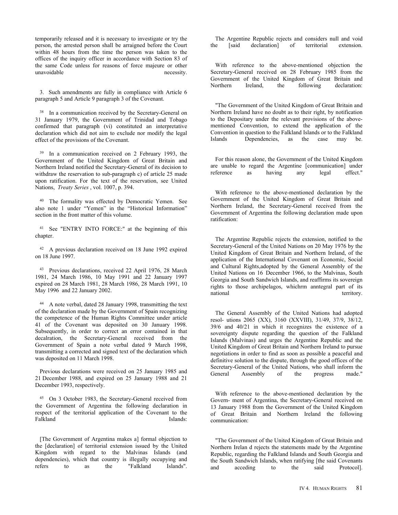temporarily released and it is necessary to investigate or try the person, the arrested person shall be arraigned before the Court within 48 hours from the time the person was taken to the offices of the inquiry officer in accordance with Section 83 of the same Code unless for reasons of force majeure or other unavoidable necessity.

3. Such amendments are fully in compliance with Article 6 paragraph 5 and Article 9 paragraph 3 of the Covenant.

<sup>38</sup> In a communication received by the Secretary-General on 31 January 1979, the Government of Trinidad and Tobago confirmed that paragraph (vi) constituted an interpretative declaration which did not aim to exclude nor modify the legal effect of the provisions of the Covenant.

<sup>39</sup> In a communication received on 2 February 1993, the Government of the United Kingdom of Great Britain and Northern Ireland notified the Secretary-General of its decision to withdraw the reservation to sub-paragraph c) of article 25 made upon ratification. For the text of the reservation, see United Nations, *Treaty Series* , vol. 1007, p. 394.

<sup>40</sup> The formality was effected by Democratic Yemen. See also note 1 under "Yemen" in the "Historical Information" section in the front matter of this volume.

<sup>41</sup> See "ENTRY INTO FORCE:" at the beginning of this chapter.

<sup>42</sup> A previous declaration received on 18 June 1992 expired on 18 June 1997.

<sup>43</sup> Previous declarations, received 22 April 1976, 28 March 1981, 24 March 1986, 10 May 1991 and 22 January 1997 expired on 28 March 1981, 28 March 1986, 28 March 1991, 10 May 1996 and 22 January 2002.

<sup>44</sup> A note verbal, dated 28 January 1998, transmitting the text of the declaration made by the Government of Spain recognizing the competence of the Human Rights Committee under article 41 of the Covenant was deposited on 30 January 1998. Subsequently, in order to correct an error contained in that decalration, the Secretary-General received from the Government of Spain a note verbal dated 9 March 1998, transmitting a corrected and signed text of the declaration which was deposited on 11 March 1998.

Previous declarations were received on 25 January 1985 and 21 December 1988, and expired on 25 January 1988 and 21 December 1993, respectively.

<sup>45</sup> On 3 October 1983, the Secretary-General received from the Government of Argentina the following declaration in respect of the territorial application of the Covenant to the Falkland Islands:

[The Government of Argentina makes a] formal objection to the [declaration] of territorial extension issued by the United Kingdom with regard to the Malvinas Islands (and dependencies), which that country is illegally occupying and refers to as the "Falkland Islands".

The Argentine Republic rejects and considers null and void the [said declaration] of territorial extension.

With reference to the above-mentioned objection the Secretary-General received on 28 February 1985 from the Government of the United Kingdom of Great Britain and Northern Ireland, the following declaration:

"The Government of the United Kingdom of Great Britain and Northern Ireland have no doubt as to their right, by notification to the Depositary under the relevant provisions of the abovementioned Convention, to extend the application of the Convention in question to the Falkland Islands or to the Falkland Islands Dependencies, as the case may be.

For this reason alone, the Government of the United Kingdom are unable to regard the Argentine [communication] under reference as having any legal effect." reference as having any legal

With reference to the above-mentioned declaration by the Government of the United Kingdom of Great Britain and Northern Ireland, the Secretary-General received from the Government of Argentina the following declaration made upon ratification:

The Argentine Republic rejects the extension, notified to the Secretary-General of the United Nations on 20 May 1976 by the United Kingdom of Great Britain and Northern Ireland, of the application of the International Covenant on Economic, Social and Cultural Rights,adopted by the General Assembly of the United Nations on 16 December 1966, to the Malvinas, South Georgia and South Sandwich Islands, and reaffirms its sovereign rights to those archipelagos, whichrm anntegral part of its national territory.

The General Assembly of the United Nations had adopted resol- utions 2065 (XX), 3160 (XXVIII), 31/49, 37/9, 38/12, 39/6 and 40/21 in which it recognizes the existence of a sovereignty dispute regarding the question of the Falkland Islands (Malvinas) and urges the Argentine Republic and the United Kingdom of Great Britain and Northern Ireland to pursue negotiations in order to find as soon as possible a peaceful and definitive solution to the dispute, through the good offices of the Secretary-General of the United Nations, who shall inform the General Assembly of the progress made."

With reference to the above-mentioned declaration by the Govern- ment of Argentina, the Secretary-General received on 13 January 1988 from the Government of the United Kingdom of Great Britain and Northern Ireland the following communication:

"The Government of the United Kingdom of Great Britain and Northern Irelan d rejects the statements made by the Argentine Republic, regarding the Falkland Islands and South Georgia and the South Sandwich Islands, when ratifying [the said Covenants and acceding to the said Protocol].